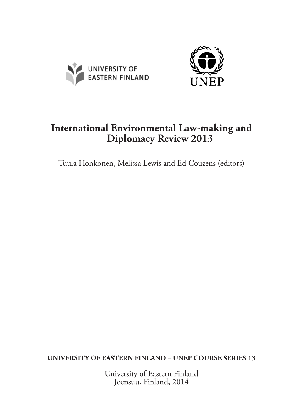



## **International Environmental Law-making and Diplomacy Review 2013**

Tuula Honkonen, Melissa Lewis and Ed Couzens (editors)

**UNIVERSITY OF EASTERN FINLAND – UNEP COURSE SERIES 13**

University of Eastern Finland Joensuu, Finland, 2014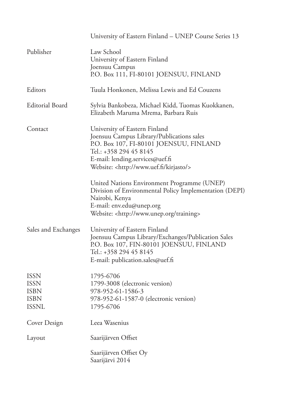|                                                                          | University of Eastern Finland – UNEP Course Series 13                                                                                                                                                                                                                                                                                                               |
|--------------------------------------------------------------------------|---------------------------------------------------------------------------------------------------------------------------------------------------------------------------------------------------------------------------------------------------------------------------------------------------------------------------------------------------------------------|
| Publisher                                                                | Law School<br>University of Eastern Finland<br>Joensuu Campus<br>P.O. Box 111, FI-80101 JOENSUU, FINLAND                                                                                                                                                                                                                                                            |
| Editors                                                                  | Tuula Honkonen, Melissa Lewis and Ed Couzens                                                                                                                                                                                                                                                                                                                        |
| <b>Editorial Board</b>                                                   | Sylvia Bankobeza, Michael Kidd, Tuomas Kuokkanen,<br>Elizabeth Maruma Mrema, Barbara Ruis                                                                                                                                                                                                                                                                           |
| Contact                                                                  | University of Eastern Finland<br>Joensuu Campus Library/Publications sales<br>P.O. Box 107, FI-80101 JOENSUU, FINLAND<br>Tel.: +358 294 45 8145<br>E-mail: lending.services@uef.fi<br>Website: <http: kirjasto="" www.uef.fi=""></http:><br>United Nations Environment Programme (UNEP)<br>Division of Environmental Policy Implementation (DEPI)<br>Nairobi, Kenya |
|                                                                          | E-mail: env.edu@unep.org<br>Website: <http: training="" www.unep.org=""></http:>                                                                                                                                                                                                                                                                                    |
| Sales and Exchanges                                                      | University of Eastern Finland<br>Joensuu Campus Library/Exchanges/Publication Sales<br>P.O. Box 107, FIN-80101 JOENSUU, FINLAND<br>Tel.: +358 294 45 8145<br>E-mail: publication.sales@uef.fi                                                                                                                                                                       |
| <b>ISSN</b><br><b>ISSN</b><br><b>ISBN</b><br><b>ISBN</b><br><b>ISSNL</b> | 1795-6706<br>1799-3008 (electronic version)<br>978-952-61-1586-3<br>978-952-61-1587-0 (electronic version)<br>1795-6706                                                                                                                                                                                                                                             |
| Cover Design                                                             | Leea Wasenius                                                                                                                                                                                                                                                                                                                                                       |
| Layout                                                                   | Saarijärven Offset                                                                                                                                                                                                                                                                                                                                                  |
|                                                                          | Saarijärven Offset Oy<br>Saarijärvi 2014                                                                                                                                                                                                                                                                                                                            |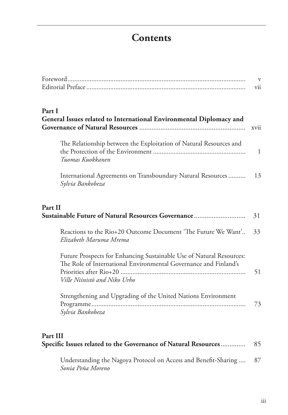## **Contents**

|                                                                                                                                                                          | V<br>vii     |
|--------------------------------------------------------------------------------------------------------------------------------------------------------------------------|--------------|
| Part I<br>General Issues related to International Environmental Diplomacy and                                                                                            | xvii         |
| The Relationship between the Exploitation of Natural Resources and<br>Tuomas Kuokkanen                                                                                   | $\mathbf{1}$ |
| International Agreements on Transboundary Natural Resources<br>Sylvia Bankobeza                                                                                          | 13           |
| Part II<br>Sustainable Future of Natural Resources Governance                                                                                                            | 31           |
| Reactions to the Rio+20 Outcome Document 'The Future We Want'<br>Elizabeth Maruma Mrema                                                                                  | 33           |
| Future Prospects for Enhancing Sustainable Use of Natural Resources:<br>The Role of International Environmental Governance and Finland's<br>Ville Niinistö and Niko Urho | 51           |
| Strengthening and Upgrading of the United Nations Environment<br>Sylvia Bankobeza                                                                                        | 73           |
| Part III<br>Specific Issues related to the Governance of Natural Resources                                                                                               | 85           |
| Understanding the Nagoya Protocol on Access and Benefit-Sharing<br>Sonia Peña Moreno                                                                                     | 87           |

iii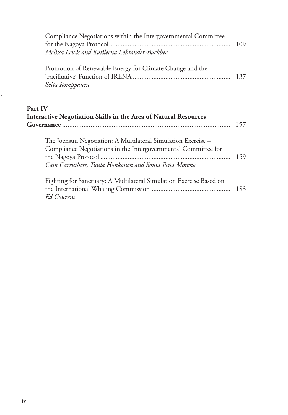| Compliance Negotiations within the Intergovernmental Committee<br>Melissa Lewis and Katileena Lohtander-Buckbee                                                                         | 109 |
|-----------------------------------------------------------------------------------------------------------------------------------------------------------------------------------------|-----|
| Promotion of Renewable Energy for Climate Change and the<br>Seita Romppanen                                                                                                             | 137 |
| Part IV<br>Interactive Negotiation Skills in the Area of Natural Resources                                                                                                              | 157 |
| The Joensuu Negotiation: A Multilateral Simulation Exercise –<br>Compliance Negotiations in the Intergovernmental Committee for<br>Cam Carruthers, Tuula Honkonen and Sonia Peña Moreno | 159 |
| Fighting for Sanctuary: A Multilateral Simulation Exercise Based on<br><b>Ed Couzens</b>                                                                                                | 183 |

**Interactive Negotiation Skills in the Area of Natural Resources Governance.......**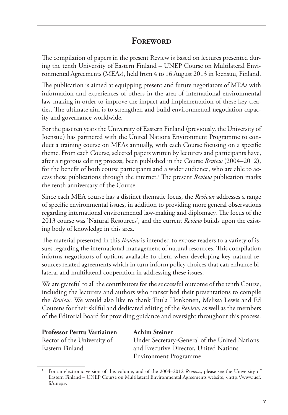#### **FOREWORD**

The compilation of papers in the present Review is based on lectures presented during the tenth University of Eastern Finland – UNEP Course on Multilateral Environmental Agreements (MEAs), held from 4 to 16 August 2013 in Joensuu, Finland.

The publication is aimed at equipping present and future negotiators of MEAs with information and experiences of others in the area of international environmental law-making in order to improve the impact and implementation of these key treaties. The ultimate aim is to strengthen and build environmental negotiation capacity and governance worldwide.

For the past ten years the University of Eastern Finland (previously, the University of Joensuu) has partnered with the United Nations Environment Programme to conduct a training course on MEAs annually, with each Course focusing on a specific theme. From each Course, selected papers written by lecturers and participants have, after a rigorous editing process, been published in the Course *Review* (2004–2012), for the benefit of both course participants and a wider audience, who are able to access these publications through the internet.1 The present *Review* publication marks the tenth anniversary of the Course.

Since each MEA course has a distinct thematic focus, the *Reviews* addresses a range of specific environmental issues, in addition to providing more general observations regarding international environmental law-making and diplomacy. The focus of the 2013 course was 'Natural Resources', and the current *Review* builds upon the existing body of knowledge in this area.

The material presented in this *Review* is intended to expose readers to a variety of issues regarding the international management of natural resources. This compilation informs negotiators of options available to them when developing key natural resources related agreements which in turn inform policy choices that can enhance bilateral and multilateral cooperation in addressing these issues.

We are grateful to all the contributors for the successful outcome of the tenth Course, including the lecturers and authors who transcribed their presentations to compile the *Review*. We would also like to thank Tuula Honkonen, Melissa Lewis and Ed Couzens for their skilful and dedicated editing of the *Review*, as well as the members of the Editorial Board for providing guidance and oversight throughout this process.

| <b>Professor Perttu Vartiainen</b> | <b>Achim Steiner</b>                          |
|------------------------------------|-----------------------------------------------|
| Rector of the University of        | Under Secretary-General of the United Nations |
| Eastern Finland                    | and Executive Director, United Nations        |
|                                    | Environment Programme                         |

<sup>1</sup> For an electronic version of this volume, and of the 2004–2012 *Reviews*, please see the University of Eastern Finland – UNEP Course on Multilateral Environmental Agreements website, <http://www.uef. fi/unep>.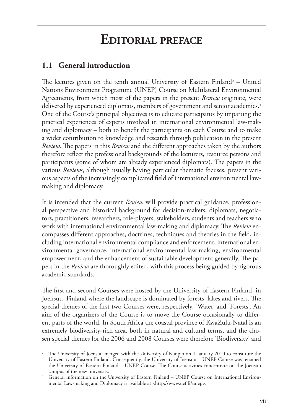# **Editorial preface**

#### **1.1 General introduction**

The lectures given on the tenth annual University of Eastern Finland<sup>2</sup> – United Nations Environment Programme (UNEP) Course on Multilateral Environmental Agreements, from which most of the papers in the present *Review* originate, were delivered by experienced diplomats, members of government and senior academics.<sup>3</sup> One of the Course's principal objectives is to educate participants by imparting the practical experiences of experts involved in international environmental law-making and diplomacy – both to benefit the participants on each Course and to make a wider contribution to knowledge and research through publication in the present *Review*. The papers in this *Review* and the different approaches taken by the authors therefore reflect the professional backgrounds of the lecturers, resource persons and participants (some of whom are already experienced diplomats). The papers in the various *Reviews*, although usually having particular thematic focuses, present various aspects of the increasingly complicated field of international environmental lawmaking and diplomacy.

It is intended that the current *Review* will provide practical guidance, professional perspective and historical background for decision-makers, diplomats, negotiators, practitioners, researchers, role-players, stakeholders, students and teachers who work with international environmental law-making and diplomacy. The *Review* encompasses different approaches, doctrines, techniques and theories in the field, including international environmental compliance and enforcement, international environmental governance, international environmental law-making, environmental empowerment, and the enhancement of sustainable development generally. The papers in the *Review* are thoroughly edited, with this process being guided by rigorous academic standards.

The first and second Courses were hosted by the University of Eastern Finland, in Joensuu, Finland where the landscape is dominated by forests, lakes and rivers. The special themes of the first two Courses were, respectively, 'Water' and 'Forests'. An aim of the organizers of the Course is to move the Course occasionally to different parts of the world. In South Africa the coastal province of KwaZulu-Natal is an extremely biodiversity-rich area, both in natural and cultural terms, and the chosen special themes for the 2006 and 2008 Courses were therefore 'Biodiversity' and

<sup>2</sup> The University of Joensuu merged with the University of Kuopio on 1 January 2010 to constitute the University of Eastern Finland. Consequently, the University of Joensuu – UNEP Course was renamed the University of Eastern Finland – UNEP Course. The Course activities concentrate on the Joensuu campus of the new university.

<sup>&</sup>lt;sup>3</sup> General information on the University of Eastern Finland – UNEP Course on International Environmental Law-making and Diplomacy is available at <http://www.uef.fi/unep>.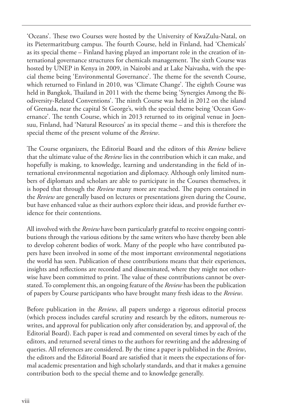'Oceans'. These two Courses were hosted by the University of KwaZulu-Natal, on its Pietermaritzburg campus. The fourth Course, held in Finland, had 'Chemicals' as its special theme – Finland having played an important role in the creation of international governance structures for chemicals management. The sixth Course was hosted by UNEP in Kenya in 2009, in Nairobi and at Lake Naivasha, with the special theme being 'Environmental Governance'. The theme for the seventh Course, which returned to Finland in 2010, was 'Climate Change'. The eighth Course was held in Bangkok, Thailand in 2011 with the theme being 'Synergies Among the Biodiversity-Related Conventions'. The ninth Course was held in 2012 on the island of Grenada, near the capital St George's, with the special theme being 'Ocean Governance'. The tenth Course, which in 2013 returned to its original venue in Joensuu, Finland, had 'Natural Resources' as its special theme – and this is therefore the special theme of the present volume of the *Review*.

The Course organizers, the Editorial Board and the editors of this *Review* believe that the ultimate value of the *Review* lies in the contribution which it can make, and hopefully is making, to knowledge, learning and understanding in the field of international environmental negotiation and diplomacy. Although only limited numbers of diplomats and scholars are able to participate in the Courses themselves, it is hoped that through the *Review* many more are reached. The papers contained in the *Review* are generally based on lectures or presentations given during the Course, but have enhanced value as their authors explore their ideas, and provide further evidence for their contentions.

All involved with the *Review* have been particularly grateful to receive ongoing contributions through the various editions by the same writers who have thereby been able to develop coherent bodies of work. Many of the people who have contributed papers have been involved in some of the most important environmental negotiations the world has seen. Publication of these contributions means that their experiences, insights and reflections are recorded and disseminated, where they might not otherwise have been committed to print. The value of these contributions cannot be overstated. To complement this, an ongoing feature of the *Review* has been the publication of papers by Course participants who have brought many fresh ideas to the *Review*.

Before publication in the *Review*, all papers undergo a rigorous editorial process (which process includes careful scrutiny and research by the editors, numerous rewrites, and approval for publication only after consideration by, and approval of, the Editorial Board). Each paper is read and commented on several times by each of the editors, and returned several times to the authors for rewriting and the addressing of queries. All references are considered. By the time a paper is published in the *Review*, the editors and the Editorial Board are satisfied that it meets the expectations of formal academic presentation and high scholarly standards, and that it makes a genuine contribution both to the special theme and to knowledge generally.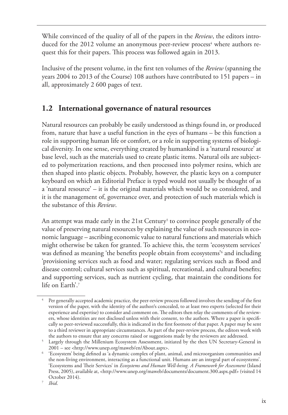While convinced of the quality of all of the papers in the *Review*, the editors introduced for the 2012 volume an anonymous peer-review process<sup>4</sup> where authors request this for their papers. This process was followed again in 2013.

Inclusive of the present volume, in the first ten volumes of the *Review* (spanning the years 2004 to 2013 of the Course) 108 authors have contributed to 151 papers – in all, approximately 2 600 pages of text.

#### **1.2 International governance of natural resources**

Natural resources can probably be easily understood as things found in, or produced from, nature that have a useful function in the eyes of humans – be this function a role in supporting human life or comfort, or a role in supporting systems of biological diversity. In one sense, everything created by humankind is a 'natural resource' at base level, such as the materials used to create plastic items. Natural oils are subjected to polymerization reactions, and then processed into polymer resins, which are then shaped into plastic objects. Probably, however, the plastic keys on a computer keyboard on which an Editorial Preface is typed would not usually be thought of as a 'natural resource' – it is the original materials which would be so considered, and it is the management of, governance over, and protection of such materials which is the substance of this *Review*.

An attempt was made early in the 21st Century<sup>5</sup> to convince people generally of the value of preserving natural resources by explaining the value of such resources in economic language – ascribing economic value to natural functions and materials which might otherwise be taken for granted. To achieve this, the term 'ecosystem services' was defined as meaning 'the benefits people obtain from ecosystems'6 and including 'provisioning services such as food and water; regulating services such as flood and disease control; cultural services such as spiritual, recreational, and cultural benefits; and supporting services, such as nutrient cycling, that maintain the conditions for life on Earth'.<sup>7</sup>

Per generally accepted academic practice, the peer-review process followed involves the sending of the first version of the paper, with the identity of the author/s concealed, to at least two experts (selected for their experience and expertise) to consider and comment on. The editors then relay the comments of the reviewers, whose identities are not disclosed unless with their consent, to the authors. Where a paper is specifically so peer-reviewed successfully, this is indicated in the first footnote of that paper. A paper may be sent to a third reviewer in appropriate circumstances. As part of the peer-review process, the editors work with

the authors to ensure that any concerns raised or suggestions made by the reviewers are addressed.<br><sup>5</sup> Largely through the Millenium Ecosystem Assessment, initiated by the then UN Secretary-General in 2001 – see <http://ww

 $6$  'Ecosystem' being defined as  $a$  dynamic complex of plant, animal, and microorganism communities and the non-living environment, interacting as a functional unit. Humans are an integral part of ecosystems'. 'Ecosystems and Their Services' in *Ecosystems and Human Well-being. A Framework for Assessment* (Island Press, 2005), available at, <http://www.unep.org/maweb/documents/document.300.aspx.pdf> (visited 14 October 2014).

<sup>7</sup> *Ibid*.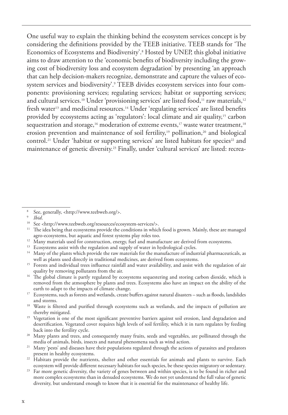One useful way to explain the thinking behind the ecosystem services concept is by considering the definitions provided by the TEEB initiative. TEEB stands for 'The Economics of Ecosystems and Biodiversity'.8 Hosted by UNEP, this global initiative aims to draw attention to the 'economic benefits of biodiversity including the growing cost of biodiversity loss and ecosystem degradation' by presenting 'an approach that can help decision-makers recognize, demonstrate and capture the values of ecosystem services and biodiversity'.<sup>9</sup> TEEB divides ecosystem services into four components: provisioning services; regulating services; habitat or supporting services; and cultural services.<sup>10</sup> Under 'provisioning services' are listed food,<sup>11</sup> raw materials,<sup>12</sup> fresh water<sup>13</sup> and medicinal resources.<sup>14</sup> Under 'regulating services' are listed benefits provided by ecosystems acting as 'regulators': local climate and air quality,15 carbon sequestration and storage,<sup>16</sup> moderation of extreme events,<sup>17</sup> waste water treatment,<sup>18</sup> erosion prevention and maintenance of soil fertility,<sup>19</sup> pollination,<sup>20</sup> and biological control.<sup>21</sup> Under 'habitat or supporting services' are listed habitats for species<sup>22</sup> and maintenance of genetic diversity.23 Finally, under 'cultural services' are listed: recrea-

- <sup>11</sup> The idea being that ecosystems provide the conditions in which food is grown. Mainly, these are managed agro-ecosystems, but aquatic and forest systems play roles too.
- <sup>12</sup> Many materials used for construction, energy, fuel and manufacture are derived from ecosystems.
- <sup>13</sup> Ecosystems assist with the regulation and supply of water in hydrological cycles.
- <sup>14</sup> Many of the plants which provide the raw materials for the manufacture of industrial pharmaceuticals, as well as plants used directly in traditional medicines, are derived from ecosystems.
- <sup>15</sup> Forests and individual trees influence rainfall and water availability, and assist with the regulation of air quality by removing pollutants from the air.
- <sup>16</sup> The global climate is partly regulated by ecosystems sequestering and storing carbon dioxide, which is removed from the atmosphere by plants and trees. Ecosystems also have an impact on the ability of the earth to adapt to the impacts of climate change.
- <sup>17</sup> Ecosystems, such as forests and wetlands, create buffers against natural disasters such as floods, landslides and storms.
- <sup>18</sup> Waste is filtered and purified through ecosystems such as wetlands, and the impacts of pollution are thereby mitigated.
- <sup>19</sup> Vegetation is one of the most significant preventive barriers against soil erosion, land degradation and desertification. Vegetated cover requires high levels of soil fertility, which it in turn regulates by feeding
- back into the fertility cycle.<br><sup>20</sup> Many plants and trees, and consequently many fruits, seeds and vegetables, are pollinated through the<br>media of animals, birds, insects and natural phenomena such as wind action.
- <sup>21</sup> Many 'pests' and diseases have their populations regulated through the actions of parasites and predators present in healthy ecosystems.
- <sup>22</sup> Habitats provide the nutrients, shelter and other essentials for animals and plants to survive. Each ecosystem will provide different necessary habitats for such species, be these species migratory or sedentary.
- Far more genetic diversity, the variety of genes between and within species, is to be found in richer and more complex ecosystems than in denuded ecosystems. We do not yet understand the full value of genetic diversity, but understand enough to know that it is essential for the maintenance of healthy life.

<sup>&</sup>lt;sup>8</sup> See, generally, <http://www.teebweb.org/>.<br><sup>9</sup> *Ibid*.

<sup>&</sup>lt;sup>10</sup> See <http://www.teebweb.org/resources/ecosystem-services/>.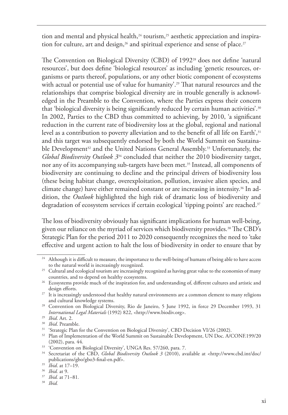tion and mental and physical health, $24$  tourism, $25$  aesthetic appreciation and inspiration for culture, art and design,<sup>26</sup> and spiritual experience and sense of place.<sup>27</sup>

The Convention on Biological Diversity (CBD) of 1992<sup>28</sup> does not define 'natural resources', but does define 'biological resources' as including 'genetic resources, organisms or parts thereof, populations, or any other biotic component of ecosystems with actual or potential use of value for humanity'.<sup>29</sup> That natural resources and the relationships that comprise biological diversity are in trouble generally is acknowledged in the Preamble to the Convention, where the Parties express their concern that 'biological diversity is being significantly reduced by certain human activities'.<sup>30</sup> In 2002, Parties to the CBD thus committed to achieving, by 2010, 'a significant reduction in the current rate of biodiversity loss at the global, regional and national level as a contribution to poverty alleviation and to the benefit of all life on Earth', 31 and this target was subsequently endorsed by both the World Summit on Sustainable Development<sup>32</sup> and the United Nations General Assembly.<sup>33</sup> Unfortunately, the *Global Biodiversity Outlook 3*<sup>34</sup> concluded that neither the 2010 biodiversity target, nor any of its accompanying sub-targets have been met.<sup>35</sup> Instead, all components of biodiversity are continuing to decline and the principal drivers of biodiversity loss (these being habitat change, overexploitation, pollution, invasive alien species, and climate change) have either remained constant or are increasing in intensity.36 In addition, the *Outlook* highlighted the high risk of dramatic loss of biodiversity and degradation of ecosystem services if certain ecological 'tipping points' are reached.<sup>37</sup>

The loss of biodiversity obviously has significant implications for human well-being, given our reliance on the myriad of services which biodiversity provides.<sup>38</sup> The CBD's Strategic Plan for the period 2011 to 2020 consequently recognizes the need to 'take effective and urgent action to halt the loss of biodiversity in order to ensure that by

<sup>&</sup>lt;sup>24</sup> Although it is difficult to measure, the importance to the well-being of humans of being able to have access to the natural world is increasingly recognized.

<sup>&</sup>lt;sup>25</sup> Cultural and ecological tourism are increasingly recognized as having great value to the economies of many countries, and to depend on healthy ecosystems.

<sup>&</sup>lt;sup>26</sup> Ecosystems provide much of the inspiration for, and understanding of, different cultures and artistic and design efforts.

<sup>&</sup>lt;sup>27</sup> It is increasingly understood that healthy natural environments are a common element to many religions and cultural knowledge systems.

<sup>&</sup>lt;sup>28</sup> Convention on Biological Diversity, Rio de Janeiro, 5 June 1992, in force 29 December 1993, 31 *International Legal Materials* (1992) 822, <http://www.biodiv.org>.

<sup>29</sup> *Ibid*. Art. 2.

<sup>30</sup> *Ibid*. Preamble.

<sup>&</sup>lt;sup>31</sup> 'Strategic Plan for the Convention on Biological Diversity', CBD Decision VI/26 (2002).

<sup>&</sup>lt;sup>32</sup> Plan of Implementation of the World Summit on Sustainable Development, UN Doc. A/CONF.199/20 (2002), para. 44.

<sup>&</sup>lt;sup>33</sup> 'Convention on Biological Diversity', UNGA Res. 57/260, para. 7.

<sup>&</sup>lt;sup>34</sup> Secretariat of the CBD, *Global Biodiversity Outlook 3* (2010), available at <http://www.cbd.int/doc/ publications/gbo/gbo3-final-en.pdf>.

<sup>35</sup> *Ibid*. at 17–19.

<sup>36</sup> *Ibid.* at 9.

<sup>37</sup> *Ibid.* at 71–81*.*

<sup>38</sup> *Ibid.*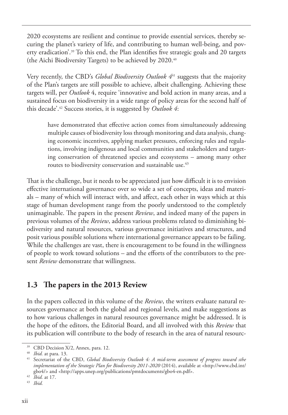2020 ecosystems are resilient and continue to provide essential services, thereby securing the planet's variety of life, and contributing to human well-being, and poverty eradication'.<sup>39</sup> To this end, the Plan identifies five strategic goals and 20 targets (the Aichi Biodiversity Targets) to be achieved by 2020.40

Very recently, the CBD's *Global Biodiversity Outlook 4*41 suggests that the majority of the Plan's targets are still possible to achieve, albeit challenging. Achieving these targets will, per *Outlook* 4, require 'innovative and bold action in many areas, and a sustained focus on biodiversity in a wide range of policy areas for the second half of this decade'.42 Success stories, it is suggested by *Outlook 4*:

have demonstrated that effective action comes from simultaneously addressing multiple causes of biodiversity loss through monitoring and data analysis, changing economic incentives, applying market pressures, enforcing rules and regulations, involving indigenous and local communities and stakeholders and targeting conservation of threatened species and ecosystems – among many other routes to biodiversity conservation and sustainable use.<sup>43</sup>

That is the challenge, but it needs to be appreciated just how difficult it is to envision effective international governance over so wide a set of concepts, ideas and materials – many of which will interact with, and affect, each other in ways which at this stage of human development range from the poorly understood to the completely unimaginable. The papers in the present *Review*, and indeed many of the papers in previous volumes of the *Review*, address various problems related to diminishing biodiversity and natural resources, various governance initiatives and structures, and posit various possible solutions where international governance appears to be failing. While the challenges are vast, there is encouragement to be found in the willingness of people to work toward solutions – and the efforts of the contributors to the present *Review* demonstrate that willingness.

#### **1.3 The papers in the 2013 Review**

In the papers collected in this volume of the *Review*, the writers evaluate natural resources governance at both the global and regional levels, and make suggestions as to how various challenges in natural resources governance might be addressed. It is the hope of the editors, the Editorial Board, and all involved with this *Review* that its publication will contribute to the body of research in the area of natural resourc-

<sup>&</sup>lt;sup>39</sup> CBD Decision X/2, Annex, para. 12.

<sup>40</sup> *Ibid.* at para. 13.

<sup>41</sup> Secretariat of the CBD, *Global Biodiversity Outlook 4: A mid-term assessment of progress toward sthe implementation of the Strategic Plan for Biodiversity 2011-2020* (2014), available at <http://www.cbd.int/ gbo4/> and <http://apps.unep.org/publications/pmtdocuments/gbo4-en.pdf>. 42 *Ibid.* at 17.

<sup>43</sup> *Ibid.*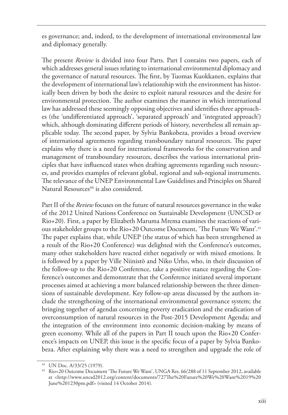es governance; and, indeed, to the development of international environmental law and diplomacy generally.

The present *Review* is divided into four Parts. Part I contains two papers, each of which addresses general issues relating to international environmental diplomacy and the governance of natural resources. The first, by Tuomas Kuokkanen, explains that the development of international law's relationship with the environment has historically been driven by both the desire to exploit natural resources and the desire for environmental protection. The author examines the manner in which international law has addressed these seemingly opposing objectives and identifies three approaches (the 'undifferentiated approach', 'separated approach' and 'integrated approach') which, although dominating different periods of history, nevertheless all remain applicable today. The second paper, by Sylvia Bankobeza, provides a broad overview of international agreements regarding transboundary natural resources. The paper explains why there is a need for international frameworks for the conservation and management of transboundary resources, describes the various international principles that have influenced states when drafting agreements regarding such resources, and provides examples of relevant global, regional and sub-regional instruments. The relevance of the UNEP Environmental Law Guidelines and Principles on Shared Natural Resources<sup>44</sup> is also considered.

Part II of the *Review* focuses on the future of natural resources governance in the wake of the 2012 United Nations Conference on Sustainable Development (UNCSD or Rio+20). First, a paper by Elizabeth Maruma Mrema examines the reactions of various stakeholder groups to the Rio+20 Outcome Document, 'The Future We Want'.45 The paper explains that, while UNEP (the status of which has been strengthened as a result of the Rio+20 Conference) was delighted with the Conference's outcomes, many other stakeholders have reacted either negatively or with mixed emotions. It is followed by a paper by Ville Niinistö and Niko Urho, who, in their discussion of the follow-up to the Rio+20 Conference, take a positive stance regarding the Conference's outcomes and demonstrate that the Conference initiated several important processes aimed at achieving a more balanced relationship between the three dimensions of sustainable development. Key follow-up areas discussed by the authors include the strengthening of the international environmental governance system; the bringing together of agendas concerning poverty eradication and the eradication of overconsumption of natural resources in the Post-2015 Development Agenda; and the integration of the environment into economic decision-making by means of green economy. While all of the papers in Part II touch upon the Rio+20 Conference's impacts on UNEP, this issue is the specific focus of a paper by Sylvia Bankobeza. After explaining why there was a need to strengthen and upgrade the role of

<sup>44</sup> UN Doc. A/33/25 (1979).

<sup>45</sup> Rio+20 Outcome Document 'The Future We Want', UNGA Res. 66/288 of 11 September 2012, available at <http://www.uncsd2012.org/content/documents/727The%20Future%20We%20Want%2019%20 June%201230pm.pdf> (visited 14 October 2014).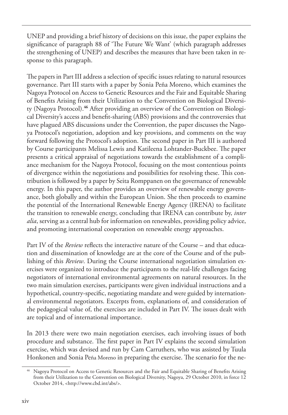UNEP and providing a brief history of decisions on this issue, the paper explains the significance of paragraph 88 of 'The Future We Want' (which paragraph addresses the strengthening of UNEP) and describes the measures that have been taken in response to this paragraph.

The papers in Part III address a selection of specific issues relating to natural resources governance. Part III starts with a paper by Sonia Peña Moreno, which examines the Nagoya Protocol on Access to Genetic Resources and the Fair and Equitable Sharing of Benefits Arising from their Utilization to the Convention on Biological Diversity (Nagoya Protocol).**46** After providing an overview of the Convention on Biological Diversity's access and benefit-sharing (ABS) provisions and the controversies that have plagued ABS discussions under the Convention, the paper discusses the Nagoya Protocol's negotiation, adoption and key provisions, and comments on the way forward following the Protocol's adoption. The second paper in Part III is authored by Course participants Melissa Lewis and Katileena Lohtander-Buckbee. The paper presents a critical appraisal of negotiations towards the establishment of a compliance mechanism for the Nagoya Protocol, focusing on the most contentious points of divergence within the negotiations and possibilities for resolving these. This contribution is followed by a paper by Seita Romppanen on the governance of renewable energy. In this paper, the author provides an overview of renewable energy governance, both globally and within the European Union. She then proceeds to examine the potential of the International Renewable Energy Agency (IRENA) to facilitate the transition to renewable energy, concluding that IRENA can contribute by, *inter alia*, serving as a central hub for information on renewables, providing policy advice, and promoting international cooperation on renewable energy approaches.

Part IV of the *Review* reflects the interactive nature of the Course – and that education and dissemination of knowledge are at the core of the Course and of the publishing of this *Review*. During the Course international negotiation simulation exercises were organized to introduce the participants to the real-life challenges facing negotiators of international environmental agreements on natural resources. In the two main simulation exercises, participants were given individual instructions and a hypothetical, country-specific, negotiating mandate and were guided by international environmental negotiators. Excerpts from, explanations of, and consideration of the pedagogical value of, the exercises are included in Part IV. The issues dealt with are topical and of international importance.

In 2013 there were two main negotiation exercises, each involving issues of both procedure and substance. The first paper in Part IV explains the second simulation exercise, which was devised and run by Cam Carruthers, who was assisted by Tuula Honkonen and Sonia Peña Moreno in preparing the exercise. The scenario for the ne-

<sup>46</sup> Nagoya Protocol on Access to Genetic Resources and the Fair and Equitable Sharing of Benefits Arising from their Utilization to the Convention on Biological Diversity, Nagoya, 29 October 2010, in force 12 October 2014, <http://www.cbd.int/abs/>.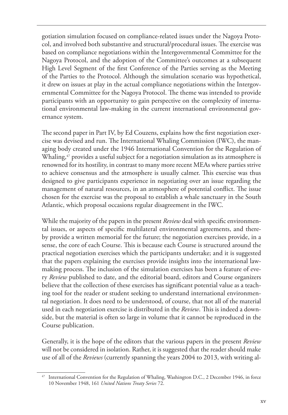gotiation simulation focused on compliance-related issues under the Nagoya Protocol, and involved both substantive and structural/procedural issues. The exercise was based on compliance negotiations within the Intergovernmental Committee for the Nagoya Protocol, and the adoption of the Committee's outcomes at a subsequent High Level Segment of the first Conference of the Parties serving as the Meeting of the Parties to the Protocol. Although the simulation scenario was hypothetical, it drew on issues at play in the actual compliance negotiations within the Intergovernmental Committee for the Nagoya Protocol. The theme was intended to provide participants with an opportunity to gain perspective on the complexity of international environmental law-making in the current international environmental governance system.

The second paper in Part IV, by Ed Couzens, explains how the first negotiation exercise was devised and run. The International Whaling Commission (IWC), the managing body created under the 1946 International Convention for the Regulation of Whaling,<sup>47</sup> provides a useful subject for a negotiation simulation as its atmosphere is renowned for its hostility, in contrast to many more recent MEAs where parties strive to achieve consensus and the atmosphere is usually calmer. This exercise was thus designed to give participants experience in negotiating over an issue regarding the management of natural resources, in an atmosphere of potential conflict. The issue chosen for the exercise was the proposal to establish a whale sanctuary in the South Atlantic, which proposal occasions regular disagreement in the IWC.

While the majority of the papers in the present *Review* deal with specific environmental issues, or aspects of specific multilateral environmental agreements, and thereby provide a written memorial for the future; the negotiation exercises provide, in a sense, the core of each Course. This is because each Course is structured around the practical negotiation exercises which the participants undertake; and it is suggested that the papers explaining the exercises provide insights into the international lawmaking process. The inclusion of the simulation exercises has been a feature of every *Review* published to date, and the editorial board, editors and Course organizers believe that the collection of these exercises has significant potential value as a teaching tool for the reader or student seeking to understand international environmental negotiation. It does need to be understood, of course, that not all of the material used in each negotiation exercise is distributed in the *Review*. This is indeed a downside, but the material is often so large in volume that it cannot be reproduced in the Course publication.

Generally, it is the hope of the editors that the various papers in the present *Review*  will not be considered in isolation. Rather, it is suggested that the reader should make use of all of the *Reviews* (currently spanning the years 2004 to 2013, with writing al-

International Convention for the Regulation of Whaling, Washington D.C., 2 December 1946, in force 10 November 1948, 161 *United Nations Treaty Series* 72.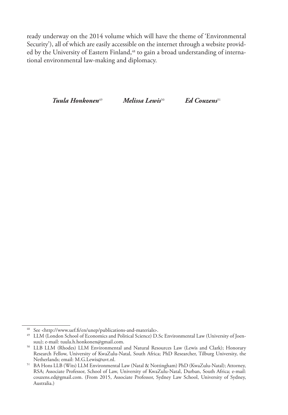ready underway on the 2014 volume which will have the theme of 'Environmental Security'), all of which are easily accessible on the internet through a website provided by the University of Eastern Finland,<sup>48</sup> to gain a broad understanding of international environmental law-making and diplomacy.

*Tuula Honkonen*49 *Melissa Lewis*50 *Ed Couzens*<sup>51</sup>

<sup>48</sup> See <http://www.uef.fi/en/unep/publications-and-materials>.

<sup>49</sup> LLM (London School of Economics and Political Science) D.Sc Environmental Law (University of Joensuu); e-mail: tuula.h.honkonen@gmail.com.

<sup>50</sup> LLB LLM (Rhodes) LLM Environmental and Natural Resources Law (Lewis and Clark); Honorary Research Fellow, University of KwaZulu-Natal, South Africa; PhD Researcher, Tilburg University, the Netherlands; email: M.G.Lewis@uvt.nl. 51 BA Hons LLB (Wits) LLM Environmental Law (Natal & Nottingham) PhD (KwaZulu-Natal); Attorney,

RSA; Associate Professor, School of Law, University of KwaZulu-Natal, Durban, South Africa; e-mail: couzens.ed@gmail.com. (From 2015, Associate Professor, Sydney Law School, University of Sydney, Australia.)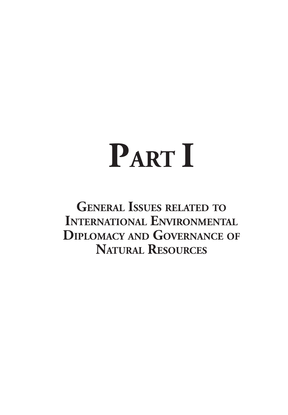# **PART I**

**General Issues related to International Environmental Diplomacy and Governance of Natural Resources**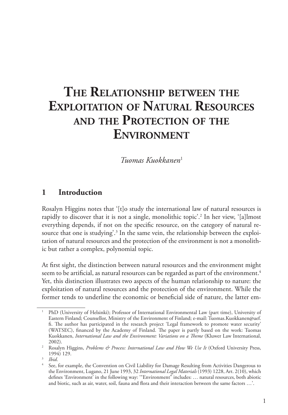# **The Relationship between the Exploitation of Natural Resources and the Protection of the Environment**

*Tuomas Kuokkanen*<sup>1</sup>

#### **1 Introduction**

Rosalyn Higgins notes that '[t]o study the international law of natural resources is rapidly to discover that it is not a single, monolithic topic'.<sup>2</sup> In her view, '[a]lmost everything depends, if not on the specific resource, on the category of natural resource that one is studying'.<sup>3</sup> In the same vein, the relationship between the exploitation of natural resources and the protection of the environment is not a monolithic but rather a complex, polynomial topic.

At first sight, the distinction between natural resources and the environment might seem to be artificial, as natural resources can be regarded as part of the environment.<sup>4</sup> Yet, this distinction illustrates two aspects of the human relationship to nature: the exploitation of natural resources and the protection of the environment. While the former tends to underline the economic or beneficial side of nature, the latter em-

<sup>1</sup> PhD (University of Helsinki); Professor of International Environmental Law (part time), University of Eastern Finland; Counsellor, Ministry of the Environment of Finland; e-mail: Tuomas.Kuokkanen@uef. fi. The author has participated in the research project 'Legal framework to promote water security' (WATSEC), financed by the Academy of Finland. The paper is partly based on the work: Tuomas Kuokkanen, *International Law and the Environment: Variations on a Theme* (Kluwer Law International, 2002).

<sup>&</sup>lt;sup>2</sup> Rosalyn Higgins, *Problems & Process: International Law and How We Use It* (Oxford University Press, 1994) 129.

<sup>3</sup> *Ibid*.

See, for example, the Convention on Civil Liability for Damage Resulting from Activities Dangerous to the Environment, Lugano, 21 June 1993, 32 *International Legal Materials* (1993) 1228, Art. 2(10), which defines 'Environment' in the following way: '"Environment" includes: … natural resources, both abiotic and biotic, such as air, water, soil, fauna and flora and their interaction between the same factors …'.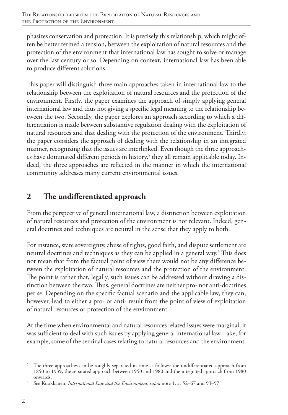phasizes conservation and protection. It is precisely this relationship, which might often be better termed a tension, between the exploitation of natural resources and the protection of the environment that international law has sought to solve or manage over the last century or so. Depending on context, international law has been able to produce different solutions.

This paper will distinguish three main approaches taken in international law to the relationship between the exploitation of natural resources and the protection of the environment. Firstly, the paper examines the approach of simply applying general international law and thus not giving a specific legal meaning to the relationship between the two. Secondly, the paper explores an approach according to which a differentiation is made between substantive regulation dealing with the exploitation of natural resources and that dealing with the protection of the environment. Thirdly, the paper considers the approach of dealing with the relationship in an integrated manner, recognizing that the issues are interlinked. Even though the three approaches have dominated different periods in history,<sup>5</sup> they all remain applicable today. Indeed, the three approaches are reflected in the manner in which the international community addresses many current environmental issues.

### **2 The undifferentiated approach**

From the perspective of general international law, a distinction between exploitation of natural resources and protection of the environment is not relevant. Indeed, general doctrines and techniques are neutral in the sense that they apply to both.

For instance, state sovereignty, abuse of rights, good faith, and dispute settlement are neutral doctrines and techniques as they can be applied in a general way.<sup>6</sup> This does not mean that from the factual point of view there would not be any difference between the exploitation of natural resources and the protection of the environment. The point is rather that, legally, such issues can be addressed without drawing a distinction between the two. Thus, general doctrines are neither pro- nor anti-doctrines per se. Depending on the specific factual scenario and the applicable law, they can, however, lead to either a pro- or anti- result from the point of view of exploitation of natural resources or protection of the environment.

At the time when environmental and natural resources related issues were marginal, it was sufficient to deal with such issues by applying general international law. Take, for example, some of the seminal cases relating to natural resources and the environment.

<sup>5</sup> The three approaches can be roughly separated in time as follows: the undifferentiated approach from 1850 to 1939, the separated approach between 1950 and 1980 and the integrated approach from 1980 onwards.

<sup>6</sup> See Kuokkanen, *International Law and the Environment*, *supra* note 1, at 52–67 and 93–97.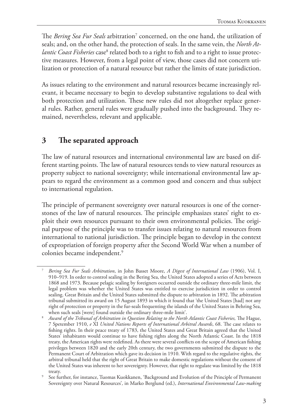The *Bering Sea Fur Seals* arbitration<sup>7</sup> concerned, on the one hand, the utilization of seals; and, on the other hand, the protection of seals. In the same vein, the *North Atlantic Coast Fisheries* case<sup>8</sup> related both to a right to fish and to a right to issue protective measures. However, from a legal point of view, those cases did not concern utilization or protection of a natural resource but rather the limits of state jurisdiction.

As issues relating to the environment and natural resources became increasingly relevant, it became necessary to begin to develop substantive regulations to deal with both protection and utilization. These new rules did not altogether replace general rules. Rather, general rules were gradually pushed into the background. They remained, nevertheless, relevant and applicable.

#### **3 The separated approach**

The law of natural resources and international environmental law are based on different starting points. The law of natural resources tends to view natural resources as property subject to national sovereignty; while international environmental law appears to regard the environment as a common good and concern and thus subject to international regulation.

The principle of permanent sovereignty over natural resources is one of the cornerstones of the law of natural resources. The principle emphasizes states' right to exploit their own resources pursuant to their own environmental policies. The original purpose of the principle was to transfer issues relating to natural resources from international to national jurisdiction. The principle began to develop in the context of expropriation of foreign property after the Second World War when a number of colonies became independent.<sup>9</sup>

<sup>7</sup> *Bering Sea Fur Seals Arbitration*, in John Basset Moore, *A Digest of International Law* (1906), Vol. I, 910–919. In order to control sealing in the Bering Sea, the United States adopted a series of Acts between 1868 and 1973. Because pelagic sealing by foreigners occurred outside the ordinary three-mile limit, the legal problem was whether the United States was entitled to exercise jurisdiction in order to control sealing. Great Britain and the United States submitted the dispute to arbitration in 1892. The arbitration tribunal submitted its award on 15 August 1893 in which it found that 'the United States [had] not any right of protection or property in the fur-seals frequenting the islands of the United States in Behring Sea, when such seals [were] found outside the ordinary three-mile limit'.

<sup>8</sup> *Award of the Tribunal of Arbitration in Question Relating to the North Atlantic Coast Fisheries,* The Hague, 7 Spetember 1910, *e* XI *United Nations Reports of International Arbitral Awards*, 68. The case relates to fishing rights. In their peace treaty of 1783, the United States and Great Britain agreed that the United States' inhabitants would continue to have fishing rights along the North Atlantic Coast. In the 1818 treaty, the American rights were redefined. As there were several conflicts on the scope of American fishing privileges between 1820 and the early 20th century, the two governments submitted the dispute to the Permanent Court of Arbitration which gave its decision in 1910. With regard to the regulative rights, the arbitral tribunal held that the right of Great Britain to make domestic regulations without the consent of the United States was inherent to her sovereignty. However, that right to regulate was limited by the 1818

treaty.<br>8 See further, for instance, Tuomas Kuokkanen, 'Background and Evolution of the Principle of Permanent Sovereignty over Natural Resources'*,* in Marko Berglund (ed.), *International Environmental Law-making*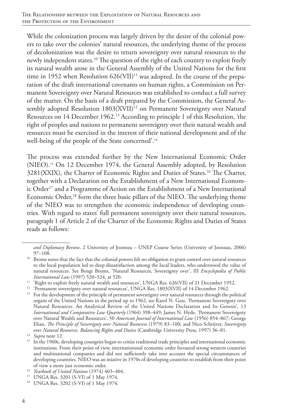While the colonization process was largely driven by the desire of the colonial powers to take over the colonies' natural resources, the underlying theme of the process of decolonization was the desire to return sovereignty over natural resources to the newly independent states.10 The question of the right of each country to exploit freely its natural wealth arose in the General Assembly of the United Nations for the first time in 1952 when Resolution  $626$ (VII)<sup>11</sup> was adopted. In the course of the preparation of the draft international covenants on human rights, a Commission on Permanent Sovereignty over Natural Resources was established to conduct a full survey of the matter. On the basis of a draft prepared by the Commission, the General Assembly adopted Resolution 1803(XVII)<sup>12</sup> on Permanent Sovereignty over Natural Resources on 14 December 1962.13 According to principle 1 of this Resolution, 'the right of peoples and nations to permanent sovereignty over their natural wealth and resources must be exercised in the interest of their national development and of the well-being of the people of the State concerned'.14

The process was extended further by the New International Economic Order (NIEO).15 On 12 December 1974, the General Assembly adopted, by Resolution 3281(XXIX), the Charter of Economic Rights and Duties of States.16 The Charter, together with a Declaration on the Establishment of a New International Economic Order<sup>17</sup> and a Programme of Action on the Establishment of a New International Economic Order,<sup>18</sup> form the three basic pillars of the NIEO. The underlying theme of the NIEO was to strengthen the economic independence of developing countries. With regard to states' full permanent sovereignty over their natural resources, paragraph 1 of Article 2 of the Charter of the Economic Rights and Duties of States reads as follows:

*and Diplomacy Review*, 2 University of Joensuu – UNEP Course Series (University of Joensuu, 2006) 97–108.

<sup>&</sup>lt;sup>10</sup> Broms notes that the fact that the colonial powers felt no obligation to grant control over natural resources to the local population led to deep dissatisfaction among the local leaders, who understood the value of natural resources. See Bengt Broms, 'Natural Resources, Sovereignty over', III *Encyclopedia of Public International Law* (1997) 520–524, at 520.

<sup>&</sup>lt;sup>11</sup> 'Right to exploit freely natural wealth and resources', UNGA Res. 626(VII) of 21 December 1952.

<sup>&</sup>lt;sup>12</sup> 'Permanent sovereignty over natural resources', UNGA Res. 1803(XVII) of 14 December 1962.

<sup>&</sup>lt;sup>13</sup> For the development of the principle of permanent sovereignty over natural resources through the political organs of the United Nations in the period up to 1962, see Karol N. Gess, 'Permanent Sovereignty over Natural Resources. An Analytical Review of the United Nations Declaration and Its Genesis', 13 *International and Comparative Law Quarterly* (1964) 398–449; James N. Hyde, 'Permanent Sovereignty over Natural Wealth and Resources', 50 *American Journal of International Law* (1956) 854–867; George Elian, *The Principle of Sovereignty over Natural Resources* (1979) 83–100; and Nico Schrijver, *Sovereignty over Natural Resources. Balancing Rights and Duties* (Cambridge University Press, 1997) 36–81. 14 *Supra* note 12.

<sup>&</sup>lt;sup>15</sup> In the 1960s, developing coungries began to critize traditional trade principles and international economic institutions. From their point of view, internationmal economic order favoured strong western countries and multinational companies and did not sufficiently take into account the special circumstances of developing countries. NIEO was an iniative in 1970s of developing countries to establish from their point

of view a more just economic order. 16 *Yearbook of United Nations* (1974) 403–404. 17 UNGA Res. 3201 (S-VI) of 1 May 1974.

<sup>18</sup> UNGA Res. 3202 (S-VI) of 1 May 1974.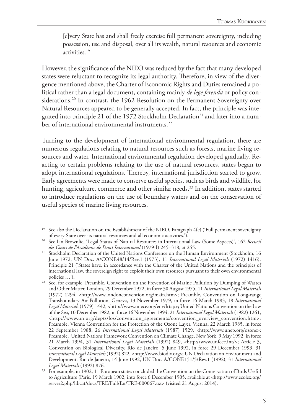[e]very State has and shall freely exercise full permanent sovereignty, including possession, use and disposal, over all its wealth, natural resources and economic activities.19

However, the significance of the NIEO was reduced by the fact that many developed states were reluctant to recognize its legal authority. Therefore, in view of the divergence mentioned above, the Charter of Economic Rights and Duties remained a political rather than a legal document, containing mainly *de lege ferenda* or policy considerations.<sup>20</sup> In contrast, the 1962 Resolution on the Permanent Sovereignty over Natural Resources appeared to be generally accepted. In fact, the principle was integrated into principle 21 of the 1972 Stockholm Declaration<sup>21</sup> and later into a number of international environmental instruments.<sup>22</sup>

Turning to the development of international environmental regulation, there are numerous regulations relating to natural resources such as forests, marine living resources and water. International environmental regulation developed gradually. Reacting to certain problems relating to the use of natural resources, states began to adopt international regulations. Thereby, international jurisdiction started to grow. Early agreements were made to conserve useful species, such as birds and wildlife, for hunting, agriculture, commerce and other similar needs.<sup>23</sup> In addition, states started to introduce regulations on the use of boundary waters and on the conservation of useful species of marine living resources.

<sup>&</sup>lt;sup>19</sup> See also the Declaration on the Establishment of the NIEO, Paragraph  $4(e)$  ('Full permanent sovereignty of every State over its natural resources and all economic activities.').

<sup>&</sup>lt;sup>20</sup> See Ian Brownlie, 'Legal Status of Natural Resources in International Law (Some Aspects)', 162 *Recueil des Cours de l'Académie de Droit International* (1979-I) 245–318, at 255.

<sup>&</sup>lt;sup>21</sup> Stockholm Declaration of the United Nations Conference on the Human Environment (Stockholm, 16 June 1972, UN Doc. A/CONF.48/14/Rev.1 (1973), 11 *International Legal Materials* (1972) 1416), Principle 21 ('States have, in accordance with the Charter of the United Nations and the principles of international law, the sovereign right to exploit their own resources pursuant to their own environmental policies …').

<sup>&</sup>lt;sup>22</sup> See, for example, Preamble, Convention on the Prevention of Marine Pollution by Dumping of Wastes and Other Matter, London, 29 December 1972, in force 30 August 1975, 11 *International Legal Materials*  (1972) 1294, <http://www.londonconvention.org/main.htm>; Preamble, Convention on Long-range Transboundary Air Pollution, Geneva, 13 November 1979, in force 16 March 1983, 18 *International Legal Materials* (1979) 1442, <http://www.unece.org/env/lrtap>; United Nations Convention on the Law of the Sea, 10 December 1982, in force 16 November 1994, 21 *International Legal Materials* (1982) 1261, <http://www.un.org/depts/los/convention\_agreements/convention\_overview\_convention.htm>; Preamble, Vienna Convention for the Protection of the Ozone Layer, Vienna, 22 March 1985, in force 22 September 1988, 26 *International Legal Materials* (1987) 1529, <http://www.unep.org/ozone>; Preamble, United Nations Framework Convention on Climate Change, New York, 9 May 1992, in force 21 March 1994, 31 *International Legal Materials* (1992) 849, <http://www.unfccc.int/>; Article 3, Convention on Biological Diversity, Rio de Janeiro, 5 June 1992, in force 29 December 1993, 31 *International Legal Materials* (1992) 822, <http://www.biodiv.org>; UN Declaration on Environment and Development, Rio de Janeiro, 14 June 1992, UN Doc. A/CONF.151/5/Rev.1 (1992), 31 *International Legal Materials* (1992) 876.

<sup>23</sup> For example, in 1902, 11 European states concluded the Convention on the Conservation of Birds Useful to Agriculture (Paris, 19 March 1902, into force 6 December 1905, available at <http://www.ecolex.org/ server2.php/libcat/docs/TRE/Full/En/TRE-000067.txt> (visited 21 August 2014).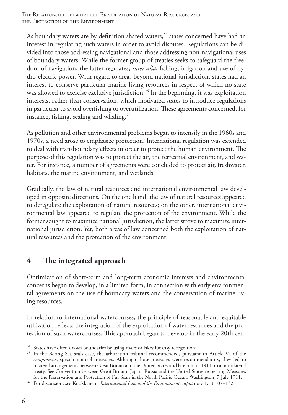As boundary waters are by definition shared waters, $^{24}$  states concerned have had an interest in regulating such waters in order to avoid disputes. Regulations can be divided into those addressing navigational and those addressing non-navigational uses of boundary waters. While the former group of treaties seeks to safeguard the freedom of navigation, the latter regulates, *inter alia*, fishing, irrigation and use of hydro-electric power. With regard to areas beyond national jurisdiction, states had an interest to conserve particular marine living resources in respect of which no state was allowed to exercise exclusive jurisdiction.<sup>25</sup> In the beginning, it was exploitation interests, rather than conservation, which motivated states to introduce regulations in particular to avoid overfishing or overutilization. These agreements concerned, for instance, fishing, sealing and whaling.<sup>26</sup>

As pollution and other environmental problems began to intensify in the 1960s and 1970s, a need arose to emphasize protection. International regulation was extended to deal with transboundary effects in order to protect the human environment. The purpose of this regulation was to protect the air, the terrestrial environment, and water. For instance, a number of agreements were concluded to protect air, freshwater, habitats, the marine environment, and wetlands.

Gradually, the law of natural resources and international environmental law developed in opposite directions. On the one hand, the law of natural resources appeared to deregulate the exploitation of natural resources; on the other, international environmental law appeared to regulate the protection of the environment. While the former sought to maximize national jurisdiction, the latter strove to maximize international jurisdiction. Yet, both areas of law concerned both the exploitation of natural resources and the protection of the environment.

#### **4 The integrated approach**

Optimization of short-term and long-term economic interests and environmental concerns began to develop, in a limited form, in connection with early environmental agreements on the use of boundary waters and the conservation of marine living resources.

In relation to international watercourses, the principle of reasonable and equitable utilization reflects the integration of the exploitation of water resources and the protection of such watercourses. This approach began to develop in the early 20th cen-

<sup>&</sup>lt;sup>24</sup> States have often drawn boundaries by using rivers or lakes for easy recognition.

<sup>&</sup>lt;sup>25</sup> In the Bering Sea seals case, the arbitration tribunal recommended, pursuant to Article VI of the *compromise*, specific control measures. Although those measures were recommendatory, they led to bilateral arrangements between Great Britain and the United States and later on, in 1911, to a multilateral treaty. See Convention between Great Britain, Japan, Russia and the United States respecting Measures for the Preservation and Protection of Fur Seals in the North Pacific Ocean, Washington, 7 July 1911.

<sup>26</sup> For discussion, see Kuokkanen, *International Law and the Environment*, *supra* note 1, at 107–132.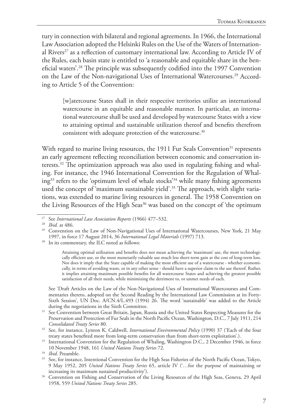tury in connection with bilateral and regional agreements. In 1966, the International Law Association adopted the Helsinki Rules on the Use of the Waters of International Rivers<sup>27</sup> as a reflection of customary international law. According to Article IV of the Rules, each basin state is entitled to 'a reasonable and equitable share in the beneficial waters'.28 The principle was subsequently codified into the 1997 Convention on the Law of the Non-navigational Uses of International Watercourses.<sup>29</sup> According to Article 5 of the Convention:

[w]atercourse States shall in their respective territories utilize an international watercourse in an equitable and reasonable manner. In particular, an international watercourse shall be used and developed by watercourse States with a view to attaining optimal and sustainable utilization thereof and benefits therefrom consistent with adequate protection of the watercourse.<sup>30</sup>

With regard to marine living resources, the 1911 Fur Seals Convention<sup>31</sup> represents an early agreement reflecting reconciliation between economic and conservation interests.32 The optimization approach was also used in regulating fishing and whaling. For instance, the 1946 International Convention for the Regulation of Whaling33 refers to the 'optimum level of whale stocks'34 while many fishing agreements used the concept of 'maximum sustainable yield'.<sup>35</sup> The approach, with slight variations, was extended to marine living resources in general. The 1958 Convention on the Living Resources of the High Seas<sup>36</sup> was based on the concept of 'the optimum

See 'Draft Articles on the Law of the Non-Navigational Uses of International Watercourses and Commentaries thereto, adopted on the Second Reading by the International Law Commission at its Forty-Sixth Session', UN Doc. A/CN.4/L.493 (1994) 26. The word 'sustainable' was added to the Article during the negotiations in the Sixth Committee.

<sup>27</sup> See *International Law Association Reports* (1966) 477–532.

<sup>28</sup> *Ibid.* at 486.

<sup>&</sup>lt;sup>29</sup> Convention on the Law of Non-Navigational Uses of International Watercourses, New York, 21 May 1997, in force 17 August 2014, 36 *International Legal Materials* (1997) 713.

<sup>&</sup>lt;sup>30</sup> In its commentary, the ILC noted as follows:

Attaining optimal utilization and benefits does not mean achieving the 'maximum' use, the most technologically efficient use, or the most monetarily valuable use much less short-term gain at the cost of long-term loss. Nor does it imply that the State capable of making the most efficient use of a watercourse - whether economically, in terms of avoiding waste, or in any other sense - should have a superior claim to the use thereof. Rather, it implies attaining maximum possible benefits for all watercourse States and achieving the greatest possible satisfaction of all their needs, while minimizing the detriment to, or unmet needs of each.

<sup>&</sup>lt;sup>31</sup> See Convention between Great Britain, Japan, Russia and the United States Respecting Measures for the Preservation and Protection of Fur Seals in the North Pacific Ocean, Washington, D.C., 7 July 1911, 214

<sup>&</sup>lt;sup>32</sup> See, for instance, Lynton K. Caldwell, *International Environmental Policy* (1990) 37 ('Each of the four treaty states benefited more from long-term conservation than from short-term exploitation'.).

<sup>&</sup>lt;sup>33</sup> International Convention for the Regulation of Whaling, Washington D.C., 2 December 1946, in force 10 November 1948, 161 *United Nations Treaty Series* 72.

<sup>34</sup> *Ibid*. Preamble.

<sup>35</sup> See, for instance, Intentional Convention for the High Seas Fisheries of the North Pacific Ocean, Tokyo, 9 May 1952, 205 *United Nations Treaty Series* 65, article IV ('…for the purpose of maintaining or increasing its maximum sustained productivity'). 36 Convention on Fishing and Conservation of the Living Resources of the High Seas, Geneva, 29 April

<sup>1958, 559</sup> *United Nations Treaty Series* 285.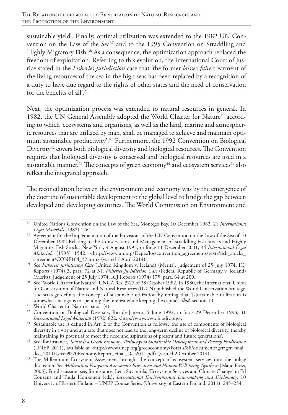sustainable yield'. Finally, optimal utilization was extended to the 1982 UN Convention on the Law of the Sea<sup>37</sup> and to the 1995 Convention on Straddling and Highly Migratory Fish.<sup>38</sup> As a consequence, the optimization approach replaced the freedom of exploitation. Referring to this evolution, the International Court of Justice stated in the *Fisheries Jurisdiction* case that 'the former *laissez faire* treatment of the living resources of the sea in the high seas has been replaced by a recognition of a duty to have due regard to the rights of other states and the need of conservation for the benefits of all'.39

Next, the optimization process was extended to natural resources in general. In 1982, the UN General Assembly adopted the World Charter for Nature<sup>40</sup> according to which 'ecosystems and organisms, as well as the land, marine and atmospheric resources that are utilized by man, shall be managed to achieve and maintain optimum sustainable productivity'.<sup>41</sup> Furthermore, the 1992 Convention on Biological Diversity<sup>42</sup> covers both biological diversity and biological resources. The Convention requires that biological diversity is conserved and biological resources are used in a sustainable manner.<sup>43</sup> The concepts of green economy<sup>44</sup> and ecosystem services<sup>45</sup> also reflect the integrated approach.

The reconciliation between the environment and economy was by the emergence of the doctrine of sustainable development to the global level to bridge the gap between developed and developing countries. The World Commission on Environment and

<sup>37</sup> United Nations Convention on the Law of the Sea, Montego Bay, 10 December 1982, 21 *International Legal Materials* (1982) 1261.

<sup>&</sup>lt;sup>38</sup> Agreement for the Implementation of the Provisions of the UN Convention on the Law of the Sea of 10 December 1982 Relating to the Conservation and Management of Straddling Fish Stocks and Highly Migratory Fish Stocks, New York, 4 August 1995, in force 11 December 2001, 34 *International Legal Materials* (1995) 1542, <http://www.un.org/Depts/los/convention\_agreements/texts/fish\_stocks\_ agreement/CONF164\_37.htm> (visited 7 April 2014).

<sup>&</sup>lt;sup>39</sup> See Fisheries Jurisdiction Case (United Kingdom v. Iceland) (Merits), Judgement of 25 July 1974, ICJ Reports (1974) 3, para. 72 at 31; *Fisheries Jurisdiction Case* (Federal Republic of Germany v. Iceland) (Merits), Judgement of 25 July 1974, ICJ Reports (1974) 175, para. 64 at 200.

<sup>40</sup> See 'World Charter for Nature', UNGA Res. 37/7 of 28 October 1982. In 1980, the International Union for Conservation of Nature and Natural Resources (IUCN) published the World Conservation Strategy. The strategy defines the concept of sustainable utilization by noting that '[s]ustainable utilization is somewhat analogous to spending the interest while keeping the capital'. *Ibid*. section 10.

<sup>41</sup> World Charter for Nature*,* para. 1(4).

<sup>&</sup>lt;sup>42</sup> Convention on Biological Diversity, Rio de Janeiro, 5 June 1992, in force 29 December 1993, 31 *International Legal Materials* (1992) 822, <http://www.www.biodiv.org>.

<sup>&</sup>lt;sup>43</sup> Sustainable use is defined in Art. 2 of the Convention as follows: 'the use of components of biological diversity in a way and at a rate that does not lead to the long-term decline of biological diversity, thereby maintaining its potential to meet the need and aspirations of present and future generations'.

<sup>44</sup> See, for instance, *Towards a Green Economy: Pathways to Sustainable Development and Poverty Eradication* (UNEP, 2011), available at <http://www.unep.org/greeneconomy/Portals/88/documents/ger/ger\_final\_ dec\_2011/Green%20EconomyReport\_Final\_Dec2011.pdf> (visited 2 October 2014).

<sup>&</sup>lt;sup>45</sup> The Millennium Ecosystem Assessment brought the concept of ecosystem services into the policy discussion. See *Millennium Ecosystem Assessment*: *Ecosystems and Human Well-being. Synthesis* (Island Press, 2005). For discussion, see, for instance, Leila Suvantola, 'Ecosystem Services and Climate Change' in Ed Couzens and Tuula Honkonen (eds), *International Environmental Law-making and Diplomacy*, 10 University of Eastern Finland – UNEP Course Series (University of Eastern Finland, 2011) 245–254.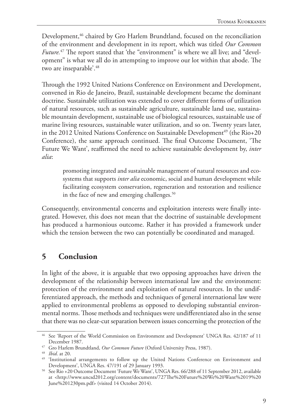Development,<sup>46</sup> chaired by Gro Harlem Brundtland, focused on the reconciliation of the environment and development in its report, which was titled *Our Common Future.*<sup>47</sup> The report stated that 'the "environment" is where we all live; and "development" is what we all do in attempting to improve our lot within that abode. The two are inseparable'.<sup>48</sup>

Through the 1992 United Nations Conference on Environment and Development, convened in Rio de Janeiro, Brazil, sustainable development became the dominant doctrine. Sustainable utilization was extended to cover different forms of utilization of natural resources, such as sustainable agriculture, sustainable land use, sustainable mountain development, sustainable use of biological resources, sustainable use of marine living resources, sustainable water utilization, and so on. Twenty years later, in the 2012 United Nations Conference on Sustainable Development<sup>49</sup> (the Rio+20 Conference), the same approach continued. The final Outcome Document, 'The Future We Want', reaffirmed the need to achieve sustainable development by, *inter alia*:

promoting integrated and sustainable management of natural resources and ecosystems that supports *inter alia* economic, social and human development while facilitating ecosystem conservation, regeneration and restoration and resilience in the face of new and emerging challenges.<sup>50</sup>

Consequently, environmental concerns and exploitation interests were finally integrated. However, this does not mean that the doctrine of sustainable development has produced a harmonious outcome. Rather it has provided a framework under which the tension between the two can potentially be coordinated and managed.

#### **5 Conclusion**

In light of the above, it is arguable that two opposing approaches have driven the development of the relationship between international law and the environment: protection of the environment and exploitation of natural resources. In the undifferentiated approach, the methods and techniques of general international law were applied to environmental problems as opposed to developing substantial environmental norms. Those methods and techniques were undifferentiated also in the sense that there was no clear-cut separation between issues concerning the protection of the

<sup>46</sup> See 'Report of the World Commission on Environment and Development' UNGA Res. 42/187 of 11 December 1987.

<sup>47</sup> Gro Harlem Brundtland, *Our Common Future* (Oxford University Press, 1987).

<sup>48</sup> *Ibid*. at 20.

<sup>&</sup>lt;sup>49</sup> 'Institutional arrangements to follow up the United Nations Conference on Environment and Development', UNGA Res. 47/191 of 29 January 1993.

<sup>&</sup>lt;sup>50</sup> See Rio +20 Outcome Document 'Future We Want', UNGA Res. 66/288 of 11 September 2012, available at <http://www.uncsd2012.org/content/documents/727The%20Future%20We%20Want%2019%20 June%201230pm.pdf> (visited 14 October 2014).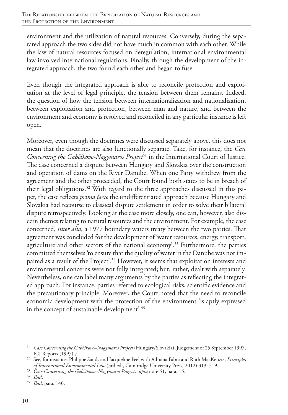environment and the utilization of natural resources. Conversely, during the separated approach the two sides did not have much in common with each other. While the law of natural resources focused on deregulation, international environmental law involved international regulations. Finally, through the development of the integrated approach, the two found each other and began to fuse.

Even though the integrated approach is able to reconcile protection and exploitation at the level of legal principle, the tension between them remains. Indeed, the question of how the tension between internationalization and nationalization, between exploitation and protection, between man and nature, and between the environment and economy is resolved and reconciled in any particular instance is left open.

Moreover, even though the doctrines were discussed separately above, this does not mean that the doctrines are also functionally separate. Take, for instance, the *Case Concerning the Gabčíkovo-Nagymaros Project*<sup>51</sup> in the International Court of Justice. The case concerned a dispute between Hungary and Slovakia over the construction and operation of dams on the River Danube. When one Party withdrew from the agreement and the other proceeded, the Court found both states to be in breach of their legal obligations.<sup>52</sup> With regard to the three approaches discussed in this paper, the case reflects *prima facie* the undifferentiated approach because Hungary and Slovakia had recourse to classical dispute settlement in order to solve their bilateral dispute retrospectively. Looking at the case more closely, one can, however, also discern themes relating to natural resources and the environment. For example, the case concerned, *inter alia*, a 1977 boundary waters treaty between the two parties. That agreement was concluded for the development of 'water resources, energy, transport, agriculture and other sectors of the national economy'.53 Furthermore, the parties committed themselves 'to ensure that the quality of water in the Danube was not impaired as a result of the Project<sup>', 54</sup> However, it seems that exploitation interests and environmental concerns were not fully integrated; but, rather, dealt with separately. Nevertheless, one can label many arguments by the parties as reflecting the integrated approach. For instance, parties referred to ecological risks, scientific evidence and the precautionary principle. Moreover, the Court noted that the need to reconcile economic development with the protection of the environment 'is aptly expressed in the concept of sustainable development'.55

<sup>51</sup> *Case Concerning the Gabčíkovo–Nagymaros Project* (Hungary/Slovakia), Judgement of 25 September 1997, ICJ Reports (1997) 7.

<sup>52</sup> See, for instance, Philippe Sands and Jacqueline Peel with Adriana Fabra and Ruth MacKenzie, *Principles of International Environmental Law* (3rd ed., Cambridge University Press, 2012) 313–319.

<sup>53</sup> *Case Concerning the Gabčíkovo–Nagymaros Project*, *supra* note 51, para. 15.

<sup>54</sup> *Ibid*.

<sup>55</sup> *Ibid*. para. 140.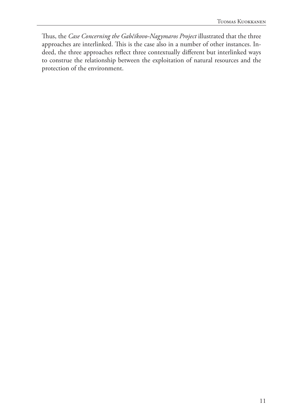Thus, the *Case Concerning the Gabčíkovo-Nagymaros Project* illustrated that the three approaches are interlinked. This is the case also in a number of other instances. Indeed, the three approaches reflect three contextually different but interlinked ways to construe the relationship between the exploitation of natural resources and the protection of the environment.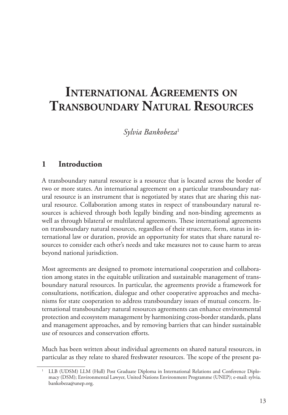# **International Agreements on Transboundary Natural Resources**

*Sylvia Bankobeza*<sup>1</sup>

#### **1 Introduction**

A transboundary natural resource is a resource that is located across the border of two or more states. An international agreement on a particular transboundary natural resource is an instrument that is negotiated by states that are sharing this natural resource. Collaboration among states in respect of transboundary natural resources is achieved through both legally binding and non-binding agreements as well as through bilateral or multilateral agreements. These international agreements on transboundary natural resources, regardless of their structure, form, status in international law or duration, provide an opportunity for states that share natural resources to consider each other's needs and take measures not to cause harm to areas beyond national jurisdiction.

Most agreements are designed to promote international cooperation and collaboration among states in the equitable utilization and sustainable management of transboundary natural resources. In particular, the agreements provide a framework for consultations, notification, dialogue and other cooperative approaches and mechanisms for state cooperation to address transboundary issues of mutual concern. International transboundary natural resources agreements can enhance environmental protection and ecosystem management by harmonizing cross-border standards, plans and management approaches, and by removing barriers that can hinder sustainable use of resources and conservation efforts.

Much has been written about individual agreements on shared natural resources, in particular as they relate to shared freshwater resources. The scope of the present pa-

<sup>1</sup> LLB (UDSM) LLM (Hull) Post Graduate Diploma in International Relations and Conference Diplomacy (DSM); Environmental Lawyer, United Nations Environment Programme (UNEP); e-mail: sylvia. bankobeza@unep.org.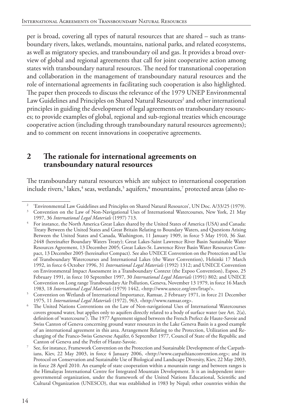per is broad, covering all types of natural resources that are shared – such as transboundary rivers, lakes, wetlands, mountains, national parks, and related ecosystems, as well as migratory species, and transboundary oil and gas. It provides a broad overview of global and regional agreements that call for joint cooperative action among states with transboundary natural resources. The need for transnational cooperation and collaboration in the management of transboundary natural resources and the role of international agreements in facilitating such cooperation is also highlighted. The paper then proceeds to discuss the relevance of the 1979 UNEP Environmental Law Guidelines and Principles on Shared Natural Resources<sup>2</sup> and other international principles in guiding the development of legal agreements on transboundary resources; to provide examples of global, regional and sub-regional treaties which encourage cooperative action (including through transboundary natural resources agreements); and to comment on recent innovations in cooperative agreements.

#### **2 The rationale for international agreements on transboundary natural resources**

The transboundary natural resources which are subject to international cooperation include rivers,<sup>3</sup> lakes,<sup>4</sup> seas, wetlands,<sup>5</sup> aquifers,<sup>6</sup> mountains,<sup>7</sup> protected areas (also re-

<sup>2</sup> 'Environmental Law Guidelines and Principles on Shared Natural Resources', UN Doc. A/33/25 (1979).

<sup>3</sup> Convention on the Law of Non-Navigational Uses of International Watercourses, New York, 21 May 1997, 36 *International Legal Materials* (1997) 713.

<sup>4</sup> For instance, the North America Great Lakes shared by the United States of America (USA) and Canada: Treaty Between the United States and Great Britain Relating to Boundary Waters, and Questions Arising Between the United States and Canada, Washington, 11 January 1909, in force 5 May 1910, 36 *Stat*. 2448 (hereinafter Boundary Waters Treaty); Great Lakes-Saint Lawrence River Basin Sustainable Water Resources Agreement, 13 December 2005; Great Lakes-St. Lawrence River Basin Water Resources Compact, 13 December 2005 (hereinafter Compact). See also UNECE Convention on the Protection and Use of Transboundary Watercourses and International Lakes (the Water Convention), Helsinki 17 March 1992, in force 6 October 1996, 31 *International Legal Materials* (1992) 1312; and UNECE Convention on Environmental Impact Assessment in a Transboundary Context (the Expoo Convention), Espoo, 25 February 1991, in force 10 September 1997, 30 *International Legal Materials* (1991) 802; and UNECE Convention on Long range Transboundary Air Pollution, Geneva, November 13 1979, in force 16 March 1983, 18 *International Legal Materials* (1979) 1442, <http://www.unece.org/env/lrtap/>.

<sup>5</sup> Convention on Wetlands of International Importance, Ramsar, 2 February 1971, in force 21 December 1975, 11 *International Legal Materials* (1972), 963, <http://www.ramsar.org>.

The United Nations Conventions on the Law of Non-navigational Uses of International Watercourses covers ground water, but applies only to aquifers directly related to a body of surface water (see Art. 2(a), definition of 'watercourse'). The 1977 Agreement signed between the French Prefect de Haute-Savoie and Swiss Canton of Geneva concerning ground water resources in the Lake Geneva Basin is a good example of an international agreement in this area. Arrangement Relating to the Protection, Utilization and Recharging of the Franco-Swiss Genevese Aquifer, 6 September 1977, Council of State of the Republic and Canton of Geneva and the Prefet of Haute-Savoie.

<sup>7</sup> See, for instance, Framework Convention on the Protection and Sustainable Development of the Carpathians, Kiev, 22 May 2003, in force 4 January 2006, <http://www.carpathianconvention.org>; and its Protocol on Conservation and Sustainable Use of Biological and Landscape Diversity, Kiev, 22 May 2003, in force 28 April 2010. An example of state cooperation within a mountain range and between ranges is the Himalayas International Centre for Integrated Mountain Development. It is an independent intergovernmental organization, under the framework of the United Nations Educational, Scientific and Cultural Organization (UNESCO), that was established in 1983 by Nepal; other countries within the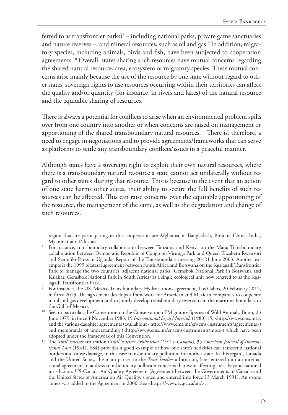ferred to as transfrontier parks) $8 -$  including national parks, private game sanctuaries and nature reserves –, and mineral resources, such as oil and gas.<sup>9</sup> In addition, migratory species, including animals, birds and fish, have been subjected to cooperation agreements.<sup>10</sup> Overall, states sharing such resources have mutual concerns regarding the shared natural resource, area, ecosystem or migratory species. These mutual concerns arise mainly because the use of the resource by one state without regard to other states' sovereign rights to use resources occurring within their territories can affect the quality and/or quantity (for instance, in rivers and lakes) of the natural resource and the equitable sharing of resources.

There is always a potential for conflicts to arise when an environmental problem spills over from one country into another or when concerns are raised on management or apportioning of the shared transboundary natural resources.<sup>11</sup> There is, therefore, a need to engage in negotiations and to provide agreements/frameworks that can serve as platforms to settle any transboundary conflicts/issues in a peaceful manner.

Although states have a sovereign right to exploit their own natural resources, where there is a transboundary natural resource a state cannot act unilaterally without regard to other states sharing that resource. This is because in the event that an action of one state harms other states, their ability to secure the full benefits of such resources can be affected. This can raise concerns over the equitable apportioning of the resource, the management of the same, as well as the degradation and change of such resources.

region that are participating in this cooperation are Afghanistan, Bangladesh, Bhutan, China, India,

Myanmar and Pakistan.<br>8 For instance, transboundary collaboration between Tanzania and Kenya on the Mara; Transboundary collaboration between Democratic Republic of Congo on Virunga Park and Queen Elizabeth Rwenzori and Semuliki Parks in Uganda. Report of the Transboundary meeting 20–21 June 2003. Another example is the 1999 bilateral agreement between South Africa and Botswana on the Kgalagadi Transfrontier Park to manage the two countries' adjacent national parks (Gemsbok National Park in Botswana and Kalahari Gemsbok National Park in South Africa) as a single ecological unit now referred to as the Kga-lagadi Transfrontier Park.

For instance, the US–Mexico Trans-boundary Hydrocarbons agreement, Los Cabos, 20 February 2012, in force 2013. The agreement develops a framework for American and Mexican companies to cooperate in oil and gas development and to jointly develop transboundary reservoirs in the maritime boundary in the Gulf of Mexico.

<sup>&</sup>lt;sup>10</sup> See, in particular, the Convention on the Conservation of Migratory Species of Wild Animals, Bonn, 23 June 1979, in force 1 November 1983, 19 *International Legal Materials* (1980) 15, <http://www.cms.int>, and the various daughter agreements (available at <http://www.cms.int/en/cms-instruments/agreements>) and memoranda of understanding (<http://www.cms.int/en/cms-instruments/mou>) which have been

adopted under the framework of this Convention.<br>The *Trail Smelter* arbitration (*Trail Smelter Arbitration (USA v Canada)*, 35 *American Journal of International Law* (1941), 684) provides a good example of how one state's activities can transcend national borders and cause damage, in this case transboundary pollution, in another state. In this regard, Canada and the United States, the main parties to the *Trail Smelter* arbitration, later entered into an international agreement to address transboundary pollution concerns that were affecting areas beyond national jurisdiction. US-Canada Air Quality Agreement (Agreement between the Governments of Canada and the United States of America on Air Quality, signed and entered into force 13 March 1991). An ozone annex was added to the Agreement in 2000. See <https://www.ec.gc.ca/air/>.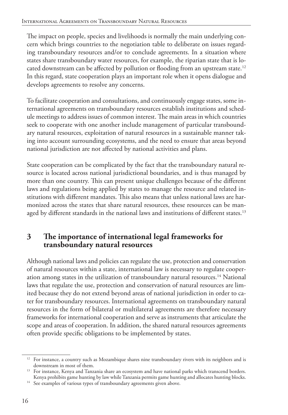The impact on people, species and livelihoods is normally the main underlying concern which brings countries to the negotiation table to deliberate on issues regarding transboundary resources and/or to conclude agreements. In a situation where states share transboundary water resources, for example, the riparian state that is located downstream can be affected by pollution or flooding from an upstream state.<sup>12</sup> In this regard, state cooperation plays an important role when it opens dialogue and develops agreements to resolve any concerns.

To facilitate cooperation and consultations, and continuously engage states, some international agreements on transboundary resources establish institutions and schedule meetings to address issues of common interest. The main areas in which countries seek to cooperate with one another include management of particular transboundary natural resources, exploitation of natural resources in a sustainable manner taking into account surrounding ecosystems, and the need to ensure that areas beyond national jurisdiction are not affected by national activities and plans.

State cooperation can be complicated by the fact that the transboundary natural resource is located across national jurisdictional boundaries, and is thus managed by more than one country. This can present unique challenges because of the different laws and regulations being applied by states to manage the resource and related institutions with different mandates. This also means that unless national laws are harmonized across the states that share natural resources, these resources can be managed by different standards in the national laws and institutions of different states.<sup>13</sup>

#### **3 The importance of international legal frameworks for transboundary natural resources**

Although national laws and policies can regulate the use, protection and conservation of natural resources within a state, international law is necessary to regulate cooperation among states in the utilization of transboundary natural resources.14 National laws that regulate the use, protection and conservation of natural resources are limited because they do not extend beyond areas of national jurisdiction in order to cater for transboundary resources. International agreements on transboundary natural resources in the form of bilateral or multilateral agreements are therefore necessary frameworks for international cooperation and serve as instruments that articulate the scope and areas of cooperation. In addition, the shared natural resources agreements often provide specific obligations to be implemented by states.

 $12$  For instance, a country such as Mozambique shares nine transboundary rivers with its neighbors and is downstream in most of them.

 $13$  For instance, Kenya and Tanzania share an ecosystem and have national parks which transcend borders. Kenya prohibits game hunting by law while Tanzania permits game hunting and allocates hunting blocks.

<sup>&</sup>lt;sup>14</sup> See examples of various types of transboundary agreements given above.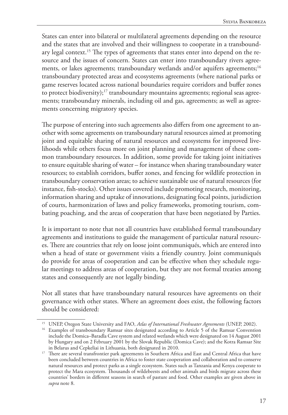States can enter into bilateral or multilateral agreements depending on the resource and the states that are involved and their willingness to cooperate in a transboundary legal context.<sup>15</sup> The types of agreements that states enter into depend on the resource and the issues of concern. States can enter into transboundary rivers agreements, or lakes agreements; transboundary wetlands and/or aquifers agreements;<sup>16</sup> transboundary protected areas and ecosystems agreements (where national parks or game reserves located across national boundaries require corridors and buffer zones to protect biodiversity); $17$  transboundary mountains agreements; regional seas agreements; transboundary minerals, including oil and gas, agreements; as well as agreements concerning migratory species.

The purpose of entering into such agreements also differs from one agreement to another with some agreements on transboundary natural resources aimed at promoting joint and equitable sharing of natural resources and ecosystems for improved livelihoods while others focus more on joint planning and management of these common transboundary resources. In addition, some provide for taking joint initiatives to ensure equitable sharing of water – for instance when sharing transboundary water resources; to establish corridors, buffer zones, and fencing for wildlife protection in transboundary conservation areas; to achieve sustainable use of natural resources (for instance, fish-stocks). Other issues covered include promoting research, monitoring, information sharing and uptake of innovations, designating focal points, jurisdiction of courts, harmonization of laws and policy frameworks, promoting tourism, combating poaching, and the areas of cooperation that have been negotiated by Parties.

It is important to note that not all countries have established formal transboundary agreements and institutions to guide the management of particular natural resources. There are countries that rely on loose joint communiqués, which are entered into when a head of state or government visits a friendly country. Joint communiqués do provide for areas of cooperation and can be effective when they schedule regular meetings to address areas of cooperation, but they are not formal treaties among states and consequently are not legally binding.

Not all states that have transboundary natural resources have agreements on their governance with other states. Where an agreement does exist, the following factors should be considered:

<sup>15</sup> UNEP, Oregon State University and FAO, *Atlas of International Freshwater Agreements* (UNEP, 2002).

<sup>&</sup>lt;sup>16</sup> Examples of transboundary Ramsar sites designated according to Article 5 of the Ramsar Convention include the Domica–Baradla Cave system and related wetlands which were designated on 14 August 2001 by Hungary and on 2 February 2001 by the Slovak Republic (Domica Cave); and the Kotra Ramsar Site in Belarus and Cepkeliai in Lithuania, both designated in 2010.

<sup>&</sup>lt;sup>17</sup> There are several transfrontier park agreements in Southern Africa and East and Central Africa that have been concluded between countries in Africa to foster state cooperation and collaboration and to conserve natural resources and protect parks as a single ecosystem. States such as Tanzania and Kenya cooperate to protect the Mara ecosystem. Thousands of wildebeests and other animals and birds migrate across these countries' borders in different seasons in search of pasture and food. Other examples are given above in *supra* note 8.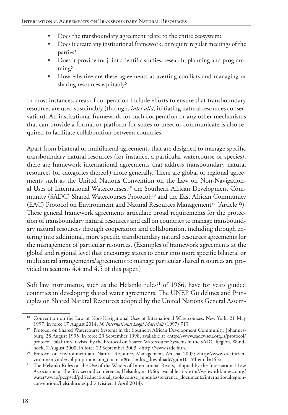- Does the transboundary agreement relate to the entire ecosystem?
- Does it create any institutional framework, or require regular meetings of the parties?
- Does it provide for joint scientific studies, research, planning and programming?
- How effective are these agreements at averting conflicts and managing or sharing resources equitably?

In most instances, areas of cooperation include efforts to ensure that transboundary resources are used sustainably (through, *inter alia*, initiating natural resources conservation). An institutional framework for such cooperation or any other mechanisms that can provide a format or platform for states to meet or communicate is also required to facilitate collaboration between countries.

Apart from bilateral or multilateral agreements that are designed to manage specific transboundary natural resources (for instance, a particular watercourse or species), there are framework international agreements that address transboundary natural resources (or categories thereof) more generally. There are global or regional agreements such as the United Nations Convention on the Law on Non-Navigational Uses of International Watercourses;<sup>18</sup> the Southern African Development Community (SADC) Shared Watercourses Protocol;<sup>19</sup> and the East African Community (EAC) Protocol on Environment and Natural Resources Management<sup>20</sup> (Article 9). These general framework agreements articulate broad requirements for the protection of transboundary natural resources and call on countries to manage transboundary natural resources through cooperation and collaboration, including through entering into additional, more specific transboundary natural resources agreements for the management of particular resources. (Examples of framework agreements at the global and regional level that encourage states to enter into more specific bilateral or multilateral arrangements/agreements to manage particular shared resources are provided in sections 4.4 and 4.5 of this paper.)

Soft law instruments, such as the Helsinki rules<sup>21</sup> of 1966, have for years guided countries in developing shared water agreements. The UNEP Guidelines and Principles on Shared Natural Resources adopted by the United Nations General Assem-

<sup>&</sup>lt;sup>18</sup> Convention on the Law of Non-Navigational Uses of International Watercourses, New York, 21 May 1997, in force 17 August 2014, 36 *International Legal Materials* (1997) 713.

<sup>&</sup>lt;sup>19</sup> Protocol on Shared Watercourse Systems in the Southern African Development Community, Johannesburg, 28 August 1995, in force 29 September 1998, available at <http://www.sadcwscu.org.ls/protocol/ protocol\_tab.htm>, revised by the Protocol on Shared Watercourse Systems in the SADC Region, Windhoek, 7 August 2000, in force 22 September 2003, <http://www.sadc.int>.

<sup>&</sup>lt;sup>20</sup> Protocol on Environment and Natural Resources Management, Arusha, 2005; <http://www.eac.int/environment/index.php?option=com\_docman&task=doc\_download&gid=101&Itemid=163>.

<sup>&</sup>lt;sup>21</sup> The Helsinki Rules on the Use of the Waters of International Rivers, adopted by the International Law Association at the fifty-second conference, Helsinki, in 1966; available at <http://webworld.unesco.org/ water/wwap/pccp/cd/pdf/educational\_tools/course\_modules/reference\_documents/internationalregionconventions/helsinkirules.pdf> (visited 1 April 2014).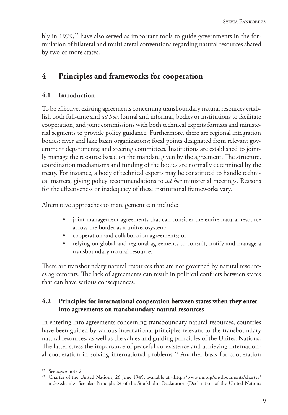bly in  $1979<sup>22</sup>$  have also served as important tools to guide governments in the formulation of bilateral and multilateral conventions regarding natural resources shared by two or more states.

# **4 Principles and frameworks for cooperation**

#### **4.1 Introduction**

To be effective, existing agreements concerning transboundary natural resources establish both full-time and *ad hoc*, formal and informal, bodies or institutions to facilitate cooperation, and joint commissions with both technical experts formats and ministerial segments to provide policy guidance. Furthermore, there are regional integration bodies; river and lake basin organizations; focal points designated from relevant government departments; and steering committees. Institutions are established to jointly manage the resource based on the mandate given by the agreement. The structure, coordination mechanisms and funding of the bodies are normally determined by the treaty. For instance, a body of technical experts may be constituted to handle technical matters, giving policy recommendations to *ad hoc* ministerial meetings. Reasons for the effectiveness or inadequacy of these institutional frameworks vary.

Alternative approaches to management can include:

- joint management agreements that can consider the entire natural resource across the border as a unit/ecosystem;
- cooperation and collaboration agreements; or
- relying on global and regional agreements to consult, notify and manage a transboundary natural resource.

There are transboundary natural resources that are not governed by natural resources agreements. The lack of agreements can result in political conflicts between states that can have serious consequences.

#### **4.2 Principles for international cooperation between states when they enter into agreements on transboundary natural resources**

In entering into agreements concerning transboundary natural resources, countries have been guided by various international principles relevant to the transboundary natural resources, as well as the values and guiding principles of the United Nations. The latter stress the importance of peaceful co-existence and achieving international cooperation in solving international problems.<sup>23</sup> Another basis for cooperation

<sup>22</sup> See *supra* note 2.

<sup>&</sup>lt;sup>23</sup> Charter of the United Nations, 26 June 1945, available at <http://www.un.org/en/documents/charter/ index.shtml>. See also Principle 24 of the Stockholm Declaration (Declaration of the United Nations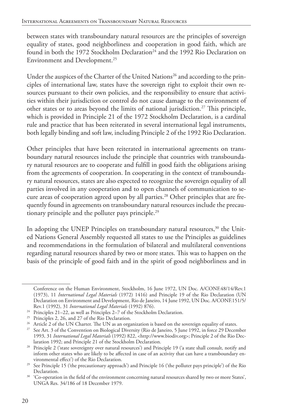between states with transboundary natural resources are the principles of sovereign equality of states, good neighborliness and cooperation in good faith, which are found in both the 1972 Stockholm Declaration<sup>24</sup> and the 1992 Rio Declaration on Environment and Development.<sup>25</sup>

Under the auspices of the Charter of the United Nations<sup>26</sup> and according to the principles of international law, states have the sovereign right to exploit their own resources pursuant to their own policies, and the responsibility to ensure that activities within their jurisdiction or control do not cause damage to the environment of other states or to areas beyond the limits of national jurisdiction.27 This principle, which is provided in Principle 21 of the 1972 Stockholm Declaration, is a cardinal rule and practice that has been reiterated in several international legal instruments, both legally binding and soft law, including Principle 2 of the 1992 Rio Declaration.

Other principles that have been reiterated in international agreements on transboundary natural resources include the principle that countries with transboundary natural resources are to cooperate and fulfill in good faith the obligations arising from the agreements of cooperation. In cooperating in the context of transboundary natural resources, states are also expected to recognize the sovereign equality of all parties involved in any cooperation and to open channels of communication to secure areas of cooperation agreed upon by all parties.<sup>28</sup> Other principles that are frequently found in agreements on transboundary natural resources include the precautionary principle and the polluter pays principle.<sup>29</sup>

In adopting the UNEP Principles on transboundary natural resources,<sup>30</sup> the United Nations General Assembly requested all states to use the Principles as guidelines and recommendations in the formulation of bilateral and multilateral conventions regarding natural resources shared by two or more states. This was to happen on the basis of the principle of good faith and in the spirit of good neighborliness and in

Conference on the Human Environment, Stockholm, 16 June 1972, UN Doc. A/CONF.48/14/Rev.1 (1973), 11 *International Legal Materials* (1972) 1416) and Principle 19 of the Rio Declaration (UN Declaration on Environment and Development, Rio de Janeiro, 14 June 1992, UN Doc. A/CONF.151/5/ Rev.1 (1992), 31 *International Legal Materials* (1992) 876).

<sup>&</sup>lt;sup>24</sup> Principles 21–22, as well as Principles 2–7 of the Stockholm Declaration.<br><sup>25</sup> Principles 2, 26, and 27 of the Rio Declaration.

 $26$  Article 2 of the UN Charter. The UN as an organization is based on the sovereign equality of states.

<sup>&</sup>lt;sup>27</sup> See Art. 3 of the Convention on Biological Diversity (Rio de Janeiro, 5 June 1992, in force 29 December 1993, 31 *International Legal Materials* (1992) 822, <http://www.biodiv.org>; Principle 2 of the Rio Declaration 1992; and Principle 21 of the Stockholm Declaration.

<sup>&</sup>lt;sup>28</sup> Principle 2 ('state sovereignty over natural resources') and Principle 19 ('a state shall consult, notify and inform other states who are likely to be affected in case of an activity that can have a transboundary environmental effect') of the Rio Declaration.

<sup>&</sup>lt;sup>29</sup> See Principle 15 ('the precautionary approach') and Principle 16 ('the polluter pays principle') of the Rio<br>Declaration.

<sup>&</sup>lt;sup>30</sup> 'Co-operation in the field of the environment concerning natural resources shared by two or more States', UNGA Res. 34/186 of 18 December 1979.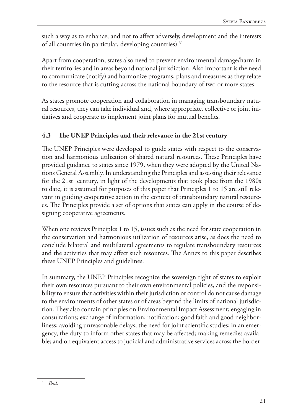such a way as to enhance, and not to affect adversely, development and the interests of all countries (in particular, developing countries).<sup>31</sup>

Apart from cooperation, states also need to prevent environmental damage/harm in their territories and in areas beyond national jurisdiction. Also important is the need to communicate (notify) and harmonize programs, plans and measures as they relate to the resource that is cutting across the national boundary of two or more states.

As states promote cooperation and collaboration in managing transboundary natural resources, they can take individual and, where appropriate, collective or joint initiatives and cooperate to implement joint plans for mutual benefits.

#### **4.3 The UNEP Principles and their relevance in the 21st century**

The UNEP Principles were developed to guide states with respect to the conservation and harmonious utilization of shared natural resources. These Principles have provided guidance to states since 1979, when they were adopted by the United Nations General Assembly. In understanding the Principles and assessing their relevance for the 21st century, in light of the developments that took place from the 1980s to date, it is assumed for purposes of this paper that Principles 1 to 15 are still relevant in guiding cooperative action in the context of transboundary natural resources. The Principles provide a set of options that states can apply in the course of designing cooperative agreements.

When one reviews Principles 1 to 15, issues such as the need for state cooperation in the conservation and harmonious utilization of resources arise, as does the need to conclude bilateral and multilateral agreements to regulate transboundary resources and the activities that may affect such resources. The Annex to this paper describes these UNEP Principles and guidelines.

In summary, the UNEP Principles recognize the sovereign right of states to exploit their own resources pursuant to their own environmental policies, and the responsibility to ensure that activities within their jurisdiction or control do not cause damage to the environments of other states or of areas beyond the limits of national jurisdiction. They also contain principles on Environmental Impact Assessment; engaging in consultations; exchange of information; notification; good faith and good neighborliness; avoiding unreasonable delays; the need for joint scientific studies; in an emergency, the duty to inform other states that may be affected; making remedies available; and on equivalent access to judicial and administrative services across the border.

<sup>31</sup> *Ibid*.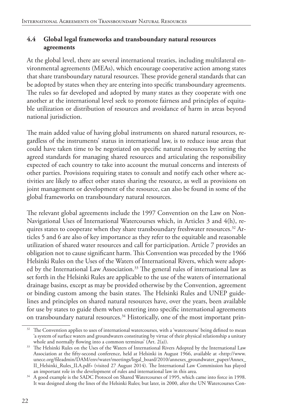#### **4.4 Global legal frameworks and transboundary natural resources agreements**

At the global level, there are several international treaties, including multilateral environmental agreements (MEAs), which encourage cooperative action among states that share transboundary natural resources. These provide general standards that can be adopted by states when they are entering into specific transboundary agreements. The rules so far developed and adopted by many states as they cooperate with one another at the international level seek to promote fairness and principles of equitable utilization or distribution of resources and avoidance of harm in areas beyond national jurisdiction.

The main added value of having global instruments on shared natural resources, regardless of the instruments' status in international law, is to reduce issue areas that could have taken time to be negotiated on specific natural resources by setting the agreed standards for managing shared resources and articulating the responsibility expected of each country to take into account the mutual concerns and interests of other parties. Provisions requiring states to consult and notify each other where activities are likely to affect other states sharing the resource, as well as provisions on joint management or development of the resource, can also be found in some of the global frameworks on transboundary natural resources.

The relevant global agreements include the 1997 Convention on the Law on Non-Navigational Uses of International Watercourses which, in Articles 3 and 4(h), requires states to cooperate when they share transboundary freshwater resources.<sup>32</sup> Articles 5 and 6 are also of key importance as they refer to the equitable and reasonable utilization of shared water resources and call for participation. Article 7 provides an obligation not to cause significant harm. This Convention was preceded by the 1966 Helsinki Rules on the Uses of the Waters of International Rivers, which were adopted by the International Law Association.<sup>33</sup> The general rules of international law as set forth in the Helsinki Rules are applicable to the use of the waters of international drainage basins, except as may be provided otherwise by the Convention, agreement or binding custom among the basin states. The Helsinki Rules and UNEP guidelines and principles on shared natural resources have, over the years, been available for use by states to guide them when entering into specific international agreements on transboundary natural resources.<sup>34</sup> Historically, one of the most important prin-

<sup>&</sup>lt;sup>32</sup> The Convention applies to uses of international watercourses, with a 'watercourse' being defined to mean 'a system of surface waters and groundwaters constituting by virtue of their physical relationship a unitary whole and normally flowing into a common terminus' (Art. 2(a)).

<sup>&</sup>lt;sup>33</sup> The Helsinki Rules on the Uses of the Waters of International Rivers Adopted by the International Law Association at the fifty-second conference, held at Helsinki in August 1966, available at <http://www. unece.org/fileadmin/DAM/env/water/meetings/legal\_board/2010/annexes\_groundwater\_paper/Annex\_ II\_Helsinki\_Rules\_ILA.pdf> (visited 27 August 2014). The International Law Commission has played

<sup>&</sup>lt;sup>34</sup> A good example is the SADC Protocol on Shared Watercourses of 1995, which came into force in 1998. It was designed along the lines of the Helsinki Rules; but later, in 2000, after the UN Watercourses Con-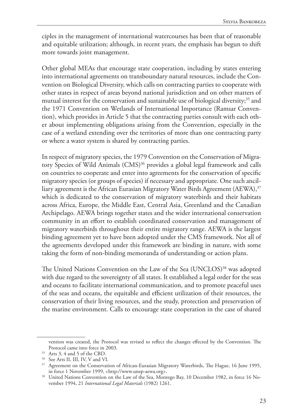ciples in the management of international watercourses has been that of reasonable and equitable utilization; although, in recent years, the emphasis has begun to shift more towards joint management.

Other global MEAs that encourage state cooperation, including by states entering into international agreements on transboundary natural resources, include the Convention on Biological Diversity, which calls on contracting parties to cooperate with other states in respect of areas beyond national jurisdiction and on other matters of mutual interest for the conservation and sustainable use of biological diversity;<sup>35</sup> and the 1971 Convention on Wetlands of International Importance (Ramsar Convention), which provides in Article 5 that the contracting parties consult with each other about implementing obligations arising from the Convention, especially in the case of a wetland extending over the territories of more than one contracting party or where a water system is shared by contracting parties.

In respect of migratory species, the 1979 Convention on the Conservation of Migratory Species of Wild Animals (CMS)<sup>36</sup> provides a global legal framework and calls on countries to cooperate and enter into agreements for the conservation of specific migratory species (or groups of species) if necessary and appropriate. One such ancilliary agreement is the African Eurasian Migratory Water Birds Agreement (AEWA),<sup>37</sup> which is dedicated to the conservation of migratory waterbirds and their habitats across Africa, Europe, the Middle East, Central Asia, Greenland and the Canadian Archipelago. AEWA brings together states and the wider international conservation community in an effort to establish coordinated conservation and management of migratory waterbirds throughout their entire migratory range. AEWA is the largest binding agreement yet to have been adopted under the CMS framework. Not all of the agreements developed under this framework are binding in nature, with some taking the form of non-binding memoranda of understanding or action plans.

The United Nations Convention on the Law of the Sea (UNCLOS)<sup>38</sup> was adopted with due regard to the sovereignty of all states. It established a legal order for the seas and oceans to facilitate international communication, and to promote peaceful uses of the seas and oceans, the equitable and efficient utilization of their resources, the conservation of their living resources, and the study, protection and preservation of the marine environment. Calls to encourage state cooperation in the case of shared

vention was created, the Protocol was revised to reflect the changes effected by the Convention. The Protocol came into force in 2003. 35 Arts 3, 4 and 5 of the CBD.

<sup>36</sup> See Arts II, III, IV, V and VI.

<sup>&</sup>lt;sup>37</sup> Agreement on the Conservation of African-Eurasian Migratory Waterbirds, The Hague, 16 June 1995, in force 1 November 1999, <http://www.unep-aewa.org>.

<sup>&</sup>lt;sup>38</sup> United Nations Convention on the Law of the Sea, Montego Bay, 10 December 1982, in force 16 November 1994, 21 *International Legal Materials* (1982) 1261.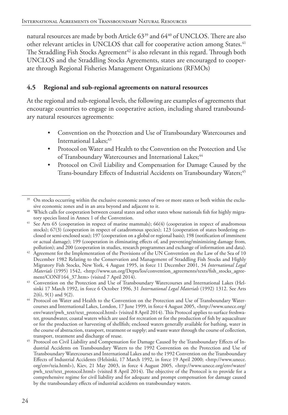natural resources are made by both Article 63<sup>39</sup> and 64<sup>40</sup> of UNCLOS. There are also other relevant articles in UNCLOS that call for cooperative action among States.<sup>41</sup> The Straddling Fish Stocks Agreement<sup>42</sup> is also relevant in this regard. Through both UNCLOS and the Straddling Stocks Agreements, states are encouraged to cooperate through Regional Fisheries Management Organizations (RFMOs)

#### **4.5 Regional and sub-regional agreements on natural resources**

At the regional and sub-regional levels, the following are examples of agreements that encourage countries to engage in cooperative action, including shared transboundary natural resources agreements:

- Convention on the Protection and Use of Transboundary Watercourses and International Lakes;<sup>43</sup>
- Protocol on Water and Health to the Convention on the Protection and Use of Transboundary Watercourses and International Lakes;<sup>44</sup>
- Protocol on Civil Liability and Compensation for Damage Caused by the Trans-boundary Effects of Industrial Accidents on Transboundary Waters;<sup>45</sup>

<sup>&</sup>lt;sup>39</sup> On stocks occurring within the exclusive economic zones of two or more states or both within the exclusive economic zones and in an area beyond and adjacent to it.

<sup>40</sup> Which calls for cooperation between coastal states and other states whose nationals fish for highly migratory species listed in Annex 1 of the Convention.

<sup>&</sup>lt;sup>41</sup> See Arts 65 (cooperation in respect of marine mammals); 66(4) (cooperation in respect of anadromous stocks); 67(3) (cooperation in respect of catadromous species); 123 (cooperation of states bordering enclosed or semi-enclosed seas); 197 (cooperation on a global or regional basis); 198 (notification of imminent or actual damage); 199 (cooperation in eliminating effects of, and preventing/minimizing damage from,

<sup>&</sup>lt;sup>42</sup> Agreement for the Implementation of the Provisions of the UN Convention on the Law of the Sea of 10 December 1982 Relating to the Conservation and Management of Straddling Fish Stocks and Highly Migratory Fish Stocks, New York, 4 August 1995, in force 11 December 2001, 34 *International Legal Materials* (1995) 1542, <http://www.un.org/Depts/los/convention\_agreements/texts/fish\_stocks\_agreement/CONF164\_37.htm> (visited 7 April 2014).

<sup>&</sup>lt;sup>43</sup> Convention on the Protection and Use of Transboundary Watercourses and International Lakes (Helsinki 17 March 1992, in force 6 October 1996, 31 *International Legal Materials* (1992) 1312. See Arts 2(6), 9(1) and 9(2).

<sup>44</sup> Protocol on Water and Health to the Convention on the Protection and Use of Transboundary Watercourses and International Lakes, London, 17 June 1999, in force 4 August 2005, <http://www.unece.org/ env/water/pwh\_text/text\_protocol.html> (visited 8 April 2014). This Protocol applies to surface freshwater, groundwater, coastal waters which are used for recreation or for the production of fish by aquaculture or for the production or harvesting of shellfish; enclosed waters generally available for bathing, water in the course of abstraction, transport, treatment or supply; and waste water through the course of collection, transport, treatment and discharge of reuse.

Protocol on Civil Liability and Compensation for Damage Caused by the Transboundary Effects of Industrial Accidents on Transboundary Waters to the 1992 Convention on the Protection and Use of Transboundary Watercourses and International Lakes and to the 1992 Convention on the Transboundary Effects of Industrial Accidents (Helsinki, 17 March 1992, in force 19 April 2000; <http://www.unece. org/env/teia.html>), Kiev, 21 May 2003, in force 4 August 2005, <http://www.unece.org/env/water/ pwh\_text/text\_protocol.html> (visited 8 April 2014). The objective of the Protocol is to provide for a comprehensive regime for civil liability and for adequate and prompt compensation for damage caused by the transboundary effects of industrial accidents on transboundary waters.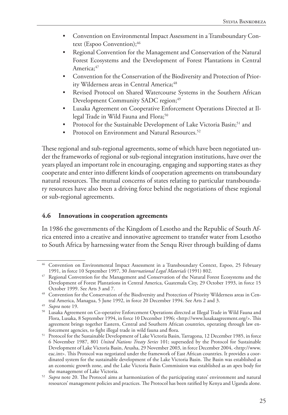- Convention on Environmental Impact Assessment in a Transboundary Context (Espoo Convention); 46
- Regional Convention for the Management and Conservation of the Natural Forest Ecosystems and the Development of Forest Plantations in Central America;<sup>47</sup>
- Convention for the Conservation of the Biodiversity and Protection of Priority Wilderness areas in Central America;<sup>48</sup>
- Revised Protocol on Shared Watercourse Systems in the Southern African Development Community SADC region;<sup>49</sup>
- Lusaka Agreement on Cooperative Enforcement Operations Directed at Illegal Trade in Wild Fauna and Flora;<sup>50</sup>
- Protocol for the Sustainable Development of Lake Victoria Basin;<sup>51</sup> and
- Protocol on Environment and Natural Resources.<sup>52</sup>

These regional and sub-regional agreements, some of which have been negotiated under the frameworks of regional or sub-regional integration institutions, have over the years played an important role in encouraging, engaging and supporting states as they cooperate and enter into different kinds of cooperation agreements on transboundary natural resources. The mutual concerns of states relating to particular transboundary resources have also been a driving force behind the negotiations of these regional or sub-regional agreements.

#### **4.6 Innovations in cooperation agreements**

In 1986 the governments of the Kingdom of Lesotho and the Republic of South Africa entered into a creative and innovative agreement to transfer water from Lesotho to South Africa by harnessing water from the Senqu River through building of dams

<sup>46</sup> Convention on Environmental Impact Assessment in a Transboundary Context, Espoo, 25 February 1991, in force 10 September 1997, 30 *International Legal Materials* (1991) 802.

<sup>&</sup>lt;sup>47</sup> Regional Convention for the Management and Conservation of the Natural Forest Ecosystems and the Development of Forest Plantations in Central America, Guatemala City, 29 October 1993, in force 15 October 1999. See Arts 3 and 7.

<sup>48</sup> Convention for the Conservation of the Biodiversity and Protection of Priority Wilderness areas in Central America, Managua, 5 June 1992, in force 20 December 1994. See Arts 2 and 3.

<sup>49</sup> *Supra* note 19.

<sup>50</sup> Lusaka Agreement on Co-operative Enforcement Operations directed at Illegal Trade in Wild Fauna and Flora, Lusaka, 8 September 1994, in force 10 December 1996; <http://www.lusakaagreement.org/>. This agreement brings together Eastern, Central and Southern African countries, operating through law en-

forcement agencies, to fight illegal trade in wild fauna and flora. 51 Protocol for the Sustainable Development of Lake Victoria Basin, Tarragona, 12 December 1985, in force 6 November 1987, 801 *United Nations Treaty Series* 101; superseded by the Protocol for Sustainable Development of Lake Victoria Basin, Arusha, 29 November 2003, in force December 2004, <http://www. eac.int>. This Protocol was negotiated under the framework of East African countries. It provides a coordinated system for the sustainable development of the Lake Victoria Basin. The Basin was established as an economic growth zone, and the Lake Victoria Basin Commission was established as an apex body for

<sup>&</sup>lt;sup>52</sup> Supra note 20. The Protocol aims at harmonization of the participating states' environment and natural resources' management policies and practices. The Protocol has been ratified by Kenya and Uganda alone.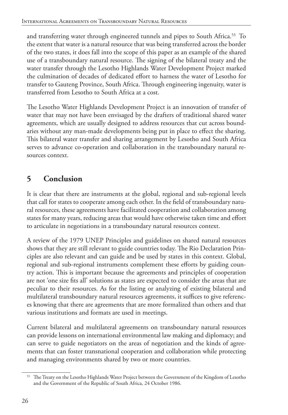and transferring water through engineered tunnels and pipes to South Africa.53 To the extent that water is a natural resource that was being transferred across the border of the two states, it does fall into the scope of this paper as an example of the shared use of a transboundary natural resource. The signing of the bilateral treaty and the water transfer through the Lesotho Highlands Water Development Project marked the culmination of decades of dedicated effort to harness the water of Lesotho for transfer to Gauteng Province, South Africa. Through engineering ingenuity, water is transferred from Lesotho to South Africa at a cost.

The Lesotho Water Highlands Development Project is an innovation of transfer of water that may not have been envisaged by the drafters of traditional shared water agreements, which are usually designed to address resources that cut across boundaries without any man-made developments being put in place to effect the sharing. This bilateral water transfer and sharing arrangement by Lesotho and South Africa serves to advance co-operation and collaboration in the transboundary natural resources context.

# **5 Conclusion**

It is clear that there are instruments at the global, regional and sub-regional levels that call for states to cooperate among each other. In the field of transboundary natural resources, these agreements have facilitated cooperation and collaboration among states for many years, reducing areas that would have otherwise taken time and effort to articulate in negotiations in a transboundary natural resources context.

A review of the 1979 UNEP Principles and guidelines on shared natural resources shows that they are still relevant to guide countries today. The Rio Declaration Principles are also relevant and can guide and be used by states in this context. Global, regional and sub-regional instruments complement these efforts by guiding country action. This is important because the agreements and principles of cooperation are not 'one size fits all' solutions as states are expected to consider the areas that are peculiar to their resources. As for the listing or analyzing of existing bilateral and multilateral transboundary natural resources agreements, it suffices to give references knowing that there are agreements that are more formalized than others and that various institutions and formats are used in meetings.

Current bilateral and multilateral agreements on transboundary natural resources can provide lessons on international environmental law making and diplomacy; and can serve to guide negotiators on the areas of negotiation and the kinds of agreements that can foster transnational cooperation and collaboration while protecting and managing environments shared by two or more countries.

<sup>&</sup>lt;sup>53</sup> The Treaty on the Lesotho Highlands Water Project between the Government of the Kingdom of Lesotho and the Government of the Republic of South Africa, 24 October 1986.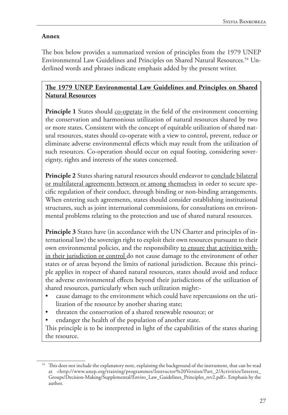#### **Annex**

The box below provides a summarized version of principles from the 1979 UNEP Environmental Law Guidelines and Principles on Shared Natural Resources.<sup>54</sup> Underlined words and phrases indicate emphasis added by the present writer.

#### **The 1979 UNEP Environmental Law Guidelines and Principles on Shared Natural Resources**

**Principle 1** States should co-operate in the field of the environment concerning the conservation and harmonious utilization of natural resources shared by two or more states. Consistent with the concept of equitable utilization of shared natural resources, states should co-operate with a view to control, prevent, reduce or eliminate adverse environmental effects which may result from the utilization of such resources. Co-operation should occur on equal footing, considering sovereignty, rights and interests of the states concerned.

**Principle 2** States sharing natural resources should endeavor to conclude bilateral or multilateral agreements between or among themselves in order to secure specific regulation of their conduct, through binding or non-binding arrangements. When entering such agreements, states should consider establishing institutional structures, such as joint international commissions, for consultations on environmental problems relating to the protection and use of shared natural resources.

**Principle 3** States have (in accordance with the UN Charter and principles of international law) the sovereign right to exploit their own resources pursuant to their own environmental policies, and the responsibility to ensure that activities within their jurisdiction or control do not cause damage to the environment of other states or of areas beyond the limits of national jurisdiction. Because this principle applies in respect of shared natural resources, states should avoid and reduce the adverse environmental effects beyond their jurisdictions of the utilization of shared resources, particularly when such utilization might:-

- cause damage to the environment which could have repercussions on the utilization of the resource by another sharing state;
- threaten the conservation of a shared renewable resource; or
- endanger the health of the population of another state.

This principle is to be interpreted in light of the capabilities of the states sharing the resource.

<sup>&</sup>lt;sup>54</sup> This does not include the explanatory note, explaining the background of the instrument, that can be read at <http://www.unep.org/training/programmes/Instructor%20Version/Part\_2/Activities/Interest\_ Groups/Decision-Making/Supplemental/Enviro\_Law\_Guidelines\_Principles\_rev2.pdf>. Emphasis by the author.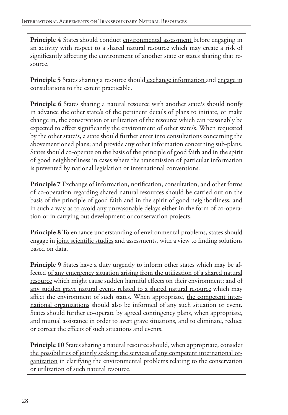**Principle 4** States should conduct environmental assessment before engaging in an activity with respect to a shared natural resource which may create a risk of significantly affecting the environment of another state or states sharing that resource.

**Principle 5** States sharing a resource should exchange information and engage in consultations to the extent practicable.

**Principle 6** States sharing a natural resource with another state/s should notify in advance the other state/s of the pertinent details of plans to initiate, or make change in, the conservation or utilization of the resource which can reasonably be expected to affect significantly the environment of other state/s. When requested by the other state/s, a state should further enter into consultations concerning the abovementioned plans; and provide any other information concerning sub-plans. States should co-operate on the basis of the principle of good faith and in the spirit of good neighborliness in cases where the transmission of particular information is prevented by national legislation or international conventions.

**Principle 7** Exchange of information, notification, consultation, and other forms of co-operation regarding shared natural resources should be carried out on the basis of the principle of good faith and in the spirit of good neighborliness, and in such a way as to avoid any unreasonable delays either in the form of co-operation or in carrying out development or conservation projects.

**Principle 8** To enhance understanding of environmental problems, states should engage in joint scientific studies and assessments, with a view to finding solutions based on data.

**Principle 9** States have a duty urgently to inform other states which may be affected of any emergency situation arising from the utilization of a shared natural resource which might cause sudden harmful effects on their environment; and of any sudden grave natural events related to a shared natural resource which may affect the environment of such states. When appropriate, the competent international organizations should also be informed of any such situation or event. States should further co-operate by agreed contingency plans, when appropriate, and mutual assistance in order to avert grave situations, and to eliminate, reduce or correct the effects of such situations and events.

**Principle 10** States sharing a natural resource should, when appropriate, consider the possibilities of jointly seeking the services of any competent international organization in clarifying the environmental problems relating to the conservation or utilization of such natural resource.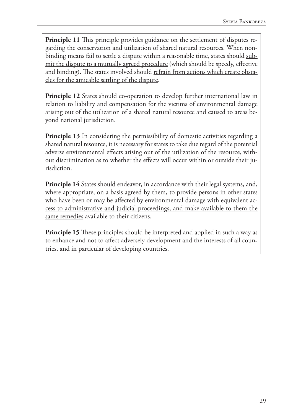**Principle 11** This principle provides guidance on the settlement of disputes regarding the conservation and utilization of shared natural resources. When nonbinding means fail to settle a dispute within a reasonable time, states should submit the dispute to a mutually agreed procedure (which should be speedy, effective and binding). The states involved should refrain from actions which create obstacles for the amicable settling of the dispute.

**Principle 12** States should co-operation to develop further international law in relation to liability and compensation for the victims of environmental damage arising out of the utilization of a shared natural resource and caused to areas beyond national jurisdiction.

**Principle 13** In considering the permissibility of domestic activities regarding a shared natural resource, it is necessary for states to take due regard of the potential adverse environmental effects arising out of the utilization of the resource, without discrimination as to whether the effects will occur within or outside their jurisdiction.

**Principle 14** States should endeavor, in accordance with their legal systems, and, where appropriate, on a basis agreed by them, to provide persons in other states who have been or may be affected by environmental damage with equivalent access to administrative and judicial proceedings, and make available to them the same remedies available to their citizens.

**Principle 15** These principles should be interpreted and applied in such a way as to enhance and not to affect adversely development and the interests of all countries, and in particular of developing countries.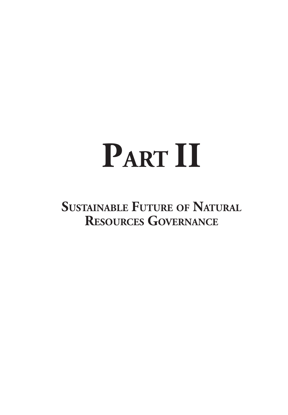# **PART II**

**Sustainable Future of Natural Resources Governance**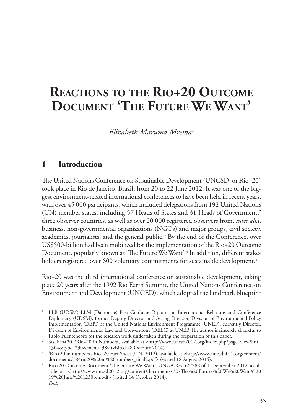# **Reactions to the Rio+20 Outcome Document 'The Future We Want'**

*Elizabeth Maruma Mrema*<sup>1</sup>

## **1 Introduction**

The United Nations Conference on Sustainable Development (UNCSD, or Rio+20) took place in Rio de Janeiro, Brazil, from 20 to 22 June 2012. It was one of the biggest environment-related international conferences to have been held in recent years, with over 45 000 participants, which included delegations from 192 United Nations (UN) member states, including 57 Heads of States and 31 Heads of Government,<sup>2</sup> three observer countries, as well as over 20 000 registered observers from, *inter alia*, business, non-governmental organizations (NGOs) and major groups, civil society, academics, journalists, and the general public.<sup>3</sup> By the end of the Conference, over US\$500-billion had been mobilized for the implementation of the Rio+20 Outcome Document, popularly known as 'The Future We Want'.4 In addition, different stakeholders registered over 600 voluntary commitments for sustainable development.<sup>5</sup>

Rio+20 was the third international conference on sustainable development, taking place 20 years after the 1992 Rio Earth Summit, the United Nations Conference on Environment and Development (UNCED), which adopted the landmark blueprint

<sup>1</sup> LLB (UDSM) LLM (Dalhousie) Post Graduate Diploma in International Relations and Conference Diplomacy (UDSM); former Deputy Director and Acting Director, Division of Environmental Policy Implementation (DEPI) at the United Nations Environment Programme (UNEP); currently Director, Division of Environmental Law and Conventions (DELC) at UNEP. The author is sincerely thankful to Pablo Fuentenebro for the research work undertaken during the preparation of this paper.

<sup>2</sup> See Rio+20, 'Rio+20 in Numbers', available at <http://www.uncsd2012.org/index.php?page=view&nr= 1304&type=230&menu=38> (visited 28 October 2014).

<sup>3</sup> 'Rio+20 in numbers', Rio+20 Fact Sheet (UN, 2012), available at <http://www.uncsd2012.org/content/ documents/784rio20%20in%20numbers\_final2.pdf> (visited 18 August 2014).

<sup>4</sup> Rio+20 Outcome Document 'The Future We Want', UNGA Res. 66/288 of 11 September 2012, available at <http://www.uncsd2012.org/content/documents/727The%20Future%20We%20Want%20 19%20June%201230pm.pdf> (visited 14 October 2014).

<sup>5</sup> *Ibid*.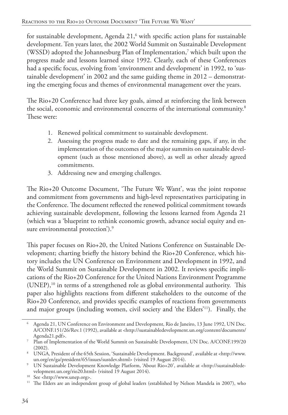for sustainable development, Agenda  $21<sup>6</sup>$  with specific action plans for sustainable development. Ten years later, the 2002 World Summit on Sustainable Development (WSSD) adopted the Johannesburg Plan of Implementation,7 which built upon the progress made and lessons learned since 1992. Clearly, each of these Conferences had a specific focus, evolving from 'environment and development' in 1992, to 'sustainable development' in 2002 and the same guiding theme in 2012 – demonstrating the emerging focus and themes of environmental management over the years.

The Rio+20 Conference had three key goals, aimed at reinforcing the link between the social, economic and environmental concerns of the international community.<sup>8</sup> These were:

- 1. Renewed political commitment to sustainable development.
- 2. Assessing the progress made to date and the remaining gaps, if any, in the implementation of the outcomes of the major summits on sustainable development (such as those mentioned above), as well as other already agreed commitments.
- 3. Addressing new and emerging challenges.

The Rio+20 Outcome Document, 'The Future We Want', was the joint response and commitment from governments and high-level representatives participating in the Conference. The document reflected the renewed political commitment towards achieving sustainable development, following the lessons learned from Agenda 21 (which was a 'blueprint to rethink economic growth, advance social equity and ensure environmental protection').<sup>9</sup>

This paper focuses on Rio+20, the United Nations Conference on Sustainable Development; charting briefly the history behind the Rio+20 Conference, which history includes the UN Conference on Environment and Development in 1992, and the World Summit on Sustainable Development in 2002. It reviews specific implications of the Rio+20 Conference for the United Nations Environment Programme (UNEP),10 in terms of a strengthened role as global environmental authority. This paper also highlights reactions from different stakeholders to the outcome of the Rio+20 Conference, and provides specific examples of reactions from governments and major groups (including women, civil society and 'the Elders'11). Finally, the

<sup>6</sup> Agenda 21, UN Conference on Environment and Development, Rio de Janeiro, 13 June 1992, UN Doc. A/CONF.151/26/Rev.1 (1992), available at <http://sustainabledevelopment.un.org/content/documents/ Agenda21.pdf>.

<sup>7</sup> Plan of Implementation of the World Summit on Sustainable Development, UN Doc. A/CONF.199/20 (2002).

<sup>8</sup> UNGA, President of the 65th Session, 'Sustainable Development. Background', available at <http://www. un.org/en/ga/president/65/issues/sustdev.shtml> (visited 19 August 2014).

<sup>9</sup> UN Sustainable Development Knowledge Platform, 'About Rio+20', available at <http://sustainabledevelopment.un.org/rio20.html> (visited 19 August 2014).<br><sup>10</sup> See <http://www.unep.org>.

 $11$  The Elders are an independent group of global leaders (established by Nelson Mandela in 2007), who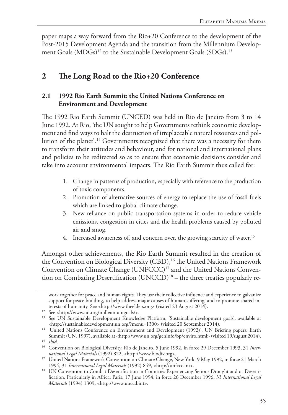paper maps a way forward from the Rio+20 Conference to the development of the Post-2015 Development Agenda and the transition from the Millennium Development Goals (MDGs)<sup>12</sup> to the Sustainable Development Goals (SDGs).<sup>13</sup>

# **2 The Long Road to the Rio+20 Conference**

#### **2.1 1992 Rio Earth Summit: the United Nations Conference on Environment and Development**

The 1992 Rio Earth Summit (UNCED) was held in Rio de Janeiro from 3 to 14 June 1992. At Rio, 'the UN sought to help Governments rethink economic development and find ways to halt the destruction of irreplaceable natural resources and pollution of the planet'.14 Governments recognized that there was a necessity for them to transform their attitudes and behaviour, and for national and international plans and policies to be redirected so as to ensure that economic decisions consider and take into account environmental impacts. The Rio Earth Summit thus called for:

- 1. Change in patterns of production, especially with reference to the production of toxic components.
- 2. Promotion of alternative sources of energy to replace the use of fossil fuels which are linked to global climate change.
- 3. New reliance on public transportation systems in order to reduce vehicle emissions, congestion in cities and the health problems caused by polluted air and smog.
- 4. Increased awareness of, and concern over, the growing scarcity of water.<sup>15</sup>

Amongst other achievements, the Rio Earth Summit resulted in the creation of the Convention on Biological Diversity (CBD),<sup>16</sup> the United Nations Framework Convention on Climate Change (UNFCCC)<sup>17</sup> and the United Nations Convention on Combating Desertification (UNCCD)<sup>18</sup> – the three treaties popularly re-

work together for peace and human rights. They use their collective influence and experience to galvanize support for peace building, to help address major causes of human suffering, and to promote shared interests of humanity. See <http://www.theelders.org> (visited 23 August 2014).

<sup>12</sup> See <http://www.un.org/millenniumgoals/>.

<sup>&</sup>lt;sup>13</sup> See UN Sustainable Development Knowledge Platform, 'Sustainable development goals', available at <http://sustainabledevelopment.un.org/?menu=1300> (visited 20 September 2014).

<sup>&</sup>lt;sup>14</sup> 'United Nations Conference on Environment and Development (1992)', UN Briefing papers: Earth Summit (UN, 1997), available at <http://www.un.org/geninfo/bp/enviro.html> (visited 19August 2014).

<sup>15</sup> *Ibid*.

<sup>16</sup> Convention on Biological Diversity, Rio de Janeiro, 5 June 1992, in force 29 December 1993, 31 *International Legal Materials* (1992) 822, <http://www.biodiv.org>.

<sup>&</sup>lt;sup>17</sup> United Nations Framework Convention on Climate Change, New York, 9 May 1992, in force 21 March 1994, 31 *International Legal Materials* (1992) 849, <http://unfccc.int>.

<sup>&</sup>lt;sup>18</sup> UN Convention to Combat Desertification in Countries Experiencing Serious Drought and or Desertification, Particularly in Africa, Paris, 17 June 1994, in force 26 December 1996, 33 *International Legal Materials* (1994) 1309, <http://www.unccd.int>.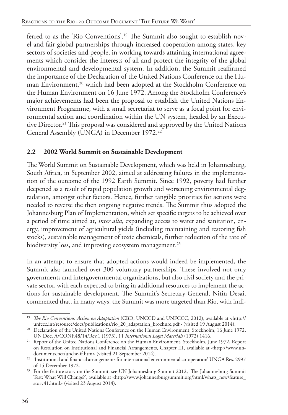ferred to as the 'Rio Conventions'.19 The Summit also sought to establish novel and fair global partnerships through increased cooperation among states, key sectors of societies and people, in working towards attaining international agreements which consider the interests of all and protect the integrity of the global environmental and developmental system. In addition, the Summit reaffirmed the importance of the Declaration of the United Nations Conference on the Human Environment,<sup>20</sup> which had been adopted at the Stockholm Conference on the Human Environment on 16 June 1972. Among the Stockholm Conference's major achievements had been the proposal to establish the United Nations Environment Programme, with a small secretariat to serve as a focal point for environmental action and coordination within the UN system, headed by an Executive Director.<sup>21</sup> This proposal was considered and approved by the United Nations General Assembly (UNGA) in December 1972.22

#### **2.2 2002 World Summit on Sustainable Development**

The World Summit on Sustainable Development, which was held in Johannesburg, South Africa, in September 2002, aimed at addressing failures in the implementation of the outcome of the 1992 Earth Summit. Since 1992, poverty had further deepened as a result of rapid population growth and worsening environmental degradation, amongst other factors. Hence, further tangible priorities for actions were needed to reverse the then ongoing negative trends. The Summit thus adopted the Johannesburg Plan of Implementation, which set specific targets to be achieved over a period of time aimed at, *inter alia*, expanding access to water and sanitation, energy, improvement of agricultural yields (including maintaining and restoring fish stocks), sustainable management of toxic chemicals, further reduction of the rate of biodiversity loss, and improving ecosystem management.<sup>23</sup>

In an attempt to ensure that adopted actions would indeed be implemented, the Summit also launched over 300 voluntary partnerships. These involved not only governments and intergovernmental organizations, but also civil society and the private sector, with each expected to bring in additional resources to implement the actions for sustainable development. The Summit's Secretary-General, Nitin Desai, commented that, in many ways, the Summit was more targeted than Rio, with indi-

<sup>19</sup> *The Rio Conventions. Action on Adaptation* (CBD, UNCCD and UNFCCC, 2012), available at <http:// unfccc.int/resource/docs/publications/rio\_20\_adaptation\_brochure.pdf> (visited 19 August 2014).

<sup>&</sup>lt;sup>20</sup> Declaration of the United Nations Conference on the Human Environment, Stockholm, 16 June 1972,

UN Doc. A/CONF.48/14/Rev.1 (1973), 11 *International Legal Materials* (1972) 1416. 21 Report of the United Nations Conference on the Human Environment, Stockholm, June 1972, Report on Resolution on Institutional and Financial Arrangements, Chapter III, available at <http://www.undocuments.net/unche-if.htm> (visited 21 September 2014).

<sup>&</sup>lt;sup>22</sup> 'Institutional and financial arrangements for international environmental co-operation' UNGA Res. 2997 of 15 December 1972.

<sup>23</sup> For the feature story on the Summit, see UN Johannesburg Summit 2012, 'The Johannesburg Summit Test: What Will Change?', available at <http://www.johannesburgsummit.org/html/whats\_new/feature\_ story41.html> (visited 23 August 2014).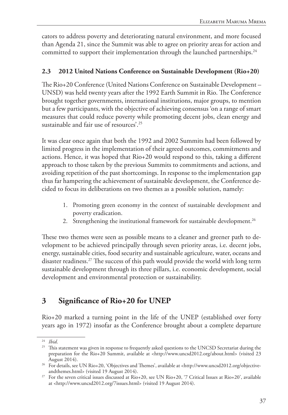cators to address poverty and deteriorating natural environment, and more focused than Agenda 21, since the Summit was able to agree on priority areas for action and committed to support their implementation through the launched partnerships.<sup>24</sup>

#### **2.3 2012 United Nations Conference on Sustainable Development (Rio+20)**

The Rio+20 Conference (United Nations Conference on Sustainable Development – UNSD) was held twenty years after the 1992 Earth Summit in Rio. The Conference brought together governments, international institutions, major groups, to mention but a few participants, with the objective of achieving consensus 'on a range of smart measures that could reduce poverty while promoting decent jobs, clean energy and sustainable and fair use of resources'.25

It was clear once again that both the 1992 and 2002 Summits had been followed by limited progress in the implementation of their agreed outcomes, commitments and actions. Hence, it was hoped that Rio+20 would respond to this, taking a different approach to those taken by the previous Summits to commitments and actions, and avoiding repetition of the past shortcomings. In response to the implementation gap thus far hampering the achievement of sustainable development, the Conference decided to focus its deliberations on two themes as a possible solution, namely:

- 1. Promoting green economy in the context of sustainable development and poverty eradication.
- 2. Strengthening the institutional framework for sustainable development.<sup>26</sup>

These two themes were seen as possible means to a cleaner and greener path to development to be achieved principally through seven priority areas, i.e. decent jobs, energy, sustainable cities, food security and sustainable agriculture, water, oceans and disaster readiness.27 The success of this path would provide the world with long term sustainable development through its three pillars, i.e. economic development, social development and environmental protection or sustainability.

# **3 Significance of Rio+20 for UNEP**

Rio+20 marked a turning point in the life of the UNEP (established over forty years ago in 1972) insofar as the Conference brought about a complete departure

<sup>24</sup> *Ibid*.

<sup>&</sup>lt;sup>25</sup> This statement was given in response to frequently asked questions to the UNCSD Secretariat during the preparation for the Rio+20 Summit, available at <http://www.uncsd2012.org/about.html> (visited 23 August 2014).

<sup>26</sup> For details, see UN Rio+20, 'Objectives and Themes', available at <http://www.uncsd2012.org/objectiveandthemes.html> (visited 19 August 2014).

<sup>&</sup>lt;sup>27</sup> For the seven critical issues discussed at Rio+20, see UN Rio+20, '7 Critical Issues at Rio+20', available at <http://www.uncsd2012.org/7issues.html> (visited 19 August 2014).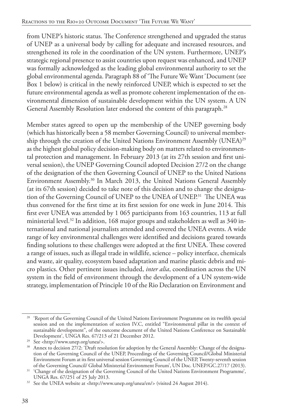from UNEP's historic status. The Conference strengthened and upgraded the status of UNEP as a universal body by calling for adequate and increased resources, and strengthened its role in the coordination of the UN system. Furthermore, UNEP's strategic regional presence to assist countries upon request was enhanced, and UNEP was formally acknowledged as the leading global environmental authority to set the global environmental agenda. Paragraph 88 of 'The Future We Want*'* Document (see Box 1 below) is critical in the newly reinforced UNEP, which is expected to set the future environmental agenda as well as promote coherent implementation of the environmental dimension of sustainable development within the UN system. A UN General Assembly Resolution later endorsed the content of this paragraph.<sup>28</sup>

Member states agreed to open up the membership of the UNEP governing body (which has historically been a 58 member Governing Council) to universal membership through the creation of the United Nations Environment Assembly (UNEA)<sup>29</sup> as the highest global policy decision-making body on matters related to environmental protection and management. In February 2013 (at its 27th session and first universal session), the UNEP Governing Council adopted Decision 27/2 on the change of the designation of the then Governing Council of UNEP to the United Nations Environment Assembly.30 In March 2013, the United Nations General Assembly (at its 67th session) decided to take note of this decision and to change the designation of the Governing Council of UNEP to the UNEA of UNEP.<sup>31</sup> The UNEA was thus convened for the first time at its first session for one week in June 2014. This first ever UNEA was attended by 1 065 participants from 163 countries, 113 at full ministerial level.32 In addition, 168 major groups and stakeholders as well as 340 international and national journalists attended and covered the UNEA events. A wide range of key environmental challenges were identified and decisions geared towards finding solutions to these challenges were adopted at the first UNEA. These covered a range of issues, such as illegal trade in wildlife, science – policy interface, chemicals and waste, air quality, ecosystem based adaptation and marine plastic debris and micro plastics. Other pertinent issues included, *inter alia*, coordination across the UN system in the field of environment through the development of a UN system-wide strategy, implementation of Principle 10 of the Rio Declaration on Environment and

<sup>&</sup>lt;sup>28</sup> 'Report of the Governing Council of the United Nations Environment Programme on its twelfth special session and on the implementation of section IV.C, entitled "Environmental pillar in the context of sustainable development", of the outcome document of the United Nations Conference on Sustainable Development', UNGA Res. 67/213 of 21 December 2012. 29 See <http://www.unep.org/unea/>.

<sup>&</sup>lt;sup>30</sup> Annex to decision 27/2: 'Draft resolution for adoption by the General Assembly: Change of the designation of the Governing Council of the UNEP, Proceedings of the Governing Council/Global Ministerial Environment Forum at its first universal session Governing Council of the UNEP, Twenty-seventh session of the Governing Council/ Global Ministerial Environment Forum', UN Doc. UNEP/GC.27/17 (2013).

<sup>&</sup>lt;sup>31</sup> 'Change of the designation of the Governing Council of the United Nations Environment Programme', UNGA Res. 67/251 of 25 July 2013.

<sup>&</sup>lt;sup>32</sup> See the UNEA website at <http://www.unep.org/unea/en/> (visited 24 August 2014).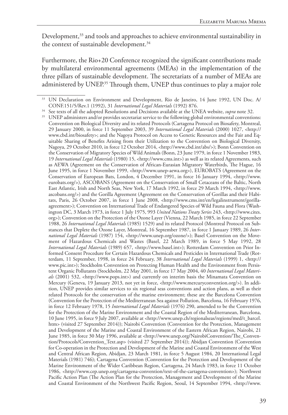Development,<sup>33</sup> and tools and approaches to achieve environmental sustainability in the context of sustainable development.<sup>34</sup>

Furthermore, the Rio+20 Conference recognized the significant contributions made by multilateral environmental agreements (MEAs) in the implementation of the three pillars of sustainable development. The secretariats of a number of MEAs are administered by UNEP.<sup>35</sup> Through them, UNEP thus continues to play a major role

<sup>35</sup> UNEP administers and/or provides secretariat service to the following global environmental conventions: Convention on Biological Diversity and its related Protocols (Cartagena Protocol on Biosafety, Montreal, 29 January 2000, in force 11 September 2003, 39 *International Legal Materials* (2000) 1027, <http:// www.cbd.int/biosafety>; and the Nagoya Protocol on Access to Genetic Resources and the Fair and Equitable Sharing of Benefits Arising from their Utilization to the Convention on Biological Diversity, Nagoya, 29 October 2010, in force 12 October 2014, <http://www.cbd.int/abs/>); Bonn Convention on the Conservation of Migratory Species of Wild Animals (Bonn, 23 June 1979, in force 1 November 1983, 19 *International Legal Materials* (1980) 15, <http://www.cms.int>) as well as its related Agreements, such as AEWA (Agreement on the Conservation of African-Eurasian Migratory Waterbirds, The Hague, 16 June 1995, in force 1 November 1999, <http://www.unep-aewa.org>), EUROBATS (Agreement on the Conservation of European Bats, London, 4 December 1991, in force 16 January 1994, <http://www. eurobats.org/>), ASCOBANS (Agreement on the Conservation of Small Cetaceans of the Baltic, North East Atlantic, Irish and North Seas, New York, 17 March 1992, in force 29 March 1994, <http://www. ascobans.org/>) and the Gorilla Agreement (Agreement on the Conservation of Gorillas and their Habitats, Paris, 26 October 2007, in force 1 June 2008, <http://www.cms.int/en/legalinstrument/gorillaagreement>); Convention on International Trade of Endangered Species of Wild Fauna and Flora (Washington DC, 3 March 1973, in force 1 July 1975, 993 *United Nations Treaty Series* 243, <http://www.cites. org>); Convention on the Protection of the Ozone Layer (Vienna, 22 March 1985, in force 22 September 1988, 26 *International Legal Materials* (1985) 1529) and its related Protocol (Montreal Protocol on Substances that Deplete the Ozone Layer, Montreal, 16 September 1987, in force 1 January 1989, 26 *Inter*national Legal Materials (1987) 154, <http://www.unep.org/ozone/>); Basel Convention on the Movement of Hazardous Chemicals and Wastes (Basel, 22 March 1989, in force 5 May 1992, 28 *International Legal Materials* (1989) 657, <http://www.basel.int>); Rotterdam Convention on Prior Informed Consent Procedure for Certain Hazardous Chemicals and Pesticides in International Trade (Rotterdam, 11 September, 1998, in force 24 February, 38 *International Legal Materials* (1999) 1, <http:// www.pic.int>); Stockholm Convention on Protecting Human Health and the Environment from Persistent Organic Pollutants (Stockholm, 22 May 2001, in force 17 May 2004, 40 *International Legal Materials* (2001) 532, <http://www.pops.int>) and currently on interim basis the Minamata Convention on Mercury (Geneva, 19 January 2013, not yet in force, <http://www.mercuryconvention.org/>). In addition, UNEP provides similar services to six regional seas conventions and action plans, as well as their related Protocols for the conservation of the marine environment; these are the Barcelona Convention (Convention for the Protection of the Mediterranean Sea against Pollution, Barcelona, 16 February 1976, in force 12 February 1978, 15 *International Legal Materials* (1976) 290, amended to be the Convention for the Protection of the Marine Environment and the Coastal Region of the Mediterranean, Barcelona, 10 June 1995, in force 9 July 2007, available at <http://www.unep.ch/regionalseas/regions/med/t\_barcel. htm> (visited 27 September 2014)); Nairobi Convention (Convention for the Protection, Management and Development of the Marine and Coastal Environment of the Eastern African Region, Nairobi, 21 June 1985, in force 30 May 1996, available at <http://www.unep.org/NairobiConvention/The\_Convention/Protocols/Convention\_Text.asp> (visited 27 September 2014)); Abidjan Convention (Convention for Co-operation in the Protection and Development of the Marine and Coastal Environment of the West and Central African Region, Abidjan, 23 March 1981, in force 5 August 1984, 20 International Legal Materials (1981) 746); Cartagena Convention (Convention for the Protection and Development of the Marine Environment of the Wider Caribbean Region, Cartagena, 24 March 1983, in force 11 October 1986, <http://www.cep.unep.org/cartagena-convention/text-of-the-cartagena-convention>); Northwest Pacific Action Plan (The Action Plan for the Protection, Management and Development of the Marine and Coastal Environment of the Northwest Pacific Region, Seoul, 14 September 1994, <http://www.

<sup>&</sup>lt;sup>33</sup> UN Declaration on Environment and Development, Rio de Janeiro, 14 June 1992, UN Doc. A/ CONF.151/5/Rev.1 (1992), 31 *International Legal Materials* (1992) 876.

<sup>34</sup> See texts of all the adopted Resolutions and Decisions available at the UNEA website, *supra* note 32.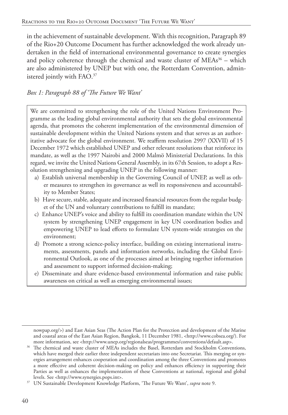in the achievement of sustainable development. With this recognition, Paragraph 89 of the Rio+20 Outcome Document has further acknowledged the work already undertaken in the field of international environmental governance to create synergies and policy coherence through the chemical and waste cluster of  $MEAs<sup>36</sup> - which$ are also administered by UNEP but with one, the Rotterdam Convention, administered jointly with FAO.37

#### *Box 1: Paragraph 88 of 'The Future We Want'*

We are committed to strengthening the role of the United Nations Environment Programme as the leading global environmental authority that sets the global environmental agenda, that promotes the coherent implementation of the environmental dimension of sustainable development within the United Nations system and that serves as an authoritative advocate for the global environment. We reaffirm resolution 2997 (XXVII) of 15 December 1972 which established UNEP and other relevant resolutions that reinforce its mandate, as well as the 1997 Nairobi and 2000 Malmö Ministerial Declarations. In this regard, we invite the United Nations General Assembly, in its 67th Session, to adopt a Resolution strengthening and upgrading UNEP in the following manner:

- a) Establish universal membership in the Governing Council of UNEP, as well as other measures to strengthen its governance as well its responsiveness and accountability to Member States;
- b) Have secure, stable, adequate and increased financial resources from the regular budget of the UN and voluntary contributions to fulfill its mandate;
- c) Enhance UNEP's voice and ability to fulfill its coordination mandate within the UN system by strengthening UNEP engagement in key UN coordination bodies and empowering UNEP to lead efforts to formulate UN system-wide strategies on the environment;
- d) Promote a strong science-policy interface, building on existing international instruments, assessments, panels and information networks, including the Global Environmental Outlook, as one of the processes aimed at bringing together information and assessment to support informed decision-making;
- e) Disseminate and share evidence-based environmental information and raise public awareness on critical as well as emerging environmental issues;

nowpap.org/>) and East Asian Seas (The Action Plan for the Protection and development of the Marine and coastal areas of the East Asian Region, Bangkok, 11 December 1981, <http://www.cobsea.org/). For more information, see <http://www.unep.org/regionalseas/programmes/conventions/default.asp>.

<sup>&</sup>lt;sup>36</sup> The chemical and waste cluster of MEAs includes the Basel, Rotterdam and Stockholm Conventions, which have merged their earlier three independent secretariats into one Secretariat. This merging or synergies arrangement enhances cooperation and coordination among the three Conventions and promotes a more effective and coherent decision-making on policy and enhances efficiency in supporting their Parties as well as enhances the implementation of these Conventions at national, regional and global levels. See <http://www.synergies.pops.int>. 37 UN Sustainable Development Knowledge Platform, 'The Future We Want', *supra* note 9.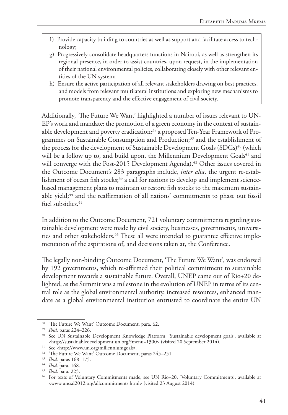- f) Provide capacity building to countries as well as support and facilitate access to technology;
- g) Progressively consolidate headquarters functions in Nairobi, as well as strengthen its regional presence, in order to assist countries, upon request, in the implementation of their national environmental policies, collaborating closely with other relevant entities of the UN system;
- h) Ensure the active participation of all relevant stakeholders drawing on best practices. and models from relevant multilateral institutions and exploring new mechanisms to promote transparency and the effective engagement of civil society.

Additionally, 'The Future We Want' highlighted a number of issues relevant to UN-EP's work and mandate: the promotion of a green economy in the context of sustainable development and poverty eradication;38 a proposed Ten-Year Framework of Programmes on Sustainable Consumption and Production;<sup>39</sup> and the establishment of the process for the development of Sustainable Development Goals (SDGs)<sup>40</sup> (which will be a follow up to, and build upon, the Millennium Development Goals $41$  and will converge with the Post-2015 Development Agenda).<sup>42</sup> Other issues covered in the Outcome Document's 283 paragraphs include, *inter alia*, the urgent re-establishment of ocean fish stocks;<sup>43</sup> a call for nations to develop and implement sciencebased management plans to maintain or restore fish stocks to the maximum sustainable yield;<sup>44</sup> and the reaffirmation of all nations' commitments to phase out fossil fuel subsidies.<sup>45</sup>

In addition to the Outcome Document, 721 voluntary commitments regarding sustainable development were made by civil society, businesses, governments, universities and other stakeholders.<sup>46</sup> These all were intended to guarantee effective implementation of the aspirations of, and decisions taken at, the Conference.

The legally non-binding Outcome Document, 'The Future We Want', was endorsed by 192 governments, which re-affirmed their political commitment to sustainable development towards a sustainable future. Overall, UNEP came out of Rio+20 delighted, as the Summit was a milestone in the evolution of UNEP in terms of its central role as the global environmental authority, increased resources, enhanced mandate as a global environmental institution entrusted to coordinate the entire UN

<sup>&</sup>lt;sup>38</sup> 'The Future We Want' Outcome Document, para. 62.

<sup>39</sup> *Ibid*. paras 224–226.

<sup>&</sup>lt;sup>40</sup> See UN Sustainable Development Knowledge Platform, 'Sustainable development goals', available at <http://sustainabledevelopment.un.org/?menu=1300> (visited 20 September 2014).

<sup>41</sup> See <http://www.un.org/millenniumgoals/.

<sup>&</sup>lt;sup>42</sup> 'The Future We Want' Outcome Document, paras 245-251.

<sup>43</sup> *Ibid*. paras 168–175.

<sup>44</sup> *Ibid*. para. 168.

<sup>45</sup> *Ibid*. para. 225.

<sup>46</sup> For texts of Voluntary Commitments made, see UN Rio+20, 'Voluntary Commitments', available at <www.uncsd2012.org/allcommitments.html> (visited 23 August 2014).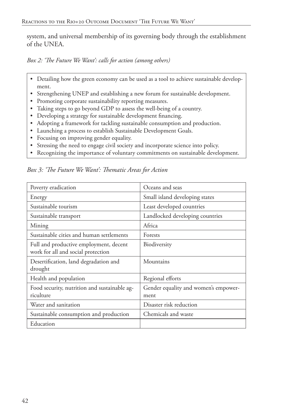system, and universal membership of its governing body through the establishment of the UNEA.

*Box 2: 'The Future We Want': calls for action (among others)*

- Detailing how the green economy can be used as a tool to achieve sustainable development.
- Strengthening UNEP and establishing a new forum for sustainable development.
- Promoting corporate sustainability reporting measures.
- Taking steps to go beyond GDP to assess the well-being of a country.
- Developing a strategy for sustainable development financing.
- Adopting a framework for tackling sustainable consumption and production.
- Launching a process to establish Sustainable Development Goals.
- Focusing on improving gender equality.
- Stressing the need to engage civil society and incorporate science into policy.
- Recognizing the importance of voluntary commitments on sustainable development.

Poverty eradication and Coceans and seas Energy Small island developing states Sustainable tourism and Least developed countries Sustainable transport Landlocked developing countries Mining Africa Sustainable cities and human settlements Forests Full and productive employment, decent work for all and social protection Biodiversity Desertification, land degradation and drought Mountains Health and population Regional efforts Food security, nutrition and sustainable agriculture Gender equality and women's empowerment Water and sanitation **Disaster risk reduction** Sustainable consumption and production | Chemicals and waste Education

*Box 3: 'The Future We Want': Thematic Areas for Action*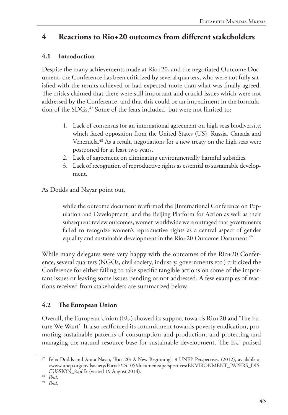# **4 Reactions to Rio+20 outcomes from different stakeholders**

#### **4.1 Introduction**

Despite the many achievements made at Rio+20, and the negotiated Outcome Document, the Conference has been criticized by several quarters, who were not fully satisfied with the results achieved or had expected more than what was finally agreed. The critics claimed that there were still important and crucial issues which were not addressed by the Conference, and that this could be an impediment in the formulation of the SDGs.<sup>47</sup> Some of the fears included, but were not limited to:

- 1. Lack of consensus for an international agreement on high seas biodiversity, which faced opposition from the United States (US), Russia, Canada and Venezuela.48 As a result, negotiations for a new treaty on the high seas were postponed for at least two years.
- 2. Lack of agreement on eliminating environmentally harmful subsidies.
- 3. Lack of recognition of reproductive rights as essential to sustainable development.

As Dodds and Nayar point out,

while the outcome document reaffirmed the [International Conference on Population and Development] and the Beijing Platform for Action as well as their subsequent review outcomes, women worldwide were outraged that governments failed to recognize women's reproductive rights as a central aspect of gender equality and sustainable development in the Rio+20 Outcome Document.<sup>49</sup>

While many delegates were very happy with the outcomes of the Rio+20 Conference, several quarters (NGOs, civil society, industry, governments etc.) criticized the Conference for either failing to take specific tangible actions on some of the important issues or leaving some issues pending or not addressed. A few examples of reactions received from stakeholders are summarized below.

## **4.2 The European Union**

Overall, the European Union (EU) showed its support towards Rio+20 and 'The Future We Want'. It also reaffirmed its commitment towards poverty eradication, promoting sustainable patterns of consumption and production, and protecting and managing the natural resource base for sustainable development. The EU praised

<sup>47</sup> Felix Dodds and Anita Nayar, 'Rio+20: A New Beginning', 8 UNEP Perspectives (2012), available at <www.unep.org/civilsociety/Portals/24105/documents/perspectives/ENVIRONMENT\_PAPERS\_DIS-CUSSION\_8.pdf> (visited 19 August 2014).

<sup>48</sup> *Ibid*.

<sup>49</sup> *Ibid*.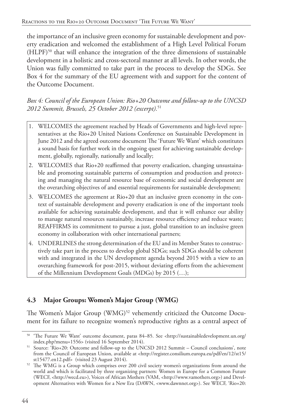the importance of an inclusive green economy for sustainable development and poverty eradication and welcomed the establishment of a High Level Political Forum (HLPF)50 that will enhance the integration of the three dimensions of sustainable development in a holistic and cross-sectoral manner at all levels. In other words, the Union was fully committed to take part in the process to develop the SDGs. See Box 4 for the summary of the EU agreement with and support for the content of the Outcome Document.

*Box 4: Council of the European Union: Rio+20 Outcome and follow-up to the UNCSD 2012 Summit, Brussels, 25 October 2012 (excerpt).*<sup>51</sup>

- 1. WELCOMES the agreement reached by Heads of Governments and high-level representatives at the Rio+20 United Nations Conference on Sustainable Development in June 2012 and the agreed outcome document The 'Future We Want' which constitutes a sound basis for further work in the ongoing quest for achieving sustainable development, globally, regionally, nationally and locally;
- 2. WELCOMES that Rio+20 reaffirmed that poverty eradication, changing unsustainable and promoting sustainable patterns of consumption and production and protecting and managing the natural resource base of economic and social development are the overarching objectives of and essential requirements for sustainable development;
- 3. WELCOMES the agreement at Rio+20 that an inclusive green economy in the context of sustainable development and poverty eradication is one of the important tools available for achieving sustainable development, and that it will enhance our ability to manage natural resources sustainably, increase resource efficiency and reduce waste; REAFFIRMS its commitment to pursue a just, global transition to an inclusive green economy in collaboration with other international partners;
- 4. UNDERLINES the strong determination of the EU and its Member States to constructively take part in the process to develop global SDGs; such SDGs should be coherent with and integrated in the UN development agenda beyond 2015 with a view to an overarching framework for post-2015, without deviating efforts from the achievement of the Millennium Development Goals (MDGs) by 2015 (…);

## **4.3 Major Groups: Women's Major Group (WMG)**

The Women's Major Group (WMG)<sup>52</sup> vehemently criticized the Outcome Document for its failure to recognize women's reproductive rights as a central aspect of

<sup>50</sup> 'The Future We Want' outcome document, paras 84–85. See <http://sustainabledevelopment.un.org/ index.php?menu=1556> (visited 16 September 2014).

<sup>51</sup> Source: 'Rio+20: Outcome and follow-up to the UNCSD 2012 Summit – Council conclusions', note from the Council of European Union, available at <http://register.consilium.europa.eu/pdf/en/12/st15/ st15477.en12.pdf> (visited 23 August 2014).

<sup>52</sup> The WMG is a Group which comprises over 200 civil society women's organizations from around the world and which is facilitated by three organizing partners: Women in Europe for a Common Future (WECF, <http://wecd.eu>), Voices of African Mothers (VAM, <http://www.vamothers.org>) and Development Alternatives with Women for a New Era (DAWN, <www.dawnnet.org>). See WECF, 'Rio+20: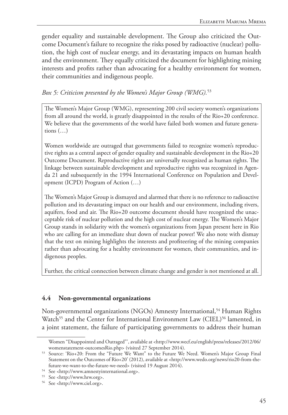gender equality and sustainable development. The Group also criticized the Outcome Document's failure to recognize the risks posed by radioactive (nuclear) pollution, the high cost of nuclear energy, and its devastating impacts on human health and the environment. They equally criticized the document for highlighting mining interests and profits rather than advocating for a healthy environment for women, their communities and indigenous people.

#### *Box 5: Criticism presented by the Women's Major Group (WMG).*<sup>53</sup>

The Women's Major Group (WMG), representing 200 civil society women's organizations from all around the world, is greatly disappointed in the results of the Rio+20 conference. We believe that the governments of the world have failed both women and future generations  $(...)$ 

Women worldwide are outraged that governments failed to recognize women's reproductive rights as a central aspect of gender equality and sustainable development in the Rio+20 Outcome Document. Reproductive rights are universally recognized as human rights. The linkage between sustainable development and reproductive rights was recognized in Agenda 21 and subsequently in the 1994 International Conference on Population and Development (ICPD) Program of Action (…)

The Women's Major Group is dismayed and alarmed that there is no reference to radioactive pollution and its devastating impact on our health and our environment, including rivers, aquifers, food and air. The Rio+20 outcome document should have recognized the unacceptable risk of nuclear pollution and the high cost of nuclear energy. The Women's Major Group stands in solidarity with the women's organizations from Japan present here in Rio who are calling for an immediate shut down of nuclear power! We also note with dismay that the text on mining highlights the interests and profiteering of the mining companies rather than advocating for a healthy environment for women, their communities, and indigenous peoples.

Further, the critical connection between climate change and gender is not mentioned at all.

#### **4.4 Non-governmental organizations**

Non-governmental organizations (NGOs) Amnesty International,<sup>54</sup> Human Rights Watch<sup>55</sup> and the Center for International Environment Law (CIEL)<sup>56</sup> lamented, in a joint statement, the failure of participating governments to address their human

Women "Disappointed and Outraged"', available at <http://www.wecf.eu/english/press/releases/2012/06/ womenstatement-outcomesRio.php> (visited 27 September 2014).

<sup>53</sup> Source: 'Rio+20: From the "Future We Want" to the Future We Need. Women's Major Group Final Statement on the Outcomes of Rio+20' (2012), available at <http://www.wedo.org/news/rio20-from-thefuture-we-want-to-the-future-we-need> (visited 19 August 2014).

<sup>54</sup> See <http://www.amnestyinternational.org>.

<sup>55</sup> See <http://www.hrw.org>.

<sup>56</sup> See <http://www.ciel.org>.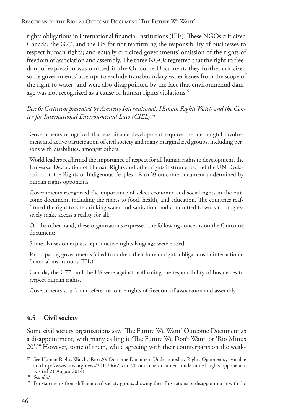rights obligations in international financial institutions (IFIs). These NGOs criticized Canada, the G77, and the US for not reaffirming the responsibility of businesses to respect human rights; and equally criticized governments' omission of the rights of freedom of association and assembly. The three NGOs regretted that the right to freedom of expression was omitted in the Outcome Document; they further criticized some governments' attempt to exclude transboundary water issues from the scope of the right to water; and were also disappointed by the fact that environmental damage was not recognized as a cause of human rights violations.<sup>57</sup>

*Box 6: Criticism presented by Amnesty International, Human Rights Watch and the Center for International Environmental Law (CIEL).*<sup>58</sup>

Governments recognized that sustainable development requires the meaningful involvement and active participation of civil society and many marginalized groups, including persons with disabilities, amongst others.

World leaders reaffirmed the importance of respect for all human rights to development, the Universal Declaration of Human Rights and other rights instruments, and the UN Declaration on the Rights of Indigenous Peoples - Rio+20 outcome document undermined by human rights opponents.

Governments recognized the importance of select economic and social rights in the outcome document, including the rights to food, health, and education. The countries reaffirmed the right to safe drinking water and sanitation; and committed to work to progressively make access a reality for all.

On the other hand, these organizations expressed the following concerns on the Outcome document:

Some clauses on express reproductive rights language were erased.

Participating governments failed to address their human rights obligations in international financial institutions (IFIs).

Canada, the G77, and the US were against reaffirming the responsibility of businesses to respect human rights.

Governments struck out reference to the rights of freedom of association and assembly.

# **4.5 Civil society**

Some civil society organizations saw 'The Future We Want' Outcome Document as a disappointment, with many calling it 'The Future We Don't Want' or 'Rio Minus 20'.59 However, some of them, while agreeing with their counterparts on the weak-

<sup>57</sup> See Human Rights Watch, 'Rio+20: Outcome Document Undermined by Rights Opponents', available at <http://www.hrw.org/news/2012/06/22/rio-20-outcome-document-undermined-rights-opponents> (visited 21 August 2014).

<sup>58</sup> See *ibid*.

<sup>&</sup>lt;sup>59</sup> For statements from different civil society groups showing their frustrations or disappointment with the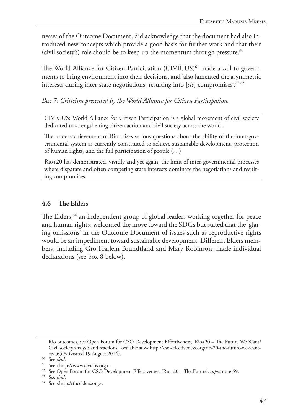nesses of the Outcome Document, did acknowledge that the document had also introduced new concepts which provide a good basis for further work and that their (civil society's) role should be to keep up the momentum through pressure.<sup>60</sup>

The World Alliance for Citizen Participation (CIVICUS)<sup>61</sup> made a call to governments to bring environment into their decisions, and 'also lamented the asymmetric interests during inter-state negotiations, resulting into [*sic*] compromises'.62,63

*Box 7: Criticism presented by the World Alliance for Citizen Participation.*

CIVICUS: World Alliance for Citizen Participation is a global movement of civil society dedicated to strengthening citizen action and civil society across the world.

The under-achievement of Rio raises serious questions about the ability of the inter-governmental system as currently constituted to achieve sustainable development, protection of human rights, and the full participation of people (…)

Rio+20 has demonstrated, vividly and yet again, the limit of inter-governmental processes where disparate and often competing state interests dominate the negotiations and resulting compromises.

#### **4.6 The Elders**

The Elders,<sup>64</sup> an independent group of global leaders working together for peace and human rights, welcomed the move toward the SDGs but stated that the 'glaring omissions' in the Outcome Document of issues such as reproductive rights would be an impediment toward sustainable development. Different Elders members, including Gro Harlem Brundtland and Mary Robinson, made individual declarations (see box 8 below).

Rio outcomes, see Open Forum for CSO Development Effectiveness, 'Rio+20 – The Future We Want? Civil society analysis and reactions', available at w<http://cso-effectiveness.org/rio-20-the-future-we-wantcivl,659> (visited 19 August 2014).

 $60$  See *ibid*.

See <http://www.civicus.org>.

<sup>62</sup> See Open Forum for CSO Development Effectiveness, 'Rio+20 – The Future', *supra* note 59.

<sup>63</sup> See *ibid*.

<sup>64</sup> See <http://theelders.org>.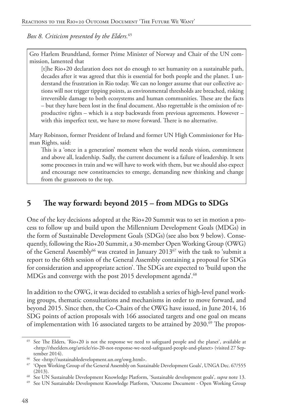*Box 8. Criticism presented by the Elders.*<sup>65</sup>

Gro Harlem Brundtland, former Prime Minister of Norway and Chair of the UN commission, lamented that

[t]he Rio+20 declaration does not do enough to set humanity on a sustainable path, decades after it was agreed that this is essential for both people and the planet. I understand the frustration in Rio today. We can no longer assume that our collective actions will not trigger tipping points, as environmental thresholds are breached, risking irreversible damage to both ecosystems and human communities. These are the facts – but they have been lost in the final document. Also regrettable is the omission of reproductive rights – which is a step backwards from previous agreements. However – with this imperfect text, we have to move forward. There is no alternative.

Mary Robinson, former President of Ireland and former UN High Commissioner for Human Rights, said:

This is a 'once in a generation' moment when the world needs vision, commitment and above all, leadership. Sadly, the current document is a failure of leadership. It sets some processes in train and we will have to work with them, but we should also expect and encourage new constituencies to emerge, demanding new thinking and change from the grassroots to the top.

# **5 The way forward: beyond 2015 – from MDGs to SDGs**

One of the key decisions adopted at the Rio+20 Summit was to set in motion a process to follow up and build upon the Millennium Development Goals (MDGs) in the form of Sustainable Development Goals (SDGs)(see also box 9 below). Consequently, following the Rio+20 Summit, a 30-member Open Working Group (OWG) of the General Assembly<sup>66</sup> was created in January 2013<sup>67</sup> with the task to 'submit a report to the 68th session of the General Assembly containing a proposal for SDGs for consideration and appropriate action'. The SDGs are expected to 'build upon the MDGs and converge with the post 2015 development agenda<sup>'.68</sup>

In addition to the OWG, it was decided to establish a series of high-level panel working groups, thematic consultations and mechanisms in order to move forward, and beyond 2015. Since then, the Co-Chairs of the OWG have issued, in June 2014, 16 SDG points of action proposals with 166 associated targets and one goal on means of implementation with 16 associated targets to be attained by 2030.<sup>69</sup> The propos-

<sup>65</sup> See The Elders, 'Rio+20 is not the response we need to safeguard people and the planet', available at  $\langle$ http://theelders.org/article/rio-20-not-response-we-need-safeguard-people-and-planet> (visited 27 September 2014).

<sup>66</sup> See <http://sustainabledevelopment.un.org/owg.html>.

<sup>67</sup> 'Open Working Group of the General Assembly on Sustainable Development Goals', UNGA Dec. 67/555 (2013).

<sup>68</sup> See UN Sustainable Development Knowledge Platform, 'Sustainable development goals', *supra* note 13.

<sup>69</sup> See UN Sustainable Development Knowledge Platform, 'Outcome Document - Open Working Group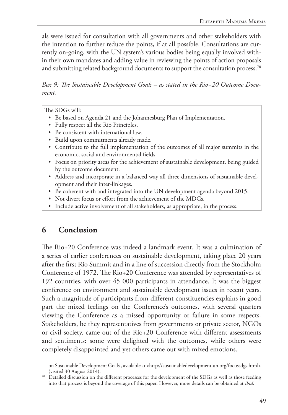als were issued for consultation with all governments and other stakeholders with the intention to further reduce the points, if at all possible. Consultations are currently on-going, with the UN system's various bodies being equally involved within their own mandates and adding value in reviewing the points of action proposals and submitting related background documents to support the consultation process.<sup>70</sup>

*Box 9: The Sustainable Development Goals – as stated in the Rio+20 Outcome Document.*

The SDGs will:

- Be based on Agenda 21 and the Johannesburg Plan of Implementation.
- Fully respect all the Rio Principles.
- Be consistent with international law.
- Build upon commitments already made.
- Contribute to the full implementation of the outcomes of all major summits in the economic, social and environmental fields.
- Focus on priority areas for the achievement of sustainable development, being guided by the outcome document.
- Address and incorporate in a balanced way all three dimensions of sustainable development and their inter-linkages.
- Be coherent with and integrated into the UN development agenda beyond 2015.
- Not divert focus or effort from the achievement of the MDGs.
- Include active involvement of all stakeholders, as appropriate, in the process.

# **6 Conclusion**

The Rio+20 Conference was indeed a landmark event. It was a culmination of a series of earlier conferences on sustainable development, taking place 20 years after the first Rio Summit and in a line of succession directly from the Stockholm Conference of 1972. The Rio+20 Conference was attended by representatives of 192 countries, with over 45 000 participants in attendance. It was the biggest conference on environment and sustainable development issues in recent years. Such a magnitude of participants from different constituencies explains in good part the mixed feelings on the Conference's outcomes, with several quarters viewing the Conference as a missed opportunity or failure in some respects. Stakeholders, be they representatives from governments or private sector, NGOs or civil society, came out of the Rio+20 Conference with different assessments and sentiments: some were delighted with the outcomes, while others were completely disappointed and yet others came out with mixed emotions.

on Sustainable Development Goals', available at <http://sustainabledevelopment.un.org/focussdgs.html> (visited 30 August 2014).

<sup>&</sup>lt;sup>70</sup> Detailed discussion on the different processes for the development of the SDGs as well as those feeding into that process is beyond the coverage of this paper. However, more details can be obtained at *ibid*.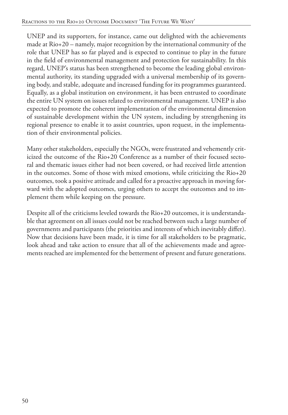UNEP and its supporters, for instance, came out delighted with the achievements made at Rio+20 – namely, major recognition by the international community of the role that UNEP has so far played and is expected to continue to play in the future in the field of environmental management and protection for sustainability. In this regard, UNEP's status has been strengthened to become the leading global environmental authority, its standing upgraded with a universal membership of its governing body, and stable, adequate and increased funding for its programmes guaranteed. Equally, as a global institution on environment, it has been entrusted to coordinate the entire UN system on issues related to environmental management. UNEP is also expected to promote the coherent implementation of the environmental dimension of sustainable development within the UN system, including by strengthening its regional presence to enable it to assist countries, upon request, in the implementation of their environmental policies.

Many other stakeholders, especially the NGOs, were frustrated and vehemently criticized the outcome of the Rio+20 Conference as a number of their focused sectoral and thematic issues either had not been covered, or had received little attention in the outcomes. Some of those with mixed emotions, while criticizing the Rio+20 outcomes, took a positive attitude and called for a proactive approach in moving forward with the adopted outcomes, urging others to accept the outcomes and to implement them while keeping on the pressure.

Despite all of the criticisms leveled towards the Rio+20 outcomes, it is understandable that agreement on all issues could not be reached between such a large number of governments and participants (the priorities and interests of which inevitably differ). Now that decisions have been made, it is time for all stakeholders to be pragmatic, look ahead and take action to ensure that all of the achievements made and agreements reached are implemented for the betterment of present and future generations.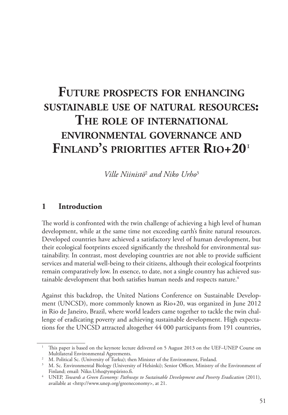# **Future prospects for enhancing sustainable use of natural resources: The role of international environmental governance and Finland's priorities after Rio+20**<sup>1</sup>

*Ville Niinistö*<sup>2</sup>  *and Niko Urho*<sup>3</sup>

#### **1 Introduction**

The world is confronted with the twin challenge of achieving a high level of human development, while at the same time not exceeding earth's finite natural resources. Developed countries have achieved a satisfactory level of human development, but their ecological footprints exceed significantly the threshold for environmental sustainability. In contrast, most developing countries are not able to provide sufficient services and material well-being to their citizens, although their ecological footprints remain comparatively low. In essence, to date, not a single country has achieved sustainable development that both satisfies human needs and respects nature.<sup>4</sup>

Against this backdrop, the United Nations Conference on Sustainable Development (UNCSD), more commonly known as Rio+20, was organized in June 2012 in Rio de Janeiro, Brazil, where world leaders came together to tackle the twin challenge of eradicating poverty and achieving sustainable development. High expectations for the UNCSD attracted altogether 44 000 participants from 191 countries,

<sup>&</sup>lt;sup>1</sup> This paper is based on the keynote lecture delivered on 5 August 2013 on the UEF–UNEP Course on Multilateral Environmental Agreements.

<sup>&</sup>lt;sup>2</sup> M. Political Sc. (University of Turku); then Minister of the Environment, Finland.

<sup>3</sup> M. Sc. Environmental Biology (University of Helsinki); Senior Officer, Ministry of the Environment of Finland; email: Niko.Urho@ympäristo.fi. 4 UNEP, *Towards a Green Economy: Pathways to Sustainable Development and Poverty Eradication* (2011),

available at <http://www.unep.org/greeneconomy>, at 21.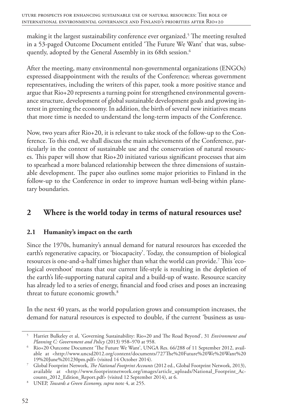making it the largest sustainability conference ever organized.<sup>5</sup> The meeting resulted in a 53-paged Outcome Document entitled 'The Future We Want' that was, subsequently, adopted by the General Assembly in its 68th session.<sup>6</sup>

After the meeting, many environmental non-governmental organizations (ENGOs) expressed disappointment with the results of the Conference; whereas government representatives, including the writers of this paper, took a more positive stance and argue that Rio+20 represents a turning point for strengthened environmental governance structure, development of global sustainable development goals and growing interest in greening the economy. In addition, the birth of several new initiatives means that more time is needed to understand the long-term impacts of the Conference.

Now, two years after Rio+20, it is relevant to take stock of the follow-up to the Conference. To this end, we shall discuss the main achievements of the Conference, particularly in the context of sustainable use and the conservation of natural resources. This paper will show that Rio+20 initiated various significant processes that aim to spearhead a more balanced relationship between the three dimensions of sustainable development. The paper also outlines some major priorities to Finland in the follow-up to the Conference in order to improve human well-being within planetary boundaries.

# **2 Where is the world today in terms of natural resources use?**

#### **2.1 Humanity's impact on the earth**

Since the 1970s, humanity's annual demand for natural resources has exceeded the earth's regenerative capacity, or 'biocapacity'. Today, the consumption of biological resources is one-and-a-half times higher than what the world can provide.7 This 'ecological overshoot' means that our current life-style is resulting in the depletion of the earth's life-supporting natural capital and a build-up of waste. Resource scarcity has already led to a series of energy, financial and food crises and poses an increasing threat to future economic growth.<sup>8</sup>

In the next 40 years, as the world population grows and consumption increases, the demand for natural resources is expected to double, if the current 'business as usu-

<sup>5</sup> Harriet Bulkeley et al, 'Governing Sustainability: Rio+20 and The Road Beyond', 31 *Environment and Planning C: Government and Policy* (2013) 958–970 at 958.

<sup>6</sup> Rio+20 Outcome Document 'The Future We Want', UNGA Res. 66/288 of 11 September 2012, available at <http://www.uncsd2012.org/content/documents/727The%20Future%20We%20Want%20 19%20June%201230pm.pdf> (visited 14 October 2014).

<sup>7</sup> Global Footprint Network, *The National Footprint Accounts* (2012 ed., Global Footprint Network, 2013), available at <http://www.footprintnetwork.org/images/article\_uploads/National\_Footprint\_Accounts\_2012\_Edition\_Report.pdf> (visited 12 September 2014), at 6.

<sup>8</sup> UNEP, *Towards a Green Economy, supra* note 4, at 255.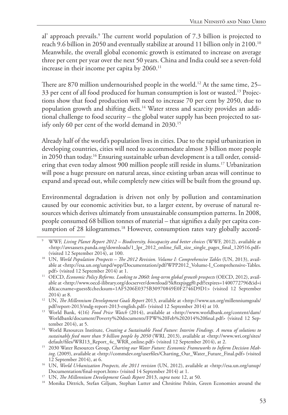al' approach prevails.<sup>9</sup> The current world population of 7.3 billion is projected to reach 9.6 billion in 2050 and eventually stabilize at around 11 billion only in 2100.10 Meanwhile, the overall global economic growth is estimated to increase on average three per cent per year over the next 50 years. China and India could see a seven-fold increase in their income per capita by 2060.<sup>11</sup>

There are 870 million undernourished people in the world.<sup>12</sup> At the same time, 25– 33 per cent of all food produced for human consumption is lost or wasted.13 Projections show that food production will need to increase 70 per cent by 2050, due to population growth and shifting diets.14 Water stress and scarcity provides an additional challenge to food security – the global water supply has been projected to satisfy only 60 per cent of the world demand in 2030.<sup>15</sup>

Already half of the world's population lives in cities. Due to the rapid urbanization in developing countries, cities will need to accommodate almost 3 billion more people in 2050 than today.16 Ensuring sustainable urban development is a tall order, considering that even today almost 900 million people still reside in slums.17 Urbanization will pose a huge pressure on natural areas, since existing urban areas will continue to expand and spread out, while completely new cities will be built from the ground up.

Environmental degradation is driven not only by pollution and contamination caused by our economic activities but, to a larger extent, by overuse of natural resources which derives ultimately from unsustainable consumption patterns. In 2008, people consumed 68 billion tonnes of material – that signifies a daily per capita consumption of 28 kilogrammes.<sup>18</sup> However, consumption rates vary globally accord-

<sup>9</sup> WWF, *Living Planet Report 2012 – Biodiversity, biocapacity and better choices* (WWF, 2012), available at <http://awsassets.panda.org/downloads/1\_lpr\_2012\_online\_full\_size\_single\_pages\_final\_120516.pdf> (visited 12 September 2014), at 100.

<sup>&</sup>lt;sup>10</sup> UN, *World Population Prospects – The 2012 Revision. Volume I: Comprehensive Tables* (UN, 2013), available at <http://esa.un.org/unpd/wpp/Documentation/pdf/WPP2012\_Volume-I\_Comprehensive-Tables. pdf> (visited 12 September 2014) at 1.

<sup>&</sup>lt;sup>11</sup> OECD, *Economic Policy Reforms. Looking to 2060: long-term global growth prospects* (OECD, 2012), available at <http://www.oecd-ilibrary.org/docserver/download/5k8zxpjsggf0.pdf?expires=1400772796&id=i d&accname=guest&checksum=1AF5206E0375B30970849E0F2746D9D1> (visited 12 September 2014) at 8.

<sup>12</sup> UN, *The Millennium Development Goals Report* 2013, available at <http://www.un.org/millenniumgoals/ pdf/report-2013/mdg-report-2013-english.pdf> (visited 12 September 2014) at 10.

<sup>&</sup>lt;sup>13</sup> World Bank, 4(16) *Food Price Watch* (2014), available at <http://www.worldbank.org/content/dam/ Worldbank/document/Poverty%20documents/FPW%20Feb%202014%20final.pdf> (visited 12 September 2014), at 5.

<sup>14</sup> World Resources Institute, *Creating a Sustainable Food Future: Interim Findings. A menu of solutions to sustainably feed more than 9 billion people by 2050* (WRI, 2013), available at <http://www.wri.org/sites/ default/files/WRI13\_Report\_4c\_WRR\_online.pdf> (visited 12 September 2014), at 2.

<sup>&</sup>lt;sup>15</sup> 2030 Water Resources Group, *Charting our Water Future: Economic Frameworks to Inform Decision Making*. (2009), available at <http://commdev.org/userfiles/Charting\_Our\_Water\_Future\_Final.pdf> (visited 12 September 2014), at 6.

<sup>16</sup> UN, *World Urbanization Prospects, the 2011 revision* (UN, 2012), available at <http://esa.un.org/unup/ Documentation/final-report.htm> (visited 14 September 2014) at 1.

<sup>17</sup> UN, *The Millennium Development Goals Report* 2013, *supra* note 12, at 50.

<sup>&</sup>lt;sup>18</sup> Monika Dittrich, Stefan Giljum, Stephan Lutter and Chrsitine Polzin, Green Economies around the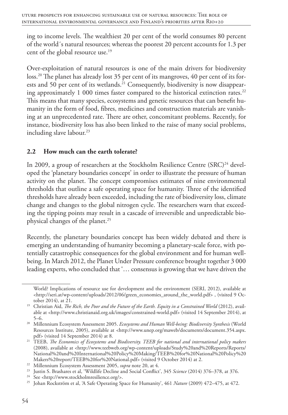ing to income levels. The wealthiest 20 per cent of the world consumes 80 percent of the world´s natural resources; whereas the poorest 20 percent accounts for 1.3 per cent of the global resource use.<sup>19</sup>

Over-exploitation of natural resources is one of the main drivers for biodiversity loss.20 The planet has already lost 35 per cent of its mangroves, 40 per cent of its forests and 50 per cent of its wetlands.<sup>21</sup> Consequently, biodiversity is now disappearing approximately 1 000 times faster compared to the historical extinction rates.<sup>22</sup> This means that many species, ecosystems and genetic resources that can benefit humanity in the form of food, fibres, medicines and construction materials are vanishing at an unprecedented rate. There are other, concomitant problems. Recently, for instance, biodiversity loss has also been linked to the raise of many social problems, including slave labour.<sup>23</sup>

#### **2.2 How much can the earth tolerate?**

In 2009, a group of researchers at the Stockholm Resilience Centre (SRC)<sup>24</sup> developed the 'planetary boundaries concept' in order to illustrate the pressure of human activity on the planet. The concept compromises estimates of nine environmental thresholds that outline a safe operating space for humanity. Three of the identified thresholds have already been exceeded, including the rate of biodiversity loss, climate change and changes to the global nitrogen cycle. The researchers warn that exceeding the tipping points may result in a cascade of irreversible and unpredictable biophysical changes of the planet.25

Recently, the planetary boundaries concept has been widely debated and there is emerging an understanding of humanity becoming a planetary-scale force, with potentially catastrophic consequences for the global environment and for human wellbeing. In March 2012, the Planet Under Pressure conference brought together 3 000 leading experts, who concluded that '… consensus is growing that we have driven the

World? Implications of resource use for development and the environment (SERI, 2012), available at <http://seri.at/wp-content/uploads/2012/06/green\_economies\_around\_the\_world.pdf> , (visited 9 October 2014), at 21.

<sup>&</sup>lt;sup>19</sup> Christian Aid, *The Rich, the Poor and the Future of the Earth. Equity in a Constrained World* (2012), available at <http://www.christianaid.org.uk/images/constrained-world.pdf> (visited 14 September 2014), at 5–6.

<sup>20</sup> Millennium Ecosystem Assessment 2005. *Ecosystems and Human Well-being: Biodiversity Synthesis* (World Resources Institute, 2005), available at <http://www.unep.org/maweb/documents/document.354.aspx. pdf> (visited 14 September 2014) at 8.

<sup>21</sup> TEEB, *The Economics of Ecosystems and Biodiversity. TEEB for national and international policy makers* (2008), available at <http://www.teebweb.org/wp-content/uploads/Study%20and%20Reports/Reports/ National%20and%20International%20Policy%20Making/TEEB%20for%20National%20Policy%20 Makers%20report/TEEB%20for%20National.pdf> (visited 9 October 2014) at 2.

<sup>22</sup> Millennium Ecosystem Assessment 2005, *supra* note 20, at 4.

<sup>23</sup> Justin S. Brashares et al, 'Wildlife Decline and Social Conflict', 345 *Science* (2014) 376–378, at 376. 24 See <http://www.stockholmresilience.org/>.

<sup>25</sup> Johan Rockström et al, 'A Safe Operating Space for Humanity', 461 *Nature* (2009) 472–475, at 472.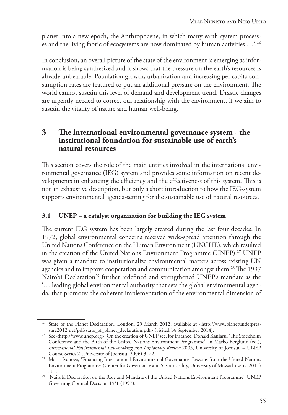planet into a new epoch, the Anthropocene, in which many earth-system processes and the living fabric of ecosystems are now dominated by human activities …'.26

In conclusion, an overall picture of the state of the environment is emerging as information is being synthesized and it shows that the pressure on the earth's resources is already unbearable. Population growth, urbanization and increasing per capita consumption rates are featured to put an additional pressure on the environment. The world cannot sustain this level of demand and development trend. Drastic changes are urgently needed to correct our relationship with the environment, if we aim to sustain the vitality of nature and human well-being.

#### **3 The international environmental governance system - the institutional foundation for sustainable use of earth's natural resources**

This section covers the role of the main entities involved in the international environmental governance (IEG) system and provides some information on recent developments in enhancing the efficiency and the effectiveness of this system. This is not an exhaustive description, but only a short introduction to how the IEG-system supports environmental agenda-setting for the sustainable use of natural resources.

#### **3.1 UNEP – a catalyst organization for building the IEG system**

The current IEG system has been largely created during the last four decades. In 1972, global environmental concerns received wide-spread attention through the United Nations Conference on the Human Environment (UNCHE), which resulted in the creation of the United Nations Environment Programme (UNEP).27 UNEP was given a mandate to institutionalize environmental matters across existing UN agencies and to improve cooperation and communication amongst them.<sup>28</sup> The 1997 Nairobi Declaration<sup>29</sup> further redefined and strengthened UNEP's mandate as the '… leading global environmental authority that sets the global environmental agenda, that promotes the coherent implementation of the environmental dimension of

<sup>26</sup> State of the Planet Declaration, London, 29 March 2012, available at <http://www.planetunderpressure2012.net/pdf/state\_of\_planet\_declaration.pdf> (visited 14 September 2014).

<sup>&</sup>lt;sup>27</sup> See <http://www.unep.org>. On the creation of UNEP see, for instance, Donald Kaniaru, 'The Stockholm Conference and the Birth of the United Nations Environment Programme', in Marko Berglund (ed.), *International Environmental Law-making and Diplomacy Review* 2005, University of Joensuu – UNEP

<sup>&</sup>lt;sup>28</sup> Maria Ivanova, 'Financing International Environmental Governance: Lessons from the United Nations Environment Programme' (Center for Governance and Sustainability, University of Massachusetts, 2011)

at 1. 29 'Nairobi Declaration on the Role and Mandate of the United Nations Environment Programme', UNEP Governing Council Decision 19/1 (1997).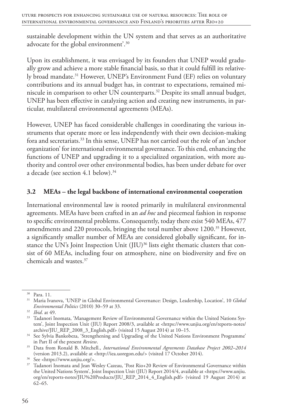sustainable development within the UN system and that serves as an authoritative advocate for the global environment'.30

Upon its establishment, it was envisaged by its founders that UNEP would gradually grow and achieve a more stable financial basis, so that it could fulfill its relatively broad mandate.31 However, UNEP's Environment Fund (EF) relies on voluntary contributions and its annual budget has, in contrast to expectations, remained miniscule in comparison to other UN counterparts.32 Despite its small annual budget, UNEP has been effective in catalyzing action and creating new instruments, in particular, multilateral environmental agreements (MEAs).

However, UNEP has faced considerable challenges in coordinating the various instruments that operate more or less independently with their own decision-making fora and secretariats.33 In this sense, UNEP has not carried out the role of an 'anchor organization' for international environmental governance. To this end, enhancing the functions of UNEP and upgrading it to a specialized organization, with more authority and control over other environmental bodies, has been under debate for over a decade (see section 4.1 below).<sup>34</sup>

#### **3.2 MEAs – the legal backbone of international environmental cooperation**

International environmental law is rooted primarily in multilateral environmental agreements. MEAs have been crafted in an *ad hoc* and piecemeal fashion in response to specific environmental problems. Consequently, today there exist 540 MEAs, 477 amendments and 220 protocols, bringing the total number above 1200.<sup>35</sup> However, a significantly smaller number of MEAs are considered globally significant, for instance the UN's Joint Inspection Unit (JIU)<sup>36</sup> lists eight thematic clusters that consist of 60 MEAs, including four on atmosphere, nine on biodiversity and five on chemicals and wastes.37

<sup>30</sup> Para. 11.

<sup>31</sup> Maria Ivanova, 'UNEP in Global Environmental Governance: Design, Leadership, Location', 10 *Global Environmental Politics* (2010) 30–59 at 33.

<sup>32</sup> *Ibid*. at 49.

<sup>&</sup>lt;sup>33</sup> Tadanori Inomata, 'Management Review of Environmental Governance within the United Nations System', Joint Inspection Unit (JIU) Report 2008/3, available at <https://www.unjiu.org/en/reports-notes/ archive/JIU\_REP\_2008\_3\_English.pdf> (visited 15 August 2014) at 10–15.

<sup>&</sup>lt;sup>34</sup> See Sylvia Bankobeza, 'Strengthening and Upgrading of the United Nations Environment Programme' in Part II of the present *Review*.

<sup>35</sup> Data from Ronald B. Mitchell., *International Environmental Agreements Database Project 2002–2014* (version 2013.2), available at <http://iea.uoregon.edu/> (visited 17 October 2014).

<sup>&</sup>lt;sup>37</sup> Tadanori Inomata and Jean Wesley Cazeau, 'Post Rio+20 Review of Environmental Governance within the United Nations System', Joint Inspection Unit (JIU) Report 2014/4, available at <https://www.unjiu. org/en/reports-notes/JIU%20Products/JIU\_REP\_2014\_4\_English.pdf> (visited 19 August 2014) at 62–65.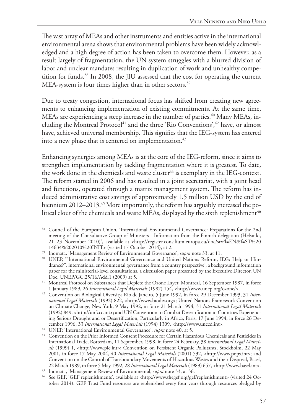The vast array of MEAs and other instruments and entities active in the international environmental arena shows that environmental problems have been widely acknowledged and a high degree of action has been taken to overcome them. However, as a result largely of fragmentation, the UN system struggles with a blurred division of labor and unclear mandates resulting in duplication of work and unhealthy competition for funds.38 In 2008, the JIU assessed that the cost for operating the current MEA-system is four times higher than in other sectors.<sup>39</sup>

Due to treaty congestion, international focus has shifted from creating new agreements to enhancing implementation of existing commitments. At the same time, MEAs are experiencing a steep increase in the number of parties.<sup>40</sup> Many MEAs, including the Montreal Protocol<sup>41</sup> and the three 'Rio Conventions',<sup>42</sup> have, or almost have, achieved universal membership. This signifies that the IEG-system has entered into a new phase that is centered on implementation.<sup>43</sup>

Enhancing synergies among MEAs is at the core of the IEG-reform, since it aims to strengthen implementation by tackling fragmentation where it is greatest. To date, the work done in the chemicals and waste cluster<sup>44</sup> is exemplary in the IEG-context. The reform started in 2006 and has resulted in a joint secretariat, with a joint head and functions, operated through a matrix management system. The reform has induced administrative cost savings of approximately 1.5 million USD by the end of biennium 2012–2013.<sup>45</sup> More importantly, the reform has arguably increased the political clout of the chemicals and waste MEAs, displayed by the sixth replenishment<sup>46</sup>

<sup>38</sup> Council of the European Union, 'International Environmental Governance: Preparations for the 2nd meeting of the Consultative Group of Ministers - Information from the Finnish delegation (Helsinki, 21–23 November 2010)', available at <http://register.consilium.europa.eu/doc/srv?l=EN&f=ST%20 14634%202010%20INIT> (visited 17 October 2014), at 2.

<sup>39</sup> Inomata, 'Management Review of Environmental Governance', *supra* note 33, at 11.

<sup>&</sup>lt;sup>40</sup> UNEP, "International Environmental Governance and United Nations Reform, IEG: Help or Hindrance?", international environmental governance from a country perspective', a background information paper for the ministerial-level consultations, a discussion paper presented by the Executive Director, UN Doc. UNEP/GC.25/16/Add.1 (2009) at 5.

<sup>41</sup> Montreal Protocol on Substances that Deplete the Ozone Layer, Montreal, 16 September 1987, in force 1 January 1989, 26 *International Legal Materials* (1987) 154, <http://www.unep.org/ozone/>.

<sup>42</sup> Convention on Biological Diversity, Rio de Janeiro, 5 June 1992, in force 29 December 1993, 31 *International Legal Materials* (1992) 822, <http://www.biodiv.org>; United Nations Framework Convention on Climate Change, New York, 9 May 1992, in force 21 March 1994, 31 *International Legal Materials* (1992) 849, <http://unfccc.int>; and UN Convention to Combat Desertification in Countries Experiencing Serious Drought and or Desertification, Particularly in Africa, Paris, 17 June 1994, in force 26 December 1996, 33 *International Legal Materials* (1994) 1309, <http://www.unccd.int>.

<sup>43</sup> UNEP, 'International Environmental Governance', *supra* note 40, at 5.

<sup>44</sup> Convention on the Prior Informed Consent Procedure for Certain Hazardous Chemicals and Pesticides in International Trade, Rotterdam, 11 September, 1998, in force 24 February, 38 *International Legal Materials* (1999) 1, <http://www.pic.int>; Convention on Persistent Organic Pollutants, Stockholm, 22 May 2001, in force 17 May 2004, 40 *International Legal Materials* (2001) 532, <http://www.pops.int>; and Convention on the Control of Transboundary Movements of Hazardous Wastes and their Disposal, Basel, 22 March 1989, in force 5 May 1992, 28 *International Legal Materials* (1989) 657, <http://www.basel.int>. 45 Inomata, 'Management Review of Environmental, *supra* note 33, at 36.

<sup>46</sup> See GEF, 'GEF replenishments', available at <http://www.thegef.org/gef/replenishment> (visited 24 October 2014). GEF Trust Fund resources are replenished every four years through resources pledged by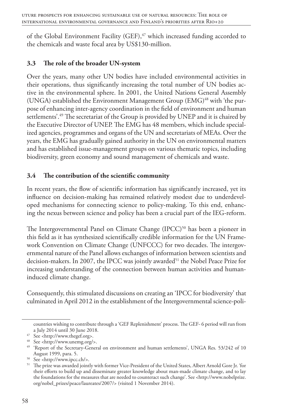of the Global Environment Facility (GEF), $47$  which increased funding accorded to the chemicals and waste focal area by US\$130-million.

#### **3.3 The role of the broader UN-system**

Over the years, many other UN bodies have included environmental activities in their operations, thus significantly increasing the total number of UN bodies active in the environmental sphere. In 2001, the United Nations General Assembly (UNGA) established the Environment Management Group  $(EMG)^{48}$  with 'the purpose of enhancing inter-agency coordination in the field of environment and human settlements'.<sup>49</sup> The secretariat of the Group is provided by UNEP and it is chaired by the Executive Director of UNEP. The EMG has 48 members, which include specialized agencies, programmes and organs of the UN and secretariats of MEAs. Over the years, the EMG has gradually gained authority in the UN on environmental matters and has established issue-management groups on various thematic topics, including biodiversity, green economy and sound management of chemicals and waste.

#### **3.4 The contribution of the scientific community**

In recent years, the flow of scientific information has significantly increased, yet its influence on decision-making has remained relatively modest due to underdeveloped mechanisms for connecting science to policy-making. To this end, enhancing the nexus between science and policy has been a crucial part of the IEG-reform.

The Intergovernmental Panel on Climate Change  $(IPCC)^{50}$  has been a pioneer in this field as it has synthesized scientifically credible information for the UN Framework Convention on Climate Change (UNFCCC) for two decades. The intergovernmental nature of the Panel allows exchanges of information between scientists and decision-makers. In 2007, the IPCC was jointly awarded<sup>51</sup> the Nobel Peace Prize for increasing understanding of the connection between human activities and humaninduced climate change.

Consequently, this stimulated discussions on creating an 'IPCC for biodiversity' that culminated in April 2012 in the establishment of the Intergovernmental science-poli-

countries wishing to contribute through a 'GEF Replenishment' process. The GEF- 6 period will run from a July 2014 until 30 June 2018.

<sup>47</sup> See <http://www.thegef.org>.

<sup>48</sup> See <http://www.unemg.org/>.

<sup>49</sup> 'Report of the Secretary-General on environment and human settlements', UNGA Res. 53/242 of 10 August 1999, para. 5.

<sup>50</sup> See <http://www.ipcc.ch/>.

<sup>51</sup> The prize was awarded jointly with former Vice-President of the United States, Albert Arnold Gore Jr. 'for their efforts to build up and disseminate greater knowledge about man-made climate change, and to lay the foundations for the measures that are needed to counteract such change'. See <http://www.nobelprize. org/nobel\_prizes/peace/laureates/2007/> (visited 1 November 2014).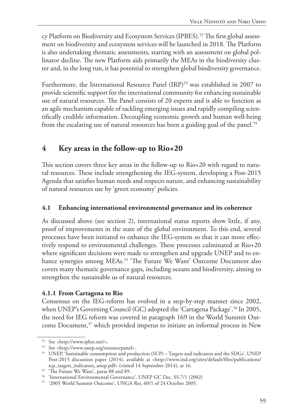cy Platform on Biodiversity and Ecosystem Services (IPBES).<sup>52</sup> The first global assessment on biodiversity and ecosystem services will be launched in 2018. The Platform is also undertaking thematic assessments, starting with an assessment on global pollinator decline. The new Platform aids primarily the MEAs in the biodiversity cluster and, in the long run, it has potential to strengthen global biodiversity governance.

Furthermore, the International Resource Panel (IRP)<sup>53</sup> was established in 2007 to provide scientific support for the international community for enhancing sustainable use of natural resources. The Panel consists of 20 experts and is able to function as an agile mechanism capable of tackling emerging issues and rapidly compiling scientifically credible information. Decoupling economic growth and human well-being from the escalating use of natural resources has been a guiding goal of the panel.<sup>54</sup>

## **4 Key areas in the follow-up to Rio+20**

This section covers three key areas in the follow-up to Rio+20 with regard to natural resources. These include strengthening the IEG-system, developing a Post-2015 Agenda that satisfies human needs and respects nature, and enhancing sustainability of natural resources use by 'green economy' policies.

#### **4.1 Enhancing international environmental governance and its coherence**

As discussed above (see section 2), international status reports show little, if any, proof of improvements in the state of the global environment. To this end, several processes have been initiated to enhance the IEG-system so that it can more effectively respond to environmental challenges. These processes culminated at Rio+20 where significant decisions were made to strengthen and upgrade UNEP and to enhance synergies among MEAs.<sup>55</sup> 'The Future We Want' Outcome Document also covers many thematic governance gaps, including oceans and biodiversity, aiming to strengthen the sustainable us of natural resources.

#### **4.1.1 From Cartagena to Rio**

Consensus on the IEG-reform has evolved in a step-by-step manner since 2002, when UNEP's Governing Council (GC) adopted the 'Cartagena Package'.<sup>56</sup> In 2005, the need for IEG reform was covered in paragraph 169 in the World Summit Outcome Document,<sup>57</sup> which provided impetus to initiate an informal process in New

<sup>52</sup> See <http://www.ipbes.net/>.

<sup>53</sup> See <http://www.unep.org/resourcepanel>.

<sup>54</sup> UNEP, 'Sustainable consumption and production (SCP) – Targets and indicators and the SDGs', UNEP Post-2015 discussion paper (2014), available at <http://www.iisd.org/sites/default/files/publications/ scp\_targets\_indicators\_unep.pdf> (visited 14 September 2014), at 16.

<sup>&</sup>lt;sup>55</sup> 'The Future We Want', paras 88 and 89.

<sup>56</sup> 'International Environmental Governance', UNEP GC Dec. SS.7/1 (2002)

<sup>57</sup> '2005 World Summit Outcome', UNGA Res. 60/1 of 24 October 2005.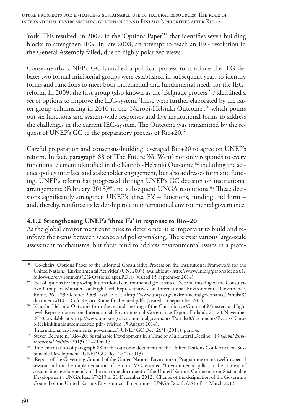York. This resulted, in 2007, in the 'Options Paper'<sup>58</sup> that identifies seven building blocks to strengthen IEG. In late 2008, an attempt to reach an IEG-resolution in the General Assembly failed, due to highly polarized views.

Consequently, UNEP's GC launched a political process to continue the IEG-debate: two formal ministerial groups were established in subsequent years to identify forms and functions to meet both incremental and fundamental needs for the IEGreform. In 2009, the first group (also known as the 'Belgrade process'59*)* identified a set of options to improve the IEG-system. These were further elaborated by the latter group culminating in 2010 in the 'Nairobi-Helsinki Outcome',<sup>60</sup> which points out six functions and system-wide responses and five institutional forms to address the challenges in the current IEG-system. The Outcome was transmitted by the request of UNEP's GC to the preparatory process of Rio+20.<sup>61</sup>

Careful preparation and consensus-building leveraged Rio+20 to agree on UNEP's reform. In fact, paragraph 88 of 'The Future We Want' not only responds to every functional element identified in the Nairobi-Helsinki Outcome,<sup>62</sup> including the science-policy interface and stakeholder engagement, but also addresses form and funding. UNEP's reform has progressed through UNEP's GC decision on institutional arrangements (February  $2013$ )<sup>63</sup> and subsequent UNGA resolutions.<sup>64</sup> These decisions significantly strengthen UNEP's 'three F's' – functions, funding and form – and, thereby, reinforce its leadership role in international environmental governance.

#### **4.1.2 Strengthening UNEP's 'three F's' in response to Rio+20**

As the global environment continues to deteriorate, it is important to build and reinforce the nexus between science and policy-making. There exist various large-scale assessment mechanisms, but these tend to address environmental issues in a piece-

<sup>58</sup> 'Co-chairs' Options Paper of the Informal Consultative Process on the Institutional Framework for the United Nations´ Environmental Activities' (UN, 2007), available at <http://www.un.org/ga/president/61/ follow-up/environment/EG-OptionsPaper.PDF> (visited 15 September 2014).

<sup>59</sup> 'Set of options for improving international environmental governance', Second meeting of the Consultative Group of Ministers or High-level Representatives on International Environmental Governance, Rome, 26 – 29 October 2009, available at <http://www.unep.org/environmentalgovernance/Portals/8/ documents/IEG-Draft-Report-Rome-final-edited.pdf> (visited 15 September 2014).

<sup>&</sup>lt;sup>60</sup> Nairobi-Helsinki Outcome from the second meeting of the Consultative Group of Ministers or Highlevel Representatives on International Environmental Governance Espoo, Finland, 21–23 November 2010, available at <http://www.unep.org/environmentalgovernance/Portals/8/documents/Events/NairobiHelsinkifinaloutcomeedited.pdf> (visited 15 August 2014).

<sup>&</sup>lt;sup>61</sup> 'International environmental governance', UNEP GC Dec. 26/1 (2011), para. 4.

<sup>62</sup> Steven Bernstein, 'Rio+20: Sustainable Development in a Time of Multilateral Decline', 13 *Global Environmental Politics* (2013) 12–21 at 17.

<sup>&</sup>lt;sup>63</sup> 'Implementation of paragraph 88 of the outcome document of the United Nations Conference on Sustainable Development', UNEP GC Dec. 27/2 (2013).

<sup>&</sup>lt;sup>64</sup> 'Report of the Governing Council of the United Nations Environment Programme on its twelfth special session and on the implementation of section IV.C, entitled "Environmental pillar in the context of sustainable development", of the outcome document of the United Nations Conference on Sustainable Development', UNGA Res. 67/213 of 21 December 2012; 'Change of the designation of the Governing Council of the United Nations Environment Programme', UNGA Res. 67/251 of 13 March 2013.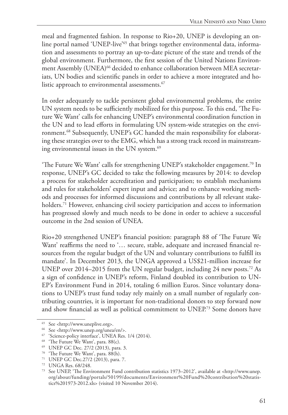meal and fragmented fashion. In response to Rio+20, UNEP is developing an online portal named 'UNEP-live'<sup>65</sup> that brings together environmental data, information and assessments to portray an up-to-date picture of the state and trends of the global environment. Furthermore, the first session of the United Nations Environment Assembly (UNEA)<sup>66</sup> decided to enhance collaboration between MEA secretariats, UN bodies and scientific panels in order to achieve a more integrated and holistic approach to environmental assessments.<sup>67</sup>

In order adequately to tackle persistent global environmental problems, the entire UN system needs to be sufficiently mobilized for this purpose. To this end, 'The Future We Want' calls for enhancing UNEP's environmental coordination function in the UN and to lead efforts in formulating UN system-wide strategies on the environment.68 Subsequently, UNEP's GC handed the main responsibility for elaborating these strategies over to the EMG, which has a strong track record in mainstreaming environmental issues in the UN system.<sup>69</sup>

'The Future We Want' calls for strengthening UNEP's stakeholder engagement.<sup>70</sup> In response, UNEP's GC decided to take the following measures by 2014: to develop a process for stakeholder accreditation and participation; to establish mechanisms and rules for stakeholders' expert input and advice; and to enhance working methods and processes for informed discussions and contributions by all relevant stakeholders.71 However, enhancing civil society participation and access to information has progressed slowly and much needs to be done in order to achieve a successful outcome in the 2nd session of UNEA.

Rio+20 strengthened UNEP's financial position: paragraph 88 of 'The Future We Want' reaffirms the need to '... secure, stable, adequate and increased financial resources from the regular budget of the UN and voluntary contributions to fulfill its mandate'. In December 2013, the UNGA approved a US\$21-million increase for UNEP over 2014–2015 from the UN regular budget, including 24 new posts.<sup>72</sup> As a sign of confidence in UNEP's reform, Finland doubled its contribution to UN-EP's Environment Fund in 2014, totaling 6 million Euros. Since voluntary donations to UNEP's trust fund today rely mainly on a small number of regularly contributing countries, it is important for non-traditional donors to step forward now and show financial as well as political commitment to UNEP.73 Some donors have

<sup>65</sup> See <http://www.uneplive.org>.

<sup>66</sup> See <http://www.unep.org/unea/en/>.

<sup>67</sup> 'Science-policy interface', UNEA Res. 1/4 (2014).

<sup>&</sup>lt;sup>68</sup> 'The Future We Want', para. 88(c).

<sup>69</sup> UNEP GC Dec. 27/2 (2013), para. 3.

<sup>70</sup> 'The Future We Want', para. 88(h).

<sup>71</sup> UNEP GC Dec.27/2 (2013), para. 7.

<sup>72</sup> UNGA Res. 68/248.

<sup>73</sup> See UNEP, 'The Environment Fund contribution statistics 1973–2012', available at <http://www.unep. org/about/funding/portals/50199/documents/Environment%20Fund%20contribution%20statistics%201973-2012.xls> (visited 10 November 2014).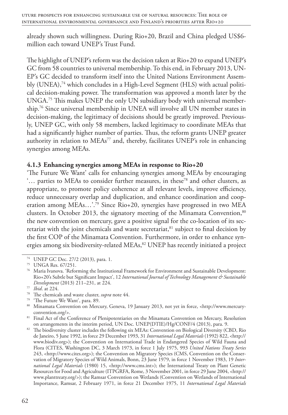already shown such willingness. During Rio+20, Brazil and China pledged US\$6 million each toward UNEP's Trust Fund.

The highlight of UNEP's reform was the decision taken at Rio+20 to expand UNEP's GC from 58 countries to universal membership. To this end, in February 2013, UN-EP's GC decided to transform itself into the United Nations Environment Assembly (UNEA),<sup>74</sup> which concludes in a High-Level Segment (HLS) with actual political decision-making power. The transformation was approved a month later by the UNGA.75 This makes UNEP the only UN subsidiary body with universal membership.76 Since universal membership in UNEA will involve all UN member states in decision-making, the legitimacy of decisions should be greatly improved. Previously, UNEP GC, with only 58 members, lacked legitimacy to coordinate MEAs that had a significantly higher number of parties. Thus, the reform grants UNEP greater authority in relation to MEAs<sup>77</sup> and, thereby, facilitates UNEP's role in enhancing synergies among MEAs.

#### **4.1.3 Enhancing synergies among MEAs in response to Rio+20**

'The Future We Want' calls for enhancing synergies among MEAs by encouraging '… parties to MEAs to consider further measures, in these78 and other clusters, as appropriate, to promote policy coherence at all relevant levels, improve efficiency, reduce unnecessary overlap and duplication, and enhance coordination and cooperation among MEAs...'.<sup>79</sup> Since Rio+20, synergies have progressed in two MEA clusters. In October 2013, the signatory meeting of the Minamata Convention, $80$ the new convention on mercury, gave a positive signal for the co-location of its secretariat with the joint chemicals and waste secretariat, $81$  subject to final decision by the first COP of the Minamata Convention. Furthermore, in order to enhance synergies among six biodiversity-related MEAs,<sup>82</sup> UNEP has recently initiated a project

<sup>80</sup> Minamata Convention on Mercury, Geneva, 19 January 2013, not yet in force, <http://www.mercuryconvention.org/>.

81 Final Act of the Conference of Plenipotentiaries on the Minamata Convention on Mercury, Resolution on arrangements in the interim period, UN Doc. UNEP(DTIE)/Hg/CONF/4 (2013), para. 9.

<sup>74</sup> UNEP GC Dec. 27/2 (2013), para. 1.

<sup>75</sup> UNGA Res. 67/251.

<sup>76</sup> Maria Ivanova. 'Reforming the Institutional Framework for Environment and Sustainable Development: Rio+20's Subtle but Significant Impact', 12 *International Journal of Technology Management & Sustainable Development* (2013) 211–231, at 224.

<sup>&</sup>lt;sup>77</sup> *Ibid.* at 224.<br><sup>78</sup> The chemicals and waste cluster, *supra* note 44.<br><sup>79</sup> 'The Future We Want', para. 89.

<sup>82</sup> The biodiversity cluster includes the following six MEAs: Convention on Biological Diversity (CBD, Rio de Janeiro, 5 June 1992, in force 29 December 1993, 31 *International Legal Materials* (1992) 822, <http:// www.biodiv.org>); the Convention on International Trade in Endangered Species of Wild Fauna and Flora (CITES, Washington DC, 3 March 1973, in force 1 July 1975, 993 *United Nations Treaty Series* 243, <http://www.cites.org>); the Convention on Migratory Species (CMS, Convention on the Conservation of Migratory Species of Wild Animals, Bonn, 23 June 1979, in force 1 November 1983, 19 *International Legal Materials* (1980) 15, <http://www.cms.int>); the International Treaty on Plant Genetic Resources for Food and Agriculture (ITPGRFA, Rome, 3 November 2001, in force 29 June 2004, <http:// www.planttreaty.org/>); the Ramsar Convention on Wetlands (Convention on Wetlands of International Importance, Ramsar, 2 February 1971, in force 21 December 1975, 11 *International Legal Materials*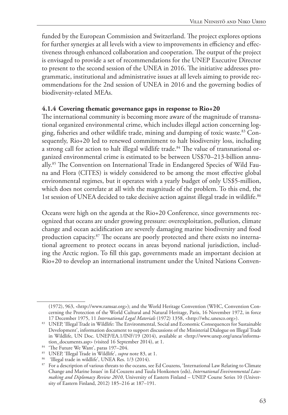funded by the European Commission and Switzerland. The project explores options for further synergies at all levels with a view to improvements in efficiency and effectiveness through enhanced collaboration and cooperation. The output of the project is envisaged to provide a set of recommendations for the UNEP Executive Director to present to the second session of the UNEA in 2016. The initiative addresses programmatic, institutional and administrative issues at all levels aiming to provide recommendations for the 2nd session of UNEA in 2016 and the governing bodies of biodiversity-related MEAs.

#### **4.1.4 Covering thematic governance gaps in response to Rio+20**

The international community is becoming more aware of the magnitude of transnational organized environmental crime, which includes illegal action concerning logging, fisheries and other wildlife trade, mining and dumping of toxic waste.83 Consequently, Rio+20 led to renewed commitment to halt biodiversity loss, including a strong call for action to halt illegal wildlife trade.<sup>84</sup> The value of transnational organized environmental crime is estimated to be between US\$70–213-billion annually.85 The Convention on International Trade in Endangered Species of Wild Fauna and Flora (CITES) is widely considered to be among the most effective global environmental regimes, but it operates with a yearly budget of only US\$5-million, which does not correlate at all with the magnitude of the problem. To this end, the 1st session of UNEA decided to take decisive action against illegal trade in wildlife.<sup>86</sup>

Oceans were high on the agenda at the Rio+20 Conference, since governments recognized that oceans are under growing pressure: overexploitation, pollution, climate change and ocean acidification are severely damaging marine biodiversity and food production capacity.87 The oceans are poorly protected and there exists no international agreement to protect oceans in areas beyond national jurisdiction, including the Arctic region. To fill this gap, governments made an important decision at Rio+20 to develop an international instrument under the United Nations Conven-

<sup>(1972), 963, &</sup>lt;http://www.ramsar.org>); and the World Heritage Convention (WHC, Convention Concerning the Protection of the World Cultural and Natural Heritage, Paris, 16 November 1972, in force 17 December 1975, 11 *International Legal Materials* (1972) 1358, <http://whc.unesco.org>).

<sup>83</sup> UNEP, 'Illegal Trade in Wildlife: The Environmental, Social and Economic Consequences for Sustainable Development', information document to support discussions of the Ministerial Dialogue on Illegal Trade in Wildlife, UN Doc. UNEP/EA.1/INF/19 (2014), available at <http://www.unep.org/unea/information\_documents.asp> (visited 16 September 2014), at 1.

<sup>&</sup>lt;sup>84</sup> 'The Future We Want', paras 197-204.

<sup>85</sup> UNEP, 'Illegal Trade in Wildlife', *supra* note 83, at 1.

<sup>86 &#</sup>x27;Illegal trade in wildlife', UNEA Res. 1/3 (2014).

<sup>&</sup>lt;sup>87</sup> For a description of various threats to the oceans, see Ed Couzens, 'International Law Relating to Climate Change and Marine Issues' in Ed Couzens and Tuula Honkonen (eds), *International Environmental Lawmaking and Diplomacy Review 2010*, University of Eastern Finland – UNEP Course Series 10 (University of Eastern Finland, 2012) 185–216 at 187–191.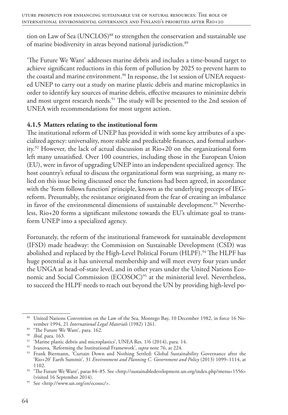tion on Law of Sea (UNCLOS)<sup>88</sup> to strengthen the conservation and sustainable use of marine biodiversity in areas beyond national jurisdiction.<sup>89</sup>

'The Future We Want' addresses marine debris and includes a time-bound target to achieve significant reductions in this form of pollution by 2025 to prevent harm to the coastal and marine environment.<sup>90</sup> In response, the 1st session of UNEA requested UNEP to carry out a study on marine plastic debris and marine microplastics in order to identify key sources of marine debris, effective measures to minimize debris and most urgent research needs.<sup>91</sup> The study will be presented to the 2nd session of UNEA with recommendations for most urgent action.

#### **4.1.5 Matters relating to the institutional form**

The institutional reform of UNEP has provided it with some key attributes of a specialized agency: universality, more stable and predictable finances, and formal authority.92 However, the lack of actual discussion at Rio+20 on the organizational form left many unsatisfied. Over 100 countries, including those in the European Union (EU), were in favor of upgrading UNEP into an independent specialized agency. The host country's refusal to discuss the organizational form was surprising, as many relied on this issue being discussed once the functions had been agreed, in accordance with the 'form follows function' principle, known as the underlying precept of IEGreform. Presumably, the resistance originated from the fear of creating an imbalance in favor of the environmental dimensions of sustainable development.<sup>93</sup> Nevertheless, Rio+20 forms a significant milestone towards the EU's ultimate goal to transform UNEP into a specialized agency.

Fortunately, the reform of the institutional framework for sustainable development (IFSD) made headway: the Commission on Sustainable Development (CSD) was abolished and replaced by the High-Level Political Forum (HLPF).<sup>94</sup> The HLPF has huge potential as it has universal membership and will meet every four years under the UNGA at head-of-state level, and in other years under the United Nations Economic and Social Commission (ECOSOC)<sup>95</sup> at the ministerial level. Nevertheless, to succeed the HLPF needs to reach out beyond the UN by providing high-level po-

<sup>88</sup> United Nations Convention on the Law of the Sea, Montego Bay, 10 December 1982, in force 16 November 1994, 21 *International Legal Materials* (1982) 1261.

<sup>&</sup>lt;sup>89</sup> 'The Future We Want', para. 162.

<sup>90</sup> *Ibid*. para. 163.

<sup>&</sup>lt;sup>91</sup> 'Marine plastic debris and microplastics', UNEA Res. 1/6 (2014), para. 14.

<sup>92</sup> Ivanova, 'Reforming the Institutional Framework', *supra* note 76, at 224.

<sup>93</sup> Frank Biermann, 'Curtain Down and Nothing Settled: Global Sustainability Governance after the 'Rio+20' Earth Summit', 31 *Environment and Planning C. Government and Policy* (2013) 1099–1114, at 1102.

<sup>94</sup> 'The Future We Want', paras 84–85. See <http://sustainabledevelopment.un.org/index.php?menu=1556> (visited 16 September 2014).

<sup>95</sup> See <http://www.un.org/en/ecosoc/>.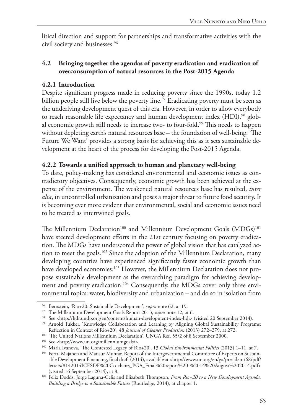litical direction and support for partnerships and transformative activities with the civil society and businesses.96

#### **4.2 Bringing together the agendas of poverty eradication and eradication of overconsumption of natural resources in the Post-2015 Agenda**

#### **4.2.1 Introduction**

Despite significant progress made in reducing poverty since the 1990s, today 1.2 billion people still live below the poverty line.<sup>97</sup> Eradicating poverty must be seen as the underlying development quest of this era. However, in order to allow everybody to reach reasonable life expectancy and human development index (HDI),<sup>98</sup> global economic growth still needs to increase two- to four-fold.<sup>99</sup> This needs to happen without depleting earth's natural resources base – the foundation of well-being. 'The Future We Want' provides a strong basis for achieving this as it sets sustainable development at the heart of the process for developing the Post-2015 Agenda.

#### **4.2.2 Towards a unified approach to human and planetary well-being**

To date, policy-making has considered environmental and economic issues as contradictory objectives. Consequently, economic growth has been achieved at the expense of the environment. The weakened natural resources base has resulted, *inter alia*, in uncontrolled urbanization and poses a major threat to future food security. It is becoming ever more evident that environmental, social and economic issues need to be treated as intertwined goals.

The Millennium Declaration<sup>100</sup> and Millennium Development Goals (MDGs)<sup>101</sup> have steered development efforts in the 21st century focusing on poverty eradication. The MDGs have underscored the power of global vision that has catalyzed action to meet the goals.<sup>102</sup> Since the adoption of the Millennium Declaration, many developing countries have experienced significantly faster economic growth than have developed economies.<sup>103</sup> However, the Millennium Declaration does not propose sustainable development as the overarching paradigm for achieving development and poverty eradication.<sup>104</sup> Consequently, the MDGs cover only three environmental topics: water, biodiversity and urbanization – and do so in isolation from

<sup>96</sup> Bernstein, 'Rio+20: Sustainable Development', *supra* note 62, at 19.

<sup>&</sup>lt;sup>98</sup> See <http://hdr.undp.org/en/content/human-development-index-hdi> (visited 20 September 2014).

<sup>99</sup> Arnold Tukker, 'Knowledge Collaboration and Learning by Aligning Global Sustainability Programs:

Reflection in Context of Rio+20', 48 *Journal of Cleaner Production* (2013) 272–279, at 272. <sup>100</sup> 'The United Nations Millennium Declaration', UNGA Res. 55/2 of 8 September 2000.

<sup>&</sup>lt;sup>101</sup> See <http://www.un.org/millenniumgoals/>.<br><sup>102</sup> Maria Ivanova, 'The Contested Legacy of Rio+20', 13 *Global Environmental Politics* (2013) 1–11, at 7.

<sup>&</sup>lt;sup>103</sup> Pertti Majanen and Mansur Muhtar, Report of the Intergovernmental Committee of Experts on Sustainable Development Financing, final draft (2014), available at <http://www.un.org/en/ga/president/68/pdf/ letters/8142014ICESDF%20Co-chairs\_PGA\_Final%20report%20-%2014%20August%202014.pdf>

<sup>&</sup>lt;sup>104</sup> Felix Dodds, Jorge Laguna-Celis and Elizabeth Thompson, *From Rio+20 to a New Development Agenda*. *Building a Bridge to a Sustainable Future* (Routledge, 2014), at chapter 1.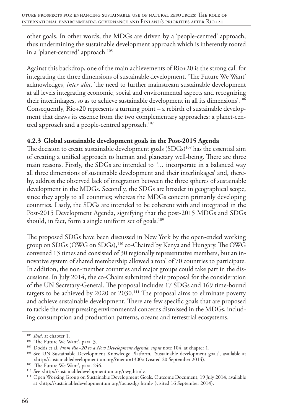other goals. In other words, the MDGs are driven by a 'people-centred' approach, thus undermining the sustainable development approach which is inherently rooted in a 'planet-centred' approach.<sup>105</sup>

Against this backdrop, one of the main achievements of Rio+20 is the strong call for integrating the three dimensions of sustainable development. 'The Future We Want' acknowledges, *inter alia*, 'the need to further mainstream sustainable development at all levels integrating economic, social and environmental aspects and recognizing their interlinkages, so as to achieve sustainable development in all its dimensions'.106 Consequently, Rio+20 represents a turning point – a rebirth of sustainable development that draws its essence from the two complementary approaches: a planet-centred approach and a people-centred approach.<sup>107</sup>

#### **4.2.3 Global sustainable development goals in the Post-2015 Agenda**

The decision to create sustainable development goals  $(SDGs)^{108}$  has the essential aim of creating a unified approach to human and planetary well-being. There are three main reasons. Firstly, the SDGs are intended to *'…* incorporate in a balanced way all three dimensions of sustainable development and their interlinkages' and, thereby, address the observed lack of integration between the three spheres of sustainable development in the MDGs. Secondly, the SDGs are broader in geographical scope, since they apply to all countries; whereas the MDGs concern primarily developing countries. Lastly, the SDGs are intended to be coherent with and integrated in the Post-2015 Development Agenda, signifying that the post-2015 MDGs and SDGs should, in fact, form a single uniform set of goals.<sup>109</sup>

The proposed SDGs have been discussed in New York by the open-ended working group on SDGs (OWG on SDGs),110 co-Chaired by Kenya and Hungary. The OWG convened 13 times and consisted of 30 regionally representative members, but an innovative system of shared membership allowed a total of 70 countries to participate. In addition, the non-member countries and major groups could take part in the discussions. In July 2014, the co-Chairs submitted their proposal for the consideration of the UN Secretary-General. The proposal includes 17 SDGs and 169 time-bound targets to be achieved by 2020 or 2030.<sup>111</sup> The proposal aims to eliminate poverty and achieve sustainable development. There are few specific goals that are proposed to tackle the many pressing environmental concerns dismissed in the MDGs, including consumption and production patterns, oceans and terrestrial ecosystems.

<sup>&</sup>lt;sup>105</sup> *Ibid*. at chapter 1.<br><sup>106</sup> 'The Future We Want', para. 3.

<sup>107</sup> Dodds et al, *From Rio+20 to a New Development Agenda, supra* note 104, at chapter 1.

<sup>&</sup>lt;sup>108</sup> See UN Sustainable Development Knowledge Platform, 'Sustainable development goals', available at <http://sustainabledevelopment.un.org/?menu=1300> (visited 20 September 2014).

<sup>&</sup>lt;sup>109</sup> 'The Future We Want', para. 246.

<sup>110</sup> See <http://sustainabledevelopment.un.org/owg.html>.

<sup>111</sup> Open Working Group on Sustainable Development Goals, Outcome Document, 19 July 2014, available at <http://sustainabledevelopment.un.org/focussdgs.html> (visited 16 September 2014).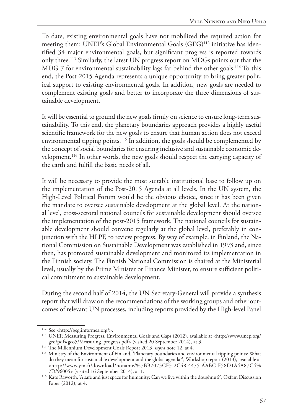To date, existing environmental goals have not mobilized the required action for meeting them: UNEP's Global Environmental Goals (GEG)<sup>112</sup> initiative has identified 34 major environmental goals, but significant progress is reported towards only three.113 Similarly, the latest UN progress report on MDGs points out that the MDG 7 for environmental sustainability lags far behind the other goals.<sup>114</sup> To this end, the Post-2015 Agenda represents a unique opportunity to bring greater political support to existing environmental goals. In addition, new goals are needed to complement existing goals and better to incorporate the three dimensions of sustainable development.

It will be essential to ground the new goals firmly on science to ensure long-term sustainability. To this end, the planetary boundaries approach provides a highly useful scientific framework for the new goals to ensure that human action does not exceed environmental tipping points.<sup>115</sup> In addition, the goals should be complemented by the concept of social boundaries for ensuring inclusive and sustainable economic development.116 In other words, the new goals should respect the carrying capacity of the earth and fulfill the basic needs of all.

It will be necessary to provide the most suitable institutional base to follow up on the implementation of the Post-2015 Agenda at all levels. In the UN system, the High-Level Political Forum would be the obvious choice, since it has been given the mandate to oversee sustainable development at the global level. At the national level, cross-sectoral national councils for sustainable development should oversee the implementation of the post-2015 framework. The national councils for sustainable development should convene regularly at the global level, preferably in conjunction with the HLPF, to review progress. By way of example, in Finland, the National Commission on Sustainable Development was established in 1993 and, since then, has promoted sustainable development and monitored its implementation in the Finnish society. The Finnish National Commission is chaired at the Ministerial level, usually by the Prime Minister or Finance Minister, to ensure sufficient political commitment to sustainable development.

During the second half of 2014, the UN Secretary-General will provide a synthesis report that will draw on the recommendations of the working groups and other outcomes of relevant UN processes, including reports provided by the High-level Panel

<sup>112</sup> See <http://geg.informea.org/>.

<sup>113</sup> UNEP, Measuring Progress. Environmental Goals and Gaps (2012), available at <http://www.unep.org/ geo/pdfs/geo5/Measuring\_progress.pdf> (visited 20 September 2014), at 3.

<sup>&</sup>lt;sup>114</sup> The Millennium Development Goals Report 2013, *supra* note 12, at 4.

<sup>115</sup> Ministry of the Environment of Finland, 'Planetary boundaries and environmental tipping points: What do they mean for sustainable development and the global agenda?', Workshop report (2013), available at <http://www.ym.fi/download/noname/%7BB7073CF3-2C48-4475-AABC-F58D1A4A87C4%

<sup>&</sup>lt;sup>116</sup> Kate Raworth, 'A safe and just space for humanity: Can we live within the doughnut?', Oxfam Discussion Paper (2012), at 4.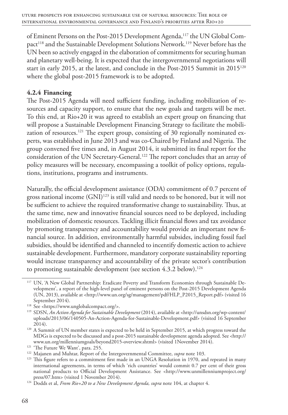of Eminent Persons on the Post-2015 Development Agenda,<sup>117</sup> the UN Global Compact<sup>118</sup> and the Sustainable Development Solutions Network.<sup>119</sup> Never before has the UN been so actively engaged in the elaboration of commitments for securing human and planetary well-being. It is expected that the intergovernmental negotiations will start in early 2015, at the latest, and conclude in the Post-2015 Summit in 2015120 where the global post-2015 framework is to be adopted.

#### **4.2.4 Financing**

The Post-2015 Agenda will need sufficient funding, including mobilization of resources and capacity support, to ensure that the new goals and targets will be met. To this end, at Rio+20 it was agreed to establish an expert group on financing that will propose a Sustainable Development Financing Strategy to facilitate the mobilization of resources.<sup>121</sup> The expert group, consisting of 30 regionally nominated experts, was established in June 2013 and was co-Chaired by Finland and Nigeria. The group convened five times and, in August 2014, it submitted its final report for the consideration of the UN Secretary-General.122 The report concludes that an array of policy measures will be necessary, encompassing a toolkit of policy options, regulations, institutions, programs and instruments.

Naturally, the official development assistance (ODA) commitment of 0.7 percent of gross national income (GNI)<sup>123</sup> is still valid and needs to be honored, but it will not be sufficient to achieve the required transformative change to sustainability. Thus, at the same time, new and innovative financial sources need to be deployed, including mobilization of domestic resources. Tackling illicit financial flows and tax avoidance by promoting transparency and accountability would provide an important new financial source. In addition, environmentally harmful subsides, including fossil fuel subsidies, should be identified and channeled to incentify domestic action to achieve sustainable development. Furthermore, mandatory corporate sustainability reporting would increase transparency and accountability of the private sector's contribution to promoting sustainable development (see section 4.3.2 below).<sup>124</sup>

<sup>&</sup>lt;sup>117</sup> UN, 'A New Global Partnership: Eradicate Poverty and Transform Economies through Sustainable Development', a report of the high-level panel of eminent persons on the Post-2015 Development Agenda (UN, 2013), available at <http://www.un.org/sg/management/pdf/HLP\_P2015\_Report.pdf> (visited 16 September 2014).

<sup>118</sup> See <https://www.unglobalcompact.org/>.

<sup>119</sup> SDSN, *An Action Agenda for Sustainable Development* (2014), available at <http://unsdsn.org/wp-content/ uploads/2013/06/140505-An-Action-Agenda-for-Sustainable-Development.pdf> (visited 16 September 2014).

<sup>&</sup>lt;sup>120</sup> A Summit of UN member states is expected to be held in September 2015, at which progress toward the MDGs is expected to be discussed and a post-2015 sustainable development agenda adopted. See <http:// www.un.org/millenniumgoals/beyond2015-overview.shtml> (visited 1November 2014).

<sup>&</sup>lt;sup>121</sup> 'The Future We Want', para. 255.

<sup>122</sup> Majanen and Muhtar, Report of the Intergovernmental Committee, *supra* note 103.

<sup>&</sup>lt;sup>123</sup> This figure refers to a commitment first made in an UNGA Resolution in 1970, and repeated in many international agreements, in terms of which 'rich countries' would commit 0.7 per cent of their gross national products to Official Development Assistance. See <http://www.unmillenniumproject.org/ press/07.htm> (visited 1 November 2014).

<sup>124</sup> Dodds et al, *From Rio+20 to a New Development Agenda, supra* note 104, at chapter 4.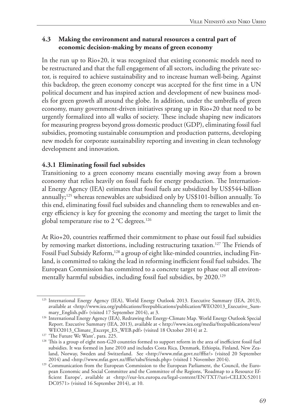#### **4.3 Making the environment and natural resources a central part of economic decision-making by means of green economy**

In the run up to Rio+20, it was recognized that existing economic models need to be restructured and that the full engagement of all sectors, including the private sector, is required to achieve sustainability and to increase human well-being. Against this backdrop, the green economy concept was accepted for the first time in a UN political document and has inspired action and development of new business models for green growth all around the globe. In addition, under the umbrella of green economy, many government-driven initiatives sprang up in Rio+20 that need to be urgently formalized into all walks of society. These include shaping new indicators for measuring progress beyond gross domestic product (GDP), eliminating fossil fuel subsidies, promoting sustainable consumption and production patterns, developing new models for corporate sustainability reporting and investing in clean technology development and innovation.

#### **4.3.1 Eliminating fossil fuel subsides**

Transitioning to a green economy means essentially moving away from a brown economy that relies heavily on fossil fuels for energy production. The International Energy Agency (IEA) estimates that fossil fuels are subsidized by US\$544-billion annually;<sup>125</sup> whereas renewables are subsidized only by US\$101-billion annually. To this end, eliminating fossil fuel subsides and channeling them to renewables and energy efficiency is key for greening the economy and meeting the target to limit the global temperature rise to  $2^{\circ}$ C degrees.<sup>126</sup>

At Rio+20, countries reaffirmed their commitment to phase out fossil fuel subsidies by removing market distortions, including restructuring taxation.<sup>127</sup> The Friends of Fossil Fuel Subsidy Reform,<sup>128</sup> a group of eight like-minded countries, including Finland, is committed to taking the lead in reforming inefficient fossil fuel subsides. The European Commission has committed to a concrete target to phase out all environmentally harmful subsidies, including fossil fuel subsidies, by 2020.<sup>129</sup>

<sup>125</sup> International Energy Agency (IEA), World Energy Outlook 2013. Executive Summary (IEA, 2013), available at <http://www.iea.org/publications/freepublications/publication/WEO2013\_Executive\_Summary\_English.pdf> (visited 17 September 2014), at 3.

<sup>126</sup> International Energy Agency (IEA), Redrawing the Energy-Climate Map. World Energy Outlook Special Report. Executive Summary (IEA, 2013), available at < http://www.iea.org/media/freepublications/weo/ WEO2013\_Climate\_Excerpt\_ES\_WEB.pdf> (visited 18 October 2014) at 2.

<sup>&</sup>lt;sup>127</sup> 'The Future We Want', para. 225.

<sup>&</sup>lt;sup>128</sup> This is a group of eight non-G20 countries formed to support reform in the area of inefficient fossil fuel subsidies. It was formed in June 2010 and includes Costa Rica, Denmark, Ethiopia, Finland, New Zealand, Norway, Sweden and Switzerland. See <http://www.mfat.govt.nz/fffsr/> (visited 20 September

<sup>2014)</sup> and <http://www.mfat.govt.nz/fffsr/tabs/friends.php> (visited 1 November 2014). 129 Communication from the European Commission to the European Parliament, the Council, the European Economic and Social Committee and the Committee of the Regions, 'Roadmap to a Resource Efficient Europe', available at <http://eur-lex.europa.eu/legal-content/EN/TXT/?uri=CELEX:52011 DC0571> (visited 16 September 2014), at 10.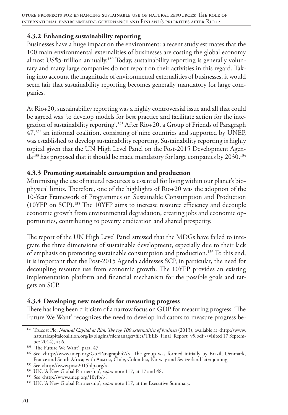#### **4.3.2 Enhancing sustainability reporting**

Businesses have a huge impact on the environment: a recent study estimates that the 100 main environmental externalities of businesses are costing the global economy almost US\$5-trillion annually.130 Today, sustainability reporting is generally voluntary and many large companies do not report on their activities in this regard. Taking into account the magnitude of environmental externalities of businesses, it would seem fair that sustainability reporting becomes generally mandatory for large companies.

At Rio+20, sustainability reporting was a highly controversial issue and all that could be agreed was *'*to develop models for best practice and facilitate action for the integration of sustainability reporting'.131 After Rio+20, a Group of Friends of Paragraph 47,132 an informal coalition, consisting of nine countries and supported by UNEP, was established to develop sustainability reporting. Sustainability reporting is highly topical given that the UN High Level Panel on the Post-2015 Development Agen $da<sup>133</sup>$  has proposed that it should be made mandatory for large companies by 2030.<sup>134</sup>

#### **4.3.3 Promoting sustainable consumption and production**

Minimizing the use of natural resources is essential for living within our planet's biophysical limits. Therefore, one of the highlights of Rio+20 was the adoption of the 10-Year Framework of Programmes on Sustainable Consumption and Production (10YFP on SCP).135 The 10YFP aims to increase resource efficiency and decouple economic growth from environmental degradation, creating jobs and economic opportunities, contributing to poverty eradication and shared prosperity.

The report of the UN High Level Panel stressed that the MDGs have failed to integrate the three dimensions of sustainable development, especially due to their lack of emphasis on promoting sustainable consumption and production.<sup>136</sup> To this end, it is important that the Post-2015 Agenda addresses SCP, in particular, the need for decoupling resource use from economic growth. The 10YFP provides an existing implementation platform and financial mechanism for the possible goals and targets on SCP.

#### **4.3.4 Developing new methods for measuring progress**

There has long been criticism of a narrow focus on GDP for measuring progress. 'The Future We Want' recognizes the need to develop indicators to measure progress be-

<sup>130</sup> Trucost Plc, *Natural Capital at Risk. The top 100 externalities of business* (2013), available at <http://www. naturalcapitalcoalition.org/js/plugins/filemanager/files/TEEB\_Final\_Report\_v5.pdf> (visited 17 September 2014), at 6.

<sup>&</sup>lt;sup>131</sup> 'The Future We Want', para. 47.

<sup>132</sup> See <http://www.unep.org/GoFParagraph47/>. The group was formed initially by Brazil, Denmark, France and South Africa; with Austria, Chile, Colombia, Norway and Switzerland later joining.

<sup>133</sup> See <http://www.post2015hlp.org/>.

<sup>134</sup> UN, 'A New Global Partnership', *supra* note 117, at 17 and 48.

<sup>135</sup> See <http://www.unep.org/10yfp/>.

<sup>136</sup> UN, 'A New Global Partnership', *supra* note 117, at the Executive Summary.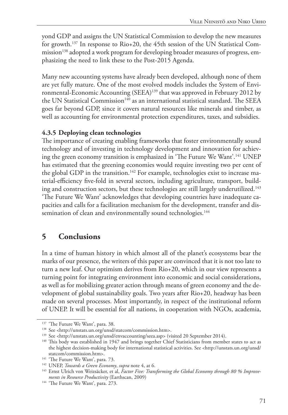yond GDP and assigns the UN Statistical Commission to develop the new measures for growth.137 In response to Rio+20, the 45th session of the UN Statistical Commission<sup>138</sup> adopted a work program for developing broader measures of progress, emphasizing the need to link these to the Post-2015 Agenda.

Many new accounting systems have already been developed, although none of them are yet fully mature. One of the most evolved models includes the System of Environmental-Economic Accounting (SEEA)139 that was approved in February 2012 by the UN Statistical Commission<sup>140</sup> as an international statistical standard. The SEEA goes far beyond GDP, since it covers natural resources like minerals and timber, as well as accounting for environmental protection expenditures, taxes, and subsidies.

#### **4.3.5 Deploying clean technologies**

The importance of creating enabling frameworks that foster environmentally sound technology and of investing in technology development and innovation for achieving the green economy transition is emphasized in 'The Future We Want'.<sup>141</sup> UNEP has estimated that the greening economies would require investing two per cent of the global GDP in the transition.<sup>142</sup> For example, technologies exist to increase material-efficiency five-fold in several sectors, including agriculture, transport, building and construction sectors, but these technologies are still largely underutilized.143 'The Future We Want' acknowledges that developing countries have inadequate capacities and calls for a facilitation mechanism for the development, transfer and dissemination of clean and environmentally sound technologies.<sup>144</sup>

#### **5 Conclusions**

In a time of human history in which almost all of the planet's ecosystems bear the marks of our presence, the writers of this paper are convinced that it is not too late to turn a new leaf. Our optimism derives from Rio+20, which in our view represents a turning point for integrating environment into economic and social considerations, as well as for mobilizing greater action through means of green economy and the development of global sustainability goals. Two years after Rio+20, headway has been made on several processes. Most importantly, in respect of the institutional reform of UNEP. It will be essential for all nations, in cooperation with NGOs, academia,

<sup>&</sup>lt;sup>137</sup> 'The Future We Want', para. 38.

<sup>138</sup> See <http://unstats.un.org/unsd/statcom/commission.htm>.

<sup>&</sup>lt;sup>139</sup> See <http://unstats.un.org/unsd/envaccounting/seea.asp> (visited 20 September 2014).

<sup>&</sup>lt;sup>140</sup> This body was established in 1947 and brings together Chief Statisticians from member states to act as the highest decision-making body for international statistical activities. See <http://unstats.un.org/unsd/ statcom/commission.htm>.

<sup>&</sup>lt;sup>141</sup> 'The Future We Want', para. 73.

<sup>142</sup> UNEP, *Towards a Green Economy*, *supra* note 4, at 6.

<sup>143</sup> Ernst Ulrich von Weizsäcker, et al, *Factor Five: Transforming the Global Economy through 80 % Improvements in Resource Productivity* (Earthscan, 2009)

<sup>&</sup>lt;sup>144</sup> 'The Future We Want', para. 273.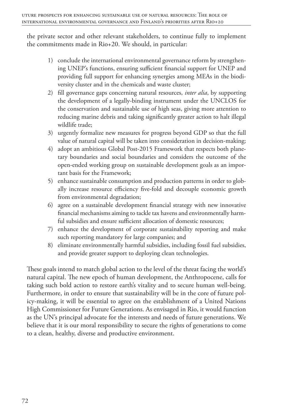the private sector and other relevant stakeholders, to continue fully to implement the commitments made in Rio+20. We should, in particular:

- 1) conclude the international environmental governance reform by strengthening UNEP's functions, ensuring sufficient financial support for UNEP and providing full support for enhancing synergies among MEAs in the biodiversity cluster and in the chemicals and waste cluster;
- 2) fill governance gaps concerning natural resources, *inter alia*, by supporting the development of a legally-binding instrument under the UNCLOS for the conservation and sustainable use of high seas, giving more attention to reducing marine debris and taking significantly greater action to halt illegal wildlife trade;
- 3) urgently formalize new measures for progress beyond GDP so that the full value of natural capital will be taken into consideration in decision-making;
- 4) adopt an ambitious Global Post-2015 Framework that respects both planetary boundaries and social boundaries and considers the outcome of the open-ended working group on sustainable development goals as an important basis for the Framework;
- 5) enhance sustainable consumption and production patterns in order to globally increase resource efficiency five-fold and decouple economic growth from environmental degradation;
- 6) agree on a sustainable development financial strategy with new innovative financial mechanisms aiming to tackle tax havens and environmentally harmful subsidies and ensure sufficient allocation of domestic resources;
- 7) enhance the development of corporate sustainability reporting and make such reporting mandatory for large companies; and
- 8) eliminate environmentally harmful subsidies, including fossil fuel subsidies, and provide greater support to deploying clean technologies.

These goals intend to match global action to the level of the threat facing the world's natural capital. The new epoch of human development, the Anthropocene, calls for taking such bold action to restore earth's vitality and to secure human well-being. Furthermore, in order to ensure that sustainability will be in the core of future policy-making, it will be essential to agree on the establishment of a United Nations High Commissioner for Future Generations. As envisaged in Rio, it would function as the UN's principal advocate for the interests and needs of future generations. We believe that it is our moral responsibility to secure the rights of generations to come to a clean, healthy, diverse and productive environment.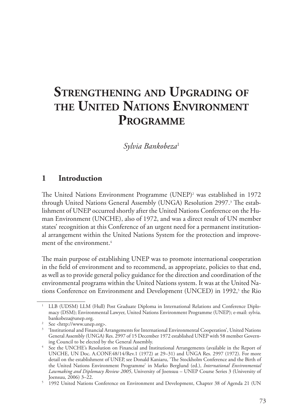## **Strengthening and Upgrading of the United Nations Environment Programme**

*Sylvia Bankobeza*<sup>1</sup>

#### **1 Introduction**

The United Nations Environment Programme (UNEP)2 was established in 1972 through United Nations General Assembly (UNGA) Resolution 2997.<sup>3</sup> The establishment of UNEP occurred shortly after the United Nations Conference on the Human Environment (UNCHE), also of 1972, and was a direct result of UN member states' recognition at this Conference of an urgent need for a permanent institutional arrangement within the United Nations System for the protection and improvement of the environment.4

The main purpose of establishing UNEP was to promote international cooperation in the field of environment and to recommend, as appropriate, policies to that end, as well as to provide general policy guidance for the direction and coordination of the environmental programs within the United Nations system. It was at the United Nations Conference on Environment and Development (UNCED) in 1992,<sup>5</sup> the Rio

<sup>1</sup> LLB (UDSM) LLM (Hull) Post Graduate Diploma in International Relations and Conference Diplomacy (DSM); Environmental Lawyer, United Nations Environment Programme (UNEP); e-mail: sylvia. bankobeza@unep.org.

<sup>2</sup> See <http://www.unep.org>.

<sup>3</sup> 'Institutional and Financial Arrangements for International Environmental Cooperation', United Nations General Assembly (UNGA) Res. 2997 of 15 December 1972 established UNEP with 58 member Governing Council to be elected by the General Assembly.<br>See the UNCHE's Resolution on Financial and Institutional Arrangements (available in the Report of

UNCHE, UN Doc. A.CONF.48/14/Rev.1 (1972) at 29–31) and UNGA Res. 2997 (1972). For more detail on the establishment of UNEP, see Donald Kaniaru, 'The Stockholm Conference and the Birth of the United Nations Environment Programme' in Marko Berglund (ed.), *International Environmental Lawmaking and Diplomacy Review 2005*, University of Joensuu – UNEP Course Series 3 (University of Joensuu, 2006) 3–22.

<sup>5</sup> 1992 United Nations Conference on Environment and Development, Chapter 38 of Agenda 21 (UN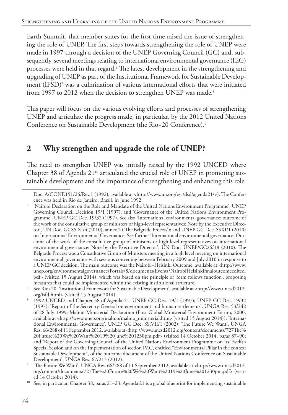Earth Summit, that member states for the first time raised the issue of strengthening the role of UNEP. The first steps towards strengthening the role of UNEP were made in 1997 through a decision of the UNEP Governing Council (GC) and, subsequently, several meetings relating to international environmental governance (IEG) processes were held in that regard.<sup>6</sup> The latest development in the strengthening and upgrading of UNEP as part of the Institutional Framework for Sustainable Development (IFSD)7 was a culmination of various international efforts that were initiated from 1997 to 2012 when the decision to strengthen UNEP was made.<sup>8</sup>

This paper will focus on the various evolving efforts and processes of strengthening UNEP and articulate the progress made, in particular, by the 2012 United Nations Conference on Sustainable Development (the Rio+20 Conference).9

## **2 Why strengthen and upgrade the role of UNEP?**

The need to strengthen UNEP was initially raised by the 1992 UNCED where Chapter 38 of Agenda 21<sup>10</sup> articulated the crucial role of UNEP in promoting sustainable development and the importance of strengthening and enhancing this role.

Doc. A/CONF.151/26/Rev.1 (1992), available at <http://www.un.org/esa/dsd/agenda21/>). The Conference was held in Rio de Janeiro, Brazil, in June 1992.

<sup>6</sup> 'Nairobi Declaration on the Role and Mandate of the United Nations Environment Programme', UNEP Governing Council Decision 19/1 (1997); and 'Governance of the United Nations Environment Programme', UNEP GC Dec. 19/32 (1997). See also 'International environmental governance: outcome of the work of the consultative group of ministers or high-level representatives: Note by the Executive Director', UN Doc. GCSS.XI/4 (2010), annex 2 ('The Belgrade Process'); and UNEP GC Dec. SSXI/1 (2010) on International Environmental Governance. See further 'International environmental governance: Outcome of the work of the consultative group of ministers or high-level representatives on international environmental governance: Note by the Executive Director', UN Doc. UNEP/GC26/18 (2010). The Belgrade Process was a Consultative Group of Ministers meeting in a high level meeting on international environmental governance with sessions convening between February 2009 and July 2010 in response to a UNEP GC decision. The main outcome was the Nairobi–Helsinki Outcome, available at <http://www. unep.org/environmentalgovernance/Portals/8/documents/Events/NairobiHelsinkifinaloutcomeedited. pdf> (visited 15 August 2014), which was based on the principle of 'form follows function', proposing measures that could be implemented within the existing institutional structure.

<sup>7</sup> See Rio+20, 'Institutional Framework for Sustainable Development', available at <http://www.uncsd2012. org/isfd.html> (visited 15 August 2014).

<sup>8</sup> 1992 UNCED and Chapter 38 of Agenda 21; UNEP GC Dec. 19/1 (1997); UNEP GC Dec. 19/32 (1997); 'Report of the Secretary-General on environment and human settlements', UNGA Res. 53/242 of 28 July 1999; Malmö Ministerial Declaration (First Global Ministerial Environment Forum, 2000, available at <http://www.unep.org/malmo/malmo\_ministerial.htm> (visited 15 August 2014)); 'International Environmental Governance', UNEP GC Dec. SS.VII/1 (2002); 'The Future We Want', UNGA Res. 66/288 of 11 September 2012, available at <http://www.uncsd2012.org/content/documents/727The% 20Future%20We%20Want%2019%20June%201230pm.pdf> (visited 14 October 2014, paras 87–90; and 'Report of the Governing Council of the United Nations Environment Programme on its Twelfth Special Session and on the Implementation of section IV.C, entitled "Environmental Pillar in the context Sustainable Development", of the outcome document of the United Nations Conference on Sustainable Development', UNGA Res. 67/213 (2012).

<sup>9</sup> 'The Future We Want', UNGA Res. 66/288 of 11 September 2012, available at <http://www.uncsd2012. org/content/documents/727The%20Future%20We%20Want%2019%20June%201230pm.pdf> (visited 14 October 2014).

<sup>&</sup>lt;sup>10</sup> See, in particular, Chapter 38, paras 21–23. Agenda 21 is a global blueprint for implementing sustainable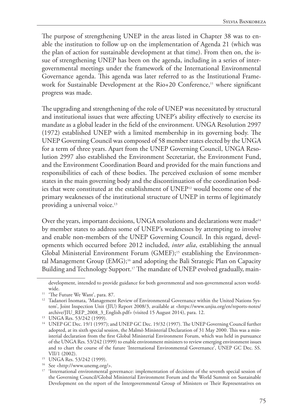The purpose of strengthening UNEP in the areas listed in Chapter 38 was to enable the institution to follow up on the implementation of Agenda 21 (which was the plan of action for sustainable development at that time). From then on, the issue of strengthening UNEP has been on the agenda, including in a series of intergovernmental meetings under the framework of the International Environmental Governance agenda. This agenda was later referred to as the Institutional Framework for Sustainable Development at the Rio+20 Conference,<sup>11</sup> where significant progress was made.

The upgrading and strengthening of the role of UNEP was necessitated by structural and institutional issues that were affecting UNEP's ability effectively to exercise its mandate as a global leader in the field of the environment. UNGA Resolution 2997 (1972) established UNEP with a limited membership in its governing body. The UNEP Governing Council was composed of 58 member states elected by the UNGA for a term of three years. Apart from the UNEP Governing Council, UNGA Resolution 2997 also established the Environment Secretariat, the Environment Fund, and the Environment Coordination Board and provided for the main functions and responsibilities of each of these bodies. The perceived exclusion of some member states in the main governing body and the discontinuation of the coordination bodies that were constituted at the establishment of UNEP12 would become one of the primary weaknesses of the institutional structure of UNEP in terms of legitimately providing a universal voice.13

Over the years, important decisions, UNGA resolutions and declarations were made<sup>14</sup> by member states to address some of UNEP's weaknesses by attempting to involve and enable non-members of the UNEP Governing Council. In this regard, developments which occurred before 2012 included, *inter alia*, establishing the annual Global Ministerial Environment Forum (GMEF);<sup>15</sup> establishing the Environmental Management Group (EMG);16 and adopting the Bali Strategic Plan on Capacity Building and Technology Support.<sup>17</sup> The mandate of UNEP evolved gradually, main-

development, intended to provide guidance for both governmental and non-governmental actors world-

wide.<br><sup>11</sup> 'The Future We Want', para. 87.

<sup>&</sup>lt;sup>12</sup> Tadanori Inomata, 'Management Review of Environmental Governance within the United Nations System', Joint Inspection Unit (JIU) Report 2008/3, available at <https://www.unjiu.org/en/reports-notes/ archive/JIU\_REP\_2008\_3\_English.pdf> (visited 15 August 2014), para. 12.

<sup>13</sup> UNGA Res. 53/242 (1999).

<sup>&</sup>lt;sup>14</sup> UNEP GC Dec. 19/1 (1997); and UNEP GC Dec. 19/32 (1997). The UNEP Governing Council further adopted, at its sixth special session, the Malmö Ministerial Declaration of 31 May 2000. This was a ministerial declaration from the first Global Ministerial Environment Forum, which was held in pursuance of the UNGA Res. 53/242 (1999) to enable environment ministers to review emerging environment issues and to chart the course of the future 'International Environmental Governance', UNEP GC Dec. SS. VII/1 (2002).

<sup>15</sup> UNGA Res. 53/242 (1999).

<sup>16</sup> See <http://www.unemg.org/>.

<sup>&</sup>lt;sup>17</sup> 'International environmental governance: implementation of decisions of the seventh special session of the Governing Council/Global Ministerial Environment Forum and the World Summit on Sustainable Development on the report of the Intergovernmental Group of Ministers or Their Representatives on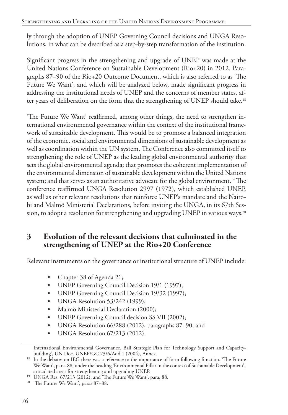ly through the adoption of UNEP Governing Council decisions and UNGA Resolutions, in what can be described as a step-by-step transformation of the institution.

Significant progress in the strengthening and upgrade of UNEP was made at the United Nations Conference on Sustainable Development (Rio+20) in 2012. Paragraphs 87–90 of the Rio+20 Outcome Document, which is also referred to as 'The Future We Want', and which will be analyzed below, made significant progress in addressing the institutional needs of UNEP and the concerns of member states, after years of deliberation on the form that the strengthening of UNEP should take.<sup>18</sup>

'The Future We Want' reaffirmed, among other things, the need to strengthen international environmental governance within the context of the institutional framework of sustainable development. This would be to promote a balanced integration of the economic, social and environmental dimensions of sustainable development as well as coordination within the UN system. The Conference also committed itself to strengthening the role of UNEP as the leading global environmental authority that sets the global environmental agenda; that promotes the coherent implementation of the environmental dimension of sustainable development within the United Nations system; and that serves as an authoritative advocate for the global environment.<sup>19</sup> The conference reaffirmed UNGA Resolution 2997 (1972), which established UNEP, as well as other relevant resolutions that reinforce UNEP's mandate and the Nairobi and Malmö Ministerial Declarations, before inviting the UNGA, in its 67th Session, to adopt a resolution for strengthening and upgrading UNEP in various ways.<sup>20</sup>

#### **3 Evolution of the relevant decisions that culminated in the strengthening of UNEP at the Rio+20 Conference**

Relevant instruments on the governance or institutional structure of UNEP include:

- Chapter 38 of Agenda 21;
- UNEP Governing Council Decision 19/1 (1997);
- UNEP Governing Council Decision 19/32 (1997);
- UNGA Resolution 53/242 (1999);
- Malmö Ministerial Declaration (2000);
- UNEP Governing Council decision SS.VII (2002);
- UNGA Resolution 66/288 (2012), paragraphs 87–90; and
- UNGA Resolution 67/213 (2012).

International Environmental Governance. Bali Strategic Plan for Technology Support and Capacitybuilding', UN Doc. UNEP/GC.23/6/Add.1 (2004), Annex.

<sup>&</sup>lt;sup>18</sup> In the debates on IEG there was a reference to the importance of form following function. 'The Future We Want', para. 88, under the heading 'Environmental Pillar in the context of Sustainable Development', articulated areas for strengthening and upgrading UNEP.

<sup>19</sup> UNGA Res. 67/213 (2012); and 'The Future We Want', para. 88.

<sup>&</sup>lt;sup>20</sup> 'The Future We Want', paras 87–88.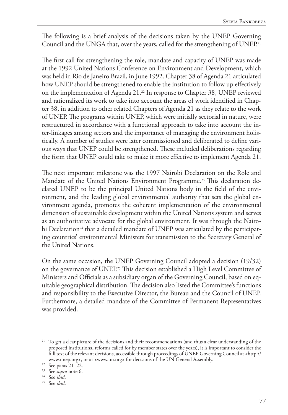The following is a brief analysis of the decisions taken by the UNEP Governing Council and the UNGA that, over the years, called for the strengthening of UNEP.<sup>21</sup>

The first call for strengthening the role, mandate and capacity of UNEP was made at the 1992 United Nations Conference on Environment and Development, which was held in Rio de Janeiro Brazil, in June 1992. Chapter 38 of Agenda 21 articulated how UNEP should be strengthened to enable the institution to follow up effectively on the implementation of Agenda 21.<sup>22</sup> In response to Chapter 38, UNEP reviewed and rationalized its work to take into account the areas of work identified in Chapter 38, in addition to other related Chapters of Agenda 21 as they relate to the work of UNEP. The programs within UNEP, which were initially sectorial in nature, were restructured in accordance with a functional approach to take into account the inter-linkages among sectors and the importance of managing the environment holistically. A number of studies were later commissioned and deliberated to define various ways that UNEP could be strengthened. These included deliberations regarding the form that UNEP could take to make it more effective to implement Agenda 21.

The next important milestone was the 1997 Nairobi Declaration on the Role and Mandate of the United Nations Environment Programme.23 This declaration declared UNEP to be the principal United Nations body in the field of the environment, and the leading global environmental authority that sets the global environment agenda, promotes the coherent implementation of the environmental dimension of sustainable development within the United Nations system and serves as an authoritative advocate for the global environment. It was through the Nairobi Declaration<sup>24</sup> that a detailed mandate of UNEP was articulated by the participating countries' environmental Ministers for transmission to the Secretary General of the United Nations.

On the same occasion, the UNEP Governing Council adopted a decision (19/32) on the governance of UNEP.25 This decision established a High Level Committee of Ministers and Officials as a subsidiary organ of the Governing Council, based on equitable geographical distribution. The decision also listed the Committee's functions and responsibility to the Executive Director, the Bureau and the Council of UNEP. Furthermore, a detailed mandate of the Committee of Permanent Representatives was provided.

<sup>&</sup>lt;sup>21</sup> To get a clear picture of the decisions and their recommendations (and thus a clear understanding of the proposed institutional reforms called for by member states over the years), it is important to consider the full text of the relevant decisions, accessible through proceedings of UNEP Governing Council at <http:// www.unep.org>, or at <www.un.org> for decisions of the UN General Assembly.

 $22$  See paras 21–22.

<sup>23</sup> See *supra* note 6.

<sup>24</sup> See *ibid*.

<sup>25</sup> See *ibid*.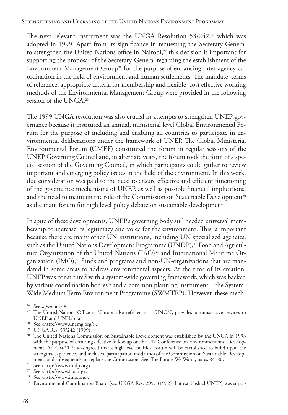The next relevant instrument was the UNGA Resolution 53/242,<sup>26</sup> which was adopted in 1999. Apart from its significance in requesting the Secretary-General to strengthen the United Nations office in Nairobi,<sup>27</sup> this decision is important for supporting the proposal of the Secretary-General regarding the establishment of the Environment Management Group<sup>28</sup> for the purpose of enhancing inter-agency coordination in the field of environment and human settlements. The mandate, terms of reference, appropriate criteria for membership and flexible, cost effective working methods of the Environmental Management Group were provided in the following session of the UNGA.29

The 1999 UNGA resolution was also crucial in attempts to strengthen UNEP governance because it instituted an annual, ministerial level Global Environmental Forum for the purpose of including and enabling all countries to participate in environmental deliberations under the framework of UNEP. The Global Ministerial Environmental Forum (GMEF) constituted the forum in regular sessions of the UNEP Governing Council and, in alternate years, the forum took the form of a special session of the Governing Council, in which participants could gather to review important and emerging policy issues in the field of the environment. In this work, due consideration was paid to the need to ensure effective and efficient functioning of the governance mechanisms of UNEP, as well as possible financial implications, and the need to maintain the role of the Commission on Sustainable Development<sup>30</sup> as the main forum for high level policy debate on sustainable development.

In spite of these developments, UNEP's governing body still needed universal membership to increase its legitimacy and voice for the environment. This is important because there are many other UN institutions, including UN specialized agencies, such as the United Nations Development Programme (UNDP),<sup>31</sup> Food and Agriculture Organization of the United Nations (FAO)<sup>32</sup> and International Maritime Organization  $(IMO)$ ,<sup>33</sup> funds and programs and non-UN-organizations that are mandated in some areas to address environmental aspects. At the time of its creation, UNEP was constituted with a system-wide governing framework, which was backed by various coordination bodies<sup>34</sup> and a common planning instrument – the System-Wide Medium Term Environment Programme (SWMTEP). However, these mech-

<sup>26</sup> See *supra* note 8.

<sup>&</sup>lt;sup>27</sup> The United Nations Office in Nairobi, also referred to as UNON, provides administrative services to UNEP and UNHabitat

<sup>28</sup> See <http://www.unemg.org/>.

<sup>29</sup> UNGA Res. 53/242 (1999).

<sup>&</sup>lt;sup>30</sup> The United Nations Commission on Sustainable Development was established by the UNGA in 1993 with the purpose of ensuring effective follow up on the UN Conference on Environment and Development. At Rio+20, it was agreed that a high level political forum will be established to build upon the strengths, experiences and inclusive participation modalities of the Commission on Sustainable Development, and subsequently to replace the Commission. See 'The Future We Want', paras 84–86.

<sup>31</sup> See <http://www.undp.org>.

<sup>32</sup> See <http://www.fao.org>.

<sup>33</sup> See <http://www.imo.org>.

<sup>&</sup>lt;sup>34</sup> Environmental Coordination Board (see UNGA Res. 2997 (1972) that established UNEP) was super-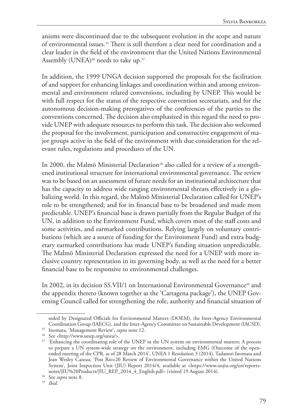anisms were discontinued due to the subsequent evolution in the scope and nature of environmental issues.35 There is still therefore a clear need for coordination and a clear leader in the field of the environment that the United Nations Environmental Assembly (UNEA)<sup>36</sup> needs to take up.<sup>37</sup>

In addition, the 1999 UNGA decision supported the proposals for the facilitation of and support for enhancing linkages and coordination within and among environmental and environment related conventions, including by UNEP. This would be with full respect for the status of the respective convention secretariats, and for the autonomous decision-making prerogatives of the conferences of the parties to the conventions concerned. The decision also emphasized in this regard the need to provide UNEP with adequate resources to perform this task. The decision also welcomed the proposal for the involvement, participation and constructive engagement of major groups active in the field of the environment with due consideration for the relevant rules, regulations and procedures of the UN.

In 2000, the Malmö Ministerial Declaration<sup>38</sup> also called for a review of a strengthened institutional structure for international environmental governance. The review was to be based on an assessment of future needs for an institutional architecture that has the capacity to address wide ranging environmental threats effectively in a globalizing world. In this regard, the Malmö Ministerial Declaration called for UNEP's role to be strengthened; and for its financial base to be broadened and made more predictable. UNEP's financial base is drawn partially from the Regular Budget of the UN, in addition to the Environment Fund, which covers most of the staff costs and some activities, and earmarked contributions. Relying largely on voluntary contributions (which are a source of funding for the Environment Fund) and extra budgetary earmarked contributions has made UNEP's funding situation unpredictable. The Malmö Ministerial Declaration expressed the need for a UNEP with more inclusive country representation in its governing body, as well as the need for a better financial base to be responsive to environmental challenges.

In 2002, in its decision SS.VII/1 on International Environmental Governance<sup>39</sup> and the appendix thereto (known together as the 'Cartagena package'), the UNEP Governing Council called for strengthening the role, authority and financial situation of

seded by Designated Officials for Environmental Matters (DOEM), the Inter-Agency Environmental Coordination Group (IAECG), and the Inter-Agency Committee on Sustainable Development (IACSD).

<sup>35</sup> Inomata, 'Management Review', *supra* note 12.

<sup>36</sup> See <http://www.unep.org/unea/>.

<sup>&</sup>lt;sup>37</sup> 'Enhancing the coordinating role of the UNEP in the UN system on environmental matters: A process to prepare a UN system-wide strategy on the environment, including EMG (Outcome of the openended meeting of the CPR, as of 28 March 2014', UNEA 1 Resolution 3 (2014). Tadanori Inomata and Jean Wesley Cazeau, 'Post Rio+20 Review of Environmental Governance within the United Nations System', Joint Inspection Unit (JIU) Report 2014/4, available at <https://www.unjiu.org/en/reportsnotes/JIU%20Products/JIU\_REP\_2014\_4\_English.pdf> (visited 19 August 2014).

<sup>38</sup> See *supra* note 8.

<sup>39</sup> *Ibid*.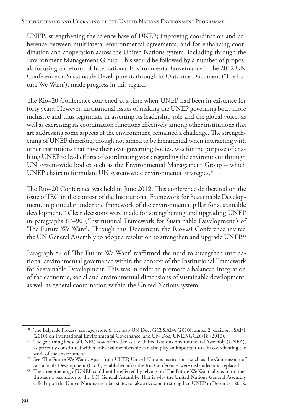UNEP; strengthening the science base of UNEP; improving coordination and coherence between multilateral environmental agreements; and for enhancing coordination and cooperation across the United Nations system, including through the Environment Management Group. This would be followed by a number of proposals focusing on reform of International Environmental Governance.<sup>40</sup> The 2012 UN Conference on Sustainable Development, through its Outcome Document ('The Future We Want'), made progress in this regard.

The Rio+20 Conference convened at a time when UNEP had been in existence for forty years. However, institutional issues of making the UNEP governing body more inclusive and thus legitimate in asserting its leadership role and the global voice, as well as exercising its coordination functions effectively among other institutions that are addressing some aspects of the environment, remained a challenge. The strengthening of UNEP therefore, though not aimed to be hierarchical when interacting with other institutions that have their own governing bodies, was for the purpose of enabling UNEP to lead efforts of coordinating work regarding the environment through UN system-wide bodies such as the Environmental Management Group – which UNEP chairs to formulate UN system-wide environmental strategies.<sup>41</sup>

The Rio+20 Conference was held in June 2012. This conference deliberated on the issue of IEG in the context of the Institutional Framework for Sustainable Development, in particular under the framework of the environmental pillar for sustainable development.42 Clear decisions were made for strengthening and upgrading UNEP in paragraphs 87–90 ('Institutional Framework for Sustainable Development') of 'The Future We Want'. Through this Document, the Rio+20 Conference invited the UN General Assembly to adopt a resolution to strengthen and upgrade UNEP.43

Paragraph 87 of 'The Future We Want' reaffirmed the need to strengthen international environmental governance within the context of the Institutional Framework for Sustainable Development. This was in order to promote a balanced integration of the economic, social and environmental dimensions of sustainable development, as well as general coordination within the United Nations system.

<sup>40</sup> The Belgrade Process, see *supra* note 6. See also UN Doc. GCSS.XI/4 (2010), annex 2; decision SSXI/1

<sup>(2010)</sup> on International Environmental Governance; and UN Doc. UNEP/GC26/18 (2010). 41 The governing body of UNEP, now referred to as the United Nations Environmental Assembly (UNEA), as presently constituted with a universal membership can also play an important role in coordinating the work of the environment.

<sup>&</sup>lt;sup>42</sup> See 'The Future We Want'. Apart from UNEP, United Nations institutions, such as the Commission of Sustainable Development (CSD), established after the Rio Conference, were disbanded and replaced.

The strengthening of UNEP could not be effected by relying on 'The Future We Want' alone, but rather through a resolution of the UN General Assembly. That is why the United Nations General Assembly called upon the United Nations member states to take a decision to strengthen UNEP in December 2012.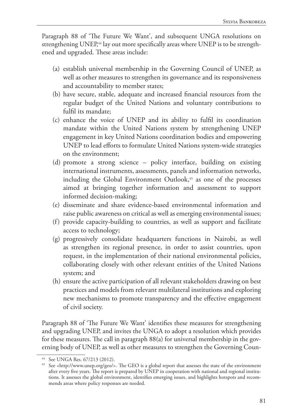Paragraph 88 of 'The Future We Want', and subsequent UNGA resolutions on strengthening UNEP,<sup>44</sup> lay out more specifically areas where UNEP is to be strengthened and upgraded. These areas include:

- (a) establish universal membership in the Governing Council of UNEP, as well as other measures to strengthen its governance and its responsiveness and accountability to member states;
- (b) have secure, stable, adequate and increased financial resources from the regular budget of the United Nations and voluntary contributions to fulfil its mandate;
- (c) enhance the voice of UNEP and its ability to fulfil its coordination mandate within the United Nations system by strengthening UNEP engagement in key United Nations coordination bodies and empowering UNEP to lead efforts to formulate United Nations system-wide strategies on the environment;
- (d) promote a strong science policy interface, building on existing international instruments, assessments, panels and information networks, including the Global Environment Outlook, $45$  as one of the processes aimed at bringing together information and assessment to support informed decision-making;
- (e) disseminate and share evidence-based environmental information and raise public awareness on critical as well as emerging environmental issues;
- (f) provide capacity-building to countries, as well as support and facilitate access to technology;
- (g) progressively consolidate headquarters functions in Nairobi, as well as strengthen its regional presence, in order to assist countries, upon request, in the implementation of their national environmental policies, collaborating closely with other relevant entities of the United Nations system; and
- (h) ensure the active participation of all relevant stakeholders drawing on best practices and models from relevant multilateral institutions and exploring new mechanisms to promote transparency and the effective engagement of civil society.

Paragraph 88 of 'The Future We Want' identifies these measures for strengthening and upgrading UNEP, and invites the UNGA to adopt a resolution which provides for these measures. The call in paragraph 88(a) for universal membership in the governing body of UNEP, as well as other measures to strengthen the Governing Coun-

<sup>44</sup> See UNGA Res. 67/213 (2012).

<sup>45</sup> See <http://www.unep.org/geo/>. The GEO is a global report that assesses the state of the environment after every five years. The report is prepared by UNEP in cooperation with national and regional institutions. It assesses the global environment, identifies emerging issues, and highlights hotspots and recommends areas where policy responses are needed.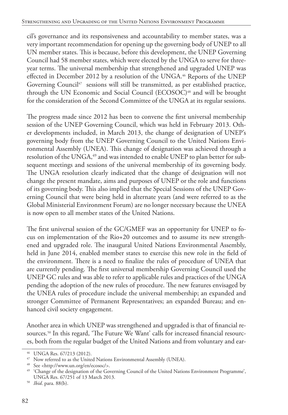cil's governance and its responsiveness and accountability to member states, was a very important recommendation for opening up the governing body of UNEP to all UN member states. This is because, before this development, the UNEP Governing Council had 58 member states, which were elected by the UNGA to serve for threeyear terms. The universal membership that strengthened and upgraded UNEP was effected in December 2012 by a resolution of the UNGA.<sup>46</sup> Reports of the UNEP Governing Council<sup>47</sup> sessions will still be transmitted, as per established practice, through the UN Economic and Social Council (ECOSOC)<sup>48</sup> and will be brought for the consideration of the Second Committee of the UNGA at its regular sessions.

The progress made since 2012 has been to convene the first universal membership session of the UNEP Governing Council, which was held in February 2013. Other developments included, in March 2013, the change of designation of UNEP's governing body from the UNEP Governing Council to the United Nations Environmental Assembly (UNEA). This change of designation was achieved through a resolution of the UNGA,<sup>49</sup> and was intended to enable UNEP to plan better for subsequent meetings and sessions of the universal membership of its governing body. The UNGA resolution clearly indicated that the change of designation will not change the present mandate, aims and purposes of UNEP or the role and functions of its governing body. This also implied that the Special Sessions of the UNEP Governing Council that were being held in alternate years (and were referred to as the Global Ministerial Environment Forum) are no longer necessary because the UNEA is now open to all member states of the United Nations.

The first universal session of the GC/GMEF was an opportunity for UNEP to focus on implementation of the Rio+20 outcomes and to assume its new strengthened and upgraded role. The inaugural United Nations Environmental Assembly, held in June 2014, enabled member states to exercise this new role in the field of the environment. There is a need to finalize the rules of procedure of UNEA that are currently pending. The first universal membership Governing Council used the UNEP GC rules and was able to refer to applicable rules and practices of the UNGA pending the adoption of the new rules of procedure. The new features envisaged by the UNEA rules of procedure include the universal membership; an expanded and stronger Committee of Permanent Representatives; an expanded Bureau; and enhanced civil society engagement.

Another area in which UNEP was strengthened and upgraded is that of financial resources.<sup>50</sup> In this regard, 'The Future We Want' calls for increased financial resources, both from the regular budget of the United Nations and from voluntary and ear-

<sup>46</sup> UNGA Res. 67/213 (2012).

<sup>&</sup>lt;sup>47</sup> Now referred to as the United Nations Environmental Assembly (UNEA).

<sup>48</sup> See <http://www.un.org/en/ecosoc/>.

<sup>49</sup> 'Change of the designation of the Governing Council of the United Nations Environment Programme', UNGA Res. 67/251 of 13 March 2013.

<sup>50</sup> *Ibid*. para. 88(b).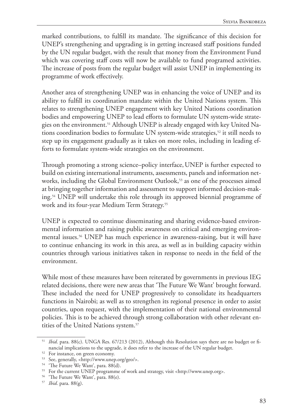marked contributions, to fulfill its mandate. The significance of this decision for UNEP's strengthening and upgrading is in getting increased staff positions funded by the UN regular budget, with the result that money from the Environment Fund which was covering staff costs will now be available to fund programed activities. The increase of posts from the regular budget will assist UNEP in implementing its programme of work effectively.

Another area of strengthening UNEP was in enhancing the voice of UNEP and its ability to fulfill its coordination mandate within the United Nations system. This relates to strengthening UNEP engagement with key United Nations coordination bodies and empowering UNEP to lead efforts to formulate UN system-wide strategies on the environment.<sup>51</sup> Although UNEP is already engaged with key United Nations coordination bodies to formulate UN system-wide strategies,<sup>52</sup> it still needs to step up its engagement gradually as it takes on more roles, including in leading efforts to formulate system-wide strategies on the environment.

Through promoting a strong science–policy interface,UNEP is further expected to build on existing international instruments, assessments, panels and information networks, including the Global Environment Outlook,<sup>53</sup> as one of the processes aimed at bringing together information and assessment to support informed decision-making.54 UNEP will undertake this role through its approved biennial programme of work and its four-year Medium Term Strategy.<sup>55</sup>

UNEP is expected to continue disseminating and sharing evidence-based environmental information and raising public awareness on critical and emerging environmental issues.56 UNEP has much experience in awareness-raising, but it will have to continue enhancing its work in this area, as well as in building capacity within countries through various initiatives taken in response to needs in the field of the environment.

While most of these measures have been reiterated by governments in previous IEG related decisions, there were new areas that 'The Future We Want' brought forward. These included the need for UNEP progressively to consolidate its headquarters functions in Nairobi; as well as to strengthen its regional presence in order to assist countries, upon request, with the implementation of their national environmental policies. This is to be achieved through strong collaboration with other relevant entities of the United Nations system.57

<sup>&</sup>lt;sup>51</sup> *Ibid.* para. 88(c). UNGA Res. 67/213 (2012), Although this Resolution says there are no budget or financial implications to the upgrade, it does refer to the increase of the UN regular budget. 52 For instance, on green economy.

<sup>53</sup> See, generally, <http://www.unep.org/geo/>.

<sup>&</sup>lt;sup>54</sup> 'The Future We Want', para. 88(d).

<sup>55</sup> For the current UNEP programme of work and strategy, visit <http://www.unep.org>.

<sup>&</sup>lt;sup>56</sup> 'The Future We Want', para. 88(e).

<sup>57</sup> *Ibid*. para. 88(g).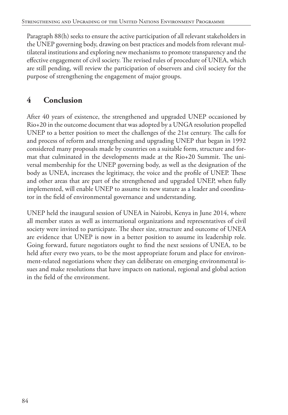Paragraph 88(h) seeks to ensure the active participation of all relevant stakeholders in the UNEP governing body, drawing on best practices and models from relevant multilateral institutions and exploring new mechanisms to promote transparency and the effective engagement of civil society. The revised rules of procedure of UNEA, which are still pending, will review the participation of observers and civil society for the purpose of strengthening the engagement of major groups.

## **4 Conclusion**

After 40 years of existence, the strengthened and upgraded UNEP occasioned by Rio+20 in the outcome document that was adopted by a UNGA resolution propelled UNEP to a better position to meet the challenges of the 21st century. The calls for and process of reform and strengthening and upgrading UNEP that began in 1992 considered many proposals made by countries on a suitable form, structure and format that culminated in the developments made at the Rio+20 Summit. The universal membership for the UNEP governing body, as well as the designation of the body as UNEA, increases the legitimacy, the voice and the profile of UNEP. These and other areas that are part of the strengthened and upgraded UNEP, when fully implemented, will enable UNEP to assume its new stature as a leader and coordinator in the field of environmental governance and understanding.

UNEP held the inaugural session of UNEA in Nairobi, Kenya in June 2014, where all member states as well as international organizations and representatives of civil society were invited to participate. The sheer size, structure and outcome of UNEA are evidence that UNEP is now in a better position to assume its leadership role. Going forward, future negotiators ought to find the next sessions of UNEA, to be held after every two years, to be the most appropriate forum and place for environment-related negotiations where they can deliberate on emerging environmental issues and make resolutions that have impacts on national, regional and global action in the field of the environment.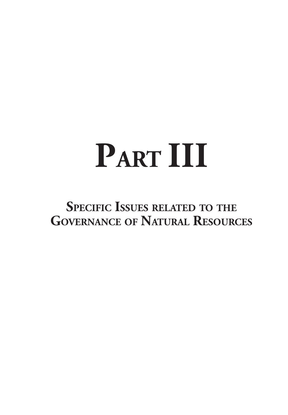# **PART III**

# **Specific Issues related to the Governance of Natural Resources**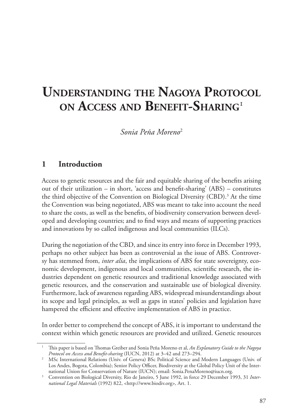# **Understanding the Nagoya Protocol on Access and Benefit-Sharing**<sup>1</sup>

*Sonia Peña Moreno*<sup>2</sup>

#### **1 Introduction**

Access to genetic resources and the fair and equitable sharing of the benefits arising out of their utilization – in short, 'access and benefit-sharing' (ABS) – constitutes the third objective of the Convention on Biological Diversity (CBD).<sup>3</sup> At the time the Convention was being negotiated, ABS was meant to take into account the need to share the costs, as well as the benefits, of biodiversity conservation between developed and developing countries; and to find ways and means of supporting practices and innovations by so called indigenous and local communities (ILCs).

During the negotiation of the CBD, and since its entry into force in December 1993, perhaps no other subject has been as controversial as the issue of ABS. Controversy has stemmed from, *inter alia*, the implications of ABS for state sovereignty, economic development, indigenous and local communities, scientific research, the industries dependent on genetic resources and traditional knowledge associated with genetic resources, and the conservation and sustainable use of biological diversity. Furthermore, lack of awareness regarding ABS, widespread misunderstandings about its scope and legal principles, as well as gaps in states' policies and legislation have hampered the efficient and effective implementation of ABS in practice.

In order better to comprehend the concept of ABS, it is important to understand the context within which genetic resources are provided and utilized. Genetic resources

<sup>1</sup> This paper is based on Thomas Greiber and Sonia Peña Moreno et al, *An Explanatory Guide to the Nagoya* 

<sup>&</sup>lt;sup>2</sup> MSc International Relations (Univ. of Geneva) BSc Political Science and Modern Languages (Univ. of Los Andes, Bogota, Colombia); Senior Policy Officer, Biodiversity at the Global Policy Unit of the International Union for Conservation of Nature (IUCN); email: Sonia.PenaMoreno@iucn.org.

<sup>3</sup> Convention on Biological Diversity, Rio de Janeiro, 5 June 1992, in force 29 December 1993, 31 *International Legal Materials* (1992) 822, <http://www.biodiv.org>, Art. 1.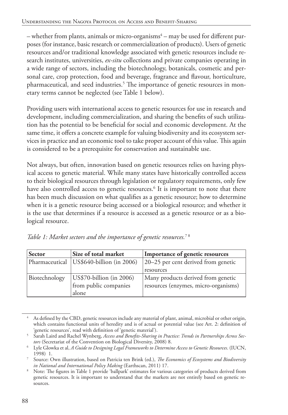– whether from plants, animals or micro-organisms $^4$ – may be used for different purposes (for instance, basic research or commercialization of products). Users of genetic resources and/or traditional knowledge associated with genetic resources include research institutes, universities, *ex-situ* collections and private companies operating in a wide range of sectors, including the biotechnology, botanicals, cosmetic and personal care, crop protection, food and beverage, fragrance and flavour, horticulture, pharmaceutical, and seed industries.<sup>5</sup> The importance of genetic resources in monetary terms cannot be neglected (see Table 1 below).

Providing users with international access to genetic resources for use in research and development, including commercialization, and sharing the benefits of such utilization has the potential to be beneficial for social and economic development. At the same time, it offers a concrete example for valuing biodiversity and its ecosystem services in practice and an economic tool to take proper account of this value. This again is considered to be a prerequisite for conservation and sustainable use.

Not always, but often, innovation based on genetic resources relies on having physical access to genetic material. While many states have historically controlled access to their biological resources through legislation or regulatory requirements, only few have also controlled access to genetic resources.<sup>6</sup> It is important to note that there has been much discussion on what qualifies as a genetic resource; how to determine when it is a genetic resource being accessed or a biological resource; and whether it is the use that determines if a resource is accessed as a genetic resource or as a biological resource.

| <b>Sector</b>  | Size of total market      | Importance of genetic resources      |
|----------------|---------------------------|--------------------------------------|
| Pharmaceutical | US\$640-billion (in 2006) | 20–25 per cent derived from genetic  |
|                |                           | resources                            |
| Biotechnology  | US\$70-billion (in 2006)  | Many products derived from genetic   |
|                | from public companies     | resources (enzymes, micro-organisms) |
|                | alone                     |                                      |

*Table 1: Market sectors and the importance of genetic resources.*7 8

<sup>4</sup> As defined by the CBD, genetic resources include any material of plant, animal, microbial or other origin, which contains functional units of heredity and is of actual or potential value (see Art. 2: definition of

<sup>&#</sup>x27;genetic resources', read with definition of 'genetic material'). 5 Sarah Laird and Rachel Wynberg, *Access and Benefits-Sharing in Practice: Trends in Partnerships Across Sectors* (Secretariat of the Convention on Biological Diversity, 2008) 8.

<sup>6</sup> Lyle Glowka et al, *A Guide to Designing Legal Frameworks to Determine Access to Genetic Resources*. (IUCN, 1998) 1.

<sup>7</sup> Source: Own illustration, based on Patricia ten Brink (ed.), *The Economics of Ecosystems and Biodiversity in National and International Policy Making* (Earthscan, 2011) 17.

<sup>8</sup> Note: The figures in Table 1 provide 'ballpark' estimates for various categories of products derived from genetic resources. It is important to understand that the markets are not entirely based on genetic resources.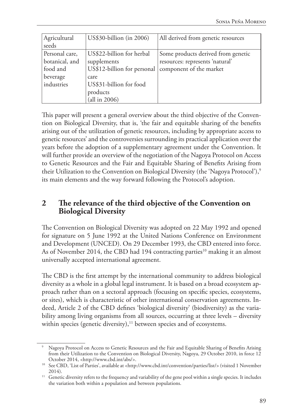| Agricultural<br>seeds                                                  | US\$30-billion (in 2006)                                                                                                                | All derived from genetic resources                                                               |
|------------------------------------------------------------------------|-----------------------------------------------------------------------------------------------------------------------------------------|--------------------------------------------------------------------------------------------------|
| Personal care,<br>botanical, and<br>food and<br>beverage<br>industries | US\$22-billion for herbal<br>supplements<br>US\$12-billion for personal<br>care<br>US\$31-billion for food<br>products<br>(all in 2006) | Some products derived from genetic<br>resources: represents 'natural'<br>component of the market |

This paper will present a general overview about the third objective of the Convention on Biological Diversity, that is, 'the fair and equitable sharing of the benefits arising out of the utilization of genetic resources, including by appropriate access to genetic resources' and the controversies surrounding its practical application over the years before the adoption of a supplementary agreement under the Convention. It will further provide an overview of the negotiation of the Nagoya Protocol on Access to Genetic Resources and the Fair and Equitable Sharing of Benefits Arising from their Utilization to the Convention on Biological Diversity (the 'Nagoya Protocol'),<sup>9</sup> its main elements and the way forward following the Protocol's adoption.

#### **2 The relevance of the third objective of the Convention on Biological Diversity**

The Convention on Biological Diversity was adopted on 22 May 1992 and opened for signature on 5 June 1992 at the United Nations Conference on Environment and Development (UNCED). On 29 December 1993, the CBD entered into force. As of November 2014, the CBD had 194 contracting parties<sup>10</sup> making it an almost universally accepted international agreement.

The CBD is the first attempt by the international community to address biological diversity as a whole in a global legal instrument. It is based on a broad ecosystem approach rather than on a sectoral approach (focusing on specific species, ecosystems, or sites), which is characteristic of other international conservation agreements. Indeed, Article 2 of the CBD defines 'biological diversity' (biodiversity) as the variability among living organisms from all sources, occurring at three levels – diversity within species (genetic diversity), $11$  between species and of ecosystems.

<sup>9</sup> Nagoya Protocol on Access to Genetic Resources and the Fair and Equitable Sharing of Benefits Arising from their Utilization to the Convention on Biological Diversity, Nagoya, 29 October 2010, in force 12

October 2014, <http://www.cbd.int/abs/>. 10 See CBD, 'List of Parties', available at <http://www.cbd.int/convention/parties/list/> (visited 1 November 2014).

<sup>&</sup>lt;sup>11</sup> Genetic diversity refers to the frequency and variability of the gene pool within a single species. It includes the variation both within a population and between populations.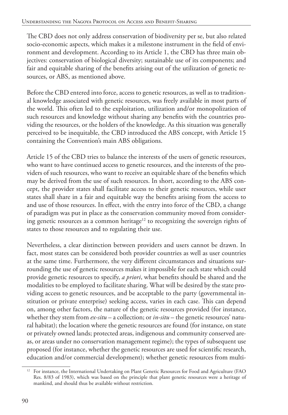The CBD does not only address conservation of biodiversity per se, but also related socio-economic aspects, which makes it a milestone instrument in the field of environment and development. According to its Article 1, the CBD has three main objectives: conservation of biological diversity; sustainable use of its components; and fair and equitable sharing of the benefits arising out of the utilization of genetic resources, or ABS, as mentioned above.

Before the CBD entered into force, access to genetic resources, as well as to traditional knowledge associated with genetic resources, was freely available in most parts of the world. This often led to the exploitation, utilization and/or monopolization of such resources and knowledge without sharing any benefits with the countries providing the resources, or the holders of the knowledge. As this situation was generally perceived to be inequitable, the CBD introduced the ABS concept, with Article 15 containing the Convention's main ABS obligations.

Article 15 of the CBD tries to balance the interests of the users of genetic resources, who want to have continued access to genetic resources, and the interests of the providers of such resources, who want to receive an equitable share of the benefits which may be derived from the use of such resources. In short, according to the ABS concept, the provider states shall facilitate access to their genetic resources, while user states shall share in a fair and equitable way the benefits arising from the access to and use of those resources. In effect, with the entry into force of the CBD, a change of paradigm was put in place as the conservation community moved from considering genetic resources as a common heritage<sup>12</sup> to recognizing the sovereign rights of states to those resources and to regulating their use.

Nevertheless, a clear distinction between providers and users cannot be drawn. In fact, most states can be considered both provider countries as well as user countries at the same time. Furthermore, the very different circumstances and situations surrounding the use of genetic resources makes it impossible for each state which could provide genetic resources to specify, *a priori*, what benefits should be shared and the modalities to be employed to facilitate sharing. What will be desired by the state providing access to genetic resources, and be acceptable to the party (governmental institution or private enterprise) seeking access, varies in each case. This can depend on, among other factors, the nature of the genetic resources provided (for instance, whether they stem from *ex-situ* – a collection; or *in-situ* – the genetic resources' natural habitat); the location where the genetic resources are found (for instance, on state or privately owned lands; protected areas, indigenous and community conserved areas, or areas under no conservation management regime); the types of subsequent use proposed (for instance, whether the genetic resources are used for scientific research, education and/or commercial development); whether genetic resources from multi-

<sup>&</sup>lt;sup>12</sup> For instance, the International Undertaking on Plant Genetic Resources for Food and Agriculture (FAO Res. 8/83 of 1983), which was based on the principle that plant genetic resources were a heritage of mankind, and should thus be available without restriction.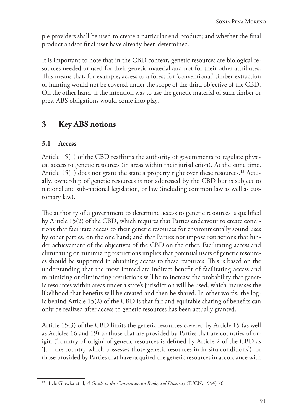ple providers shall be used to create a particular end-product; and whether the final product and/or final user have already been determined.

It is important to note that in the CBD context, genetic resources are biological resources needed or used for their genetic material and not for their other attributes. This means that, for example, access to a forest for 'conventional' timber extraction or hunting would not be covered under the scope of the third objective of the CBD. On the other hand, if the intention was to use the genetic material of such timber or prey, ABS obligations would come into play.

### **3 Key ABS notions**

### **3.1 Access**

Article 15(1) of the CBD reaffirms the authority of governments to regulate physical access to genetic resources (in areas within their jurisdiction). At the same time, Article  $15(1)$  does not grant the state a property right over these resources.<sup>13</sup> Actually, ownership of genetic resources is not addressed by the CBD but is subject to national and sub-national legislation, or law (including common law as well as customary law).

The authority of a government to determine access to genetic resources is qualified by Article 15(2) of the CBD, which requires that Parties endeavour to create conditions that facilitate access to their genetic resources for environmentally sound uses by other parties, on the one hand; and that Parties not impose restrictions that hinder achievement of the objectives of the CBD on the other. Facilitating access and eliminating or minimizing restrictions implies that potential users of genetic resources should be supported in obtaining access to these resources. This is based on the understanding that the most immediate indirect benefit of facilitating access and minimizing or eliminating restrictions will be to increase the probability that genetic resources within areas under a state's jurisdiction will be used, which increases the likelihood that benefits will be created and then be shared. In other words, the logic behind Article 15(2) of the CBD is that fair and equitable sharing of benefits can only be realized after access to genetic resources has been actually granted.

Article 15(3) of the CBD limits the genetic resources covered by Article 15 (as well as Articles 16 and 19) to those that are provided by Parties that are countries of origin ('country of origin' of genetic resources is defined by Article 2 of the CBD as '[...] the country which possesses those genetic resources in in-situ conditions'); or those provided by Parties that have acquired the genetic resources in accordance with

<sup>13</sup> Lyle Glowka et al, *A Guide to the Convention on Biological Diversity* (IUCN, 1994) 76.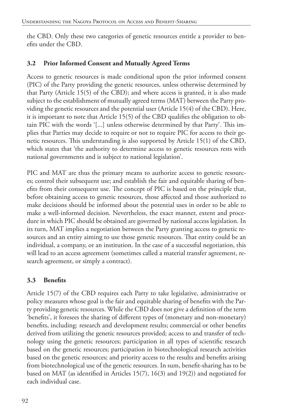the CBD. Only these two categories of genetic resources entitle a provider to benefits under the CBD.

### **3.2 Prior Informed Consent and Mutually Agreed Terms**

Access to genetic resources is made conditional upon the prior informed consent (PIC) of the Party providing the genetic resources, unless otherwise determined by that Party (Article 15(5) of the CBD); and where access is granted, it is also made subject to the establishment of mutually agreed terms (MAT) between the Party providing the genetic resources and the potential user (Article 15(4) of the CBD). Here, it is important to note that Article 15(5) of the CBD qualifies the obligation to obtain PIC with the words '[...] unless otherwise determined by that Party'. This implies that Parties may decide to require or not to require PIC for access to their genetic resources. This understanding is also supported by Article 15(1) of the CBD, which states that 'the authority to determine access to genetic resources rests with national governments and is subject to national legislation'.

PIC and MAT are thus the primary means to authorize access to genetic resources; control their subsequent use; and establish the fair and equitable sharing of benefits from their consequent use. The concept of PIC is based on the principle that, before obtaining access to genetic resources, those affected and those authorized to make decisions should be informed about the potential uses in order to be able to make a well-informed decision. Nevertheless, the exact manner, extent and procedure in which PIC should be obtained are governed by national access legislation. In its turn, MAT implies a negotiation between the Party granting access to genetic resources and an entity aiming to use those genetic resources. That entity could be an individual, a company, or an institution. In the case of a successful negotiation, this will lead to an access agreement (sometimes called a material transfer agreement, research agreement, or simply a contract).

### **3.3 Benefits**

Article 15(7) of the CBD requires each Party to take legislative, administrative or policy measures whose goal is the fair and equitable sharing of benefits with the Party providing genetic resources. While the CBD does not give a definition of the term 'benefits', it foresees the sharing of different types of (monetary and non-monetary) benefits, including: research and development results; commercial or other benefits derived from utilizing the genetic resources provided; access to and transfer of technology using the genetic resources; participation in all types of scientific research based on the genetic resources; participation in biotechnological research activities based on the genetic resources; and priority access to the results and benefits arising from biotechnological use of the genetic resources. In sum, benefit-sharing has to be based on MAT (as identified in Articles 15(7), 16(3) and 19(2)) and negotiated for each individual case.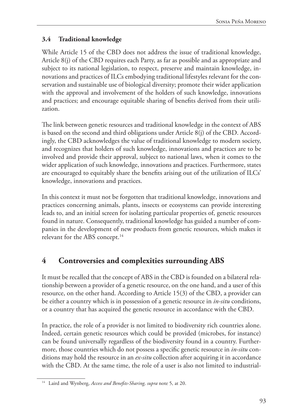### **3.4 Traditional knowledge**

While Article 15 of the CBD does not address the issue of traditional knowledge, Article 8(j) of the CBD requires each Party, as far as possible and as appropriate and subject to its national legislation, to respect, preserve and maintain knowledge, innovations and practices of ILCs embodying traditional lifestyles relevant for the conservation and sustainable use of biological diversity; promote their wider application with the approval and involvement of the holders of such knowledge, innovations and practices; and encourage equitable sharing of benefits derived from their utilization.

The link between genetic resources and traditional knowledge in the context of ABS is based on the second and third obligations under Article 8(j) of the CBD. Accordingly, the CBD acknowledges the value of traditional knowledge to modern society, and recognizes that holders of such knowledge, innovations and practices are to be involved and provide their approval, subject to national laws, when it comes to the wider application of such knowledge, innovations and practices. Furthermore, states are encouraged to equitably share the benefits arising out of the utilization of ILCs' knowledge, innovations and practices.

In this context it must not be forgotten that traditional knowledge, innovations and practices concerning animals, plants, insects or ecosystems can provide interesting leads to, and an initial screen for isolating particular properties of, genetic resources found in nature. Consequently, traditional knowledge has guided a number of companies in the development of new products from genetic resources, which makes it relevant for the ABS concept.<sup>14</sup>

### **4 Controversies and complexities surrounding ABS**

It must be recalled that the concept of ABS in the CBD is founded on a bilateral relationship between a provider of a genetic resource, on the one hand, and a user of this resource, on the other hand. According to Article 15(3) of the CBD, a provider can be either a country which is in possession of a genetic resource in *in-situ* conditions, or a country that has acquired the genetic resource in accordance with the CBD.

In practice, the role of a provider is not limited to biodiversity rich countries alone. Indeed, certain genetic resources which could be provided (microbes, for instance) can be found universally regardless of the biodiversity found in a country. Furthermore, those countries which do not possess a specific genetic resource in *in-situ* conditions may hold the resource in an *ex-situ* collection after acquiring it in accordance with the CBD. At the same time, the role of a user is also not limited to industrial-

<sup>14</sup> Laird and Wynberg, *Access and Benefits-Sharing, supra* note 5, at 20.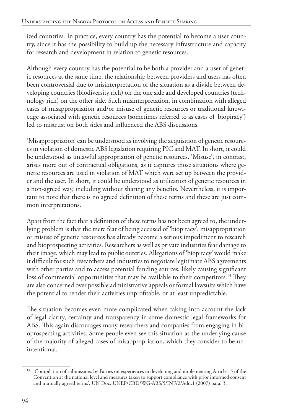ized countries. In practice, every country has the potential to become a user country, since it has the possibility to build up the necessary infrastructure and capacity for research and development in relation to genetic resources.

Although every country has the potential to be both a provider and a user of genetic resources at the same time, the relationship between providers and users has often been controversial due to misinterpretation of the situation as a divide between developing countries (biodiversity rich) on the one side and developed countries (technology rich) on the other side. Such misinterpretation, in combination with alleged cases of misappropriation and/or misuse of genetic resources or traditional knowledge associated with genetic resources (sometimes referred to as cases of 'biopiracy') led to mistrust on both sides and influenced the ABS discussions.

'Misappropriation' can be understood as involving the acquisition of genetic resources in violation of domestic ABS legislation requiring PIC and MAT. In short, it could be understood as unlawful appropriation of genetic resources. 'Misuse', in contrast, arises more out of contractual obligations, as it captures those situations where genetic resources are used in violation of MAT which were set up between the provider and the user. In short, it could be understood as utilization of genetic resources in a non-agreed way, including without sharing any benefits. Nevertheless, it is important to note that there is no agreed definition of these terms and these are just common interpretations.

Apart from the fact that a definition of these terms has not been agreed to, the underlying problem is that the mere fear of being accused of 'biopiracy', misappropriation or misuse of genetic resources has already become a serious impediment to research and bioprospecting activities. Researchers as well as private industries fear damage to their image, which may lead to public outcries. Allegations of 'biopiracy' would make it difficult for such researchers and industries to negotiate legitimate ABS agreements with other parties and to access potential funding sources, likely causing significant loss of commercial opportunities that may be available to their competitors.<sup>15</sup> They are also concerned over possible administrative appeals or formal lawsuits which have the potential to render their activities unprofitable, or at least unpredictable.

The situation becomes even more complicated when taking into account the lack of legal clarity, certainty and transparency in some domestic legal frameworks for ABS. This again discourages many researchers and companies from engaging in bioprospecting activities. Some people even see this situation as the underlying cause of the majority of alleged cases of misappropriation, which they consider to be unintentional.

<sup>&</sup>lt;sup>15</sup> 'Compilation of submissions by Parties on experiences in developing and implementing Article 15 of the Convention at the national level and measures taken to support compliance with prior informed consent and mutually agreed terms', UN Doc. UNEP/CBD/WG-ABS/5/INF/2/Add.1 (2007) para. 3.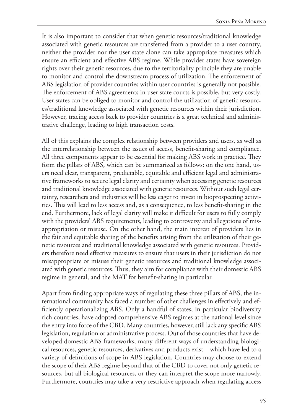It is also important to consider that when genetic resources/traditional knowledge associated with genetic resources are transferred from a provider to a user country, neither the provider nor the user state alone can take appropriate measures which ensure an efficient and effective ABS regime. While provider states have sovereign rights over their genetic resources, due to the territoriality principle they are unable to monitor and control the downstream process of utilization. The enforcement of ABS legislation of provider countries within user countries is generally not possible. The enforcement of ABS agreements in user state courts is possible, but very costly. User states can be obliged to monitor and control the utilization of genetic resources/traditional knowledge associated with genetic resources within their jurisdiction. However, tracing access back to provider countries is a great technical and administrative challenge, leading to high transaction costs.

All of this explains the complex relationship between providers and users, as well as the interrelationship between the issues of access, benefit-sharing and compliance. All three components appear to be essential for making ABS work in practice. They form the pillars of ABS, which can be summarized as follows: on the one hand, users need clear, transparent, predictable, equitable and efficient legal and administrative frameworks to secure legal clarity and certainty when accessing genetic resources and traditional knowledge associated with genetic resources. Without such legal certainty, researchers and industries will be less eager to invest in bioprospecting activities. This will lead to less access and, as a consequence, to less benefit-sharing in the end. Furthermore, lack of legal clarity will make it difficult for users to fully comply with the providers' ABS requirements, leading to controversy and allegations of misappropriation or misuse. On the other hand, the main interest of providers lies in the fair and equitable sharing of the benefits arising from the utilization of their genetic resources and traditional knowledge associated with genetic resources. Providers therefore need effective measures to ensure that users in their jurisdiction do not misappropriate or misuse their genetic resources and traditional knowledge associated with genetic resources. Thus, they aim for compliance with their domestic ABS regime in general, and the MAT for benefit-sharing in particular.

Apart from finding appropriate ways of regulating these three pillars of ABS, the international community has faced a number of other challenges in effectively and efficiently operationalizing ABS. Only a handful of states, in particular biodiversity rich countries, have adopted comprehensive ABS regimes at the national level since the entry into force of the CBD. Many countries, however, still lack any specific ABS legislation, regulation or administrative process. Out of those countries that have developed domestic ABS frameworks, many different ways of understanding biological resources, genetic resources, derivatives and products exist – which have led to a variety of definitions of scope in ABS legislation. Countries may choose to extend the scope of their ABS regime beyond that of the CBD to cover not only genetic resources, but all biological resources, or they can interpret the scope more narrowly. Furthermore, countries may take a very restrictive approach when regulating access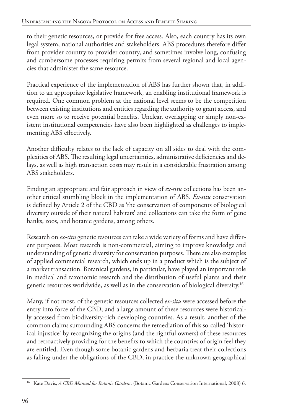to their genetic resources, or provide for free access. Also, each country has its own legal system, national authorities and stakeholders. ABS procedures therefore differ from provider country to provider country, and sometimes involve long, confusing and cumbersome processes requiring permits from several regional and local agencies that administer the same resource.

Practical experience of the implementation of ABS has further shown that, in addition to an appropriate legislative framework, an enabling institutional framework is required. One common problem at the national level seems to be the competition between existing institutions and entities regarding the authority to grant access, and even more so to receive potential benefits. Unclear, overlapping or simply non-existent institutional competencies have also been highlighted as challenges to implementing ABS effectively.

Another difficulty relates to the lack of capacity on all sides to deal with the complexities of ABS. The resulting legal uncertainties, administrative deficiencies and delays, as well as high transaction costs may result in a considerable frustration among ABS stakeholders.

Finding an appropriate and fair approach in view of *ex-situ* collections has been another critical stumbling block in the implementation of ABS. *Ex-situ* conservation is defined by Article 2 of the CBD as 'the conservation of components of biological diversity outside of their natural habitats' and collections can take the form of gene banks, zoos, and botanic gardens, among others.

Research on *ex-situ* genetic resources can take a wide variety of forms and have different purposes. Most research is non-commercial, aiming to improve knowledge and understanding of genetic diversity for conservation purposes. There are also examples of applied commercial research, which ends up in a product which is the subject of a market transaction. Botanical gardens, in particular, have played an important role in medical and taxonomic research and the distribution of useful plants and their genetic resources worldwide, as well as in the conservation of biological diversity.16

Many, if not most, of the genetic resources collected *ex-situ* were accessed before the entry into force of the CBD; and a large amount of these resources were historically accessed from biodiversity-rich developing countries. As a result, another of the common claims surrounding ABS concerns the remediation of this so-called 'historical injustice' by recognizing the origins (and the rightful owners) of these resources and retroactively providing for the benefits to which the countries of origin feel they are entitled. Even though some botanic gardens and herbaria treat their collections as falling under the obligations of the CBD, in practice the unknown geographical

<sup>16</sup> Kate Davis, *A CBD Manual for Botanic Gardens*. (Botanic Gardens Conservation International, 2008) 6.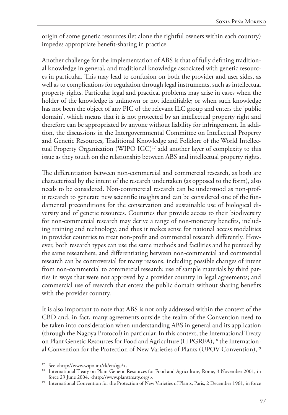origin of some genetic resources (let alone the rightful owners within each country) impedes appropriate benefit-sharing in practice.

Another challenge for the implementation of ABS is that of fully defining traditional knowledge in general, and traditional knowledge associated with genetic resources in particular. This may lead to confusion on both the provider and user sides, as well as to complications for regulation through legal instruments, such as intellectual property rights. Particular legal and practical problems may arise in cases when the holder of the knowledge is unknown or not identifiable; or when such knowledge has not been the object of any PIC of the relevant ILC group and enters the 'public domain', which means that it is not protected by an intellectual property right and therefore can be appropriated by anyone without liability for infringement. In addition, the discussions in the Intergovernmental Committee on Intellectual Property and Genetic Resources, Traditional Knowledge and Folklore of the World Intellectual Property Organization (WIPO IGC)<sup>17</sup> add another layer of complexity to this issue as they touch on the relationship between ABS and intellectual property rights.

The differentiation between non-commercial and commercial research, as both are characterized by the intent of the research undertaken (as opposed to the form), also needs to be considered. Non-commercial research can be understood as non-profit research to generate new scientific insights and can be considered one of the fundamental preconditions for the conservation and sustainable use of biological diversity and of genetic resources. Countries that provide access to their biodiversity for non-commercial research may derive a range of non-monetary benefits, including training and technology, and thus it makes sense for national access modalities in provider countries to treat non-profit and commercial research differently. However, both research types can use the same methods and facilities and be pursued by the same researchers, and differentiating between non-commercial and commercial research can be controversial for many reasons, including possible changes of intent from non-commercial to commercial research; use of sample materials by third parties in ways that were not approved by a provider country in legal agreements; and commercial use of research that enters the public domain without sharing benefits with the provider country.

It is also important to note that ABS is not only addressed within the context of the CBD and, in fact, many agreements outside the realm of the Convention need to be taken into consideration when understanding ABS in general and its application (through the Nagoya Protocol) in particular. In this context, the International Treaty on Plant Genetic Resources for Food and Agriculture (ITPGRFA),<sup>18</sup> the International Convention for the Protection of New Varieties of Plants (UPOV Convention),19

<sup>17</sup> See <http://www.wipo.int/tk/en/igc/>.

<sup>&</sup>lt;sup>18</sup> International Treaty on Plant Genetic Resources for Food and Agriculture, Rome, 3 November 2001, in force 29 June 2004, <http://www.planttreaty.org/>.

<sup>&</sup>lt;sup>19</sup> International Convention for the Protection of New Varieties of Plants, Paris, 2 December 1961, in force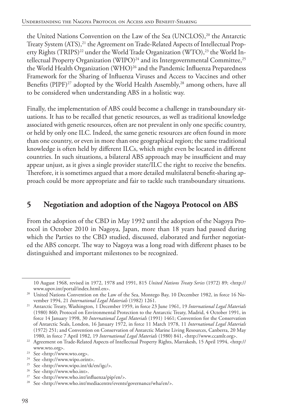the United Nations Convention on the Law of the Sea (UNCLOS),<sup>20</sup> the Antarctic Treaty System (ATS),<sup>21</sup> the Agreement on Trade-Related Aspects of Intellectual Property Rights (TRIPS)<sup>22</sup> under the World Trade Organization (WTO),<sup>23</sup> the World Intellectual Property Organization (WIPO)<sup>24</sup> and its Intergovernmental Committee,<sup>25</sup> the World Health Organization (WHO)<sup>26</sup> and the Pandemic Influenza Preparedness Framework for the Sharing of Influenza Viruses and Access to Vaccines and other Benefits (PIPF)<sup>27</sup> adopted by the World Health Assembly,<sup>28</sup> among others, have all to be considered when understanding ABS in a holistic way.

Finally, the implementation of ABS could become a challenge in transboundary situations. It has to be recalled that genetic resources, as well as traditional knowledge associated with genetic resources, often are not prevalent in only one specific country, or held by only one ILC. Indeed, the same genetic resources are often found in more than one country, or even in more than one geographical region; the same traditional knowledge is often held by different ILCs, which might even be located in different countries. In such situations, a bilateral ABS approach may be insufficient and may appear unjust, as it gives a single provider state/ILC the right to receive the benefits. Therefore, it is sometimes argued that a more detailed multilateral benefit-sharing approach could be more appropriate and fair to tackle such transboundary situations.

### **5 Negotiation and adoption of the Nagoya Protocol on ABS**

From the adoption of the CBD in May 1992 until the adoption of the Nagoya Protocol in October 2010 in Nagoya, Japan, more than 18 years had passed during which the Parties to the CBD studied, discussed, elaborated and further negotiated the ABS concept. The way to Nagoya was a long road with different phases to be distinguished and important milestones to be recognized.

<sup>25</sup> See <http://www.wipo.int/tk/en/igc/>.

<sup>10</sup> August 1968, revised in 1972, 1978 and 1991, 815 *United Nations Treaty Series* (1972) 89; <http:// www.upov.int/portal/index.html.en>.

<sup>&</sup>lt;sup>20</sup> United Nations Convention on the Law of the Sea, Montego Bay, 10 December 1982, in force 16 November 1994, 21 *International Legal Materials* (1982) 1261.

<sup>&</sup>lt;sup>21</sup> Antarctic Treaty, Washington, 1 December 1959, in force 23 June 1961, 19 International Legal Materials (1980) 860; Protocol on Environmental Protection to the Antarctic Treaty, Madrid, 4 October 1991, in force 14 January 1998, 30 *International Legal Materials* (1991) 1461; Convention for the Conservation of Antarctic Seals, London, 16 January 1972, in force 11 March 1978, 11 *International Legal Materials* (1972) 251; and Convention on Conservation of Antarctic Marine Living Resources, Canberra, 20 May 1980, in force 7 April 1982, 19 *International Legal Materials* (1980) 841, <http://www.ccamlr.org>.

<sup>&</sup>lt;sup>22</sup> Agreement on Trade-Related Aspects of Intellectual Property Rights, Marrakesh, 15 April 1994, <http:// www.wto.org>.

<sup>23</sup> See <http://www.wto.org>.

<sup>&</sup>lt;sup>24</sup> See <http://www.wipo.orint>.

<sup>26</sup> See <http://www.who.int>.

<sup>&</sup>lt;sup>27</sup> See <http://www.who.int/influenza/pip/en/>.

See <http://www.who.int/mediacentre/events/governance/wha/en/>.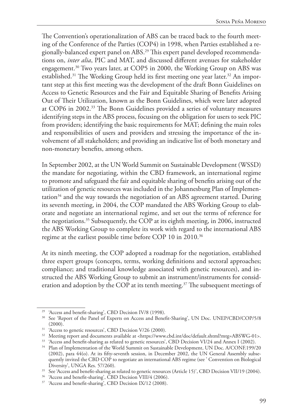The Convention's operationalization of ABS can be traced back to the fourth meeting of the Conference of the Parties (COP4) in 1998, when Parties established a regionally-balanced expert panel on ABS.29 This expert panel developed recommendations on, *inter alia*, PIC and MAT, and discussed different avenues for stakeholder engagement.30 Two years later, at COP5 in 2000, the Working Group on ABS was established.<sup>31</sup> The Working Group held its first meeting one year later.<sup>32</sup> An important step at this first meeting was the development of the draft Bonn Guidelines on Access to Genetic Resources and the Fair and Equitable Sharing of Benefits Arising Out of Their Utilization, known as the Bonn Guidelines, which were later adopted at COP6 in 2002.33 The Bonn Guidelines provided a series of voluntary measures identifying steps in the ABS process, focusing on the obligation for users to seek PIC from providers; identifying the basic requirements for MAT; defining the main roles and responsibilities of users and providers and stressing the importance of the involvement of all stakeholders; and providing an indicative list of both monetary and non-monetary benefits, among others.

In September 2002, at the UN World Summit on Sustainable Development (WSSD) the mandate for negotiating, within the CBD framework, an international regime to promote and safeguard the fair and equitable sharing of benefits arising out of the utilization of genetic resources was included in the Johannesburg Plan of Implementation<sup>34</sup> and the way towards the negotiation of an ABS agreement started. During its seventh meeting, in 2004, the COP mandated the ABS Working Group to elaborate and negotiate an international regime, and set out the terms of reference for the negotiations.35 Subsequently, the COP at its eighth meeting, in 2006, instructed the ABS Working Group to complete its work with regard to the international ABS regime at the earliest possible time before COP 10 in 2010.36

At its ninth meeting, the COP adopted a roadmap for the negotiation, established three expert groups (concepts, terms, working definitions and sectoral approaches; compliance; and traditional knowledge associated with genetic resources), and instructed the ABS Working Group to submit an instrument/instruments for consideration and adoption by the COP at its tenth meeting.<sup>37</sup> The subsequent meetings of

<sup>&</sup>lt;sup>29</sup> 'Access and benefit-sharing', CBD Decision IV/8 (1998).

<sup>&</sup>lt;sup>30</sup> See 'Report of the Panel of Experts on Access and Benefit-Sharing', UN Doc. UNEP/CBD/COP/5/8 (2000).

<sup>&</sup>lt;sup>31</sup> 'Access to genetic resources', CBD Decision V/26 (2000).

<sup>&</sup>lt;sup>32</sup> Meeting report and documents available at <https://www.cbd.int/doc/default.shtml?mtg=ABSWG-01>.

<sup>&</sup>lt;sup>33</sup> 'Access and benefit-sharing as related to genetic resources', CBD Decision VI/24 and Annex I (2002).

<sup>&</sup>lt;sup>34</sup> Plan of Implementation of the World Summit on Sustainable Development, UN Doc. A/CONF.199/20 (2002), para 44(o). At its fifty-seventh session, in December 2002, the UN General Assembly subsequently invited the CBD COP to negotiate an international ABS regime (see ' Convention on Biological Diversity', UNGA Res. 57/260).

<sup>&</sup>lt;sup>35</sup> See 'Access and benefit-sharing as related to genetic resources (Article 15)', CBD Decision VII/19 (2004).

<sup>&</sup>lt;sup>36</sup> 'Access and benefit-sharing', CBD Decision VIII/4 (2006).

<sup>37</sup> 'Access and benefit-sharing', CBD Decision IX/12 (2008).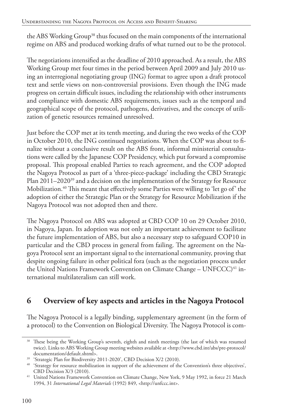the ABS Working Group<sup>38</sup> thus focused on the main components of the international regime on ABS and produced working drafts of what turned out to be the protocol.

The negotiations intensified as the deadline of 2010 approached. As a result, the ABS Working Group met four times in the period between April 2009 and July 2010 using an interregional negotiating group (ING) format to agree upon a draft protocol text and settle views on non-controversial provisions. Even though the ING made progress on certain difficult issues, including the relationship with other instruments and compliance with domestic ABS requirements, issues such as the temporal and geographical scope of the protocol, pathogens, derivatives, and the concept of utilization of genetic resources remained unresolved.

Just before the COP met at its tenth meeting, and during the two weeks of the COP in October 2010, the ING continued negotiations. When the COP was about to finalize without a conclusive result on the ABS front, informal ministerial consultations were called by the Japanese COP Presidency, which put forward a compromise proposal. This proposal enabled Parties to reach agreement, and the COP adopted the Nagoya Protocol as part of a 'three-piece-package' including the CBD Strategic Plan 2011–2020<sup>39</sup> and a decision on the implementation of the Strategy for Resource Mobilization.40 This meant that effectively some Parties were willing to 'let go of' the adoption of either the Strategic Plan or the Strategy for Resource Mobilization if the Nagoya Protocol was not adopted then and there.

The Nagoya Protocol on ABS was adopted at CBD COP 10 on 29 October 2010, in Nagoya, Japan. Its adoption was not only an important achievement to facilitate the future implementation of ABS, but also a necessary step to safeguard COP10 in particular and the CBD process in general from failing. The agreement on the Nagoya Protocol sent an important signal to the international community, proving that despite ongoing failure in other political fora (such as the negotiation process under the United Nations Framework Convention on Climate Change - UNFCCC)<sup>41</sup> international multilateralism can still work.

### **6 Overview of key aspects and articles in the Nagoya Protocol**

The Nagoya Protocol is a legally binding, supplementary agreement (in the form of a protocol) to the Convention on Biological Diversity. The Nagoya Protocol is com-

<sup>&</sup>lt;sup>38</sup> These being the Working Group's seventh, eighth and ninth meetings (the last of which was resumed twice). Links to ABS Working Group meeting websites available at <http://www.cbd.int/abs/pre-protocol/ documentation/default.shtml>.

<sup>&</sup>lt;sup>39</sup> 'Strategic Plan for Biodiversity 2011-2020', CBD Decision X/2 (2010).

<sup>&</sup>lt;sup>40</sup> 'Strategy for resource mobilization in support of the achievement of the Convention's three objectives', CBD Decision X/3 (2010).

<sup>&</sup>lt;sup>41</sup> United Nations Framework Convention on Climate Change, New York, 9 May 1992, in force 21 March 1994, 31 *International Legal Materials* (1992) 849, <http://unfccc.int>.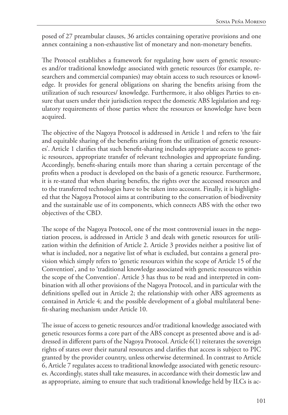posed of 27 preambular clauses, 36 articles containing operative provisions and one annex containing a non-exhaustive list of monetary and non-monetary benefits.

The Protocol establishes a framework for regulating how users of genetic resources and/or traditional knowledge associated with genetic resources (for example, researchers and commercial companies) may obtain access to such resources or knowledge. It provides for general obligations on sharing the benefits arising from the utilization of such resources/ knowledge. Furthermore, it also obliges Parties to ensure that users under their jurisdiction respect the domestic ABS legislation and regulatory requirements of those parties where the resources or knowledge have been acquired.

The objective of the Nagoya Protocol is addressed in Article 1 and refers to 'the fair and equitable sharing of the benefits arising from the utilization of genetic resources'. Article 1 clarifies that such benefit-sharing includes appropriate access to genetic resources, appropriate transfer of relevant technologies and appropriate funding. Accordingly, benefit-sharing entails more than sharing a certain percentage of the profits when a product is developed on the basis of a genetic resource. Furthermore, it is re-stated that when sharing benefits, the rights over the accessed resources and to the transferred technologies have to be taken into account. Finally, it is highlighted that the Nagoya Protocol aims at contributing to the conservation of biodiversity and the sustainable use of its components, which connects ABS with the other two objectives of the CBD.

The scope of the Nagoya Protocol, one of the most controversial issues in the negotiation process, is addressed in Article 3 and deals with genetic resources for utilization within the definition of Article 2. Article 3 provides neither a positive list of what is included, nor a negative list of what is excluded, but contains a general provision which simply refers to 'genetic resources within the scope of Article 15 of the Convention', and to 'traditional knowledge associated with genetic resources within the scope of the Convention'. Article 3 has thus to be read and interpreted in combination with all other provisions of the Nagoya Protocol, and in particular with the definitions spelled out in Article 2; the relationship with other ABS agreements as contained in Article 4; and the possible development of a global multilateral benefit-sharing mechanism under Article 10.

The issue of access to genetic resources and/or traditional knowledge associated with genetic resources forms a core part of the ABS concept as presented above and is addressed in different parts of the Nagoya Protocol. Article 6(1) reiterates the sovereign rights of states over their natural resources and clarifies that access is subject to PIC granted by the provider country, unless otherwise determined. In contrast to Article 6, Article 7 regulates access to traditional knowledge associated with genetic resources. Accordingly, states shall take measures, in accordance with their domestic law and as appropriate, aiming to ensure that such traditional knowledge held by ILCs is ac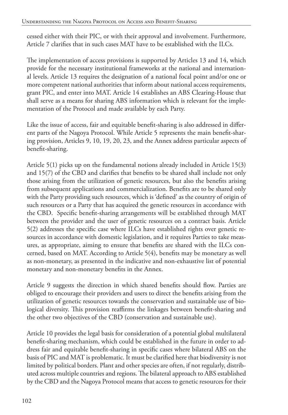cessed either with their PIC, or with their approval and involvement. Furthermore, Article 7 clarifies that in such cases MAT have to be established with the ILCs.

The implementation of access provisions is supported by Articles 13 and 14, which provide for the necessary institutional frameworks at the national and international levels. Article 13 requires the designation of a national focal point and/or one or more competent national authorities that inform about national access requirements, grant PIC, and enter into MAT. Article 14 establishes an ABS Clearing-House that shall serve as a means for sharing ABS information which is relevant for the implementation of the Protocol and made available by each Party.

Like the issue of access, fair and equitable benefit-sharing is also addressed in different parts of the Nagoya Protocol. While Article 5 represents the main benefit-sharing provision, Articles 9, 10, 19, 20, 23, and the Annex address particular aspects of benefit-sharing.

Article 5(1) picks up on the fundamental notions already included in Article 15(3) and 15(7) of the CBD and clarifies that benefits to be shared shall include not only those arising from the utilization of genetic resources, but also the benefits arising from subsequent applications and commercialization. Benefits are to be shared only with the Party providing such resources, which is 'defined' as the country of origin of such resources or a Party that has acquired the genetic resources in accordance with the CBD. Specific benefit-sharing arrangements will be established through MAT between the provider and the user of genetic resources on a contract basis. Article 5(2) addresses the specific case where ILCs have established rights over genetic resources in accordance with domestic legislation, and it requires Parties to take measures, as appropriate, aiming to ensure that benefits are shared with the ILCs concerned, based on MAT. According to Article 5(4), benefits may be monetary as well as non-monetary, as presented in the indicative and non-exhaustive list of potential monetary and non-monetary benefits in the Annex.

Article 9 suggests the direction in which shared benefits should flow. Parties are obliged to encourage their providers and users to direct the benefits arising from the utilization of genetic resources towards the conservation and sustainable use of biological diversity. This provision reaffirms the linkages between benefit-sharing and the other two objectives of the CBD (conservation and sustainable use).

Article 10 provides the legal basis for consideration of a potential global multilateral benefit-sharing mechanism, which could be established in the future in order to address fair and equitable benefit-sharing in specific cases where bilateral ABS on the basis of PIC and MAT is problematic. It must be clarified here that biodiversity is not limited by political borders. Plant and other species are often, if not regularly, distributed across multiple countries and regions. The bilateral approach to ABS established by the CBD and the Nagoya Protocol means that access to genetic resources for their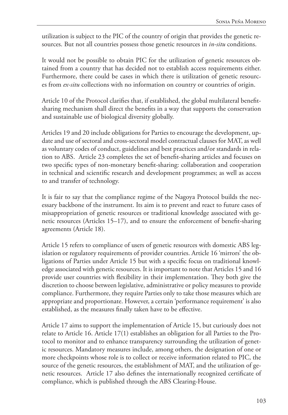utilization is subject to the PIC of the country of origin that provides the genetic resources. But not all countries possess those genetic resources in *in-situ* conditions.

It would not be possible to obtain PIC for the utilization of genetic resources obtained from a country that has decided not to establish access requirements either. Furthermore, there could be cases in which there is utilization of genetic resources from *ex-situ* collections with no information on country or countries of origin.

Article 10 of the Protocol clarifies that, if established, the global multilateral benefitsharing mechanism shall direct the benefits in a way that supports the conservation and sustainable use of biological diversity globally.

Articles 19 and 20 include obligations for Parties to encourage the development, update and use of sectoral and cross-sectoral model contractual clauses for MAT, as well as voluntary codes of conduct, guidelines and best practices and/or standards in relation to ABS. Article 23 completes the set of benefit-sharing articles and focuses on two specific types of non-monetary benefit-sharing: collaboration and cooperation in technical and scientific research and development programmes; as well as access to and transfer of technology.

It is fair to say that the compliance regime of the Nagoya Protocol builds the necessary backbone of the instrument. Its aim is to prevent and react to future cases of misappropriation of genetic resources or traditional knowledge associated with genetic resources (Articles 15–17), and to ensure the enforcement of benefit-sharing agreements (Article 18).

Article 15 refers to compliance of users of genetic resources with domestic ABS legislation or regulatory requirements of provider countries. Article 16 'mirrors' the obligations of Parties under Article 15 but with a specific focus on traditional knowledge associated with genetic resources. It is important to note that Articles 15 and 16 provide user countries with flexibility in their implementation. They both give the discretion to choose between legislative, administrative or policy measures to provide compliance. Furthermore, they require Parties only to take those measures which are appropriate and proportionate. However, a certain 'performance requirement' is also established, as the measures finally taken have to be effective.

Article 17 aims to support the implementation of Article 15, but curiously does not relate to Article 16. Article 17(1) establishes an obligation for all Parties to the Protocol to monitor and to enhance transparency surrounding the utilization of genetic resources. Mandatory measures include, among others, the designation of one or more checkpoints whose role is to collect or receive information related to PIC, the source of the genetic resources, the establishment of MAT, and the utilization of genetic resources. Article 17 also defines the internationally recognized certificate of compliance, which is published through the ABS Clearing-House.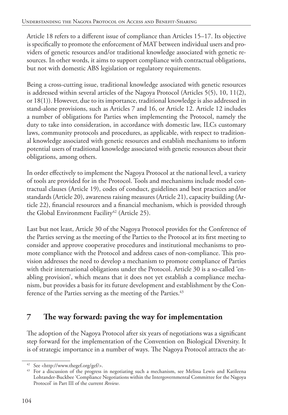Article 18 refers to a different issue of compliance than Articles 15–17. Its objective is specifically to promote the enforcement of MAT between individual users and providers of genetic resources and/or traditional knowledge associated with genetic resources. In other words, it aims to support compliance with contractual obligations, but not with domestic ABS legislation or regulatory requirements.

Being a cross-cutting issue, traditional knowledge associated with genetic resources is addressed within several articles of the Nagoya Protocol (Articles 5(5), 10, 11(2), or 18(1)). However, due to its importance, traditional knowledge is also addressed in stand-alone provisions, such as Articles 7 and 16, or Article 12. Article 12 includes a number of obligations for Parties when implementing the Protocol, namely the duty to take into consideration, in accordance with domestic law, ILCs customary laws, community protocols and procedures, as applicable, with respect to traditional knowledge associated with genetic resources and establish mechanisms to inform potential users of traditional knowledge associated with genetic resources about their obligations, among others.

In order effectively to implement the Nagoya Protocol at the national level, a variety of tools are provided for in the Protocol. Tools and mechanisms include model contractual clauses (Article 19), codes of conduct, guidelines and best practices and/or standards (Article 20), awareness raising measures (Article 21), capacity building (Article 22), financial resources and a financial mechanism, which is provided through the Global Environment Facility<sup>42</sup> (Article 25).

Last but not least, Article 30 of the Nagoya Protocol provides for the Conference of the Parties serving as the meeting of the Parties to the Protocol at its first meeting to consider and approve cooperative procedures and institutional mechanisms to promote compliance with the Protocol and address cases of non-compliance. This provision addresses the need to develop a mechanism to promote compliance of Parties with their international obligations under the Protocol. Article 30 is a so-called 'enabling provision', which means that it does not yet establish a compliance mechanism, but provides a basis for its future development and establishment by the Conference of the Parties serving as the meeting of the Parties.<sup>43</sup>

## **7 The way forward: paving the way for implementation**

The adoption of the Nagoya Protocol after six years of negotiations was a significant step forward for the implementation of the Convention on Biological Diversity. It is of strategic importance in a number of ways. The Nagoya Protocol attracts the at-

<sup>42</sup> See <http://www.thegef.org/gef/>.

<sup>&</sup>lt;sup>43</sup> For a discussion of the progress in negotiating such a mechanism, see Melissa Lewis and Katileena Lohtander-Buckbee 'Compliance Negotiations within the Intergovernmental Committee for the Nagoya Protocol' in Part III of the current *Review*.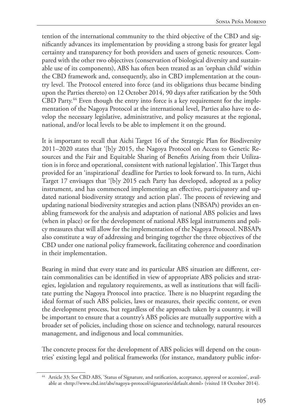tention of the international community to the third objective of the CBD and significantly advances its implementation by providing a strong basis for greater legal certainty and transparency for both providers and users of genetic resources. Compared with the other two objectives (conservation of biological diversity and sustainable use of its components), ABS has often been treated as an 'orphan child' within the CBD framework and, consequently, also in CBD implementation at the country level. The Protocol entered into force (and its obligations thus became binding upon the Parties thereto) on 12 October 2014, 90 days after ratification by the 50th CBD Party.<sup>44</sup> Even though the entry into force is a key requirement for the implementation of the Nagoya Protocol at the international level, Parties also have to develop the necessary legislative, administrative, and policy measures at the regional, national, and/or local levels to be able to implement it on the ground.

It is important to recall that Aichi Target 16 of the Strategic Plan for Biodiversity 2011–2020 states that '[b]y 2015, the Nagoya Protocol on Access to Genetic Resources and the Fair and Equitable Sharing of Benefits Arising from their Utilization is in force and operational, consistent with national legislation'. This Target thus provided for an 'inspirational' deadline for Parties to look forward to. In turn, Aichi Target 17 envisages that '[b]y 2015 each Party has developed, adopted as a policy instrument, and has commenced implementing an effective, participatory and updated national biodiversity strategy and action plan'. The process of reviewing and updating national biodiversity strategies and action plans (NBSAPs) provides an enabling framework for the analysis and adaptation of national ABS policies and laws (when in place) or for the development of national ABS legal instruments and policy measures that will allow for the implementation of the Nagoya Protocol. NBSAPs also constitute a way of addressing and bringing together the three objectives of the CBD under one national policy framework, facilitating coherence and coordination in their implementation.

Bearing in mind that every state and its particular ABS situation are different, certain commonalities can be identified in view of appropriate ABS policies and strategies, legislation and regulatory requirements, as well as institutions that will facilitate putting the Nagoya Protocol into practice. There is no blueprint regarding the ideal format of such ABS policies, laws or measures, their specific content, or even the development process, but regardless of the approach taken by a country, it will be important to ensure that a country's ABS policies are mutually supportive with a broader set of policies, including those on science and technology, natural resources management, and indigenous and local communities.

The concrete process for the development of ABS policies will depend on the countries' existing legal and political frameworks (for instance, mandatory public infor-

<sup>44</sup> Article 33; See CBD ABS, 'Status of Signature, and ratification, acceptance, approval or accession', available at <http://www.cbd.int/abs/nagoya-protocol/signatories/default.shtml> (visited 18 October 2014).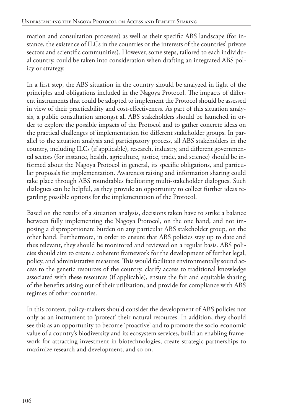mation and consultation processes) as well as their specific ABS landscape (for instance, the existence of ILCs in the countries or the interests of the countries' private sectors and scientific communities). However, some steps, tailored to each individual country, could be taken into consideration when drafting an integrated ABS policy or strategy.

In a first step, the ABS situation in the country should be analyzed in light of the principles and obligations included in the Nagoya Protocol. The impacts of different instruments that could be adopted to implement the Protocol should be assessed in view of their practicability and cost-effectiveness. As part of this situation analysis, a public consultation amongst all ABS stakeholders should be launched in order to explore the possible impacts of the Protocol and to gather concrete ideas on the practical challenges of implementation for different stakeholder groups. In parallel to the situation analysis and participatory process, all ABS stakeholders in the country, including ILCs (if applicable), research, industry, and different governmental sectors (for instance, health, agriculture, justice, trade, and science) should be informed about the Nagoya Protocol in general, its specific obligations, and particular proposals for implementation. Awareness raising and information sharing could take place through ABS roundtables facilitating multi-stakeholder dialogues. Such dialogues can be helpful, as they provide an opportunity to collect further ideas regarding possible options for the implementation of the Protocol.

Based on the results of a situation analysis, decisions taken have to strike a balance between fully implementing the Nagoya Protocol, on the one hand, and not imposing a disproportionate burden on any particular ABS stakeholder group, on the other hand. Furthermore, in order to ensure that ABS policies stay up to date and thus relevant, they should be monitored and reviewed on a regular basis. ABS policies should aim to create a coherent framework for the development of further legal, policy, and administrative measures. This would facilitate environmentally sound access to the genetic resources of the country, clarify access to traditional knowledge associated with these resources (if applicable), ensure the fair and equitable sharing of the benefits arising out of their utilization, and provide for compliance with ABS regimes of other countries.

In this context, policy-makers should consider the development of ABS policies not only as an instrument to 'protect' their natural resources. In addition, they should see this as an opportunity to become 'proactive' and to promote the socio-economic value of a country's biodiversity and its ecosystem services, build an enabling framework for attracting investment in biotechnologies, create strategic partnerships to maximize research and development, and so on.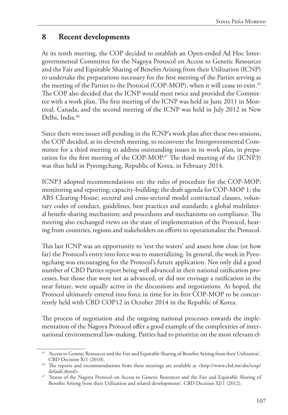### **8 Recent developments**

At its tenth meeting, the COP decided to establish an Open-ended Ad Hoc Intergovernmental Committee for the Nagoya Protocol on Access to Genetic Resources and the Fair and Equitable Sharing of Benefits Arising from their Utilization (ICNP) to undertake the preparations necessary for the first meeting of the Parties serving as the meeting of the Parties to the Protocol (COP-MOP), when it will cease to exist.<sup>45</sup> The COP also decided that the ICNP would meet twice and provided the Committee with a work plan. The first meeting of the ICNP was held in June 2011 in Montreal, Canada, and the second meeting of the ICNP was held in July 2012 in New Delhi, India.<sup>46</sup>

Since there were issues still pending in the ICNP's work plan after these two sessions, the COP decided, at its eleventh meeting, to reconvene the Intergovernmental Committee for a third meeting to address outstanding issues in its work plan, in preparation for the first meeting of the COP-MOP.<sup>47</sup> The third meeting of the (ICNP3) was thus held in Pyeongchang, Republic of Korea, in February 2014.

ICNP3 adopted recommendations on: the rules of procedure for the COP-MOP; monitoring and reporting; capacity-building; the draft agenda for COP-MOP 1; the ABS Clearing-House; sectoral and cross-sectoral model contractual clauses, voluntary codes of conduct, guidelines, best practices and standards; a global multilateral benefit-sharing mechanism; and procedures and mechanisms on compliance. The meeting also exchanged views on the state of implementation of the Protocol, hearing from countries, regions and stakeholders on efforts to operationalize the Protocol.

This last ICNP was an opportunity to 'test the waters' and assess how close (or how far) the Protocol's entry into force was to materializing. In general, the week in Pyeongchang was encouraging for the Protocol's future application. Not only did a good number of CBD Parties report being well advanced in their national ratification processes, but those that were not as advanced, or did not envisage a ratification in the near future, were equally active in the discussions and negotiations. As hoped, the Protocol ultimately entered into force in time for its first COP-MOP to be concurrently held with CBD COP12 in October 2014 in the Republic of Korea.

The process of negotiation and the ongoing national processes towards the implementation of the Nagoya Protocol offer a good example of the complexities of international environmental law-making. Parties had to prioritize on the most relevant el-

<sup>45</sup> 'Access to Genetic Resources and the Fair and Equitable Sharing of Benefits Arising from their Utilization', CBD Decision X/1 (2010).

<sup>46</sup> The reports and recommendations from these meetings are available at <http://www.cbd.int/abs/icnp/ default.shtml>.

<sup>47</sup> 'Status of the Nagoya Protocol on Access to Genetic Resources and the Fair and Equitable Sharing of Benefits Arising from their Utilization and related developments', CBD Decision XI/1 (2012).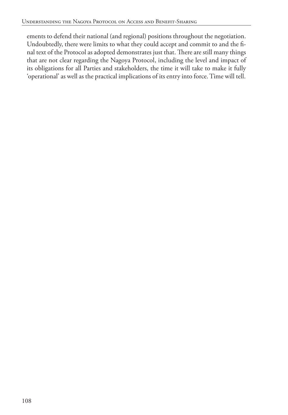ements to defend their national (and regional) positions throughout the negotiation. Undoubtedly, there were limits to what they could accept and commit to and the final text of the Protocol as adopted demonstrates just that. There are still many things that are not clear regarding the Nagoya Protocol, including the level and impact of its obligations for all Parties and stakeholders, the time it will take to make it fully 'operational' as well as the practical implications of its entry into force. Time will tell.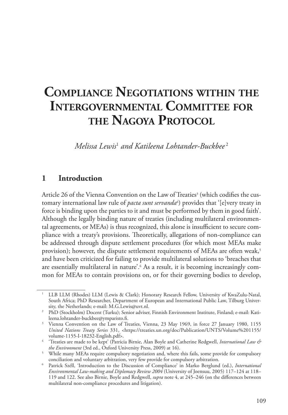# **Compliance Negotiations within the Intergovernmental Committee for the Nagoya Protocol**

*Melissa Lewis*<sup>1</sup>  *and Katileena Lohtander-Buckbee* <sup>2</sup>

#### **1 Introduction**

Article 26 of the Vienna Convention on the Law of Treaties<sup>3</sup> (which codifies the customary international law rule of *pacta sunt servanda*<sup>4</sup>) provides that '[e]very treaty in force is binding upon the parties to it and must be performed by them in good faith'. Although the legally binding nature of treaties (including multilateral environmental agreements, or MEAs) is thus recognized, this alone is insufficient to secure compliance with a treaty's provisions. Theoretically, allegations of non-compliance can be addressed through dispute settlement procedures (for which most MEAs make provision); however, the dispute settlement requirements of MEAs are often weak,<sup>5</sup> and have been criticized for failing to provide multilateral solutions to 'breaches that are essentially multilateral in nature'.6 As a result, it is becoming increasingly common for MEAs to contain provisions on, or for their governing bodies to develop,

<sup>&</sup>lt;sup>1</sup> LLB LLM (Rhodes) LLM (Lewis & Clark); Honorary Research Fellow, University of KwaZulu-Natal, South Africa; PhD Researcher, Department of European and International Public Law, Tilburg Univer-<br>sity, the Netherlands; e-mail: M.G.Lewis@uvt.nl.

<sup>&</sup>lt;sup>2</sup> PhD (Stockholm) Docent (Turku); Senior adviser, Finnish Environment Institute, Finland; e-mail: Kati-leena.lohtander-buckbee@vmparisto.fi.

<sup>&</sup>lt;sup>3</sup> Vienna Convention on the Law of Treaties, Vienna, 23 May 1969, in force 27 January 1980, 1155 *United Nations Treaty Series* 331, <https://treaties.un.org/doc/Publication/UNTS/Volume%201155/ volume-1155-I-18232-English.pdf>.

<sup>4</sup> 'Treaties are made to be kept' (Patricia Birnie, Alan Boyle and Catherine Redgwell, *International Law & the Environment* (3rd ed., Oxford University Press, 2009) at 16).

<sup>&</sup>lt;sup>5</sup> While many MEAs require compulsory negotiation and, where this fails, some provide for compulsory conciliation and voluntary arbitration, very few provide for compulsory arbitration.

<sup>6</sup> Patrick Széll, 'Introduction to the Discussion of Compliance' in Marko Berglund (ed.), *International Environmental Law-making and Diplomacy Review 2004* (University of Joensuu, 2005) 117–124 at 118– 119 and 122. See also Birnie, Boyle and Redgwell, *supra* note 4, at 245–246 (on the differences between multilateral non-compliance procedures and litigation).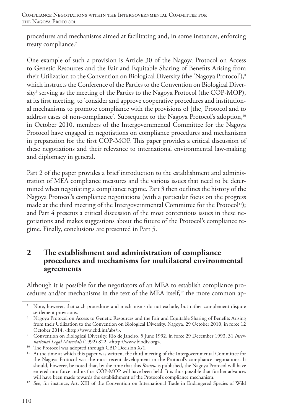procedures and mechanisms aimed at facilitating and, in some instances, enforcing treaty compliance.<sup>7</sup>

One example of such a provision is Article 30 of the Nagoya Protocol on Access to Genetic Resources and the Fair and Equitable Sharing of Benefits Arising from their Utilization to the Convention on Biological Diversity (the 'Nagoya Protocol'),<sup>8</sup> which instructs the Conference of the Parties to the Convention on Biological Diversity<sup>9</sup> serving as the meeting of the Parties to the Nagoya Protocol (the COP-MOP), at its first meeting, to 'consider and approve cooperative procedures and institutional mechanisms to promote compliance with the provisions of [the] Protocol and to address cases of non-compliance'. Subsequent to the Nagoya Protocol's adoption,<sup>10</sup> in October 2010, members of the Intergovernmental Committee for the Nagoya Protocol have engaged in negotiations on compliance procedures and mechanisms in preparation for the first COP-MOP. This paper provides a critical discussion of these negotiations and their relevance to international environmental law-making and diplomacy in general.

Part 2 of the paper provides a brief introduction to the establishment and administration of MEA compliance measures and the various issues that need to be determined when negotiating a compliance regime. Part 3 then outlines the history of the Nagoya Protocol's compliance negotiations (with a particular focus on the progress made at the third meeting of the Intergovernmental Committee for the Protocol<sup>11</sup>); and Part 4 presents a critical discussion of the most contentious issues in these negotiations and makes suggestions about the future of the Protocol's compliance regime. Finally, conclusions are presented in Part 5.

### **2 The establishment and administration of compliance procedures and mechanisms for multilateral environmental agreements**

Although it is possible for the negotiators of an MEA to establish compliance procedures and/or mechanisms in the text of the MEA itself,<sup>12</sup> the more common ap-

Note, however, that such procedures and mechanisms do not exclude, but rather complement dispute settlement provisions.<br>Nagoya Protocol on Access to Genetic Resources and the Fair and Equitable Sharing of Benefits Arising

from their Utilization to the Convention on Biological Diversity, Nagoya, 29 October 2010, in force 12 October 2014, <http://www.cbd.int/abs/>. 9 Convention on Biological Diversity, Rio de Janeiro, 5 June 1992, in force 29 December 1993, 31 *Inter-*

*national Legal Materials* (1992) 822, <http://www.biodiv.org>.

<sup>&</sup>lt;sup>10</sup> The Protocol was adopted through CBD Decision X/1.

<sup>&</sup>lt;sup>11</sup> At the time at which this paper was written, the third meeting of the Intergovernmental Committee for the Nagoya Protocol was the most recent development in the Protocol's compliance negotiations. It should, however, be noted that, by the time that this *Review* is published, the Nagoya Protocol will have entered into force and its first COP-MOP will have been held. It is thus possible that further advances

will have been made towards the establishment of the Protocol's compliance mechanism. 12 See, for instance, Art. XIII of the Convention on International Trade in Endangered Species of Wild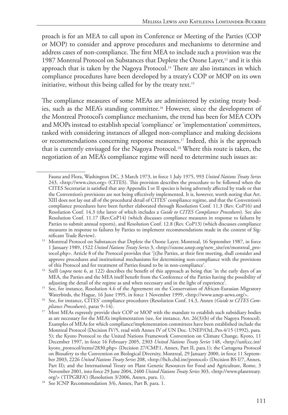proach is for an MEA to call upon its Conference or Meeting of the Parties (COP or MOP) to consider and approve procedures and mechanisms to determine and address cases of non-compliance. The first MEA to include such a provision was the 1987 Montreal Protocol on Substances that Deplete the Ozone Layer,<sup>13</sup> and it is this approach that is taken by the Nagoya Protocol.14 There are also instances in which compliance procedures have been developed by a treaty's COP or MOP on its own initiative, without this being called for by the treaty text.<sup>15</sup>

The compliance measures of some MEAs are administered by existing treaty bodies, such as the MEA's standing committee.16 However, since the development of the Montreal Protocol's compliance mechanism, the trend has been for MEA COPs and MOPs instead to establish special 'compliance' or 'implementation' committees, tasked with considering instances of alleged non-compliance and making decisions or recommendations concerning response measures.17 Indeed, this is the approach that is currently envisaged for the Nagoya Protocol.18 Where this route is taken, the negotiation of an MEA's compliance regime will need to determine such issues as:

Fauna and Flora, Washington DC, 3 March 1973, in force 1 July 1975, 993 *United Nations Treaty Series* 243, <http://www.cites.org> (CITES). This provision describes the procedure to be followed when the CITES Secretariat is satisfied that any Appendix I or II species is being adversely affected by trade or that the Convention's provisions are not being effectively implemented. It is, however, worth noting that Art. XIII does not lay out all of the procedural detail of CITES' compliance regime, and that the Convention's compliance procedures have been further elaborated through Resolution Conf. 11.3 (Rev. CoP16) and Resolution Conf. 14.3 (the latter of which includes a *Guide to CITES Compliance Procedures*). See also Resolution Conf. 11.17 (Rev.CoP14) (which discusses compliance measures in response to failures by Parties to submit annual reports), and Resolution Conf. 12.8 (Rev. CoP13) (which discusses compliance measures in response to failures by Parties to implement recommendations made in the context of Sig-

<sup>&</sup>lt;sup>13</sup> Montreal Protocol on Substances that Deplete the Ozone Layer, Montreal, 16 September 1987, in force 1 January 1989, 1522 *United Nations Treaty Series* 3, <http://ozone.unep.org/new\_site/en/montreal\_protocol.php>. Article 8 of the Protocol provides that '[t]he Parties, at their first meeting, shall consider and approve procedures and institutional mechanisms for determining non-compliance with the provisions of this Protocol and for treatment of Parties found to be in non-compliance'.

<sup>&</sup>lt;sup>14</sup> Széll (*supra* note 6, at 122) describes the benefit of this approach as being that 'in the early days of an MEA, the Parties and the MEA itself benefit from the Conference of the Parties having the possibility of adjusting the detail of the regime as and when necessary and in the light of experience'.

<sup>&</sup>lt;sup>15</sup> See, for instance, Resolution 4.6 of the Agreement on the Conservation of African-Eurasian Migratory Waterbirds, the Hague, 16 June 1995, in force 1 November 1999, <http://www.unep-aewa.org/>.

<sup>16</sup> See, for instance, CITES' compliance procedures (Resolution Conf. 14.3, Annex (*Guide to CITES Compliance Procedures*), paras 9–14).

<sup>&</sup>lt;sup>17</sup> Most MEAs expressly provide their COP or MOP with the mandate to establish such subsidiary bodies as are necessary for the MEA's implementation (see, for instance, Art. 26(3)(b) of the Nagoya Protocol). Examples of MEAs for which compliance/implementation committees have been established include the Montreal Protocol (Decision IV/5, read with Annex IV of UN Doc. UNEP/OzL.Pro.4/15 (1992), para. 5); the Kyoto Protocol to the United Nations Framework Convention on Climate Change, Kyoto, 11 December 1997, in force 16 February 2005, 2303 *United Nations Treaty Series* 148, <http://unfccc.int/ kyoto\_protocol/items/2830.php> (Decision 27/CMP.1, Annex, Part II, para.1); the Cartagena Protocol on Biosafety to the Convention on Biological Diversity, Montreal, 29 January 2000, in force 11 September 2003, 2226 *United Nations Treaty Series* 208, <http://bch.cbd.int/protocol> (Decision BS-I/7, Annex, Part II); and the International Treaty on Plant Genetic Resources for Food and Agriculture, Rome, 3 November 2001, into force 29 June 2004, 2400 *United Nations Treaty Series* 303, <http://www.planttreaty.

org/> ('ITPGRFA') (Resolution 3/2006, Annex, para. 1). 18 See ICNP Recommendation 3/6, Annex, Part B, para. 1.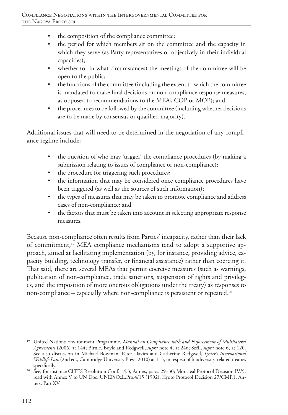- the composition of the compliance committee;
- the period for which members sit on the committee and the capacity in which they serve (as Party representatives or objectively in their individual capacities);
- whether (or in what circumstances) the meetings of the committee will be open to the public;
- the functions of the committee (including the extent to which the committee is mandated to make final decisions on non-compliance response measures, as opposed to recommendations to the MEA's COP or MOP); and
- the procedures to be followed by the committee (including whether decisions are to be made by consensus or qualified majority).

Additional issues that will need to be determined in the negotiation of any compliance regime include:

- the question of who may 'trigger' the compliance procedures (by making a submission relating to issues of compliance or non-compliance);
- the procedure for triggering such procedures;
- the information that may be considered once compliance procedures have been triggered (as well as the sources of such information);
- the types of measures that may be taken to promote compliance and address cases of non-compliance; and
- the factors that must be taken into account in selecting appropriate response measures.

Because non-compliance often results from Parties' incapacity, rather than their lack of commitment,<sup>19</sup> MEA compliance mechanisms tend to adopt a supportive approach, aimed at facilitating implementation (by, for instance, providing advice, capacity building, technology transfer, or financial assistance) rather than coercing it. That said, there are several MEAs that permit coercive measures (such as warnings, publication of non-compliance, trade sanctions, suspension of rights and privileges, and the imposition of more onerous obligations under the treaty) as responses to non-compliance – especially where non-compliance is persistent or repeated.<sup>20</sup>

<sup>&</sup>lt;sup>19</sup> United Nations Environment Programme, *Manual on Compliance with and Enforcement of Multilateral Agreements* (2006) at 144; Birnie, Boyle and Redgwell, *supra* note 4, at 246; Széll, *supra* note 6, at 120. See also discussion in Michael Bowman, Peter Davies and Catherine Redgwell, *Lyster's International Wildlife Law* (2nd ed., Cambridge University Press, 2010) at 113, in respect of biodiversity-related treaties specifically.

<sup>&</sup>lt;sup>20</sup> See, for instance CITES Resolution Conf. 14.3, Annex, paras 29–30; Montreal Protocol Decision IV/5, read with Annex V to UN Doc. UNEP/OzL.Pro.4/15 (1992); Kyoto Protocol Decision 27/CMP.1, Annex, Part XV.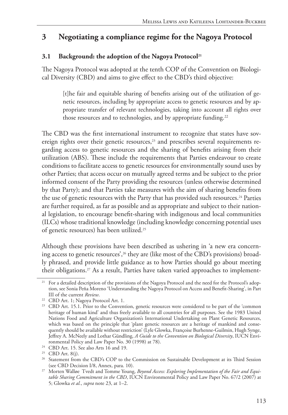### **3 Negotiating a compliance regime for the Nagoya Protocol**

#### 3.1 **Background: the adoption of the Nagoya Protocol**<sup>21</sup>

The Nagoya Protocol was adopted at the tenth COP of the Convention on Biological Diversity (CBD) and aims to give effect to the CBD's third objective:

[t]he fair and equitable sharing of benefits arising out of the utilization of genetic resources, including by appropriate access to genetic resources and by appropriate transfer of relevant technologies, taking into account all rights over those resources and to technologies, and by appropriate funding.<sup>22</sup>

The CBD was the first international instrument to recognize that states have sovereign rights over their genetic resources, $23$  and prescribes several requirements regarding access to genetic resources and the sharing of benefits arising from their utilization (ABS). These include the requirements that Parties endeavour to create conditions to facilitate access to genetic resources for environmentally sound uses by other Parties; that access occur on mutually agreed terms and be subject to the prior informed consent of the Party providing the resources (unless otherwise determined by that Party); and that Parties take measures with the aim of sharing benefits from the use of genetic resources with the Party that has provided such resources.<sup>24</sup> Parties are further required, as far as possible and as appropriate and subject to their national legislation, to encourage benefit-sharing with indigenous and local communities (ILCs) whose traditional knowledge (including knowledge concerning potential uses of genetic resources) has been utilized.25

Although these provisions have been described as ushering in 'a new era concerning access to genetic resources',<sup>26</sup> they are (like most of the CBD's provisions) broadly phrased, and provide little guidance as to how Parties should go about meeting their obligations.27 As a result, Parties have taken varied approaches to implement-

<sup>&</sup>lt;sup>21</sup> For a detailed description of the provisions of the Nagoya Protocol and the need for the Protocol's adoption, see Sonia Peña Moreno 'Understanding the Nagoya Protocol on Access and Benefit-Sharing', in Part III of the current *Review*.

<sup>22</sup> CBD Art. 1; Nagoya Protocol Art. 1.

<sup>&</sup>lt;sup>23</sup> CBD Art. 15.1. Prior to the Convention, genetic resources were considered to be part of the 'common heritage of human kind' and thus freely available to all countries for all purposes. See the 1983 United Nations Food and Agriculture Organization's International Undertaking on Plant Genetic Resources, which was based on the principle that 'plant genetic resources are a heritage of mankind and consequently should be available without restriction' (Lyle Glowka, Françoise Burhenne-Guilmin, Hugh Synge, Jeffrey A. McNeely and Lothar Gündling, *A Guide to the Convention on Biological Diversity*, IUCN Environmental Policy and Law Paper No. 30 (1998) at 78).

<sup>&</sup>lt;sup>24</sup> CBD Art. 15. See also Arts 16 and 19.

<sup>25</sup> CBD Art. 8(j).

<sup>&</sup>lt;sup>26</sup> Statement from the CBD's COP to the Commission on Sustainable Development at its Third Session (see CBD Decision I/8, Annex, para. 10).

<sup>27</sup> Morten Walløe Tvedt and Tomme Young, *Beyond Access: Exploring Implementation of the Fair and Equitable Sharing Commitment in the CBD*, IUCN Environmental Policy and Law Paper No. 67/2 (2007) at 5; Glowka *et al.*, *supra* note 23, at 1–2.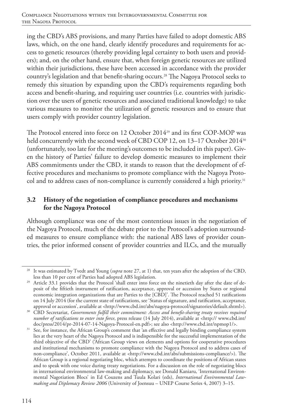ing the CBD's ABS provisions, and many Parties have failed to adopt domestic ABS laws, which, on the one hand, clearly identify procedures and requirements for access to genetic resources (thereby providing legal certainty to both users and providers); and, on the other hand, ensure that, when foreign genetic resources are utilized within their jurisdictions, these have been accessed in accordance with the provider country's legislation and that benefit-sharing occurs.28 The Nagoya Protocol seeks to remedy this situation by expanding upon the CBD's requirements regarding both access and benefit-sharing, and requiring user countries (i.e. countries with jurisdiction over the users of genetic resources and associated traditional knowledge) to take various measures to monitor the utilization of genetic resources and to ensure that users comply with provider country legislation.

The Protocol entered into force on 12 October 2014<sup>29</sup> and its first COP-MOP was held concurrently with the second week of CBD COP 12, on 13-17 October 2014<sup>30</sup> (unfortunately, too late for the meeting's outcomes to be included in this paper). Given the history of Parties' failure to develop domestic measures to implement their ABS commitments under the CBD, it stands to reason that the development of effective procedures and mechanisms to promote compliance with the Nagoya Protocol and to address cases of non-compliance is currently considered a high priority.<sup>31</sup>

### **3.2 History of the negotiation of compliance procedures and mechanisms for the Nagoya Protocol**

Although compliance was one of the most contentious issues in the negotiation of the Nagoya Protocol, much of the debate prior to the Protocol's adoption surrounded measures to ensure compliance with: the national ABS laws of provider countries, the prior informed consent of provider countries and ILCs, and the mutually

<sup>28</sup> It was estimated by Tvedt and Young (*supra* note 27, at 1) that, ten years after the adoption of the CBD,

Article 33.1 provides that the Protocol 'shall enter into force on the ninetieth day after the date of deposit of the fiftieth instrument of ratification, acceptance, approval or accession by States or regional economic integration organizations that are Parties to the [CBD]'. The Protocol reached 51 ratifications on 14 July 2014 (for the current state of ratifications, see 'Status of signature, and ratification, acceptance, approval or accession', available at <http://www.cbd.int/abs/nagoya-protocol/signatories/default.shtml>).

<sup>&</sup>lt;sup>30</sup> CBD Secretariat, Governments fulfill their commitment: Access and benefit-sharing treaty receives required *number of ratifications to enter into force*, press release (14 July 2014), available at <http:// www.cbd.int/ doc/press/2014/pr-2014-07-14-Nagoya-Protocol-en.pdf>; see also <http://www.cbd.int/npmop1/>.

<sup>&</sup>lt;sup>31</sup> See, for instance, the African Group's comment that 'an effective and legally binding compliance system lies at the very heart of the Nagoya Protocol and is indispensible for the successful implementation of the third objective of the CBD' ('African Group views on elements and options for cooperative procedures and institutional mechanisms to promote compliance with the Nagoya Protocol and to address cases of non-compliance', October 2011, available at <http://www.cbd.int/abs/submissions-compliance/>). The African Group is a regional negotiating bloc, which attempts to coordinate the positions of African states and to speak with one voice during treaty negotiations. For a discussion on the role of negotiating blocs in international environmental law-making and diplomacy, see Donald Kaniaru, 'International Environmental Nagotiation Blocs' in Ed Couzens and Tuula Kolari (eds), *International Environmental Lawmaking and Diplomacy Review 2006* (University of Joensuu – UNEP Course Series 4, 2007) 3–15.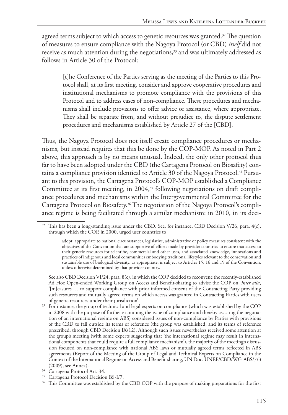agreed terms subject to which access to genetic resources was granted.<sup>32</sup> The question of measures to ensure compliance with the Nagoya Protocol (or CBD) *itself* did not receive as much attention during the negotiations,<sup>33</sup> and was ultimately addressed as follows in Article 30 of the Protocol:

[t]he Conference of the Parties serving as the meeting of the Parties to this Protocol shall, at its first meeting, consider and approve cooperative procedures and institutional mechanisms to promote compliance with the provisions of this Protocol and to address cases of non-compliance. These procedures and mechanisms shall include provisions to offer advice or assistance, where appropriate. They shall be separate from, and without prejudice to, the dispute settlement procedures and mechanisms established by Article 27 of the [CBD].

Thus, the Nagoya Protocol does not itself create compliance procedures or mechanisms, but instead requires that this be done by the COP-MOP. As noted in Part 2 above, this approach is by no means unusual. Indeed, the only other protocol thus far to have been adopted under the CBD (the Cartagena Protocol on Biosafety) contains a compliance provision identical to Article 30 of the Nagoya Protocol.<sup>34</sup> Pursuant to this provision, the Cartagena Protocol's COP-MOP established a Compliance Committee at its first meeting, in  $2004$ ,<sup>35</sup> following negotiations on draft compliance procedures and mechanisms within the Intergovernmental Committee for the Cartagena Protocol on Biosafety.36 The negotiation of the Nagoya Protocol's compliance regime is being facilitated through a similar mechanism: in 2010, in its deci-

<sup>&</sup>lt;sup>32</sup> This has been a long-standing issue under the CBD. See, for instance, CBD Decision V/26, para. 4(c), through which the COP, in 2000, urged user countries to

adopt, appropriate to national circumstances, legislative, administrative or policy measures consistent with the objectives of the Convention that are supportive of efforts made by provider countries to ensure that access to their genetic resources for scientific, commercial and other uses, and associated knowledge, innovations and practices of indigenous and local communities embodying traditional lifestyles relevant to the conservation and sustainable use of biological diversity, as appropriate, is subject to Articles 15, 16 and 19 of the Convention, unless otherwise determined by that provider country.

See also CBD Decision VI/24, para. 8(c), in which the COP decided to reconvene the recently-established Ad Hoc Open-ended Working Group on Access and Benefit-sharing to advise the COP on, *inter alia*, '[m]easures … to support compliance with prior informed consent of the Contracting Party providing such resources and mutually agreed terms on which access was granted in Contracting Parties with users of genetic resources under their jurisdiction'.

<sup>&</sup>lt;sup>33</sup> For instance, the group of technical and legal experts on compliance (which was established by the COP in 2008 with the purpose of further examining the issue of compliance and thereby assisting the negotiation of an international regime on ABS) considered issues of non-compliance by Parties with provisions of the CBD to fall outside its terms of reference (the group was established, and its terms of reference prescribed, through CBD Decision IX/12). Although such issues nevertheless received some attention at the group's meeting (with some experts suggesting that 'the international regime may result in international components that could require a full compliance mechanism'), the majority of the meeting's discussion focused on non-compliance with national ABS laws or mutually agreed terms reflected in ABS agreements (Report of the Meeting of the Group of Legal and Technical Experts on Compliance in the Context of the International Regime on Access and Benefit-sharing, UN Doc. UNEP/CBD/WG-ABS/7/3 (2009), see Annex).<br><sup>34</sup> Cartagena Protocol Art. 34.

 $35$  Cartagena Protocol Decision BS-I/7.<br> $36$  This Committee was established by the CBD COP with the purpose of making preparations for the first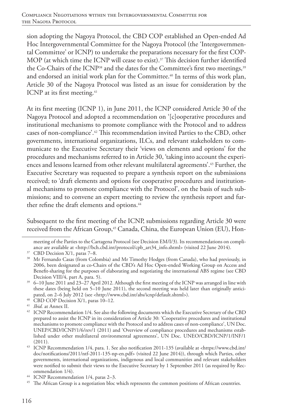sion adopting the Nagoya Protocol, the CBD COP established an Open-ended Ad Hoc Intergovernmental Committee for the Nagoya Protocol (the 'Intergovernmental Committee' or ICNP) to undertake the preparations necessary for the first COP-MOP (at which time the ICNP will cease to exist).<sup>37</sup> This decision further identified the Co-Chairs of the ICNP<sup>38</sup> and the dates for the Committee's first two meetings,<sup>39</sup> and endorsed an initial work plan for the Committee.<sup>40</sup> In terms of this work plan, Article 30 of the Nagoya Protocol was listed as an issue for consideration by the ICNP at its first meeting.<sup>41</sup>

At its first meeting (ICNP 1), in June 2011, the ICNP considered Article 30 of the Nagoya Protocol and adopted a recommendation on '[c]ooperative procedures and institutional mechanisms to promote compliance with the Protocol and to address cases of non-compliance'.42 This recommendation invited Parties to the CBD, other governments, international organizations, ILCs, and relevant stakeholders to communicate to the Executive Secretary their 'views on elements and options' for the procedures and mechanisms referred to in Article 30, 'taking into account the experiences and lessons learned from other relevant multilateral agreements'.43 Further, the Executive Secretary was requested to prepare a synthesis report on the submissions received; to 'draft elements and options for cooperative procedures and institutional mechanisms to promote compliance with the Protocol', on the basis of such submissions; and to convene an expert meeting to review the synthesis report and further refine the draft elements and options.<sup>44</sup>

Subsequent to the first meeting of the ICNP, submissions regarding Article 30 were received from the African Group,<sup>45</sup> Canada, China, the European Union (EU), Hon-

<sup>40</sup> CBD COP Decision X/1, paras 10–12.

meeting of the Parties to the Cartagena Protocol (see Decision EM/I/3). Its recommendations on compliance are available at <http://bch.cbd.int/protocol/cpb\_art34\_info.shtml> (visited 22 June 2014). 37 CBD Decision X/1, paras 7–8.

<sup>&</sup>lt;sup>38</sup> Mr Fernando Casas (from Colombia) and Mr Timothy Hodges (from Canada), who had previously, in 2006, been designated as co-Chairs of the CBD's Ad Hoc Open-ended Working Group on Access and Benefit-sharing for the purposes of elaborating and negotiating the international ABS regime (see CBD Decision VIII/4, part A, para. 5).

<sup>39</sup> 6–10 June 2011 and 23–27 April 2012. Although the first meeting of the ICNP was arranged in line with these dates (being held on 5–10 June 2011), the second meeting was held later than originally anticipated, on 2–6 July 2012 (see <http://www.cbd.int/abs/icnp/default.shtml>).

<sup>41</sup> *Ibid.* at Annex II.

<sup>&</sup>lt;sup>42</sup> ICNP Recommendation 1/4. See also the following documents which the Executive Secretary of the CBD prepared to assist the ICNP in its consideration of Article 30: 'Cooperative procedures and institutional mechanisms to promote compliance with the Protocol and to address cases of non-compliance', UN Doc. UNEP/CBD/ICNP/1/6/rev/1 (2011) and 'Overview of compliance procedures and mechanisms established under other multilateral environmental agreements', UN Doc. UNEO/CBD/ICNP/1/INF/1 (2011).

<sup>43</sup> ICNP Recommendation 1/4, para. 1. See also notification 2011-135 (available at <https://www.cbd.int/ doc/notifications/2011/ntf-2011-135-np-en.pdf> (visited 22 June 2014)), through which Parties, other governments, international organizations, indigenous and local communities and relevant stakeholders were notified to submit their views to the Executive Secretary by 1 September 2011 (as required by Rec-<br>ommendation  $1/4$ ).

<sup>&</sup>lt;sup>44</sup> ICNP Recommendation 1/4, paras 2–3.<br><sup>45</sup> The African Group is a negotiation bloc which represents the common positions of African countries.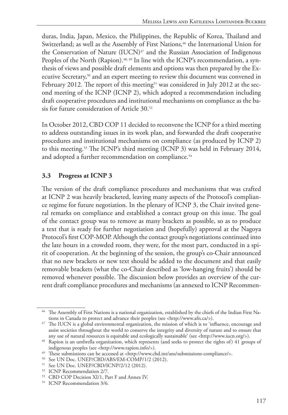duras, India, Japan, Mexico, the Philippines, the Republic of Korea, Thailand and Switzerland; as well as the Assembly of First Nations,<sup>46</sup> the International Union for the Conservation of Nature (IUCN)<sup>47</sup> and the Russian Association of Indigenous Peoples of the North (Rapion).<sup>48, 49</sup> In line with the ICNP's recommendation, a synthesis of views and possible draft elements and options was then prepared by the Executive Secretary,50 and an expert meeting to review this document was convened in February 2012. The report of this meeting<sup>51</sup> was considered in July 2012 at the second meeting of the ICNP (ICNP 2), which adopted a recommendation including draft cooperative procedures and institutional mechanisms on compliance as the basis for future consideration of Article 30.52

In October 2012, CBD COP 11 decided to reconvene the ICNP for a third meeting to address outstanding issues in its work plan, and forwarded the draft cooperative procedures and institutional mechanisms on compliance (as produced by ICNP 2) to this meeting.53 The ICNP's third meeting (ICNP 3) was held in February 2014, and adopted a further recommendation on compliance.<sup>54</sup>

### **3.3 Progress at ICNP 3**

The version of the draft compliance procedures and mechanisms that was crafted at ICNP 2 was heavily bracketed, leaving many aspects of the Protocol's compliance regime for future negotiation. In the plenary of ICNP 3, the Chair invited general remarks on compliance and established a contact group on this issue. The goal of the contact group was to remove as many brackets as possible, so as to produce a text that is ready for further negotiation and (hopefully) approval at the Nagoya Protocol's first COP-MOP. Although the contact group's negotiations continued into the late hours in a crowded room, they were, for the most part, conducted in a spirit of cooperation. At the beginning of the session, the group's co-Chair announced that no new brackets or new text should be added to the document and that easily removable brackets (what the co-Chair described as 'low-hanging fruits') should be removed whenever possible. The discussion below provides an overview of the current draft compliance procedures and mechanisms (as annexed to ICNP Recommen-

<sup>46</sup> The Assembly of First Nations is a national organization, established by the chiefs of the Indian First Nations in Canada to protect and advance their peoples (see <http://www.afn.ca/>).

<sup>&</sup>lt;sup>47</sup> The IUCN is a global environmental organization, the mission of which is to 'influence, encourage and assist societies throughout the world to conserve the integrity and diversity of nature and to ensure that any use of natural resources is equitable and ecologically sustainable' (see <http://www.iucn.org/>).

<sup>48</sup> Rapion is an umbrella organization, which represents (and seeks to protect the rights of) 41 groups of indigenous peoples (see <http://www.rapion.info/>).

<sup>49</sup> These submissions can be accessed at <http://www.cbd.int/ans/submissions-compliance/>. 50 See UN Doc. UNEP/CBD/ABS/EM-COMP/1/2 (2012).

<sup>&</sup>lt;sup>51</sup> See UN Doc. UNEP/CBD/ICNP/2/12 (2012).<br><sup>52</sup> ICNP Recommendation 2/7.

<sup>53</sup> CBD COP Decision XI/1, Part F and Annex IV.

<sup>&</sup>lt;sup>54</sup> ICNP Recommendation 3/6.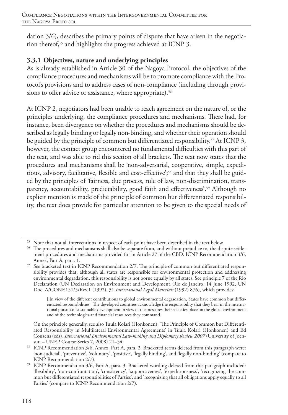dation 3/6), describes the primary points of dispute that have arisen in the negotiation thereof,<sup>55</sup> and highlights the progress achieved at ICNP 3.

### **3.3.1 Objectives, nature and underlying principles**

As is already established in Article 30 of the Nagoya Protocol, the objectives of the compliance procedures and mechanisms will be to promote compliance with the Protocol's provisions and to address cases of non-compliance (including through provisions to offer advice or assistance, where appropriate).<sup>56</sup>

At ICNP 2, negotiators had been unable to reach agreement on the nature of, or the principles underlying, the compliance procedures and mechanisms. There had, for instance, been divergence on whether the procedures and mechanisms should be described as legally binding or legally non-binding, and whether their operation should be guided by the principle of common but differentiated responsibility.<sup>57</sup> At ICNP 3, however, the contact group encountered no fundamental difficulties with this part of the text, and was able to rid this section of all brackets. The text now states that the procedures and mechanisms shall be 'non-adversarial, cooperative, simple, expeditious, advisory, facilitative, flexible and cost-effective';58 and that they shall be guided by the principles of 'fairness, due process, rule of law, non-discrimination, transparency, accountability, predictability, good faith and effectiveness'.<sup>59</sup> Although no explicit mention is made of the principle of common but differentiated responsibility, the text does provide for particular attention to be given to the special needs of

<sup>&</sup>lt;sup>55</sup> Note that not all interventions in respect of each point have been described in the text below.

<sup>56</sup> The procedures and mechanisms shall also be separate from, and without prejudice to, the dispute settlement procedures and mechanisms provided for in Article 27 of the CBD. ICNP Recommendation 3/6, Annex, Part A, para. 1.

<sup>&</sup>lt;sup>57</sup> See bracketed text in ICNP Recommendation 2/7. The principle of common but differentiated responsibility provides that, although all states are responsible for environmental protection and addressing environmental degradation, this responsibility is not borne equally by all states. See principle 7 of the Rio Declaration (UN Declaration on Environment and Development, Rio de Janeiro, 14 June 1992, UN Doc. A/CONF.151/5/Rev.1 (1992), 31 *International Legal Materials* (1992) 876), which provides:

<sup>[</sup>i]n view of the different contributions to global environmental degradation, States have common but differentiated responsibilities. The developed countries acknowledge the responsibility that they bear in the international pursuit of sustainable development in view of the pressures their societies place on the global environment and of the technologies and financial resources they command.

On the principle generally, see also Tuula Kolari (Honkonen), 'The Principle of Common but Differentiated Responsibility in Multilateral Environmental Agreements' in Tuula Kolari (Honkonen) and Ed Couzens (eds), *International Environmental Law-making and Diplomacy Review 2007* (University of Joensuu – UNEP Course Series 7, 2008) 21–54.

<sup>58</sup> ICNP Recommendation 3/6, Annex, Part A, para. 2. Bracketed terms deleted from this paragraph were: 'non-judicial', 'preventive', 'voluntary', 'positive', 'legally binding', and 'legally non-binding' (compare to ICNP Recommendation 2/7).

ICNP Recommendation 3/6, Part A, para. 3. Bracketed wording deleted from this paragraph included: 'flexibility', 'non-confrontation', 'consistency', 'supportiveness', 'expeditiousness', 'recognizing the common but differentiated responsibilities of Parties', and 'recognizing that all obligations apply equally to all Parties' (compare to ICNP Recommendation 2/7).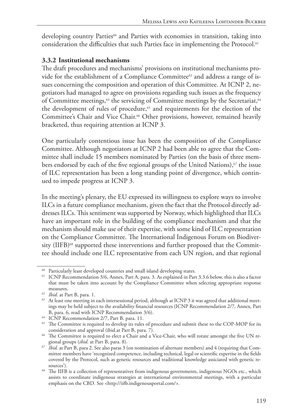developing country Parties<sup>60</sup> and Parties with economies in transition, taking into consideration the difficulties that such Parties face in implementing the Protocol.<sup>61</sup>

### **3.3.2 Institutional mechanisms**

The draft procedures and mechanisms' provisions on institutional mechanisms provide for the establishment of a Compliance Committee<sup>62</sup> and address a range of issues concerning the composition and operation of this Committee. At ICNP 2, negotiators had managed to agree on provisions regarding such issues as the frequency of Committee meetings, $63$  the servicing of Committee meetings by the Secretariat,  $64$ the development of rules of procedure,<sup>65</sup> and requirements for the election of the Committee's Chair and Vice Chair.<sup>66</sup> Other provisions, however, remained heavily bracketed, thus requiring attention at ICNP 3.

One particularly contentious issue has been the composition of the Compliance Committee. Although negotiators at ICNP 2 had been able to agree that the Committee shall include 15 members nominated by Parties (on the basis of three members endorsed by each of the five regional groups of the United Nations), $\sigma$  the issue of ILC representation has been a long standing point of divergence, which continued to impede progress at ICNP 3.

In the meeting's plenary, the EU expressed its willingness to explore ways to involve ILCs in a future compliance mechanism, given the fact that the Protocol directly addresses ILCs. This sentiment was supported by Norway, which highlighted that ILCs have an important role in the building of the compliance mechanism and that the mechanism should make use of their expertise, with some kind of ILC representation on the Compliance Committee. The International Indigenous Forum on Biodiversity (IIFB)<sup>68</sup> supported these interventions and further proposed that the Committee should include one ILC representative from each UN region, and that regional

<sup>&</sup>lt;sup>60</sup> Particularly least developed countries and small island developing states.

<sup>&</sup>lt;sup>61</sup> ICNP Recommendation 3/6, Annex, Part A, para. 3. As explained in Part 3.3.6 below, this is also a factor that must be taken into account by the Compliance Committee when selecting appropriate response

measures.<br><sup>62</sup> *Ibid*. at Part B, para. 1.

<sup>&</sup>lt;sup>63</sup> At least one meeting in each intersessional period, although at ICNP 3 it was agreed that additional meetings may be held subject to the availability financial resources (ICNP Recommendation 2/7, Annex, Part B, para. 6, read with ICNP Recommendation 3/6).

<sup>&</sup>lt;sup>64</sup> ICNP Recommendation 2/7, Part B, para. 11.

<sup>&</sup>lt;sup>65</sup> The Committee is required to develop its rules of procedure and submit these to the COP-MOP for its consideration and approval (ibid.at Part B, para. 7).

<sup>&</sup>lt;sup>66</sup> The Committee is required to elect a Chair and a Vice-Chair, who will rotate amongst the five UN regional groups (*ibid*. at Part B, para. 8).

<sup>67</sup> *Ibid*. at Part B, para 2. See also paras 3 (on nomination of alternate members) and 4 (requiring that Committee members have 'recognized competence, including technical, legal or scientific expertise in the fields covered by the Protocol, such as genetic resources and traditional knowledge assiciated with genetic resources').

<sup>&</sup>lt;sup>68</sup> The IIFB is a collection of representatives from indigenous governments, indigenous NGOs etc., which assists to coordinate indigenous strategies at international environmental meetings, with a particular emphasis on the CBD. See <http://iifb.indigenousportal.com/>.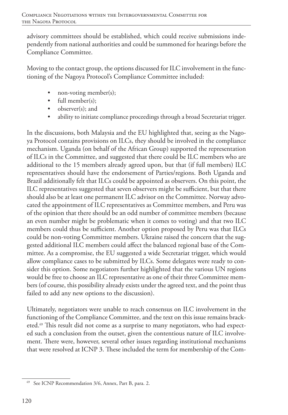advisory committees should be established, which could receive submissions independently from national authorities and could be summoned for hearings before the Compliance Committee.

Moving to the contact group, the options discussed for ILC involvement in the functioning of the Nagoya Protocol's Compliance Committee included:

- non-voting member(s);
- full member(s):
- observer(s): and
- ability to initiate compliance proceedings through a broad Secretariat trigger.

In the discussions, both Malaysia and the EU highlighted that, seeing as the Nagoya Protocol contains provisions on ILCs, they should be involved in the compliance mechanism. Uganda (on behalf of the African Group) supported the representation of ILCs in the Committee, and suggested that there could be ILC members who are additional to the 15 members already agreed upon, but that (if full members) ILC representatives should have the endorsement of Parties/regions. Both Uganda and Brazil additionally felt that ILCs could be appointed as observers. On this point, the ILC representatives suggested that seven observers might be sufficient, but that there should also be at least one permanent ILC advisor on the Committee. Norway advocated the appointment of ILC representatives as Committee members, and Peru was of the opinion that there should be an odd number of committee members (because an even number might be problematic when it comes to voting) and that two ILC members could thus be sufficient. Another option proposed by Peru was that ILCs could be non-voting Committee members. Ukraine raised the concern that the suggested additional ILC members could affect the balanced regional base of the Committee. As a compromise, the EU suggested a wide Secretariat trigger, which would allow compliance cases to be submitted by ILCs. Some delegates were ready to consider this option. Some negotiators further highlighted that the various UN regions would be free to choose an ILC representative as one of their three Committee members (of course, this possibility already exists under the agreed text, and the point thus failed to add any new options to the discussion).

Ultimately, negotiators were unable to reach consensus on ILC involvement in the functioning of the Compliance Committee, and the text on this issue remains bracketed.69 This result did not come as a surprise to many negotiators, who had expected such a conclusion from the outset, given the contentious nature of ILC involvement. There were, however, several other issues regarding institutional mechanisms that were resolved at ICNP 3. These included the term for membership of the Com-

<sup>69</sup> See ICNP Recommendation 3/6, Annex, Part B, para. 2.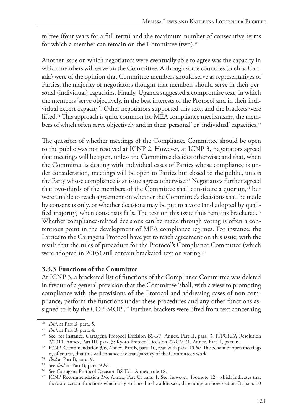mittee (four years for a full term) and the maximum number of consecutive terms for which a member can remain on the Committee (two).70

Another issue on which negotiators were eventually able to agree was the capacity in which members will serve on the Committee. Although some countries (such as Canada) were of the opinion that Committee members should serve as representatives of Parties, the majority of negotiators thought that members should serve in their personal (individual) capacities. Finally, Uganda suggested a compromise text, in which the members 'serve objectively, in the best interests of the Protocol and in their individual expert capacity'. Other negotiators supported this text, and the brackets were lifted.71 This approach is quite common for MEA compliance mechanisms, the members of which often serve objectively and in their 'personal' or 'individual' capacities.<sup>72</sup>

The question of whether meetings of the Compliance Committee should be open to the public was not resolved at ICNP 2. However, at ICNP 3, negotiators agreed that meetings will be open, unless the Committee decides otherwise; and that, when the Committee is dealing with individual cases of Parties whose compliance is under consideration, meetings will be open to Parties but closed to the public, unless the Party whose compliance is at issue agrees otherwise.73 Negotiators further agreed that two-thirds of the members of the Committee shall constitute a quorum,<sup>74</sup> but were unable to reach agreement on whether the Committee's decisions shall be made by consensus only, or whether decisions may be put to a vote (and adopted by qualified majority) when consensus fails. The text on this issue thus remains bracketed.75 Whether compliance-related decisions can be made through voting is often a contentious point in the development of MEA compliance regimes. For instance, the Parties to the Cartagena Protocol have yet to reach agreement on this issue, with the result that the rules of procedure for the Protocol's Compliance Committee (which were adopted in 2005) still contain bracketed text on voting.<sup>76</sup>

#### **3.3.3 Functions of the Committee**

At ICNP 3, a bracketed list of functions of the Compliance Committee was deleted in favour of a general provision that the Committee 'shall, with a view to promoting compliance with the provisions of the Protocol and addressing cases of non-compliance, perform the functions under these procedures and any other functions assigned to it by the COP-MOP'.<sup>77</sup> Further, brackets were lifted from text concerning

<sup>70</sup> *Ibid*. at Part B, para. 5.

<sup>71</sup> *Ibid*. at Part B, para. 4.

<sup>72</sup> See, for instance, Cartagena Protocol Decision BS-I/7, Annex, Part II, para. 3; ITPGRFA Resolution 2/2011, Annex, Part III, para. 3; Kyoto Protocol Decision 27/CMP.1, Annex, Part II, para. 6.

<sup>73</sup> ICNP Recommendation 3/6, Annex, Part B, para. 10, read with para. 10 *bis.* The benefit of open meetings is, of course, that this will enhance the transparency of the Committee's work.

<sup>74</sup> *Ibid* at Part B, para. 9.

<sup>75</sup> See *ibid.* at Part B, para. 9 *bis*.

<sup>76</sup> See Cartagena Protocol Decision BS-II/1, Annex, rule 18.

<sup>77</sup> ICNP Recommendation 3/6, Annex, Part C, para. 1. See, however, 'footnote 12', which indicates that there are certain functions which may still need to be addressed, depending on how section D, para. 10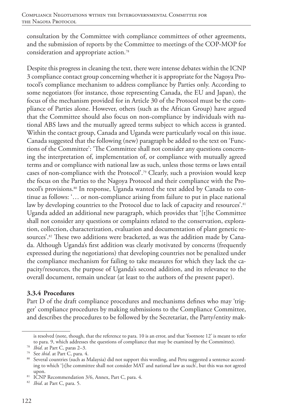consultation by the Committee with compliance committees of other agreements, and the submission of reports by the Committee to meetings of the COP-MOP for consideration and appropriate action.78

Despite this progress in cleaning the text, there were intense debates within the ICNP 3 compliance contact group concerning whether it is appropriate for the Nagoya Protocol's compliance mechanism to address compliance by Parties only. According to some negotiators (for instance, those representing Canada, the EU and Japan), the focus of the mechanism provided for in Article 30 of the Protocol must be the compliance of Parties alone. However, others (such as the African Group) have argued that the Committee should also focus on non-compliance by individuals with national ABS laws and the mutually agreed terms subject to which access is granted. Within the contact group, Canada and Uganda were particularly vocal on this issue. Canada suggested that the following (new) paragraph be added to the text on 'Functions of the Committee': 'The Committee shall not consider any questions concerning the interpretation of, implementation of, or compliance with mutually agreed terms and or compliance with national law as such, unless those terms or laws entail cases of non-compliance with the Protocol'.79 Clearly, such a provision would keep the focus on the Parties to the Nagoya Protocol and their compliance with the Protocol's provisions.<sup>80</sup> In response, Uganda wanted the text added by Canada to continue as follows: '… or non-compliance arising from failure to put in place national law by developing countries to the Protocol due to lack of capacity and resources'.<sup>81</sup> Uganda added an additional new paragraph, which provides that '[t]he Committee shall not consider any questions or complaints related to the conservation, exploration, collection, characterization, evaluation and documentation of plant genetic resources'.<sup>82</sup> These two additions were bracketed, as was the addition made by Canada. Although Uganda's first addition was clearly motivated by concerns (frequently expressed during the negotiations) that developing countries not be penalized under the compliance mechanism for failing to take measures for which they lack the capacity/resources, the purpose of Uganda's second addition, and its relevance to the overall document, remain unclear (at least to the authors of the present paper).

#### **3.3.4 Procedures**

Part D of the draft compliance procedures and mechanisms defines who may 'trigger' compliance procedures by making submissions to the Compliance Committee, and describes the procedures to be followed by the Secretariat, the Party/entity mak-

is resolved (note, though, that the reference to para. 10 is an error, and that 'footnote 12' is meant to refer to para. 9, which addresses the questions of compliance that may be examined by the Committee). 78 *Ibid*. at Part C, paras 2–3.

<sup>79</sup> See *ibid*. at Part C, para. 4.

<sup>80</sup> Several countries (such as Malaysia) did not support this wording, and Peru suggested a sentence according to which '[t]he committee shall not consider MAT and national law as such', but this was not agreed

upon.<br><sup>81</sup> ICNP Recommendation 3/6, Annex, Part C, para. 4.

<sup>82</sup> *Ibid*. at Part C, para. 5.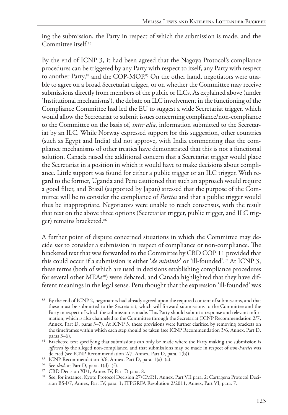ing the submission, the Party in respect of which the submission is made, and the Committee itself<sup>83</sup>

By the end of ICNP 3, it had been agreed that the Nagoya Protocol's compliance procedures can be triggered by any Party with respect to itself, any Party with respect to another Party,<sup>84</sup> and the COP-MOP.<sup>85</sup> On the other hand, negotiators were unable to agree on a broad Secretariat trigger, or on whether the Committee may receive submissions directly from members of the public or ILCs. As explained above (under 'Institutional mechanisms'), the debate on ILC involvement in the functioning of the Compliance Committee had led the EU to suggest a wide Secretariat trigger, which would allow the Secretariat to submit issues concerning compliance/non-compliance to the Committee on the basis of, *inter alia*, information submitted to the Secretariat by an ILC. While Norway expressed support for this suggestion, other countries (such as Egypt and India) did not approve, with India commenting that the compliance mechanisms of other treaties have demonstrated that this is not a functional solution. Canada raised the additional concern that a Secretariat trigger would place the Secretariat in a position in which it would have to make decisions about compliance. Little support was found for either a public trigger or an ILC trigger. With regard to the former, Uganda and Peru cautioned that such an approach would require a good filter, and Brazil (supported by Japan) stressed that the purpose of the Committee will be to consider the compliance of *Parties* and that a public trigger would thus be inappropriate. Negotiators were unable to reach consensus, with the result that text on the above three options (Secretariat trigger, public trigger, and ILC trigger) remains bracketed.<sup>86</sup>

A further point of dispute concerned situations in which the Committee may decide *not* to consider a submission in respect of compliance or non-compliance. The bracketed text that was forwarded to the Committee by CBD COP 11 provided that this could occur if a submission is either '*de minimis*' or 'ill-founded'.<sup>87</sup> At ICNP 3, these terms (both of which are used in decisions establishing compliance procedures for several other MEAs<sup>88</sup>) were debated, and Canada highlighted that they have different meanings in the legal sense. Peru thought that the expression 'ill-founded' was

<sup>86</sup> See *ibid*. at Part D, para. 1(d)–(f).

By the end of ICNP 2, negotiators had already agreed upon the required content of submissions, and that these must be submitted to the Secretariat, which will forward submissions to the Committee and the Party in respect of which the submission is made. This Party should submit a response and relevant information, which is also channeled to the Committee through the Secretariat (ICNP Recommendation 2/7, Annex, Part D, paras 3–7). At ICNP 3, these provisions were further clarified by removing brackets on the timeframes within which each step should be taken (see ICNP Recommendation 3/6, Annex, Part D, paras 3–6).

<sup>&</sup>lt;sup>84</sup> Bracketed text specifying that submissions can only be made where the Party making the submission is *affected by* the alleged non-compliance, and that submissions may be made in respect of *non-Parties* was deleted (see ICNP Recommendation 2/7, Annex, Part D, para. 1(b)).

<sup>85</sup> ICNP Recommendation 3/6, Annex, Part D, para. 1(a)–(c).

<sup>&</sup>lt;sup>87</sup> CBD Decision XI/1, Annex IV, Part D para. 8.

<sup>88</sup> See, for instance, Kyoto Protocol Decision 27/CMP.1, Annex, Part VII para. 2; Cartagena Protocol Decision BS-I/7, Annex, Part IV, para. 1; ITPGRFA Resolution 2/2011, Annex, Part VI, para. 7.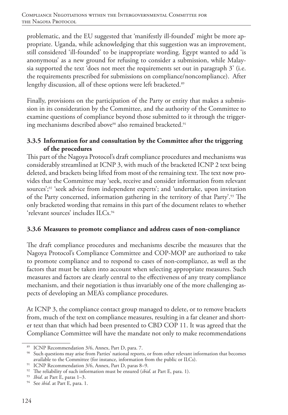problematic, and the EU suggested that 'manifestly ill-founded' might be more appropriate. Uganda, while acknowledging that this suggestion was an improvement, still considered 'ill-founded' to be inappropriate wording. Egypt wanted to add 'is anonymous' as a new ground for refusing to consider a submission, while Malaysia supported the text 'does not meet the requirements set out in paragraph 3' (i.e. the requirements prescribed for submissions on compliance/noncompliance). After lengthy discussion, all of these options were left bracketed.<sup>89</sup>

Finally, provisions on the participation of the Party or entity that makes a submission in its consideration by the Committee, and the authority of the Committee to examine questions of compliance beyond those submitted to it through the triggering mechanisms described above<sup>90</sup> also remained bracketed.<sup>91</sup>

### **3.3.5 Information for and consultation by the Committee after the triggering of the procedures**

This part of the Nagoya Protocol's draft compliance procedures and mechanisms was considerably streamlined at ICNP 3, with much of the bracketed ICNP 2 text being deleted, and brackets being lifted from most of the remaining text. The text now provides that the Committee may 'seek, receive and consider information from relevant sources';92 'seek advice from independent experts'; and 'undertake, upon invitation of the Party concerned, information gathering in the territory of that Party'.93 The only bracketed wording that remains in this part of the document relates to whether 'relevant sources' includes ILCs.94

### **3.3.6 Measures to promote compliance and address cases of non-compliance**

The draft compliance procedures and mechanisms describe the measures that the Nagoya Protocol's Compliance Committee and COP-MOP are authorized to take to promote compliance and to respond to cases of non-compliance, as well as the factors that must be taken into account when selecting appropriate measures. Such measures and factors are clearly central to the effectiveness of any treaty compliance mechanism, and their negotiation is thus invariably one of the more challenging aspects of developing an MEA's compliance procedures.

At ICNP 3, the compliance contact group managed to delete, or to remove brackets from, much of the text on compliance measures, resulting in a far cleaner and shorter text than that which had been presented to CBD COP 11. It was agreed that the Compliance Committee will have the mandate not only to make recommendations

<sup>89</sup> ICNP Recommendation 3/6, Annex, Part D, para. 7.

<sup>&</sup>lt;sup>90</sup> Such questions may arise from Parties' national reports, or from other relevant information that becomes available to the Committee (for instance, information from the public or ILCs).

<sup>91</sup> ICNP Recommendation 3/6, Annex, Part D, paras 8-9.

<sup>92</sup> The reliability of such information must be ensured (*ibid*. at Part E, para. 1).

<sup>93</sup> *Ibid*. at Part E, paras 1–3.

<sup>94</sup> See *ibid*. at Part E, para. 1.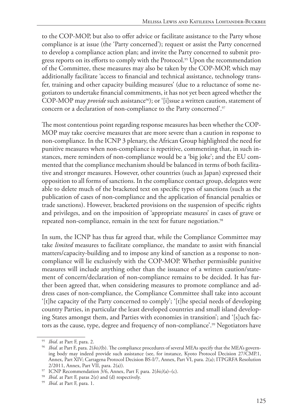to the COP-MOP, but also to offer advice or facilitate assistance to the Party whose compliance is at issue (the 'Party concerned'); request or assist the Party concerned to develop a compliance action plan; and invite the Party concerned to submit progress reports on its efforts to comply with the Protocol.95 Upon the recommendation of the Committee, these measures may also be taken by the COP-MOP, which may additionally facilitate 'access to financial and technical assistance, technology transfer, training and other capacity building measures' (due to a reluctance of some negotiators to undertake financial commitments, it has not yet been agreed whether the COP-MOP may *provide* such assistance<sup>96</sup>); or '[i]ssue a written caution, statement of concern or a declaration of non-compliance to the Party concerned'.<sup>97</sup>

The most contentious point regarding response measures has been whether the COP-MOP may take coercive measures that are more severe than a caution in response to non-compliance. In the ICNP 3 plenary, the African Group highlighted the need for punitive measures when non-compliance is repetitive, commenting that, in such instances, mere reminders of non-compliance would be a 'big joke'; and the EU commented that the compliance mechanism should be balanced in terms of both facilitative and stronger measures. However, other countries (such as Japan) expressed their opposition to all forms of sanctions. In the compliance contact group, delegates were able to delete much of the bracketed text on specific types of sanctions (such as the publication of cases of non-compliance and the application of financial penalties or trade sanctions). However, bracketed provisions on the suspension of specific rights and privileges, and on the imposition of 'appropriate measures' in cases of grave or repeated non-compliance, remain in the text for future negotiation.<sup>98</sup>

In sum, the ICNP has thus far agreed that, while the Compliance Committee may take *limited* measures to facilitate compliance, the mandate to assist with financial matters/capacity-building and to impose any kind of sanction as a response to noncompliance will lie exclusively with the COP-MOP. Whether permissible punitive measures will include anything other than the issuance of a written caution/statement of concern/declaration of non-compliance remains to be decided. It has further been agreed that, when considering measures to promote compliance and address cases of non-compliance, the Compliance Committee shall take into account '[t]he capacity of the Party concerned to comply'; '[t]he special needs of developing country Parties, in particular the least developed countries and small island developing States amongst them, and Parties with economies in transition'; and '[s]uch factors as the cause, type, degree and frequency of non-compliance'.99 Negotiators have

<sup>95</sup> *Ibid*. at Part F, para. 2.

<sup>96</sup> *Ibid.* at Part F, para. 2(*bis)*(b). The compliance procedures of several MEAs specify that the MEA's governing body may indeed provide such assistance (see, for instance, Kyoto Protocol Decision 27/CMP.1, Annex, Part XIV; Cartagena Protocol Decision BS-I/7, Annex, Part VI, para. 2(a); ITPGRFA Resolution

<sup>&</sup>lt;sup>97</sup> ICNP Recommendation  $3/6$ , Annex, Part F, para. 2(*bis*)(a)–(c).

<sup>98</sup> *Ibid*. at Part F, paras 2(e) and (d) respectively.

<sup>99</sup> *Ibid*. at Part F, para. 1.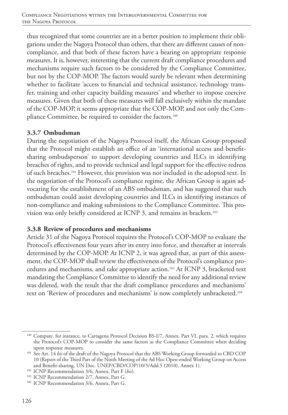thus recognized that some countries are in a better position to implement their obligations under the Nagoya Protocol than others, that there are different causes of noncompliance, and that both of these factors have a bearing on appropriate response measures. It is, however, interesting that the current draft compliance procedures and mechanisms require such factors to be considered by the Compliance Committee, but not by the COP-MOP. The factors would surely be relevant when determining whether to facilitate 'access to financial and technical assistance, technology transfer, training and other capacity building measures' and whether to impose coercive measures. Given that both of these measures will fall exclusively within the mandate of the COP-MOP, it seems appropriate that the COP-MOP, and not only the Compliance Committee, be required to consider the factors.<sup>100</sup>

#### **3.3.7 Ombudsman**

During the negotiation of the Nagoya Protocol itself, the African Group proposed that the Protocol might establish an office of an 'international access and benefitsharing ombudsperson' to support developing countries and ILCs in identifying breaches of rights, and to provide technical and legal support for the effective redress of such breaches.101 However, this provision was not included in the adopted text. In the negotiation of the Protocol's compliance regime, the African Group is again advocating for the establishment of an ABS ombudsman, and has suggested that such ombudsman could assist developing countries and ILCs in identifying instances of non-compliance and making submissions to the Compliance Committee. This provision was only briefly considered at ICNP 3, and remains in brackets.<sup>102</sup>

### **3.3.8 Review of procedures and mechanisms**

Article 31 of the Nagoya Protocol requires the Protocol's COP-MOP to evaluate the Protocol's effectiveness four years after its entry into force, and thereafter at intervals determined by the COP-MOP. At ICNP 2, it was agreed that, as part of this assessment, the COP-MOP shall review the effectiveness of the Protocol's compliance procedures and mechanisms, and take appropriate action.103 At ICNP 3, bracketed text mandating the Compliance Committee to identify the need for any additional review was deleted, with the result that the draft compliance procedures and mechanisms' text on 'Review of procedures and mechanisms' is now completely unbracketed.104

<sup>100</sup> Compare, for instance, to Cartagena Protocol Decision BS-I/7, Annex, Part VI, para. 2, which requires the Protocol's COP-MOP to consider the same factors as the Compliance Committee when deciding upon response measures.

<sup>&</sup>lt;sup>101</sup> See Art. 14 *bis* of the draft of the Nagoya Protocol that the ABS Working Group forwarded to CBD COP 10 (Report of the Third Part of the Ninth Meeting of the Ad Hoc Open-ended Working Group on Access and Benefit-sharing, UN Doc. UNEP/CBD/COP/10/5/Add.5 (2010), Annex 1). 102 ICNP Recommendation 3/6, Annex, Part F (*bis*).

<sup>&</sup>lt;sup>103</sup> ICNP Recommendation 2/7, Annex, Part G.

<sup>&</sup>lt;sup>104</sup> ICNP Recommendation 3/6, Annex, Part G.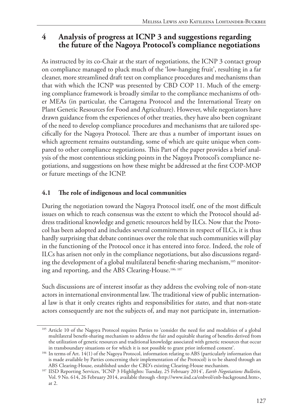# **4 Analysis of progress at ICNP 3 and suggestions regarding the future of the Nagoya Protocol's compliance negotiations**

As instructed by its co-Chair at the start of negotiations, the ICNP 3 contact group on compliance managed to pluck much of the 'low-hanging fruit', resulting in a far cleaner, more streamlined draft text on compliance procedures and mechanisms than that with which the ICNP was presented by CBD COP 11. Much of the emerging compliance framework is broadly similar to the compliance mechanisms of other MEAs (in particular, the Cartagena Protocol and the International Treaty on Plant Genetic Resources for Food and Agriculture). However, while negotiators have drawn guidance from the experiences of other treaties, they have also been cognizant of the need to develop compliance procedures and mechanisms that are tailored specifically for the Nagoya Protocol. There are thus a number of important issues on which agreement remains outstanding, some of which are quite unique when compared to other compliance negotiations. This Part of the paper provides a brief analysis of the most contentious sticking points in the Nagoya Protocol's compliance negotiations, and suggestions on how these might be addressed at the first COP-MOP or future meetings of the ICNP.

# **4.1 The role of indigenous and local communities**

During the negotiation toward the Nagoya Protocol itself, one of the most difficult issues on which to reach consensus was the extent to which the Protocol should address traditional knowledge and genetic resources held by ILCs. Now that the Protocol has been adopted and includes several commitments in respect of ILCs, it is thus hardly surprising that debate continues over the role that such communities will play in the functioning of the Protocol once it has entered into force. Indeed, the role of ILCs has arisen not only in the compliance negotiations, but also discussions regarding the development of a global multilateral benefit-sharing mechanism,<sup>105</sup> monitoring and reporting, and the ABS Clearing-House.106, 107

Such discussions are of interest insofar as they address the evolving role of non-state actors in international environmental law. The traditional view of public international law is that it only creates rights and responsibilities for *states*, and that non-state actors consequently are not the subjects of, and may not participate in, internation-

<sup>&</sup>lt;sup>105</sup> Article 10 of the Nagoya Protocol requires Parties to 'consider the need for and modalities of a global multilateral benefit-sharing mechanism to address the fair and equitable sharing of benefits derived from the utilization of genetic resources and traditional knowledge associated with genetic resources that occur in transboundary situations or for which it is not possible to grant prior informed consent'.

<sup>106</sup> In terms of Art. 14(1) of the Nagoya Protocol, information relating to ABS (particularly information that is made available by Parties concerning their implementation of the Protocol) is to be shared through an ABS Clearing-House, established under the CBD's existing Clearing-House mechanism.

<sup>&</sup>lt;sup>107</sup> IISD Reporting Services, 'ICNP 3 Highlights: Tuesday, 25 February 2014', *Earth Negotiations Bulletin*, Vol. 9 No. 614, 26 February 2014, available through <http://www.iisd.ca/enbvol/enb-background.htm>, at 2.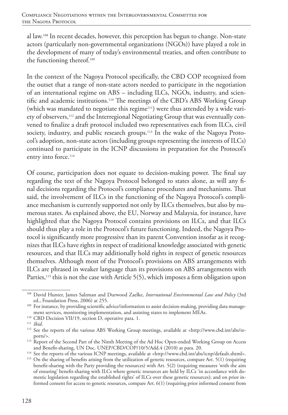al law.108 In recent decades, however, this perception has begun to change. Non-state actors (particularly non-governmental organizations (NGOs)) have played a role in the development of many of today's environmental treaties, and often contribute to the functioning thereof.109

In the context of the Nagoya Protocol specifically, the CBD COP recognized from the outset that a range of non-state actors needed to participate in the negotiation of an international regime on ABS – including ILCs, NGOs, industry, and scientific and academic institutions.110 The meetings of the CBD's ABS Working Group (which was mandated to negotiate this regime<sup>111</sup>) were thus attended by a wide variety of observers,112 and the Interregional Negotiating Group that was eventually convened to finalize a draft protocol included two representatives each from ILCs, civil society, industry, and public research groups.<sup>113</sup> In the wake of the Nagoya Protocol's adoption, non-state actors (including groups representing the interests of ILCs) continued to participate in the ICNP discussions in preparation for the Protocol's entry into force.<sup>114</sup>

Of course, participation does not equate to decision-making power. The final say regarding the text of the Nagoya Protocol belonged to states alone, as will any final decisions regarding the Protocol's compliance procedures and mechanisms. That said, the involvement of ILCs in the functioning of the Nagoya Protocol's compliance mechanism is currently supported not only by ILCs themselves, but also by numerous states. As explained above, the EU, Norway and Malaysia, for instance, have highlighted that the Nagoya Protocol contains provisions on ILCs, and that ILCs should thus play a role in the Protocol's future functioning. Indeed, the Nagoya Protocol is significantly more progressive than its parent Convention insofar as it recognizes that ILCs have rights in respect of traditional knowledge associated with genetic resources, and that ILCs may additionally hold rights in respect of genetic resources themselves. Although most of the Protocol's provisions on ABS arrangements with ILCs are phrased in weaker language than its provisions on ABS arrangements with Parties,<sup>115</sup> this is not the case with Article  $5(5)$ , which imposes a firm obligation upon

<sup>110</sup> CBD Decision VII/19, section D, operative para. 1.

<sup>&</sup>lt;sup>108</sup> David Hunter, James Salzman and Durwood Zaelke, *International Environmental Law and Policy* (3rd ed., Foundation Press, 2006) at 255.

<sup>&</sup>lt;sup>109</sup> For instance, by providing scientific advice/information to assist decision-making, providing data management services, monitoring implementation, and assisting states to implement MEAs.

<sup>111</sup> *Ibid*.

<sup>112</sup> See the reports of the various ABS Working Group meetings, available at <http://www.cbd.int/abs/reports/>.

<sup>&</sup>lt;sup>113</sup> Report of the Second Part of the Ninth Meeting of the Ad Hoc Open-ended Working Group on Access and Benefit-sharing, UN Doc. UNEP/CBD/COP/10/5/Add.4 (2010) at para. 20.

<sup>114</sup> See the reports of the various ICNP meetings, available at <http://www.cbd.int/abs/icnp/default.shtml>.

<sup>115</sup> On the sharing of benefits arising from the utilization of genetic resources, compare Art. 5(1) (requiring benefit-sharing with the Party providing the resources) with Art. 5(2) (requiring measures 'with the aim of ensuring' benefit-sharing with ILCs where genetic resources are held by ILCs 'in accordance with domestic legislation regarding the established rights' of ILCs over these genetic resources); and on prior informed consent for access to genetic resources, compare Art. 6(1) (requiring prior informed consent from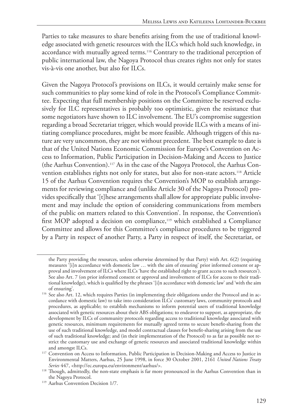Parties to take measures to share benefits arising from the use of traditional knowledge associated with genetic resources with the ILCs which hold such knowledge, in accordance with mutually agreed terms.116 Contrary to the traditional perception of public international law, the Nagoya Protocol thus creates rights not only for states vis-à-vis one another, but also for ILCs.

Given the Nagoya Protocol's provisions on ILCs, it would certainly make sense for such communities to play some kind of role in the Protocol's Compliance Committee. Expecting that full membership positions on the Committee be reserved exclusively for ILC representatives is probably too optimistic, given the resistance that some negotiators have shown to ILC involvement. The EU's compromise suggestion regarding a broad Secretariat trigger, which would provide ILCs with a means of initiating compliance procedures, might be more feasible. Although triggers of this nature are very uncommon, they are not without precedent. The best example to date is that of the United Nations Economic Commission for Europe's Convention on Access to Information, Public Participation in Decision-Making and Access to Justice (the Aarhus Convention).117 As in the case of the Nagoya Protocol, the Aarhus Convention establishes rights not only for states, but also for non-state actors.<sup>118</sup> Article 15 of the Aarhus Convention requires the Convention's MOP to establish arrangements for reviewing compliance and (unlike Article 30 of the Nagoya Protocol) provides specifically that '[t]hese arrangements shall allow for appropriate public involvement and may include the option of considering communications from members of the public on matters related to this Convention'. In response, the Convention's first MOP adopted a decision on compliance,<sup>119</sup> which established a Compliance Committee and allows for this Committee's compliance procedures to be triggered by a Party in respect of another Party, a Party in respect of itself, the Secretariat, or

the Party providing the resources, unless otherwise determined by that Party) with Art. 6(2) (requiring measures '[i]n accordance with domestic law … with the aim of ensuring' prior informed consent or approval and involvement of ILCs where ILCs 'have the established right to grant access to such resources'). See also Art. 7 (on prior informed consent or approval and involvement of ILCs for access to their traditional knowledge), which is qualified by the phrases '[i]n accordance with domestic law' and 'with the aim of ensuring'.

<sup>116</sup> See also Art. 12, which requires Parties (in implementing their obligations under the Protocol and in accordance with domestic law) to take into consideration ILCs' customary laws, community protocols and procedures, as applicable; to establish mechanisms to inform potential users of traditional knowledge associated with genetic resources about their ABS obligations; to endeavor to support, as appropriate, the development by ILCs of community protocols regarding access to traditional knowledge associated with genetic resources, minimum requirements for mutually agreed terms to secure benefit-sharing from the use of such traditional knowledge, and model contractual clauses for benefit-sharing arising from the use of such traditional knowledge; and (in their implementation of the Protocol) to as far as possible not restrict the customary use and exchange of genetic resources and associated traditional knowledge within and amongst ILCs.

<sup>&</sup>lt;sup>117</sup> Convention on Access to Information, Public Participation in Decision-Making and Access to Justice in Environmental Matters, Aarhus, 25 June 1998, in force 30 October 2001, 2161 *United Nations Treaty* 

*Series* 447, <http://ec.europa.eu/environment/aarhus/>. 118 Though, admittedly, the non-state emphasis is far more pronounced in the Aarhus Convention than in the Nagoya Protocol.

<sup>&</sup>lt;sup>119</sup> Aarhus Convention Decision 1/7.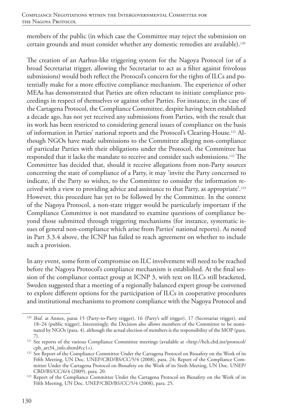members of the public (in which case the Committee may reject the submission on certain grounds and must consider whether any domestic remedies are available).120

The creation of an Aarhus-like triggering system for the Nagoya Protocol (or of a broad Secretariat trigger, allowing the Secretariat to act as a filter against frivolous submissions) would both reflect the Protocol's concern for the rights of ILCs and potentially make for a more effective compliance mechanism. The experience of other MEAs has demonstrated that Parties are often reluctant to initiate compliance proceedings in respect of themselves or against other Parties. For instance, in the case of the Cartagena Protocol, the Compliance Committee, despite having been established a decade ago, has not yet received any submissions from Parties, with the result that its work has been restricted to considering general issues of compliance on the basis of information in Parties' national reports and the Protocol's Clearing-House.121 Although NGOs have made submissions to the Committee alleging non-compliance of particular Parties with their obligations under the Protocol, the Committee has responded that it lacks the mandate to receive and consider such submissions.122 The Committee has decided that, should it receive allegations from non-Party sources concerning the state of compliance of a Party, it may 'invite the Party concerned to indicate, if the Party so wishes, to the Committee to consider the information received with a view to providing advice and assistance to that Party, as appropriate'.123 However, this procedure has yet to be followed by the Committee. In the context of the Nagoya Protocol, a non-state trigger would be particularly important if the Compliance Committee is not mandated to examine questions of compliance beyond those submitted through triggering mechanisms (for instance, systematic issues of general non-compliance which arise from Parties' national reports). As noted in Part 3.3.4 above, the ICNP has failed to reach agreement on whether to include such a provision.

In any event, some form of compromise on ILC involvement will need to be reached before the Nagoya Protocol's compliance mechanism is established. At the final session of the compliance contact group at ICNP 3, with text on ILCs still bracketed, Sweden suggested that a meeting of a regionally balanced expert group be convened to explore different options for the participation of ILCs in cooperative procedures and institutional mechanisms to promote compliance with the Nagoya Protocol and

<sup>&</sup>lt;sup>120</sup> *Ibid.* at Annex, paras 15 (Party-to-Party trigger), 16 (Party's self trigger), 17 (Secretariat trigger), and 18–24 (public trigger). Interestingly, the Decision also allows members of the Committee to be nominated by NGOs (para. 4), although the actual election of members is the responsibility of the MOP (para.

<sup>&</sup>lt;sup>121</sup> See reports of the various Compliance Committee meetings (available at <http://bch.cbd.int/protocol/<br>cpb\_art34\_info.shtml#cc1>).

<sup>&</sup>lt;sup>122</sup> See Report of the Compliance Committee Under the Cartagena Protocol on Biosafety on the Work of its Fifth Meeting, UN Doc. UNEP/CBD/BS/CC/5/4 (2008), para. 24; Report of the Compliance Committee Under the Cartagena Protocol on Biosafety on the Work of its Sixth Meeting, UN Doc. UNEP/ CBD/BS/CC/6/4 (2009), para. 20.

<sup>&</sup>lt;sup>123</sup> Report of the Compliance Committee Under the Cartagena Protocol on Biosafety on the Work of its Fifth Meeting, UN Doc. UNEP/CBD/BS/CC/5/4 (2008), para. 25.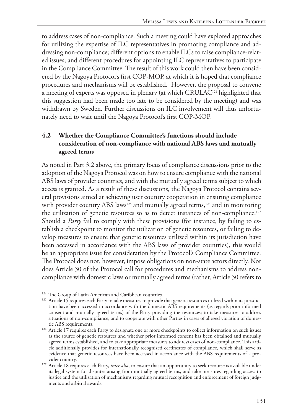to address cases of non-compliance. Such a meeting could have explored approaches for utilizing the expertise of ILC representatives in promoting compliance and addressing non-compliance; different options to enable ILCs to raise compliance-related issues; and different procedures for appointing ILC representatives to participate in the Compliance Committee. The result of this work could then have been considered by the Nagoya Protocol's first COP-MOP, at which it is hoped that compliance procedures and mechanisms will be established. However, the proposal to convene a meeting of experts was opposed in plenary (at which GRULAC<sup>124</sup> highlighted that this suggestion had been made too late to be considered by the meeting) and was withdrawn by Sweden. Further discussions on ILC involvement will thus unfortunately need to wait until the Nagoya Protocol's first COP-MOP.

### **4.2 Whether the Compliance Committee's functions should include consideration of non-compliance with national ABS laws and mutually agreed terms**

As noted in Part 3.2 above, the primary focus of compliance discussions prior to the adoption of the Nagoya Protocol was on how to ensure compliance with the national ABS laws of provider countries, and with the mutually agreed terms subject to which access is granted. As a result of these discussions, the Nagoya Protocol contains several provisions aimed at achieving user country cooperation in ensuring compliance with provider country ABS laws<sup>125</sup> and mutually agreed terms,<sup>126</sup> and in monitoring the utilization of genetic resources so as to detect instances of non-compliance.<sup>127</sup> Should a *Party* fail to comply with these provisions (for instance, by failing to establish a checkpoint to monitor the utilization of genetic resources, or failing to develop measures to ensure that genetic resources utilized within its jurisdiction have been accessed in accordance with the ABS laws of provider countries), this would be an appropriate issue for consideration by the Protocol's Compliance Committee. The Protocol does not, however, impose obligations on non-state actors directly. Nor does Article 30 of the Protocol call for procedures and mechanisms to address noncompliance with domestic laws or mutually agreed terms (rather, Article 30 refers to

<sup>&</sup>lt;sup>124</sup> The Group of Latin American and Caribbean countries.

<sup>&</sup>lt;sup>125</sup> Article 15 requires each Party to take measures to provide that genetic resources utilized within its jurisdiction have been accessed in accordance with the domestic ABS requirements (as regards prior informed consent and mutually agreed terms) of the Party providing the resources; to take measures to address situations of non-compliance; and to cooperate with other Parties in cases of alleged violation of domestic ABS requirements.

<sup>&</sup>lt;sup>126</sup> Article 17 requires each Party to designate one or more checkpoints to collect information on such issues as the source of genetic resources and whether prior informed consent has been obtained and mutually agreed terms established, and to take appropriate measures to address cases of non-compliance. This article additionally provides for internationally recognized certificates of compliance, which shall serve as evidence that genetic resources have been accessed in accordance with the ABS requirements of a provider country.

<sup>&</sup>lt;sup>127</sup> Article 18 requires each Party, *inter alia*, to ensure that an opportunity to seek recourse is available under its legal system for disputes arising from mutually agreed terms, and take measures regarding access to justice and the utilization of mechanisms regarding mutual recognition and enforcement of foreign judgments and arbitral awards.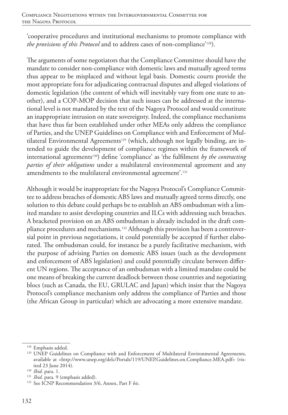'cooperative procedures and institutional mechanisms to promote compliance with *the provisions of this Protocol* and to address cases of non-compliance'128).

The arguments of some negotiators that the Compliance Committee should have the mandate to consider non-compliance with domestic laws and mutually agreed terms thus appear to be misplaced and without legal basis. Domestic courts provide the most appropriate fora for adjudicating contractual disputes and alleged violations of domestic legislation (the content of which will inevitably vary from one state to another), and a COP-MOP decision that such issues can be addressed at the international level is not mandated by the text of the Nagoya Protocol and would constitute an inappropriate intrusion on state sovereignty. Indeed, the compliance mechanisms that have thus far been established under other MEAs only address the compliance of Parties, and the UNEP Guidelines on Compliance with and Enforcement of Multilateral Environmental Agreements<sup>129</sup> (which, although not legally binding, are intended to guide the development of compliance regimes within the framework of international agreements<sup>130</sup>) define 'compliance' as 'the fulfilment *by the contracting parties of their obligations* under a multilateral environmental agreement and any amendments to the multilateral environmental agreement'.131

Although it would be inappropriate for the Nagoya Protocol's Compliance Committee to address breaches of domestic ABS laws and mutually agreed terms directly, one solution to this debate could perhaps be to establish an ABS ombudsman with a limited mandate to assist developing countries and ILCs with addressing such breaches. A bracketed provision on an ABS ombudsman is already included in the draft compliance procedures and mechanisms.132 Although this provision has been a controversial point in previous negotiations, it could potentially be accepted if further elaborated. The ombudsman could, for instance be a purely facilitative mechanism, with the purpose of advising Parties on domestic ABS issues (such as the development and enforcement of ABS legislation) and could potentially circulate between different UN regions. The acceptance of an ombudsman with a limited mandate could be one means of breaking the current deadlock between those countries and negotiating blocs (such as Canada, the EU, GRULAC and Japan) which insist that the Nagoya Protocol's compliance mechanism only address the compliance of Parties and those (the African Group in particular) which are advocating a more extensive mandate.

<sup>128</sup> Emphasis added.

<sup>&</sup>lt;sup>129</sup> UNEP Guidelines on Compliance with and Enforcement of Multilateral Environmental Agreements, available at <http://www.unep.org/delc/Portals/119/UNEP.Guidelines.on.Compliance.MEA.pdf> (visited 23 June 2014).

<sup>130</sup> *Ibid*. para. 1.

<sup>&</sup>lt;sup>131</sup> *Ibid*. para. 9 (emphasis added).

<sup>132</sup> See ICNP Recommendation 3/6, Annex, Part F *bis*.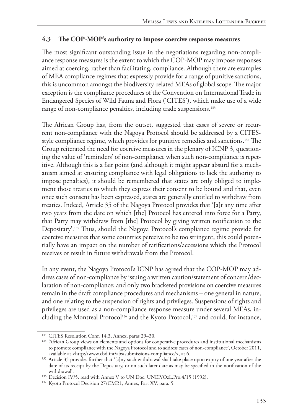#### **4.3 The COP-MOP's authority to impose coercive response measures**

The most significant outstanding issue in the negotiations regarding non-compliance response measures is the extent to which the COP-MOP may impose responses aimed at coercing, rather than facilitating, compliance. Although there are examples of MEA compliance regimes that expressly provide for a range of punitive sanctions, this is uncommon amongst the biodiversity-related MEAs of global scope. The major exception is the compliance procedures of the Convention on International Trade in Endangered Species of Wild Fauna and Flora ('CITES'), which make use of a wide range of non-compliance penalties, including trade suspensions.<sup>133</sup>

The African Group has, from the outset, suggested that cases of severe or recurrent non-compliance with the Nagoya Protocol should be addressed by a CITESstyle compliance regime, which provides for punitive remedies and sanctions.134 The Group reiterated the need for coercive measures in the plenary of ICNP 3, questioning the value of 'reminders' of non-compliance when such non-compliance is repetitive. Although this is a fair point (and although it might appear absurd for a mechanism aimed at ensuring compliance with legal obligations to lack the authority to impose penalties), it should be remembered that states are only obliged to implement those treaties to which they express their consent to be bound and that, even once such consent has been expressed, states are generally entitled to withdraw from treaties. Indeed, Article 35 of the Nagoya Protocol provides that '[a]t any time after two years from the date on which [the] Protocol has entered into force for a Party, that Party may withdraw from [the] Protocol by giving written notification to the Depositary'.135 Thus, should the Nagoya Protocol's compliance regime provide for coercive measures that some countries perceive to be too stringent, this could potentially have an impact on the number of ratifications/accessions which the Protocol receives or result in future withdrawals from the Protocol.

In any event, the Nagoya Protocol's ICNP has agreed that the COP-MOP may address cases of non-compliance by issuing a written caution/statement of concern/declaration of non-compliance; and only two bracketed provisions on coercive measures remain in the draft compliance procedures and mechanisms – one general in nature, and one relating to the suspension of rights and privileges. Suspensions of rights and privileges are used as a non-compliance response measure under several MEAs, including the Montreal Protocol<sup>136</sup> and the Kyoto Protocol,<sup>137</sup> and could, for instance,

 $133$  CITES Resolution Conf. 14.3, Annex, paras 29–30.<br> $134$  'African Group views on elements and options for cooperative procedures and institutional mechanisms to promote compliance with the Nagoya Protocol and to address cases of non-compliance', October 2011, available at <http://www.cbd.int/abs/submissions-compliance/>, at 6.

<sup>&</sup>lt;sup>135</sup> Article 35 provides further that '[a]ny such withdrawal shall take place upon expiry of one year after the date of its receipt by the Depositary, or on such later date as may be specified in the notification of the

<sup>&</sup>lt;sup>136</sup> Decision IV/5, read with Annex V to UN Doc. UNEP/OzL.Pro.4/15 (1992). <sup>137</sup> Kyoto Protocol Decision 27/CMP.1, Annex, Part XV, para. 5.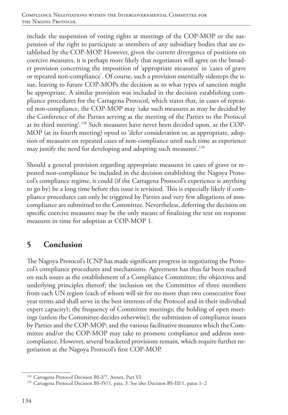include the suspension of voting rights at meetings of the COP-MOP or the suspension of the right to participate as members of any subsidiary bodies that are established by the COP-MOP. However, given the current divergence of positions on coercive measures, it is perhaps more likely that negotiators will agree on the broader provision concerning the imposition of 'appropriate measures' in 'cases of grave or repeated non-compliance'. Of course, such a provision essentially sidesteps the issue, leaving to future COP-MOPs the decision as to what types of sanction might be appropriate. A similar provision was included in the decision establishing compliance procedures for the Cartagena Protocol, which states that, in cases of repeated non-compliance, the COP-MOP may 'take such measures as may be decided by the Conference of the Parties serving as the meeting of the Parties to the Protocol at its third meeting'.138 Such measures have never been decided upon, as the COP-MOP (at its fourth meeting) opted to 'defer consideration or, as appropriate, adoption of measures on repeated cases of non-compliance until such time as experience may justify the need for developing and adopting such measures'.139

Should a general provision regarding appropriate measures in cases of grave or repeated non-compliance be included in the decision establishing the Nagoya Protocol's compliance regime, it could (if the Cartagena Protocol's experience is anything to go by) be a long time before this issue is revisited. This is especially likely if compliance procedures can only be triggered by Parties and very few allegations of noncompliance are submitted to the Committee. Nevertheless, deferring the decision on specific coercive measures may be the only means of finalizing the text on response measures in time for adoption at COP-MOP 1.

# **5 Conclusion**

The Nagoya Protocol's ICNP has made significant progress in negotiating the Protocol's compliance procedures and mechanisms. Agreement has thus far been reached on such issues as the establishment of a Compliance Committee; the objectives and underlying principles thereof; the inclusion on the Committee of three members from each UN region (each of whom will sit for no more than two consecutive four year terms and shall serve in the best interests of the Protocol and in their individual expert capacity); the frequency of Committee meetings; the holding of open meetings (unless the Committee decides otherwise); the submission of compliance issues by Parties and the COP-MOP; and the various facilitative measures which the Committee and/or the COP-MOP may take to promote compliance and address noncompliance. However, several bracketed provisions remain, which require further negotiation at the Nagoya Protocol's first COP-MOP.

<sup>138</sup> Cartagena Protocol Decision BS-I/7, Annex, Part VI.

<sup>&</sup>lt;sup>139</sup> Cartagena Protocol Decision BS-IV/1, para. 3. See also Decision BS-III/1, paras 1-2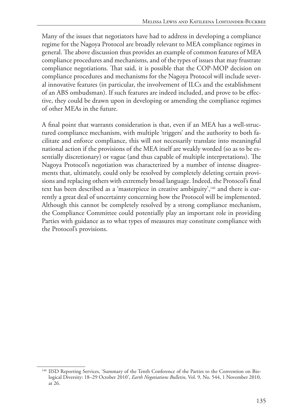Many of the issues that negotiators have had to address in developing a compliance regime for the Nagoya Protocol are broadly relevant to MEA compliance regimes in general. The above discussion thus provides an example of common features of MEA compliance procedures and mechanisms, and of the types of issues that may frustrate compliance negotiations. That said, it is possible that the COP-MOP decision on compliance procedures and mechanisms for the Nagoya Protocol will include several innovative features (in particular, the involvement of ILCs and the establishment of an ABS ombudsman). If such features are indeed included, and prove to be effective, they could be drawn upon in developing or amending the compliance regimes of other MEAs in the future.

A final point that warrants consideration is that, even if an MEA has a well-structured compliance mechanism, with multiple 'triggers' and the authority to both facilitate and enforce compliance, this will not necessarily translate into meaningful national action if the provisions of the MEA itself are weakly worded (so as to be essentially discretionary) or vague (and thus capable of multiple interpretations). The Nagoya Protocol's negotiation was characterized by a number of intense disagreements that, ultimately, could only be resolved by completely deleting certain provisions and replacing others with extremely broad language. Indeed, the Protocol's final text has been described as a 'masterpiece in creative ambiguity',140 and there is currently a great deal of uncertainty concerning how the Protocol will be implemented. Although this cannot be completely resolved by a strong compliance mechanism, the Compliance Committee could potentially play an important role in providing Parties with guidance as to what types of measures may constitute compliance with the Protocol's provisions.

<sup>140</sup> IISD Reporting Services, 'Summary of the Tenth Conference of the Parties to the Convention on Biological Diversity: 18–29 October 2010', *Earth Negotiations Bulletin*, Vol. 9, No. 544, 1 November 2010, at 26.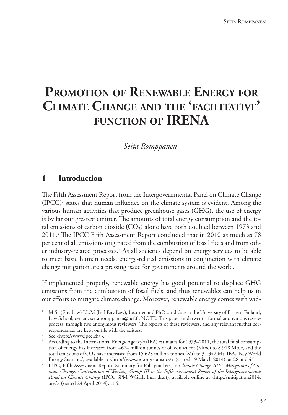# **Promotion of Renewable Energy for Climate Change and the 'facilitative' function of IRENA**

 $Seita$  Romppanen<sup>1</sup>

# **1 Introduction**

The Fifth Assessment Report from the Intergovernmental Panel on Climate Change  $(IPCC)^2$  states that human influence on the climate system is evident. Among the various human activities that produce greenhouse gases (GHG), the use of energy is by far our greatest emitter. The amounts of total energy consumption and the total emissions of carbon dioxide  $(CO<sub>2</sub>)$  alone have both doubled between 1973 and 2011.3 The IPCC Fifth Assessment Report concluded that in 2010 as much as 78 per cent of all emissions originated from the combustion of fossil fuels and from other industry-related processes.4 As all societies depend on energy services to be able to meet basic human needs, energy-related emissions in conjunction with climate change mitigation are a pressing issue for governments around the world.

If implemented properly, renewable energy has good potential to displace GHG emissions from the combustion of fossil fuels, and thus renewables can help us in our efforts to mitigate climate change. Moreover, renewable energy comes with wid-

<sup>1</sup> M.Sc (Env Law) LL.M (Intl Env Law), Lecturer and PhD candidate at the University of Eastern Finland, Law School; e-mail: seita.romppanen@uef.fi. NOTE: This paper underwent a formal anonymous review process, through two anonymous reviewers. The reports of these reviewers, and any relevant further correspondence, are kept on file with the editors.

<sup>2</sup> See <http://www.ipcc.ch/>.

According to the International Energy Agency's (IEA) estimates for 1973–2011, the total final consumption of energy has increased from 4674 million tonnes of oil equivalent (Mtoe) to 8 918 Mtoe, and the total emissions of CO₂ have increased from 15 628 million tonnes (Mt) to 31 342 Mt. IEA, 'Key World Energy Statistics', available at <http://www.iea.org/statistics/> (visited 19 March 2014), at 28 and 44.

<sup>4</sup> IPPC, Fifth Assessment Report, Summary for Policymakers, in *Climate Change 2014: Mitigation of Climate Change. Contribution of Working Group III to the Fifth Assessment Report of the Intergovernmental Panel on Climate Change* (IPCC SPM WGIII, final draft), available online at <http://mitigation2014. org/> (visited 24 April 2014), at 5.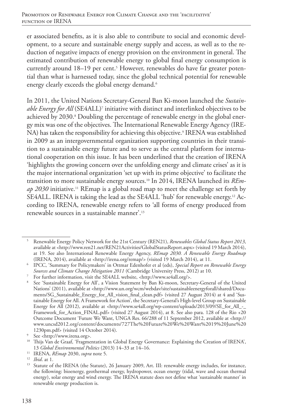er associated benefits, as it is also able to contribute to social and economic development, to a secure and sustainable energy supply and access, as well as to the reduction of negative impacts of energy provision on the environment in general. The estimated contribution of renewable energy to global final energy consumption is currently around 18–19 per cent.<sup>5</sup> However, renewables do have far greater potential than what is harnessed today, since the global technical potential for renewable energy clearly exceeds the global energy demand.<sup>6</sup>

In 2011, the United Nations Secretary-General Ban Ki-moon launched the *Sustain*able Energy for All (SE4ALL)<sup>7</sup> initiative with distinct and interlinked objectives to be achieved by 2030.8 Doubling the percentage of renewable energy in the global energy mix was one of the objectives. The International Renewable Energy Agency (IRE-NA) has taken the responsibility for achieving this objective.<sup>9</sup> IRENA was established in 2009 as an intergovernmental organization supporting countries in their transition to a sustainable energy future and to serve as the central platform for international cooperation on this issue. It has been underlined that the creation of IRENA 'highlights the growing concern over the unfolding energy and climate crises' as it is the major international organization 'set up with its prime objective' to facilitate the transition to more sustainable energy sources.10 In 2014, IRENA launched its *REmap 2030* initiative.11 REmap is a global road map to meet the challenge set forth by SE4ALL. IRENA is taking the lead as the SE4ALL 'hub' for renewable energy.12 According to IRENA, renewable energy refers to 'all forms of energy produced from renewable sources in a sustainable manner'.13

<sup>5</sup> Renewable Energy Policy Network for the 21st Century (REN21), *Renewables Global Status Report 2013*, available at <http://www.ren21.net/REN21Activities/GlobalStatusReport.aspx> (visited 19 March 2014), at 19. See also International Renewable Energy Agency, *REmap 2030. A Renewable Energy Roadmap*  (IRENA, 2014), available at <http://irena.org/remap/> (visited 19 March 2014), at 11.

<sup>6</sup> IPCC, 'Summary for Policymakers' in Ottmar Edenhofer et al (eds), *Special Report on Renewable Energy Sources and Climate Change Mitigation 2011* (Cambridge University Press, 2012) at 10.

For further information, visit the SE4ALL website, <http://www.se4all.org/>.

<sup>8</sup> See 'Sustainable Energy for All', a Vision Statement by Ban Ki-moon, Secretary-General of the United Nations' (2011), available at <http://www.un.org/wcm/webdav/site/sustainableenergyforall/shared/Documents/SG\_Sustainable\_Energy\_for\_All\_vision\_final\_clean.pdf> (visited 27 August 2014) at 4 and 'Sustainable Energy for All. A Framework for Action', the Secretary-General's High-level Group on Sustainable Energy for All (2012), available at <http://www.se4all.org/wp-content/uploads/2013/09/SE\_for\_All\_-\_ Framework\_for\_Action\_FINAL.pdf> (visited 27 August 2014), at 8. See also para. 128 of the Rio +20 Outcome Document 'Future We Want, UNGA Res. 66/288 of 11 September 2012, available at <http:// www.uncsd2012.org/content/documents/727The%20Future%20We%20Want%2019%20June%20 1230pm.pdf> (visited 14 October 2014).

<sup>9</sup> See <http://www.irena.org>.

<sup>&</sup>lt;sup>10</sup> Thijs Van de Graaf, 'Fragmentation in Global Energy Governance: Explaining the Creation of IRENA', 13 *Global Environmental Politics* (2013) 14–33 at 14–16.

<sup>11</sup> IRENA, *REmap* 2030, *supra* note 5. 12 *Ibid*. at 1.

Statute of the IRENA (the Statute), 26 January 2009, Art. III: renewable energy includes, for instance, the following: bioenergy, geothermal energy, hydropower, ocean energy (tidal, wave and ocean thermal energy), solar energy and wind energy. The IRENA statute does not define what 'sustainable manner' in renewable energy production is.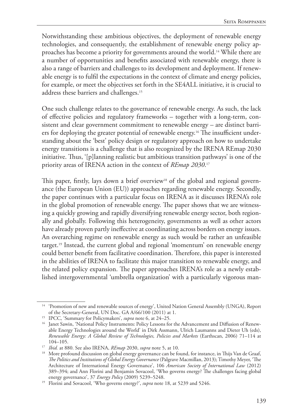Notwithstanding these ambitious objectives, the deployment of renewable energy technologies, and consequently, the establishment of renewable energy policy approaches has become a priority for governments around the world.14 While there are a number of opportunities and benefits associated with renewable energy, there is also a range of barriers and challenges to its development and deployment. If renewable energy is to fulfil the expectations in the context of climate and energy policies, for example, or meet the objectives set forth in the SE4ALL initiative, it is crucial to address these barriers and challenges.15

One such challenge relates to the governance of renewable energy. As such, the lack of effective policies and regulatory frameworks – together with a long-term, consistent and clear government commitment to renewable energy – are distinct barriers for deploying the greater potential of renewable energy.<sup>16</sup> The insufficient understanding about the 'best' policy design or regulatory approach on how to undertake energy transitions is a challenge that is also recognized by the IRENA REmap 2030 initiative. Thus, '[p]lanning realistic but ambitious transition pathways' is one of the priority areas of IRENA action in the context of *REmap 2030*. 17

This paper, firstly, lays down a brief overview<sup>18</sup> of the global and regional governance (the European Union (EU)) approaches regarding renewable energy. Secondly, the paper continues with a particular focus on IRENA as it discusses IRENA's role in the global promotion of renewable energy. The paper shows that we are witnessing a quickly growing and rapidly diversifying renewable energy sector, both regionally and globally. Following this heterogeneity, governments as well as other actors have already proven partly ineffective at coordinating across borders on energy issues. An overarching regime on renewable energy as such would be rather an unfeasible target.19 Instead, the current global and regional 'momentum' on renewable energy could better benefit from facilitative coordination. Therefore, this paper is interested in the abilities of IRENA to facilitate this major transition to renewable energy, and the related policy expansion. The paper approaches IRENA's role as a newly established intergovernmental 'umbrella organization' with a particularly vigorous man-

<sup>&</sup>lt;sup>14</sup> 'Promotion of new and renewable sources of energy', United Nation General Assembly (UNGA), Report of the Secretary-General, UN Doc. GA A/66/100 (2011) at 1.

<sup>15</sup> IPCC, 'Summary for Policymakers', *supra* note 6, at 24–25.

<sup>&</sup>lt;sup>16</sup> Janet Sawin, 'National Policy Instruments: Policy Lessons for the Advancement and Diffusion of Renewable Energy Technologies around the World' in Dirk Assmann, Ulrich Laumanns and Dieter Uh (eds), *Renewable Energy: A Global Review of Technologies, Policies and Markets* (Earthscan, 2006) 71–114 at 104–105.

<sup>17</sup> *Ibid.* at 880. See also IRENA, *REmap* 2030, *supra* note 5, at 10.

<sup>&</sup>lt;sup>18</sup> More profound discussion on global energy governance can be found, for instance, in Thijs Van de Graaf, *The Politics and Institutions of Global Energy Governance* (Palgrave Macmillan, 2013); Timothy Meyer, 'The Architecture of International Energy Governance', 106 *American Society of International Law* (2012) 389–394; and Ann Florini and Benjamin Sovacool, 'Who governs energy? The challenges facing global energy governance', 37 *Energy Policy* (2009) 5239–5248.

<sup>&</sup>lt;sup>19</sup> Florini and Sovacool, 'Who governs energy?', *supra* note 18, at 5239 and 5246.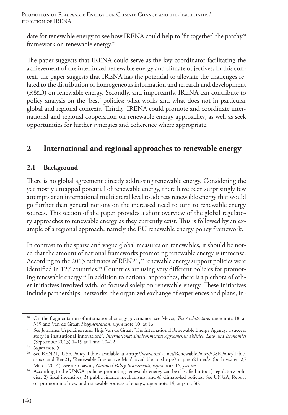date for renewable energy to see how IRENA could help to 'fit together' the patchy<sup>20</sup> framework on renewable energy.<sup>21</sup>

The paper suggests that IRENA could serve as the key coordinator facilitating the achievement of the interlinked renewable energy and climate objectives. In this context, the paper suggests that IRENA has the potential to alleviate the challenges related to the distribution of homogeneous information and research and development (R&D) on renewable energy. Secondly, and importantly, IRENA can contribute to policy analysis on the 'best' policies: what works and what does not in particular global and regional contexts. Thirdly, IRENA could promote and coordinate international and regional cooperation on renewable energy approaches, as well as seek opportunities for further synergies and coherence where appropriate.

# **2 International and regional approaches to renewable energy**

## **2.1 Background**

There is no global agreement directly addressing renewable energy. Considering the yet mostly untapped potential of renewable energy, there have been surprisingly few attempts at an international multilateral level to address renewable energy that would go further than general notions on the increased need to turn to renewable energy sources. This section of the paper provides a short overview of the global regulatory approaches to renewable energy as they currently exist. This is followed by an example of a regional approach, namely the EU renewable energy policy framework.

In contrast to the sparse and vague global measures on renewables, it should be noted that the amount of national frameworks promoting renewable energy is immense. According to the 2013 estimates of REN21, $22$  renewable energy support policies were identified in 127 countries.<sup>23</sup> Countries are using very different policies for promoting renewable energy.24 In addition to national approaches, there is a plethora of other initiatives involved with, or focused solely on renewable energy. These initiatives include partnerships, networks, the organized exchange of experiences and plans, in-

<sup>20</sup> On the fragmentation of international energy governance, see Meyer, *The Architecture, supra* note 18, at 389 and Van de Graaf, *Fragmentation*, *supra* note 10, at 16.

<sup>21</sup> See Johannes Urpelainen and Thijs Van de Graaf, 'The International Renewable Energy Agency: a success story in institutional innovation?', *International Environmental Agreements: Politics, Law and Economics* (September 2013) 1–19 at 1 and 10–12. 22 *Supra* note 5.

<sup>&</sup>lt;sup>23</sup> See REN21, 'GSR Policy Table', available at <http://www.ren21.net/RenewablePolicy/GSRPolicyTable. aspx> and Ren21, 'Renewable Interactive Map', available at <http://map.ren21.net/> (both visited 25 March 2014). See also Sawin, *National Policy Instruments*, *supra* note 16, *passim*.

<sup>&</sup>lt;sup>24</sup> According to the UNGA, policies promoting renewable energy can be classified into: 1) regulatory policies; 2) fiscal incentives; 3) public finance mechanisms; and 4) climate-led policies. See UNGA, Report on promotion of new and renewable sources of energy, *supra* note 14, at para. 36.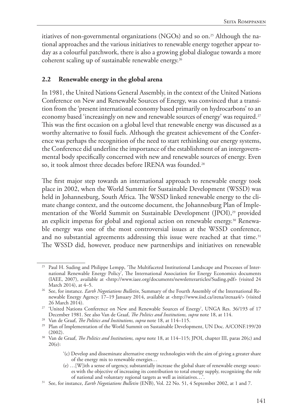itiatives of non-governmental organizations (NGOs) and so on.<sup>25</sup> Although the national approaches and the various initiatives to renewable energy together appear today as a colourful patchwork, there is also a growing global dialogue towards a more coherent scaling up of sustainable renewable energy.26

#### **2.2 Renewable energy in the global arena**

In 1981, the United Nations General Assembly, in the context of the United Nations Conference on New and Renewable Sources of Energy, was convinced that a transition from the 'present international economy based primarily on hydrocarbons' to an economy based 'increasingly on new and renewable sources of energy' was required.<sup>27</sup> This was the first occasion on a global level that renewable energy was discussed as a worthy alternative to fossil fuels. Although the greatest achievement of the Conference was perhaps the recognition of the need to start rethinking our energy systems, the Conference did underline the importance of the establishment of an intergovernmental body specifically concerned with new and renewable sources of energy. Even so, it took almost three decades before IRENA was founded.<sup>28</sup>

The first major step towards an international approach to renewable energy took place in 2002, when the World Summit for Sustainable Development (WSSD) was held in Johannesburg, South Africa. The WSSD linked renewable energy to the climate change context, and the outcome document, the Johannesburg Plan of Implementation of the World Summit on Sustainable Development (JPOI),<sup>29</sup> provided an explicit impetus for global and regional action on renewable energy.<sup>30</sup> Renewable energy was one of the most controversial issues at the WSSD conference, and no substantial agreements addressing this issue were reached at that time.<sup>31</sup> The WSSD did, however, produce new partnerships and initiatives on renewable

- '(c) Develop and disseminate alternative energy technologies with the aim of giving a greater share of the energy mix to renewable energies…
- (e) …[W]ith a sense of urgency, substantially increase the global share of renewable energy sources with the objective of increasing its contribution to total energy supply, recognizing the role of national and voluntary regional targets as well as initiatives…'.

<sup>25</sup> Paul H. Suding and Philippe Lempp, 'The Multifaceted Institutional Landscape and Processes of International Renewable Energy Policy', The International Association for Energy Economics documents (IAEE, 2007), available at <http://www.iaee.org/documents/newsletterarticles/Suding.pdf> (visited 24 March 2014), at 4–5.

<sup>&</sup>lt;sup>26</sup> See, for instance. *Earth Negotiations Bulletin*, Summary of the Fourth Assembly of the International Renewable Energy Agency: 17–19 January 2014, available at <http://www.iisd.ca/irena/irenaa4/> (visited

<sup>26</sup> March 2014). 27 'United Nations Conference on New and Renewable Sources of Energy', UNGA Res. 36/193 of 17 December 1981. See also Van de Graaf, *The Politics and Institutions, supra* note 18, at 114.

<sup>28</sup> Van de Graaf, *The Politics and Institutions, supra* note 18, at 114–115.

<sup>&</sup>lt;sup>29</sup> Plan of Implementation of the World Summit on Sustainable Development, UN Doc. A/CONF.199/20 (2002).

<sup>&</sup>lt;sup>30</sup> Van de Graaf, *The Politics and Institutions, supra* note 18, at 114–115; JPOI, chapter III, paras 20(c) and 20(e):

<sup>31</sup> See, for instance, *Earth Negotiations Bulletin* (ENB), Vol. 22 No. 51, 4 September 2002, at 1 and 7.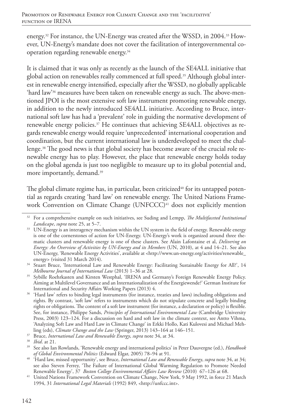energy.32 For instance, the UN-Energy was created after the WSSD, in 2004.33 However, UN-Energy's mandate does not cover the facilitation of intergovernmental cooperation regarding renewable energy.34

It is claimed that it was only as recently as the launch of the SE4ALL initiative that global action on renewables really commenced at full speed.35 Although global interest in renewable energy intensified, especially after the WSSD, no globally applicable 'hard law'36 measures have been taken on renewable energy as such. The above-mentioned JPOI is the most extensive soft law instrument promoting renewable energy, in addition to the newly introduced SE4ALL initiative. According to Bruce, international soft law has had a 'prevalent' role in guiding the normative development of renewable energy policies.<sup>37</sup> He continues that achieving SE4ALL objectives as regards renewable energy would require 'unprecedented' international cooperation and coordination, but the current international law is underdeveloped to meet the challenge.38 The good news is that global society has become aware of the crucial role renewable energy has to play. However, the place that renewable energy holds today on the global agenda is just too negligible to measure up to its global potential and, more importantly, demand.<sup>39</sup>

The global climate regime has, in particular, been criticized $40$  for its untapped potential as regards creating 'hard law' on renewable energy. The United Nations Framework Convention on Climate Change (UNFCCC)<sup>41</sup> does not explicitly mention

<sup>32</sup> For a comprehensive example on such initiatives, see Suding and Lempp, *The Multifaceted Institutional Landscape*, *supra* note 25, at 5–7.

<sup>&</sup>lt;sup>33</sup> UN-Energy is an interagency mechanism within the UN system in the field of energy. Renewable energy is one of the cornerstones of action for UN-Energy. UN-Energy's work is organized around three thematic clusters and renewable energy is one of these clusters. See Alain Lafontaine et al, *Delivering on Energy: An Overview of Activities by UN-Energy and its Members* (UN, 2010), at 4 and 14–21. See also UN-Energy, 'Renewable Energy Activities', available at <http://www.un-energy.org/activities/renewable\_ energy> (visited 31 March 2014).

<sup>&</sup>lt;sup>34</sup> Stuart Bruce, 'International Law and Renewable Energy: Facilitating Sustainable Energy for All?', 14 *Melbourne Journal of International Law* (2013) 1–36 at 28.

<sup>35</sup> Sybille Roehrkasten and Kirsten Westphal, 'IRENA and Germany's Foreign Renewable Energy Policy. Aiming at Multilevel Governance and an Internationalization of the Energiewende?' German Institute for International and Security Affairs Working Papers (2013) 4.

<sup>36</sup> 'Hard law' refers to binding legal instruments (for instance, treaties and laws) including obligations and rights. By contrast, 'soft law' refers to instruments which do not stipulate concrete and legally binding rights or obligations. The content of a soft law instrument (for instance, a declaration or policy) is flexible. See, for instance, Philippe Sands, *Principles of International Environmental Law* (Cambridge University Press, 2003) 123–124. For a discussion on hard and soft law in the climate context, see Antto Vihma, 'Analyzing Soft Law and Hard Law in Climate Change' in Erkki Hollo, Kati Kulovesi and Michael Meh-

ling (eds), *Climate Change and the Law* (Springer, 2013) 143–164 at 146–151. 37 Bruce, *International Law and Renewable Energy*, *supra* note 34, at 34.

<sup>38</sup> *Ibid*. at 21.

<sup>39</sup> See also Ian Rowlands, 'Renewable energy and international politics' in Peter Dauvergne (ed.), *Handbook of Global Environmental Politics* (Edward Elgar, 2005) 78–94 at 91.

<sup>40</sup> 'Hard law, missed opportunity', see Bruce, *International Law and Renewable Energy*, *supra* note 34, at 34; see also Steven Ferrey, 'The Failure of International Global Warming Regulation to Promote Needed Renewable Energy', 37 *Boston College Environmental Affairs Law Review* (2010) 67–126 at 68.

<sup>41</sup> United Nations Framework Convention on Climate Change, New York, 9 May 1992, in force 21 March 1994, 31 *International Legal Materials* (1992) 849, <http://unfccc.int>.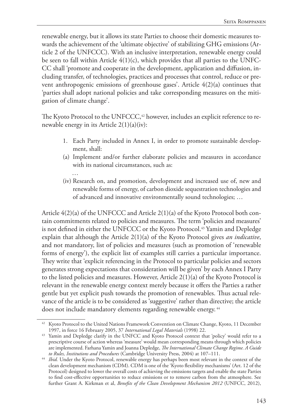renewable energy, but it allows its state Parties to choose their domestic measures towards the achievement of the 'ultimate objective' of stabilizing GHG emissions (Article 2 of the UNFCCC). With an inclusive interpretation, renewable energy could be seen to fall within Article  $4(1)(c)$ , which provides that all parties to the UNFC-CC shall 'promote and cooperate in the development, application and diffusion, including transfer, of technologies, practices and processes that control, reduce or prevent anthropogenic emissions of greenhouse gases'. Article 4(2)(a) continues that 'parties shall adopt national policies and take corresponding measures on the mitigation of climate change'.

The Kyoto Protocol to the UNFCCC,<sup>42</sup> however, includes an explicit reference to renewable energy in its Article 2(1)(a)(iv):

- 1. Each Party included in Annex I, in order to promote sustainable development, shall:
- (a) Implement and/or further elaborate policies and measures in accordance with its national circumstances, such as:
- … (iv) Research on, and promotion, development and increased use of, new and renewable forms of energy, of carbon dioxide sequestration technologies and of advanced and innovative environmentally sound technologies; …

Article 4(2)(a) of the UNFCCC and Article 2(1)(a) of the Kyoto Protocol both contain commitments related to policies and measures. The term 'policies and measures' is not defined in either the UNFCCC or the Kyoto Protocol.<sup>43</sup> Yamin and Depledge explain that although the Article 2(1)(a) of the Kyoto Protocol gives *an indicative*, and not mandatory, list of policies and measures (such as promotion of 'renewable forms of energy'), the explicit list of examples still carries a particular importance. They write that 'explicit referencing in the Protocol to particular policies and sectors generates strong expectations that consideration will be given' by each Annex I Party to the listed policies and measures. However, Article 2(1)(a) of the Kyoto Protocol is relevant in the renewable energy context merely because it offers the Parties a rather gentle but yet explicit push towards the promotion of renewables. Thus actual relevance of the article is to be considered as 'suggestive' rather than directive; the article does not include mandatory elements regarding renewable energy.<sup>44</sup>

<sup>&</sup>lt;sup>42</sup> Kyoto Protocol to the United Nations Framework Convention on Climate Change, Kyoto, 11 December 1997, in force 16 February 2005, 37 *International Legal Materials* (1998) 22.

<sup>&</sup>lt;sup>43</sup> Yamin and Depledge clarify in the UNFCC and Kyoto Protocol context that 'policy' would refer to a prescriptive course of action whereas 'measure' would mean corresponding means through which policies are implemented. Farhana Yamin and Joanna Depledge, *The International Climate Change Regime. A Guide to Rules, Institutions and Procedures* (Cambridge University Press, 2004) at 107–111.

<sup>44</sup> *Ibid.* Under the Kyoto Protocol, renewable energy has perhaps been most relevant in the context of the clean development mechanism (CDM). CDM is one of the 'Kyoto flexibility mechanisms' (Art. 12 of the Protocol) designed to lower the overall costs of achieving the emissions targets and enable the state Parties to find cost-effective opportunities to reduce emissions or to remove carbon from the atmosphere. See further Grant A. Kirkman et al, *Benefits of the Clean Development Mechanism 2012* (UNFCC, 2012),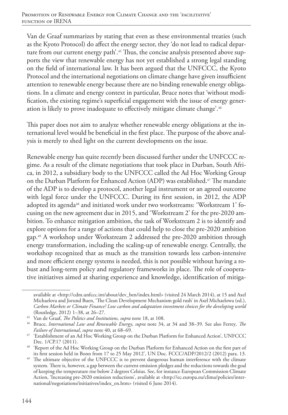Van de Graaf summarizes by stating that even as these environmental treaties (such as the Kyoto Protocol) do affect the energy sector, they 'do not lead to radical departure from our current energy path'.<sup>45</sup> Thus, the concise analysis presented above supports the view that renewable energy has not yet established a strong legal standing on the field of international law. It has been argued that the UNFCCC, the Kyoto Protocol and the international negotiations on climate change have given insufficient attention to renewable energy because there are no binding renewable energy obligations. In a climate and energy context in particular, Bruce notes that 'without modification, the existing regime's superficial engagement with the issue of energy generation is likely to prove inadequate to effectively mitigate climate change'.46

This paper does not aim to analyze whether renewable energy obligations at the international level would be beneficial in the first place. The purpose of the above analysis is merely to shed light on the current developments on the issue.

Renewable energy has quite recently been discussed further under the UNFCCC regime. As a result of the climate negotiations that took place in Durban, South Africa, in 2012, a subsidiary body to the UNFCCC called the Ad Hoc Working Group on the Durban Platform for Enhanced Action (ADP) was established.<sup>47</sup> The mandate of the ADP is to develop a protocol, another legal instrument or an agreed outcome with legal force under the UNFCCC. During its first session, in 2012, the ADP adopted its agenda<sup>48</sup> and initiated work under two workstreams: 'Workstream 1' focusing on the new agreement due in 2015, and 'Workstream 2' for the pre-2020 ambition. To enhance mitigation ambition, the task of Workstream 2 is to identify and explore options for a range of actions that could help to close the pre-2020 ambition gap.49 A workshop under Workstream 2 addressed the pre-2020 ambition through energy transformation, including the scaling-up of renewable energy. Centrally, the workshop recognized that as much as the transition towards less carbon-intensive and more efficient energy systems is needed, this is not possible without having a robust and long-term policy and regulatory frameworks in place. The role of cooperative initiatives aimed at sharing experience and knowledge, identification of mitiga-

available at <http://cdm.unfccc.int/about/dev\_ben/index.html> (visited 24 March 2014), at 15 and Axel Michaelova and Jorund Buen, 'The Clean Development Mechanism gold rush' in Axel Michaelowa (ed.), *Carbon Markets or Climate Finance? Low carbon and adaptation investment choices for the developing world* (Routledge, 2012) 1–38, at 26–27.

<sup>45</sup> Van de Graaf, *The Politics and Institutions, supra* note 18, at 108.

<sup>46</sup> Bruce, *International Law and Renewable Energy*, *supra* note 34, at 34 and 38–39. See also Ferrey*, The Failure of International*, *supra* note 40, at 68–69.

<sup>47</sup> 'Establishment of an Ad Hoc Working Group on the Durban Platform for Enhanced Action', UNFCCC Dec. 1/CP.17 (2011).

<sup>48</sup> 'Report of the Ad Hoc Working Group on the Durban Platform for Enhanced Action on the first part of its first session held in Bonn from 17 to 25 May 2012', UN Doc. FCCC/ADP/2012/2 (2012) para. 13.

<sup>&</sup>lt;sup>49</sup> The ultimate objective of the UNFCCC is to prevent dangerous human interference with the climate system. There is, however, a gap between the current emission pledges and the reductions towards the goal of keeping the temperature rise below 2 degrees Celsius. See, for instance European Commission Climate Action, 'Increasing pre-2020 emission reductions', available at <http://ec.europa.eu/clima/policies/international/negotiations/initiatives/index\_en.htm> (visited 6 June 2014).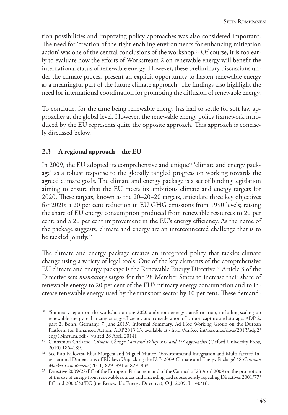tion possibilities and improving policy approaches was also considered important. The need for 'creation of the right enabling environments for enhancing mitigation action' was one of the central conclusions of the workshop.<sup>50</sup> Of course, it is too early to evaluate how the efforts of Workstream 2 on renewable energy will benefit the international status of renewable energy. However, these preliminary discussions under the climate process present an explicit opportunity to hasten renewable energy as a meaningful part of the future climate approach. The findings also highlight the need for international coordination for promoting the diffusion of renewable energy.

To conclude, for the time being renewable energy has had to settle for soft law approaches at the global level. However, the renewable energy policy framework introduced by the EU represents quite the opposite approach. This approach is concisely discussed below.

# **2.3 A regional approach – the EU**

In 2009, the EU adopted its comprehensive and unique<sup>51</sup> 'climate and energy package' as a robust response to the globally tangled progress on working towards the agreed climate goals. The climate and energy package is a set of binding legislation aiming to ensure that the EU meets its ambitious climate and energy targets for 2020. These targets, known as the 20–20–20 targets, articulate three key objectives for 2020: a 20 per cent reduction in EU GHG emissions from 1990 levels; raising the share of EU energy consumption produced from renewable resources to 20 per cent; and a 20 per cent improvement in the EU's energy efficiency. As the name of the package suggests, climate and energy are an interconnected challenge that is to be tackled jointly.<sup>52</sup>

The climate and energy package creates an integrated policy that tackles climate change using a variety of legal tools. One of the key elements of the comprehensive EU climate and energy package is the Renewable Energy Directive.53 Article 3 of the Directive sets *mandatory targets* for the 28 Member States to increase their share of renewable energy to 20 per cent of the EU's primary energy consumption and to increase renewable energy used by the transport sector by 10 per cent. These demand-

<sup>&</sup>lt;sup>50</sup> 'Summary report on the workshop on pre-2020 ambition: energy transformation, including scaling-up renewable energy, enhancing energy efficiency and consideration of carbon capture and storage, ADP 2, part 2, Bonn, Germany, 7 June 2013', Informal Summary, Ad Hoc Working Group on the Durban Platform for Enhanced Action, ADP.2013.13, available at <http://unfccc.int/resource/docs/2013/adp2/ eng/13infsum.pdf> (visited 28 April 2014).

<sup>51</sup> Cinnamon Carlarne, *Climate Change Law and Policy. EU and US approaches* (Oxford University Press, 2010) 186–189.

<sup>52</sup> See Kati Kulovesi, Elisa Morgera and Miguel Muñoz, 'Environmental Integration and Multi-faceted International Dimensions of EU law: Unpacking the EU's 2009 Climate and Energy Package' 48 *Common Market Law Review* (2011) 829–891 at 829–833.

<sup>53</sup> Directive 2009/28/EC of the European Parliament and of the Council of 23 April 2009 on the promotion of the use of energy from renewable sources and amending and subsequently repealing Directives 2001/77/ EC and 2003/30/EC (the Renewable Energy Directive), O.J. 2009, L 140/16.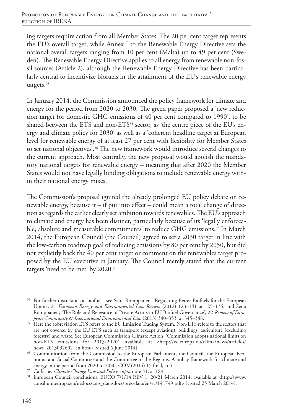ing targets require action from all Member States. The 20 per cent target represents the EU's overall target, while Annex I to the Renewable Energy Directive sets the national overall targets ranging from 10 per cent (Malta) up to 49 per cent (Sweden). The Renewable Energy Directive applies to all energy from renewable non-fossil sources (Article 2), although the Renewable Energy Directive has been particularly central to incentivize biofuels in the attainment of the EU's renewable energy targets.<sup>54</sup>

In January 2014, the Commission announced the policy framework for climate and energy for the period from 2020 to 2030. The green paper proposed a 'new reduction target for domestic GHG emissions of 40 per cent compared to 1990', to be shared between the ETS and non-ETS<sup>55</sup> sector, as 'the centre piece of the EU's energy and climate policy for 2030' as well as a 'coherent headline target at European level for renewable energy of at least 27 per cent with flexibility for Member States to set national objectives'.<sup>56</sup> The new framework would introduce several changes to the current approach. Most centrally, the new proposal would abolish the mandatory national targets for renewable energy – meaning that after 2020 the Member States would not have legally binding obligations to include renewable energy within their national energy mixes.

The Commission's proposal ignited the already prolonged EU policy debate on renewable energy, because it – if put into effect – could mean a total change of direction as regards the earlier clearly set ambition towards renewables. The EU's approach to climate and energy has been distinct, particularly because of its 'legally enforceable, absolute and measurable commitments' to reduce GHG emissions.57 In March 2014, the European Council (the Council) agreed to set a 2030 target in line with the low-carbon roadmap goal of reducing emissions by 80 per cent by 2050, but did not explicitly back the 40 per cent target or comment on the renewables target proposed by the EU executive in January. The Council merely stated that the current targets 'need to be met' by 2020.<sup>58</sup>

<sup>54</sup> For further discussion on biofuels, see Seita Romppanen, 'Regulating Better Biofuels for the European Union', 21 *European Energy and Environmental Law Review* (2012) 123–141 at 125–135; and Seita Romppanen, 'The Role and Relevance of Private Actors in EU Biofuel Governance', 22 *Review of European Community & International Environmental Law* (2013) 340–353 at 345–348.

<sup>&</sup>lt;sup>55</sup> Here the abbreviation ETS refers to the EU Emission Trading System. Non-ETS refers to the sectors that are not covered by the EU ETS such as transport (except aviation), buildings, agriculture (excluding forestry) and waste. See European Commission Climate Action, 'Commission adopts national limits on non-ETS emissions for 2013-2020', available at <http://ec.europa.eu/clima/news/articles/ news\_2013032602\_en.htm> (visited 6 June 2014).

<sup>&</sup>lt;sup>56</sup> Communication from the Commission to the European Parliament, the Council, the European Economic and Social Committee and the Committee of the Regions. A policy framework for climate and energy in the period from 2020 to 2030, COM(2014) 15 final, at 5.

<sup>57</sup> Carlarne, *Climate Change Law and Policy*, *supra* note 51, at 189.

<sup>58</sup> European Council conclusions, EUCO 7/1/14 REV 1, 20/21 March 2014, available at <http://www. consilium.europa.eu/uedocs/cms\_data/docs/pressdata/en/ec/141749.pdf> (visited 25 March 2014).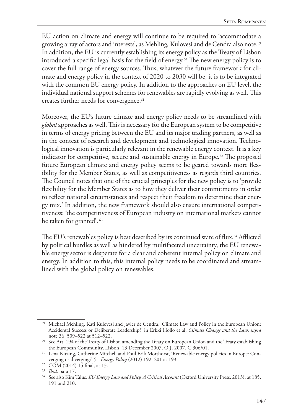EU action on climate and energy will continue to be required to 'accommodate a growing array of actors and interests', as Mehling*,* Kulovesi and de Cendra also note.59 In addition, the EU is currently establishing its energy policy as the Treaty of Lisbon introduced a specific legal basis for the field of energy.<sup>60</sup> The new energy policy is to cover the full range of energy sources. Thus, whatever the future framework for climate and energy policy in the context of 2020 to 2030 will be, it is to be integrated with the common EU energy policy. In addition to the approaches on EU level, the individual national support schemes for renewables are rapidly evolving as well. This creates further needs for convergence.<sup>61</sup>

Moreover, the EU's future climate and energy policy needs to be streamlined with *global* approaches as well. This is necessary for the European system to be competitive in terms of energy pricing between the EU and its major trading partners, as well as in the context of research and development and technological innovation. Technological innovation is particularly relevant in the renewable energy context. It is a key indicator for competitive, secure and sustainable energy in Europe.<sup>62</sup> The proposed future European climate and energy policy seems to be geared towards more flexibility for the Member States, as well as competitiveness as regards third countries. The Council notes that one of the crucial principles for the new policy is to 'provide flexibility for the Member States as to how they deliver their commitments in order to reflect national circumstances and respect their freedom to determine their energy mix.' In addition, the new framework should also ensure international competitiveness: 'the competitiveness of European industry on international markets cannot be taken for granted'. 63

The EU's renewables policy is best described by its continued state of flux.<sup>64</sup> Afflicted by political hurdles as well as hindered by multifaceted uncertainty, the EU renewable energy sector is desperate for a clear and coherent internal policy on climate and energy. In addition to this, this internal policy needs to be coordinated and streamlined with the global policy on renewables.

<sup>59</sup> Michael Mehling, Kati Kulovesi and Javier de Cendra, 'Climate Law and Policy in the European Union: Accidental Success or Deliberate Leadership?' in Erkki Hollo et al, *Climate Change and the Law*, *supra* note 36, 509–522 at 512–522.

<sup>&</sup>lt;sup>60</sup> See Art. 194 of the Treaty of Lisbon amending the Treaty on European Union and the Treaty establishing the European Community, Lisbon, 13 December 2007, O.J. 2007, C 306/01.

<sup>61</sup> Lena Kitzing, Catherine Mitchell and Poul Erik Morthorst, 'Renewable energy policies in Europe: Converging or diverging?' 51 *Energy Policy* (2012) 192–201 at 193.

 $62$  COM (2014) 15 final, at 13.

<sup>63</sup> *Ibid*. para 17.

<sup>64</sup> See also Kim Talus, *EU Energy Law and Policy. A Critical Account* (Oxford University Press, 2013), at 185, 191 and 210.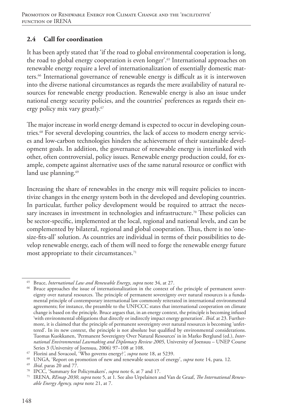### **2.4 Call for coordination**

It has been aptly stated that 'if the road to global environmental cooperation is long, the road to global energy cooperation is even longer'.65 International approaches on renewable energy require a level of internationalization of essentially domestic matters.66 International governance of renewable energy is difficult as it is interwoven into the diverse national circumstances as regards the mere availability of natural resources for renewable energy production. Renewable energy is also an issue under national energy security policies, and the countries' preferences as regards their energy policy mix vary greatly.<sup>67</sup>

The major increase in world energy demand is expected to occur in developing countries.<sup>68</sup> For several developing countries, the lack of access to modern energy services and low-carbon technologies hinders the achievement of their sustainable development goals. In addition, the governance of renewable energy is interlinked with other, often controversial, policy issues. Renewable energy production could, for example, compete against alternative uses of the same natural resource or conflict with land use planning.<sup>69</sup>

Increasing the share of renewables in the energy mix will require policies to incentivize changes in the energy system both in the developed and developing countries. In particular, further policy development would be required to attract the necessary increases in investment in technologies and infrastructure.<sup>70</sup> These policies can be sector-specific, implemented at the local, regional and national levels, and can be complemented by bilateral, regional and global cooperation. Thus, there is no 'onesize-fits-all' solution. As countries are individual in terms of their possibilities to develop renewable energy, each of them will need to forge the renewable energy future most appropriate to their circumstances.<sup>71</sup>

<sup>65</sup> Bruce, *International Law and Renewable Energy*, *supra* note 34, at 27.

<sup>&</sup>lt;sup>66</sup> Bruce approaches the issue of internationalization in the context of the principle of permanent sovereignty over natural resources. The principle of permanent sovereignty over natural resources is a fundamental principle of contemporary international law commonly reiterated in international environmental agreements; for instance, the preamble to the UNFCCC states that international cooperation on climate change is based on the principle. Bruce argues that, in an energy context, the principle is becoming infused 'with environmental obligations that directly or indirectly impact energy generation'. *Ibid*. at 23. Furthermore, it is claimed that the principle of permanent sovereignty over natural resources is becoming 'unfettered'. In its new context, the principle is not absolute but qualified by environmental considerations. Tuomas Kuokkanen, 'Permanent Sovereignty Over Natural Resources' in in Marko Berglund (ed.), *International Environmental Lawmaking and Diplomacy Review 2005*, University of Joensuu – UNEP Course Series 3 (University of Joensuu, 2006) 97–108 at 108.

<sup>67</sup> Florini and Sovacool, 'Who governs energy?*', supra* note 18, at 5239.

<sup>68</sup> UNGA, 'Report on promotion of new and renewable sources of energy', *supra* note 14, para. 12.

<sup>69</sup> *Ibid*. paras 20 and 77.

<sup>70</sup> IPCC, 'Summary for Policymakers', *supra* note 6, at 7 and 17.

<sup>71</sup> IRENA, *REmap 2030*, *supra* note 5, at 1. See also Urpelainen and Van de Graaf, *The International Renewable Energy Agency, supra* note 21, at 7.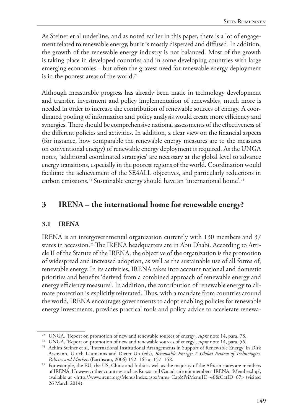As Steiner et al underline, and as noted earlier in this paper, there is a lot of engagement related to renewable energy, but it is mostly dispersed and diffused. In addition, the growth of the renewable energy industry is not balanced. Most of the growth is taking place in developed countries and in some developing countries with large emerging economies – but often the gravest need for renewable energy deployment is in the poorest areas of the world.72

Although measurable progress has already been made in technology development and transfer, investment and policy implementation of renewables, much more is needed in order to increase the contribution of renewable sources of energy. A coordinated pooling of information and policy analysis would create more efficiency and synergies. There should be comprehensive national assessments of the effectiveness of the different policies and activities. In addition, a clear view on the financial aspects (for instance, how comparable the renewable energy measures are to the measures on conventional energy) of renewable energy deployment is required. As the UNGA notes, 'additional coordinated strategies' are necessary at the global level to advance energy transitions, especially in the poorest regions of the world. Coordination would facilitate the achievement of the SE4ALL objectives, and particularly reductions in carbon emissions.73 Sustainable energy should have an 'international home'.74

# **3 IRENA – the international home for renewable energy?**

### **3.1 IRENA**

IRENA is an intergovernmental organization currently with 130 members and 37 states in accession.<sup>75</sup> The IRENA headquarters are in Abu Dhabi. According to Article II of the Statute of the IRENA, the objective of the organization is the promotion of widespread and increased adoption, as well as the sustainable use of all forms of, renewable energy. In its activities, IRENA takes into account national and domestic priorities and benefits 'derived from a combined approach of renewable energy and energy efficiency measures'. In addition, the contribution of renewable energy to climate protection is explicitly reiterated. Thus, with a mandate from countries around the world, IRENA encourages governments to adopt enabling policies for renewable energy investments, provides practical tools and policy advice to accelerate renewa-

<sup>72</sup> UNGA, 'Report on promotion of new and renewable sources of energy', *supra* note 14, para. 78.

<sup>73</sup> UNGA, 'Report on promotion of new and renewable sources of energy', *supra* note 14, para. 56.

<sup>74</sup> Achim Steiner et al, 'International Institutional Arrangements in Support of Renewable Energy' in Dirk Assmann, Ulrich Laumanns and Dieter Uh (eds), *Renewable Energy: A Global Review of Technologies, Policies and Markets* (Earthscan, 2006) 152–165 at 157–158.

<sup>&</sup>lt;sup>75</sup> For example, the EU, the US, China and India as well as the majority of the African states are members of IRENA. However, other countries such as Russia and Canada are not members. IRENA, 'Membership', available at <http://www.irena.org/Menu/Index.aspx?mnu=Cat&PriMenuID=46&CatID=67> (visited 26 March 2014).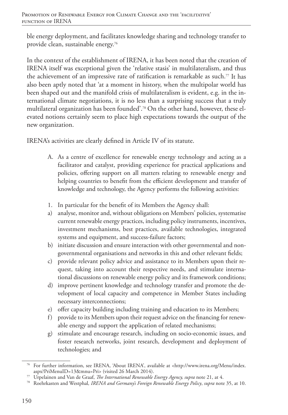ble energy deployment, and facilitates knowledge sharing and technology transfer to provide clean, sustainable energy.76

In the context of the establishment of IRENA, it has been noted that the creation of IRENA itself was exceptional given the 'relative stasis' in multilateralism, and thus the achievement of an impressive rate of ratification is remarkable as such.77 It has also been aptly noted that 'at a moment in history, when the multipolar world has been shaped out and the manifold crisis of multilateralism is evident, e.g. in the international climate negotiations, it is no less than a surprising success that a truly multilateral organization has been founded'.78 On the other hand, however, these elevated notions certainly seem to place high expectations towards the output of the new organization.

IRENA's activities are clearly defined in Article IV of its statute.

- A. As a centre of excellence for renewable energy technology and acting as a facilitator and catalyst, providing experience for practical applications and policies, offering support on all matters relating to renewable energy and helping countries to benefit from the efficient development and transfer of knowledge and technology, the Agency performs the following activities:
- 1. In particular for the benefit of its Members the Agency shall:
- a) analyse, monitor and, without obligations on Members' policies, systematise current renewable energy practices, including policy instruments, incentives, investment mechanisms, best practices, available technologies, integrated systems and equipment, and success-failure factors;
- b) initiate discussion and ensure interaction with other governmental and nongovernmental organisations and networks in this and other relevant fields;
- c) provide relevant policy advice and assistance to its Members upon their request, taking into account their respective needs, and stimulate international discussions on renewable energy policy and its framework conditions;
- d) improve pertinent knowledge and technology transfer and promote the development of local capacity and competence in Member States including necessary interconnections;
- e) offer capacity building including training and education to its Members;
- f) provide to its Members upon their request advice on the financing for renewable energy and support the application of related mechanisms;
- g) stimulate and encourage research, including on socio-economic issues, and foster research networks, joint research, development and deployment of technologies; and

<sup>76</sup> For further information, see IRENA, 'About IRENA', available at <http://www.irena.org/Menu/index. aspx?PriMenuID=13&mnu=Pri> (visited 26 March 2014).

<sup>77</sup> Urpelainen and Van de Graaf, *The International Renewable Energy Agency, supra* note 21, at 4.

<sup>78</sup> Roehrkasten and Westphal*, IRENA and Germany's Foreign Renewable Energy Policy*, *supra* note 35, at 10.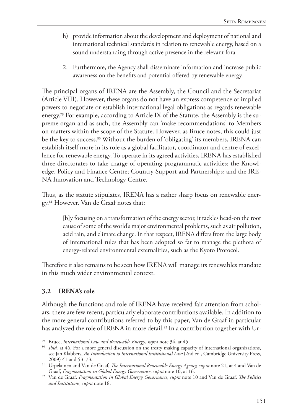- h) provide information about the development and deployment of national and international technical standards in relation to renewable energy, based on a sound understanding through active presence in the relevant fora.
- 2. Furthermore, the Agency shall disseminate information and increase public awareness on the benefits and potential offered by renewable energy.

The principal organs of IRENA are the Assembly, the Council and the Secretariat (Article VIII). However, these organs do not have an express competence or implied powers to negotiate or establish international legal obligations as regards renewable energy.<sup>79</sup> For example, according to Article IX of the Statute, the Assembly is the supreme organ and as such, the Assembly can 'make recommendations' to Members on matters within the scope of the Statute. However, as Bruce notes, this could just be the key to success.<sup>80</sup> Without the burden of 'obligating' its members, IRENA can establish itself more in its role as a global facilitator, coordinator and centre of excellence for renewable energy. To operate in its agreed activities, IRENA has established three directorates to take charge of operating programmatic activities: the Knowledge, Policy and Finance Centre; Country Support and Partnerships; and the IRE-NA Innovation and Technology Centre.

Thus, as the statute stipulates, IRENA has a rather sharp focus on renewable energy.81 However, Van de Graaf notes that:

[b]y focusing on a transformation of the energy sector, it tackles head-on the root cause of some of the world's major environmental problems, such as air pollution, acid rain, and climate change. In that respect, IRENA differs from the large body of international rules that has been adopted so far to manage the plethora of energy-related environmental externalities, such as the Kyoto Protocol.

Therefore it also remains to be seen how IRENA will manage its renewables mandate in this much wider environmental context.

### **3.2 IRENA's role**

Although the functions and role of IRENA have received fair attention from scholars, there are few recent, particularly elaborate contributions available. In addition to the more general contributions referred to by this paper, Van de Graaf in particular has analyzed the role of IRENA in more detail.<sup>82</sup> In a contribution together with Ur-

<sup>79</sup> Bruce, *International Law and Renewable Energy*, *supra* note 34, at 45.

<sup>&</sup>lt;sup>80</sup> *Ibid.* at 46. For a more general discussion on the treaty making capacity of international organizations, see Jan Klabbers, *An Introduction to International Institutional Law* (2nd ed., Cambridge University Press, 2009) 41 and 53–73.

<sup>81</sup> Urpelainen and Van de Graaf, *The International Renewable Energy Agency, supra* note 21, at 4 and Van de Graaf, *Fragmentation in Global Energy Governance*, *supra* note 10, at 16.

<sup>82</sup> Van de Graaf, *Fragmentation in Global Energy Governance*, *supra* note 10 and Van de Graaf, *The Politics and Institutions, supra* note 18.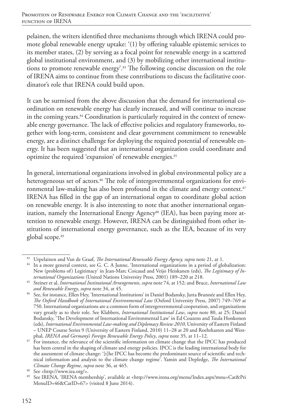pelainen, the writers identified three mechanisms through which IRENA could promote global renewable energy uptake: '(1) by offering valuable epistemic services to its member states, (2) by serving as a focal point for renewable energy in a scattered global institutional environment, and (3) by mobilizing other international institutions to promote renewable energy'.83 The following concise discussion on the role of IRENA aims to continue from these contributions to discuss the facilitative coordinator's role that IRENA could build upon.

It can be surmised from the above discussion that the demand for international coordination on renewable energy has clearly increased, and will continue to increase in the coming years.<sup>84</sup> Coordination is particularly required in the context of renewable energy governance. The lack of effective policies and regulatory frameworks, together with long-term, consistent and clear government commitment to renewable energy, are a distinct challenge for deploying the required potential of renewable energy. It has been suggested that an international organization could coordinate and optimize the required 'expansion' of renewable energies.<sup>85</sup>

In general, international organizations involved in global environmental policy are a heterogeneous set of actors.<sup>86</sup> The role of intergovernmental organizations for environmental law-making has also been profound in the climate and energy context.<sup>87</sup> IRENA has filled in the gap of an international organ to coordinate global action on renewable energy. It is also interesting to note that another international organization, namely the International Energy Agency<sup>88</sup> (IEA), has been paying more attention to renewable energy. However, IRENA can be distinguished from other institutions of international energy governance, such as the IEA, because of its very global scope.89

<sup>83</sup> Urpelainen and Van de Graaf, *The International Renewable Energy Agency, supra* note 21, at 1.

<sup>84</sup> In a more general context, see G. C. A Junne, 'International organizations in a period of globalization: New (problems of) Legitimacy' in Jean-Marc Coicaud and Veijo Heiskanen (eds), *The Legitimacy of International Organizations* (United Nations University Press, 2001) 189–220 at 218.

<sup>85</sup> Steiner et al, *International Institutional Arrangements*, *supra* note 74, at 152; and Bruce, *International Law and Renewable Energy*, *supra* note 34, at 45.

<sup>&</sup>lt;sup>86</sup> See, for instance, Ellen Hey, 'International Institutions' in Daniel Bodansky, Jutta Brunnée and Ellen Hey, *The Oxford Handbook of International Environmental Law* (Oxford University Press, 2007) 749–769 at 750. International organizations are a common form of intergovernmental cooperation, and organizations vary greatly as to their role. See Klabbers, *International Institutional Law*, *supra* note 80, at 25; Daniel Bodansky, 'The Development of International Environmental Law' in Ed Couzens and Tuula Honkonen (eds), *International Environmental Law-making and Diplomacy Review 2010*, University of Eastern Finland – UNEP Course Series 9 (University of Eastern Finland, 2010) 11–28 at 20 and Roehrkasten and Westphal*, IRENA and Germany's Foreign Renewable Energy Policy*, *supra* note 35, at 11–12.

<sup>&</sup>lt;sup>87</sup> For instance, the relevance of the scientific information on climate change that the IPCC has produced has been central in the shaping of climate and energy policies. IPCC is the leading international body for the assessment of climate change: '[t]he IPCC has become the predominant source of scientific and technical information and analysis to the climate change regime'. Yamin and Depledge, *The International Climate Change Regime*, *supra* note 36, at 465.

<sup>88</sup> See <http://www.iea.org/>.

<sup>89</sup> See IRENA, 'IRENA membership', available at <http://www.irena.org/menu/Index.aspx?mnu=Cat&Pri MenuID=46&CatID=67> (visited 8 June 2014).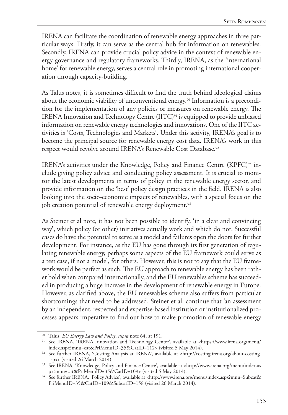IRENA can facilitate the coordination of renewable energy approaches in three particular ways. Firstly, it can serve as the central hub for information on renewables. Secondly, IRENA can provide crucial policy advice in the context of renewable energy governance and regulatory frameworks. Thirdly, IRENA, as the 'international home' for renewable energy, serves a central role in promoting international cooperation through capacity-building.

As Talus notes, it is sometimes difficult to find the truth behind ideological claims about the economic viability of unconventional energy.<sup>90</sup> Information is a precondition for the implementation of any policies or measures on renewable energy. The IRENA Innovation and Technology Centre (IITC)<sup>91</sup> is equipped to provide unbiased information on renewable energy technologies and innovations. One of the IITC activities is 'Costs, Technologies and Markets'. Under this activity, IRENA's goal is to become the principal source for renewable energy cost data. IRENA's work in this respect would revolve around IRENA's Renewable Cost Database.<sup>92</sup>

IRENA's activities under the Knowledge, Policy and Finance Centre (KPFC)<sup>93</sup> include giving policy advice and conducting policy assessment. It is crucial to monitor the latest developments in terms of policy in the renewable energy sector, and provide information on the 'best' policy design practices in the field. IRENA is also looking into the socio-economic impacts of renewables, with a special focus on the job creation potential of renewable energy deployment.<sup>94</sup>

As Steiner et al note, it has not been possible to identify, 'in a clear and convincing way', which policy (or other) initiatives actually work and which do not. Successful cases do have the potential to serve as a model and failures open the doors for further development. For instance, as the EU has gone through its first generation of regulating renewable energy, perhaps some aspects of the EU framework could serve as a test case, if not a model, for others. However, this is not to say that the EU framework would be perfect as such. The EU approach to renewable energy has been rather bold when compared internationally, and the EU renewables scheme has succeeded in producing a huge increase in the development of renewable energy in Europe. However, as clarified above, the EU renewables scheme also suffers from particular shortcomings that need to be addressed. Steiner et al. continue that 'an assessment by an independent, respected and expertise-based institution or institutionalized processes appears imperative to find out how to make promotion of renewable energy

<sup>90</sup> Talus, *EU Energy Law and Policy*, *supra* note 64, at 191.

<sup>91</sup> See IRENA, 'IRENA Innovation and Technology Centre', available at <https://www.irena.org/menu/ index.aspx?mnu=cat&PriMenuID=35&CatID=112> (visited 5 May 2014).

<sup>92</sup> See further IRENA, 'Costing Analysis at IRENA', available at <http://costing.irena.org/about-costing.

aspx> (visited 26 March 2014). 93 See IRENA, 'Knowledge, Policy and Finance Centre', available at <http://www.irena.org/menu/index.as px?mnu=cat&PriMenuID=35&CatID=109> (visited 5 May 2014).

<sup>94</sup> See further IRENA, 'Policy Advice', available at <http://www.irena.org/menu/index.aspx?mnu=Subcat& PriMenuID=35&CatID=109&SubcatID=158 (visited 26 March 2014).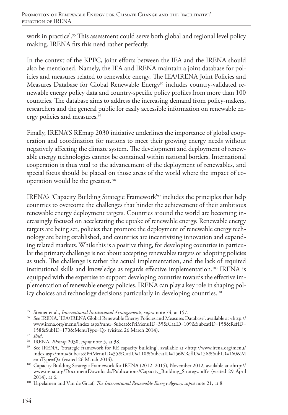work in practice'.<sup>95</sup> This assessment could serve both global and regional level policy making. IRENA fits this need rather perfectly.

In the context of the KPFC, joint efforts between the IEA and the IRENA should also be mentioned. Namely, the IEA and IRENA maintain a joint database for policies and measures related to renewable energy. The IEA/IRENA Joint Policies and Measures Database for Global Renewable Energy<sup>96</sup> includes country-validated renewable energy policy data and country-specific policy profiles from more than 100 countries. The database aims to address the increasing demand from policy-makers, researchers and the general public for easily accessible information on renewable energy policies and measures.<sup>97</sup>

Finally, IRENA'S REmap 2030 initiative underlines the importance of global cooperation and coordination for nations to meet their growing energy needs without negatively affecting the climate system. The development and deployment of renewable energy technologies cannot be contained within national borders. International cooperation is thus vital to the advancement of the deployment of renewables, and special focus should be placed on those areas of the world where the impact of cooperation would be the greatest. 98

IRENA's 'Capacity Building Strategic Framework'99 includes the principles that help countries to overcome the challenges that hinder the achievement of their ambitious renewable energy deployment targets. Countries around the world are becoming increasingly focused on accelerating the uptake of renewable energy. Renewable energy targets are being set, policies that promote the deployment of renewable energy technology are being established, and countries are incentivizing innovation and expanding related markets. While this is a positive thing, for developing countries in particular the primary challenge is not about accepting renewables targets or adopting policies as such. The challenge is rather the actual implementation, and the lack of required institutional skills and knowledge as regards effective implementation.100 IRENA is equipped with the expertise to support developing countries towards the effective implementation of renewable energy policies. IRENA can play a key role in shaping policy choices and technology decisions particularly in developing countries.<sup>101</sup>

<sup>95</sup> Steiner et al., *International Institutional Arrangements*, *supra* note 74, at 157.

<sup>96</sup> See IRENA, 'IEA/IRENA Global Renewable Energy Policies and Measures Database', available at <http:// www.irena.org/menu/index.aspx?mnu=Subcat&PriMenuID=35&CatID=109&SubcatID=158&RefID= 158&SubID=170&MenuType=Q> (visited 26 March 2014).

<sup>97</sup> *Ibid*.

<sup>98</sup> IRENA, *REmap* 2030, *supra* note 5, at 38.

<sup>99</sup> See IRENA, 'Strategic framework for RE capacity building', available at <http://www.irena.org/menu/ index.aspx?mnu=Subcat&PriMenuID=35&CatID=110&SubcatID=156&RefID=156&SubID=160&M enuType=Q> (visited 26 March 2014).

<sup>100</sup> Capacity Building Strategic Framework for IRENA (2012–2015), November 2012, available at <http:// www.irena.org/DocumentDownloads/Publications/Capacity\_Building\_Strategy.pdf> (visited 29 April 2014), at 6.

<sup>101</sup> Urpelainen and Van de Graaf, *The International Renewable Energy Agency, supra* note 21, at 8.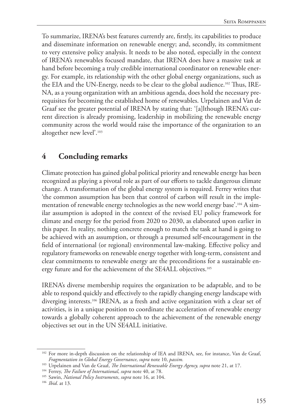To summarize, IRENA's best features currently are, firstly, its capabilities to produce and disseminate information on renewable energy; and, secondly, its commitment to very extensive policy analysis. It needs to be also noted, especially in the context of IRENA's renewables focused mandate, that IRENA does have a massive task at hand before becoming a truly credible international coordinator on renewable energy. For example, its relationship with the other global energy organizations, such as the EIA and the UN-Energy, needs to be clear to the global audience.102 Thus, IRE-NA, as a young organization with an ambitious agenda, does hold the necessary prerequisites for becoming the established home of renewables. Urpelainen and Van de Graaf see the greater potential of IRENA by stating that: '[a]lthough IRENA's current direction is already promising, leadership in mobilizing the renewable energy community across the world would raise the importance of the organization to an altogether new level'.103

# **4 Concluding remarks**

Climate protection has gained global political priority and renewable energy has been recognized as playing a pivotal role as part of our efforts to tackle dangerous climate change. A transformation of the global energy system is required. Ferrey writes that 'the common assumption has been that control of carbon will result in the implementation of renewable energy technologies as the new world energy base'.104 A similar assumption is adopted in the context of the revised EU policy framework for climate and energy for the period from 2020 to 2030, as elaborated upon earlier in this paper. In reality, nothing concrete enough to match the task at hand is going to be achieved with an assumption, or through a presumed self-encouragement in the field of international (or regional) environmental law-making. Effective policy and regulatory frameworks on renewable energy together with long-term, consistent and clear commitments to renewable energy are the preconditions for a sustainable energy future and for the achievement of the SE4ALL objectives.105

IRENA's diverse membership requires the organization to be adaptable, and to be able to respond quickly and effectively to the rapidly changing energy landscape with diverging interests.<sup>106</sup> IRENA, as a fresh and active organization with a clear set of activities, is in a unique position to coordinate the acceleration of renewable energy towards a globally coherent approach to the achievement of the renewable energy objectives set out in the UN SE4ALL initiative.

<sup>&</sup>lt;sup>102</sup> For more in-depth discussion on the relationship of IEA and IRENA, see, for instance, Van de Graaf, *Fragmentation in Global Energy Governance*, *supra* note 10, *passim.*

<sup>103</sup> Urpelainen and Van de Graaf, *The International Renewable Energy Agency, supra* note 21, at 17.

<sup>104</sup> Ferrey, *The Failure of International*, *supra* note 40, at 78.

<sup>105</sup> Sawin, *National Policy Instruments*, *supra* note 16, at 104.

<sup>106</sup> *Ibid*. at 13.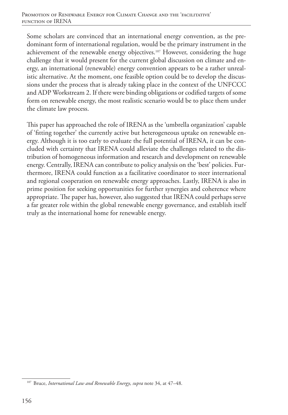Some scholars are convinced that an international energy convention, as the predominant form of international regulation, would be the primary instrument in the achievement of the renewable energy objectives.107 However, considering the huge challenge that it would present for the current global discussion on climate and energy, an international (renewable) energy convention appears to be a rather unrealistic alternative. At the moment, one feasible option could be to develop the discussions under the process that is already taking place in the context of the UNFCCC and ADP Workstream 2. If there were binding obligations or codified targets of some form on renewable energy, the most realistic scenario would be to place them under the climate law process.

This paper has approached the role of IRENA as the 'umbrella organization' capable of 'fitting together' the currently active but heterogeneous uptake on renewable energy. Although it is too early to evaluate the full potential of IRENA, it can be concluded with certainty that IRENA could alleviate the challenges related to the distribution of homogeneous information and research and development on renewable energy. Centrally, IRENA can contribute to policy analysis on the 'best' policies. Furthermore, IRENA could function as a facilitative coordinator to steer international and regional cooperation on renewable energy approaches. Lastly, IRENA is also in prime position for seeking opportunities for further synergies and coherence where appropriate. The paper has, however, also suggested that IRENA could perhaps serve a far greater role within the global renewable energy governance, and establish itself truly as the international home for renewable energy.

<sup>107</sup> Bruce, *International Law and Renewable Energy*, *supra* note 34, at 47–48.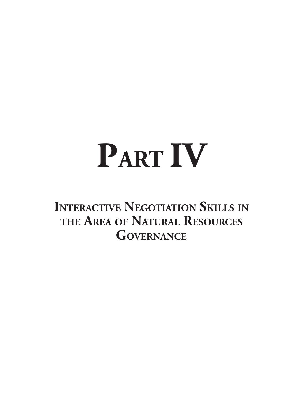# **PART IV**

**Interactive Negotiation Skills in the Area of Natural Resources Governance**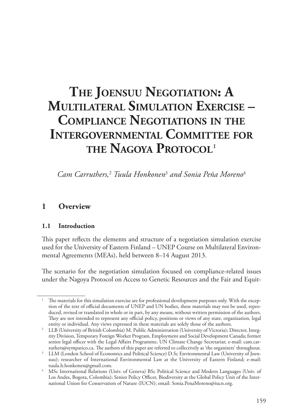# **The Joensuu Negotiation: A Multilateral Simulation Exercise – Compliance Negotiations in the Intergovernmental Committee for the Nagoya Protocol**<sup>1</sup>

*Cam Carruthers,*<sup>2</sup>  *Tuula Honkonen*<sup>3</sup>  *and Sonia Peña Moreno*<sup>4</sup>

# **1 Overview**

#### **1.1 Introduction**

This paper reflects the elements and structure of a negotiation simulation exercise used for the University of Eastern Finland – UNEP Course on Multilateral Environmental Agreements (MEAs), held between 8–14 August 2013.

The scenario for the negotiation simulation focused on compliance-related issues under the Nagoya Protocol on Access to Genetic Resources and the Fair and Equit-

<sup>1</sup> The materials for this simulation exercise are for professional development purposes only. With the exception of the text of official documents of UNEP and UN bodies, these materials may not be used, reproduced, revised or translated in whole or in part, by any means, without written permission of the authors. They are not intended to represent any official policy, positions or views of any state, organization, legal entity or individual. Any views expressed in these materials are solely those of the authors.

<sup>2</sup> LLB (University of British Colombia) M. Public Administration (University of Victoria); Director, Integrity Division, Temporary Foreign Worker Program, Employment and Social Development Canada; former senior legal officer with the Legal Affairs Programme, UN Climate Change Secretariat; e-mail: cam.carruthers@sympatico.ca. The authors of this paper are referred to collectively as 'the organizers' throughout.

LLM (London School of Economics and Political Science) D.Sc Environmental Law (University of Joensuu); researcher of International Environmental Law at the University of Eastern Finland; e-mail: tuula.h.honkonen@gmail.com. 4 MSc International Relations (Univ. of Geneva) BSc Political Science and Modern Languages (Univ. of

Los Andes, Bogota, Colombia); Senior Policy Officer, Biodiversity at the Global Policy Unit of the International Union for Conservation of Nature (IUCN); email: Sonia.PenaMoreno@iucn.org.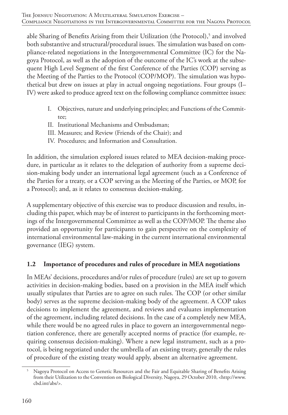able Sharing of Benefits Arising from their Utilization (the Protocol),<sup>5</sup> and involved both substantive and structural/procedural issues. The simulation was based on compliance-related negotiations in the Intergovernmental Committee (IC) for the Nagoya Protocol, as well as the adoption of the outcome of the IC's work at the subsequent High Level Segment of the first Conference of the Parties (COP) serving as the Meeting of the Parties to the Protocol (COP/MOP). The simulation was hypothetical but drew on issues at play in actual ongoing negotiations. Four groups (I– IV) were asked to produce agreed text on the following compliance committee issues:

- I. Objectives, nature and underlying principles; and Functions of the Committee;
- II. Institutional Mechanisms and Ombudsman;
- III. Measures; and Review (Friends of the Chair); and
- IV. Procedures; and Information and Consultation.

In addition, the simulation explored issues related to MEA decision-making procedure, in particular as it relates to the delegation of authority from a supreme decision-making body under an international legal agreement (such as a Conference of the Parties for a treaty, or a COP serving as the Meeting of the Parties, or MOP, for a Protocol); and, as it relates to consensus decision-making.

A supplementary objective of this exercise was to produce discussion and results, including this paper, which may be of interest to participants in the forthcoming meetings of the Intergovernmental Committee as well as the COP/MOP. The theme also provided an opportunity for participants to gain perspective on the complexity of international environmental law-making in the current international environmental governance (IEG) system.

# **1.2 Importance of procedures and rules of procedure in MEA negotiations**

In MEAs' decisions, procedures and/or rules of procedure (rules) are set up to govern activities in decision-making bodies, based on a provision in the MEA itself which usually stipulates that Parties are to agree on such rules. The COP (or other similar body) serves as the supreme decision-making body of the agreement. A COP takes decisions to implement the agreement, and reviews and evaluates implementation of the agreement, including related decisions. In the case of a completely new MEA, while there would be no agreed rules in place to govern an intergovernmental negotiation conference, there are generally accepted norms of practice (for example, requiring consensus decision-making). Where a new legal instrument, such as a protocol, is being negotiated under the umbrella of an existing treaty, generally the rules of procedure of the existing treaty would apply, absent an alternative agreement.

<sup>5</sup> Nagoya Protocol on Access to Genetic Resources and the Fair and Equitable Sharing of Benefits Arising from their Utilization to the Convention on Biological Diversity, Nagoya, 29 October 2010, <http://www. cbd.int/abs/>.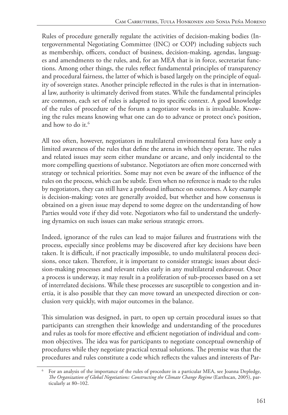Rules of procedure generally regulate the activities of decision-making bodies (Intergovernmental Negotiating Committee (INC) or COP) including subjects such as membership, officers, conduct of business, decision-making, agendas, languages and amendments to the rules, and, for an MEA that is in force, secretariat functions. Among other things, the rules reflect fundamental principles of transparency and procedural fairness, the latter of which is based largely on the principle of equality of sovereign states. Another principle reflected in the rules is that in international law, authority is ultimately derived from states. While the fundamental principles are common, each set of rules is adapted to its specific context. A good knowledge of the rules of procedure of the forum a negotiator works in is invaluable. Knowing the rules means knowing what one can do to advance or protect one's position, and how to do it.<sup>6</sup>

All too often, however, negotiators in multilateral environmental fora have only a limited awareness of the rules that define the arena in which they operate. The rules and related issues may seem either mundane or arcane, and only incidental to the more compelling questions of substance. Negotiators are often more concerned with strategy or technical priorities. Some may not even be aware of the influence of the rules on the process, which can be subtle. Even when no reference is made to the rules by negotiators, they can still have a profound influence on outcomes. A key example is decision-making: votes are generally avoided, but whether and how consensus is obtained on a given issue may depend to some degree on the understanding of how Parties would vote if they did vote. Negotiators who fail to understand the underlying dynamics on such issues can make serious strategic errors.

Indeed, ignorance of the rules can lead to major failures and frustrations with the process, especially since problems may be discovered after key decisions have been taken. It is difficult, if not practically impossible, to undo multilateral process decisions, once taken. Therefore, it is important to consider strategic issues about decision-making processes and relevant rules early in any multilateral endeavour. Once a process is underway, it may result in a proliferation of sub-processes based on a set of interrelated decisions. While these processes are susceptible to congestion and inertia, it is also possible that they can move toward an unexpected direction or conclusion very quickly, with major outcomes in the balance.

This simulation was designed, in part, to open up certain procedural issues so that participants can strengthen their knowledge and understanding of the procedures and rules as tools for more effective and efficient negotiation of individual and common objectives. The idea was for participants to negotiate conceptual ownership of procedures while they negotiate practical textual solutions. The premise was that the procedures and rules constitute a code which reflects the values and interests of Par-

<sup>6</sup> For an analysis of the importance of the rules of procedure in a particular MEA, see Joanna Depledge, *The Organization of Global Negotiations: Constructing the Climate Change Regime* (Earthscan, 2005), particularly at 80–102.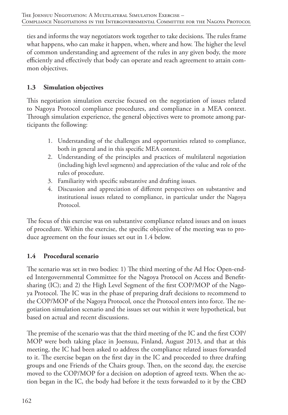ties and informs the way negotiators work together to take decisions. The rules frame what happens, who can make it happen, when, where and how. The higher the level of common understanding and agreement of the rules in any given body, the more efficiently and effectively that body can operate and reach agreement to attain common objectives.

# **1.3 Simulation objectives**

This negotiation simulation exercise focused on the negotiation of issues related to Nagoya Protocol compliance procedures, and compliance in a MEA context. Through simulation experience, the general objectives were to promote among participants the following:

- 1. Understanding of the challenges and opportunities related to compliance, both in general and in this specific MEA context.
- 2. Understanding of the principles and practices of multilateral negotiation (including high level segments) and appreciation of the value and role of the rules of procedure.
- 3. Familiarity with specific substantive and drafting issues.
- 4. Discussion and appreciation of different perspectives on substantive and institutional issues related to compliance, in particular under the Nagoya Protocol.

The focus of this exercise was on substantive compliance related issues and on issues of procedure. Within the exercise, the specific objective of the meeting was to produce agreement on the four issues set out in 1.4 below.

### **1.4 Procedural scenario**

The scenario was set in two bodies: 1) The third meeting of the Ad Hoc Open-ended Intergovernmental Committee for the Nagoya Protocol on Access and Benefitsharing (IC); and 2) the High Level Segment of the first COP/MOP of the Nagoya Protocol. The IC was in the phase of preparing draft decisions to recommend to the COP/MOP of the Nagoya Protocol*,* once the Protocol enters into force. The negotiation simulation scenario and the issues set out within it were hypothetical, but based on actual and recent discussions.

The premise of the scenario was that the third meeting of the IC and the first COP/ MOP were both taking place in Joensuu, Finland, August 2013, and that at this meeting, the IC had been asked to address the compliance related issues forwarded to it. The exercise began on the first day in the IC and proceeded to three drafting groups and one Friends of the Chairs group. Then, on the second day, the exercise moved to the COP/MOP for a decision on adoption of agreed texts. When the action began in the IC, the body had before it the texts forwarded to it by the CBD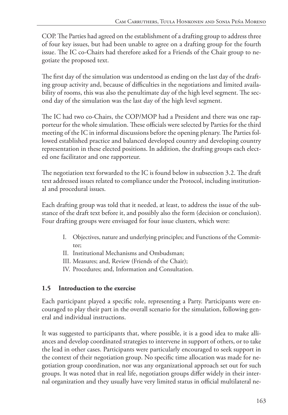COP. The Parties had agreed on the establishment of a drafting group to address three of four key issues, but had been unable to agree on a drafting group for the fourth issue. The IC co-Chairs had therefore asked for a Friends of the Chair group to negotiate the proposed text.

The first day of the simulation was understood as ending on the last day of the drafting group activity and, because of difficulties in the negotiations and limited availability of rooms, this was also the penultimate day of the high level segment. The second day of the simulation was the last day of the high level segment.

The IC had two co-Chairs, the COP/MOP had a President and there was one rapporteur for the whole simulation. These officials were selected by Parties for the third meeting of the IC in informal discussions before the opening plenary. The Parties followed established practice and balanced developed country and developing country representation in these elected positions. In addition, the drafting groups each elected one facilitator and one rapporteur.

The negotiation text forwarded to the IC is found below in subsection 3.2. The draft text addressed issues related to compliance under the Protocol, including institutional and procedural issues.

Each drafting group was told that it needed, at least, to address the issue of the substance of the draft text before it, and possibly also the form (decision or conclusion). Four drafting groups were envisaged for four issue clusters, which were:

- I. Objectives, nature and underlying principles; and Functions of the Committee;
- II. Institutional Mechanisms and Ombudsman;
- III. Measures; and, Review (Friends of the Chair);
- IV. Procedures; and, Information and Consultation.

#### **1.5 Introduction to the exercise**

Each participant played a specific role, representing a Party. Participants were encouraged to play their part in the overall scenario for the simulation, following general and individual instructions.

It was suggested to participants that, where possible, it is a good idea to make alliances and develop coordinated strategies to intervene in support of others, or to take the lead in other cases. Participants were particularly encouraged to seek support in the context of their negotiation group. No specific time allocation was made for negotiation group coordination, nor was any organizational approach set out for such groups. It was noted that in real life, negotiation groups differ widely in their internal organization and they usually have very limited status in official multilateral ne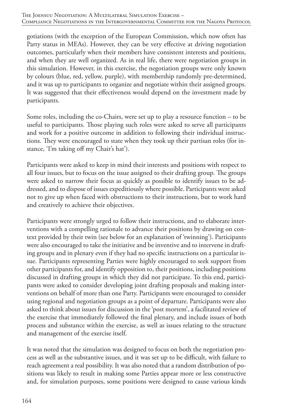gotiations (with the exception of the European Commission, which now often has Party status in MEAs). However, they can be very effective at driving negotiation outcomes, particularly when their members have consistent interests and positions, and when they are well organized. As in real life, there were negotiation groups in this simulation. However, in this exercise, the negotiation groups were only known by colours (blue, red, yellow, purple), with membership randomly pre-determined, and it was up to participants to organize and negotiate within their assigned groups. It was suggested that their effectiveness would depend on the investment made by participants.

Some roles, including the co-Chairs, were set up to play a resource function – to be useful to participants. Those playing such roles were asked to serve all participants and work for a positive outcome in addition to following their individual instructions. They were encouraged to state when they took up their partisan roles (for instance, 'I'm taking off my Chair's hat').

Participants were asked to keep in mind their interests and positions with respect to all four issues, but to focus on the issue assigned to their drafting group. The groups were asked to narrow their focus as quickly as possible to identify issues to be addressed, and to dispose of issues expeditiously where possible. Participants were asked not to give up when faced with obstructions to their instructions, but to work hard and creatively to achieve their objectives.

Participants were strongly urged to follow their instructions, and to elaborate interventions with a compelling rationale to advance their positions by drawing on context provided by their twin (see below for an explanation of 'twinning'). Participants were also encouraged to take the initiative and be inventive and to intervene in drafting groups and in plenary even if they had no specific instructions on a particular issue. Participants representing Parties were highly encouraged to seek support from other participants for, and identify opposition to, their positions, including positions discussed in drafting groups in which they did not participate. To this end, participants were asked to consider developing joint drafting proposals and making interventions on behalf of more than one Party. Participants were encouraged to consider using regional and negotiation groups as a point of departure. Participants were also asked to think about issues for discussion in the 'post mortem', a facilitated review of the exercise that immediately followed the final plenary, and include issues of both process and substance within the exercise, as well as issues relating to the structure and management of the exercise itself.

It was noted that the simulation was designed to focus on both the negotiation process as well as the substantive issues, and it was set up to be difficult, with failure to reach agreement a real possibility. It was also noted that a random distribution of positions was likely to result in making some Parties appear more or less constructive and, for simulation purposes, some positions were designed to cause various kinds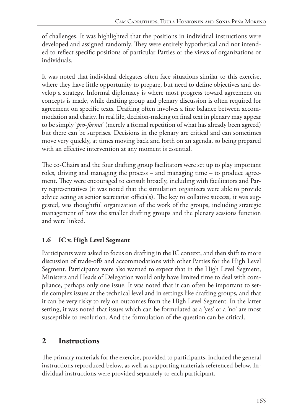of challenges. It was highlighted that the positions in individual instructions were developed and assigned randomly. They were entirely hypothetical and not intended to reflect specific positions of particular Parties or the views of organizations or individuals.

It was noted that individual delegates often face situations similar to this exercise, where they have little opportunity to prepare, but need to define objectives and develop a strategy. Informal diplomacy is where most progress toward agreement on concepts is made, while drafting group and plenary discussion is often required for agreement on specific texts. Drafting often involves a fine balance between accommodation and clarity. In real life, decision-making on final text in plenary may appear to be simply '*pro-forma*' (merely a formal repetition of what has already been agreed) but there can be surprises. Decisions in the plenary are critical and can sometimes move very quickly, at times moving back and forth on an agenda, so being prepared with an effective intervention at any moment is essential.

The co-Chairs and the four drafting group facilitators were set up to play important roles, driving and managing the process – and managing time – to produce agreement. They were encouraged to consult broadly, including with facilitators and Party representatives (it was noted that the simulation organizers were able to provide advice acting as senior secretariat officials). The key to collative success, it was suggested, was thoughtful organization of the work of the groups, including strategic management of how the smaller drafting groups and the plenary sessions function and were linked.

# **1.6 IC v. High Level Segment**

Participants were asked to focus on drafting in the IC context, and then shift to more discussion of trade-offs and accommodations with other Parties for the High Level Segment. Participants were also warned to expect that in the High Level Segment, Ministers and Heads of Delegation would only have limited time to deal with compliance, perhaps only one issue. It was noted that it can often be important to settle complex issues at the technical level and in settings like drafting groups, and that it can be very risky to rely on outcomes from the High Level Segment. In the latter setting, it was noted that issues which can be formulated as a 'yes' or a 'no' are most susceptible to resolution. And the formulation of the question can be critical.

# **2 Instructions**

The primary materials for the exercise, provided to participants, included the general instructions reproduced below, as well as supporting materials referenced below. Individual instructions were provided separately to each participant.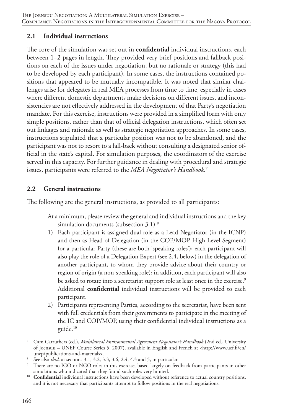#### **2.1 Individual instructions**

The core of the simulation was set out in **confidential** individual instructions, each between 1–2 pages in length. They provided very brief positions and fallback positions on each of the issues under negotiation, but no rationale or strategy (this had to be developed by each participant). In some cases, the instructions contained positions that appeared to be mutually incompatible. It was noted that similar challenges arise for delegates in real MEA processes from time to time, especially in cases where different domestic departments make decisions on different issues, and inconsistencies are not effectively addressed in the development of that Party's negotiation mandate. For this exercise, instructions were provided in a simplified form with only simple positions, rather than that of official delegation instructions, which often set out linkages and rationale as well as strategic negotiation approaches. In some cases, instructions stipulated that a particular position was not to be abandoned, and the participant was not to resort to a fall-back without consulting a designated senior official in the state's capital. For simulation purposes, the coordinators of the exercise served in this capacity. For further guidance in dealing with procedural and strategic issues, participants were referred to the *MEA Negotiator's Handbook.*<sup>7</sup>

#### **2.2 General instructions**

The following are the general instructions, as provided to all participants:

- At a minimum, please review the general and individual instructions and the key simulation documents (subsection 3.1).<sup>8</sup>
- 1) Each participant is assigned dual role as a Lead Negotiator (in the ICNP) and then as Head of Delegation (in the COP/MOP High Level Segment) for a particular Party (these are both 'speaking roles'); each participant will also play the role of a Delegation Expert (see 2.4, below) in the delegation of another participant, to whom they provide advice about their country or region of origin (a non-speaking role); in addition, each participant will also be asked to rotate into a secretariat support role at least once in the exercise.<sup>9</sup> Additional **confidential** individual instructions will be provided to each participant.
- 2) Participants representing Parties*,* according to the secretariat, have been sent with full credentials from their governments to participate in the meeting of the IC and COP/MOP, using their confidential individual instructions as a guide.10

<sup>7</sup> Cam Carruthers (ed.), *Multilateral Environmental Agreement Negotiator's Handbook* (2nd ed., University of Joensuu – UNEP Course Series 5, 2007), available in English and French at <http://www.uef.fi/en/

<sup>&</sup>lt;sup>8</sup> See also *ibid*. at sections 3.1, 3.2, 3.3, 3.6, 2.4, 4.3 and 5, in particular.<br><sup>9</sup> There are no IGO or NGO roles in this exercise, based largely on feed

There are no IGO or NGO roles in this exercise, based largely on feedback from participants in other simulations who indicated that they found such roles very limited.

<sup>&</sup>lt;sup>10</sup> **Confidential** individual instructions have been developed without reference to actual country positions, and it is not necessary that participants attempt to follow positions in the real negotiations.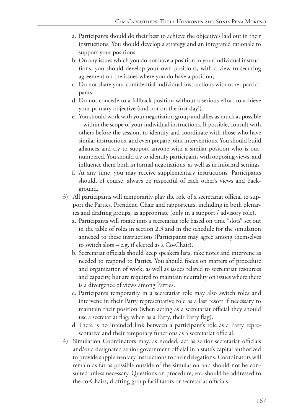- a. Participants should do their best to achieve the objectives laid out in their instructions*.* You should develop a strategy and an integrated rationale to support your positions.
- b. On any issues which you do not have a position in your individual instructions, you should develop your own positions, with a view to securing agreement on the issues where you do have a position;
- c. Do not share your confidential individual instructions with other participants.
- d. Do not concede to a fallback position without a serious effort to achieve your primary objective (and not on the first day!).
- e. You should work with your negotiation group and allies as much as possible – within the scope of your individual instructions. If possible, consult with others before the session, to identify and coordinate with those who have similar instructions, and even prepare joint interventions. You should build alliances and try to support anyone with a similar position who is outnumbered. You should try to identify participants with opposing views, and influence them both in formal negotiations, as well as in informal settings*.*
- f. At any time, you may receive supplementary instructions*.* Participants should, of course, always be respectful of each other's views and background.
- 3) All participants will temporarily play the role of a secretariat official to support the Parties, President, Chair and rapporteurs, including in both plenaries and drafting groups, as appropriate (only in a support / advisory role).
	- a. Participants will rotate into a secretariat role based on time "slots" set out in the table of roles in section 2.3 and in the schedule for the simulation annexed to these instructions (Participants may agree among themselves to switch slots – e.g. if elected as a Co-Chair).
	- b. Secretariat officials should keep speakers lists, take notes and intervene as needed to respond to Parties. You should focus on matters of procedure and organization of work, as well as issues related to secretariat resources and capacity, but are required to maintain neutrality on issues where there is a divergence of views among Parties.
	- c. Participants temporarily in a secretariat role may also switch roles and intervene in their Party representative role as a last resort if necessary to maintain their position (when acting as a secretariat official they should use a secretariat flag; when as a Party, their Party flag).
	- d. There is no intended link between a participant's role as a Party representative and their temporary functions as a secretariat official.
- 4) Simulation Coordinators may, as needed, act as senior secretariat officials and/or a designated senior government official in a state's capital authorized to provide supplementary instructions to their delegations. Coordinators will remain as far as possible outside of the simulation and should not be consulted unless necessary. Questions on procedure, etc. should be addressed to the co-Chairs, drafting group facilitators or secretariat officials.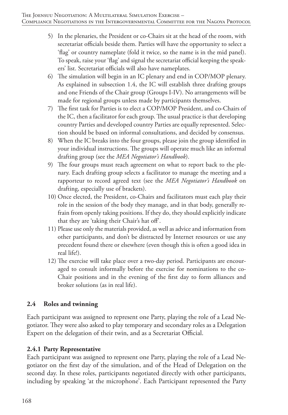- 5) In the plenaries, the President or co-Chairs sit at the head of the room, with secretariat officials beside them. Parties will have the opportunity to select a 'flag' or country nameplate (fold it twice, so the name is in the mid panel). To speak, raise your 'flag' and signal the secretariat official keeping the speakers' list. Secretariat officials will also have nameplates.
- 6) The simulation will begin in an IC plenary and end in COP/MOP plenary. As explained in subsection 1.4, the IC will establish three drafting groups and one Friends of the Chair group (Groups I-IV). No arrangements will be made for regional groups unless made by participants themselves.
- 7) The first task for Parties is to elect a COP/MOP President, and co-Chairs of the IC, then a facilitator for each group. The usual practice is that developing country Parties and developed country Parties are equally represented. Selection should be based on informal consultations, and decided by consensus.
- 8) When the IC breaks into the four groups, please join the group identified in your individual instructions. The groups will operate much like an informal drafting group (see the *MEA Negotiator's Handbook*).
- 9) The four groups must reach agreement on what to report back to the plenary. Each drafting group selects a facilitator to manage the meeting and a rapporteur to record agreed text (see the *MEA Negotiator's Handbook* on drafting, especially use of brackets).
- 10) Once elected, the President, co-Chairs and facilitators must each play their role in the session of the body they manage, and in that body, generally refrain from openly taking positions. If they do, they should explicitly indicate that they are 'taking their Chair's hat off'.
- 11) Please use only the materials provided, as well as advice and information from other participants, and don't be distracted by Internet resources or use any precedent found there or elsewhere (even though this is often a good idea in real life!).
- 12) The exercise will take place over a two-day period. Participants are encouraged to consult informally before the exercise for nominations to the co-Chair positions and in the evening of the first day to form alliances and broker solutions (as in real life).

## **2.4 Roles and twinning**

Each participant was assigned to represent one Party, playing the role of a Lead Negotiator. They were also asked to play temporary and secondary roles as a Delegation Expert on the delegation of their twin, and as a Secretariat Official.

#### **2.4.1 Party Representative**

Each participant was assigned to represent one Party, playing the role of a Lead Negotiator on the first day of the simulation, and of the Head of Delegation on the second day. In these roles, participants negotiated directly with other participants, including by speaking 'at the microphone'. Each Participant represented the Party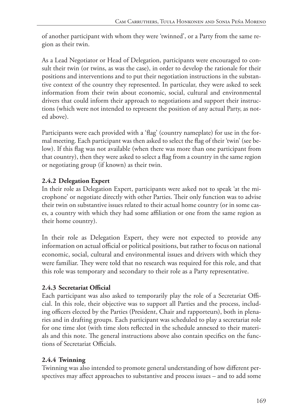of another participant with whom they were 'twinned', or a Party from the same region as their twin.

As a Lead Negotiator or Head of Delegation, participants were encouraged to consult their twin (or twins, as was the case), in order to develop the rationale for their positions and interventions and to put their negotiation instructions in the substantive context of the country they represented. In particular, they were asked to seek information from their twin about economic, social, cultural and environmental drivers that could inform their approach to negotiations and support their instructions (which were not intended to represent the position of any actual Party, as noted above).

Participants were each provided with a 'flag' (country nameplate) for use in the formal meeting. Each participant was then asked to select the flag of their 'twin' (see below). If this flag was not available (when there was more than one participant from that country), then they were asked to select a flag from a country in the same region or negotiating group (if known) as their twin.

# **2.4.2 Delegation Expert**

In their role as Delegation Expert, participants were asked not to speak 'at the microphone' or negotiate directly with other Parties. Their only function was to advise their twin on substantive issues related to their actual home country (or in some cases, a country with which they had some affiliation or one from the same region as their home country).

In their role as Delegation Expert, they were not expected to provide any information on actual official or political positions, but rather to focus on national economic, social, cultural and environmental issues and drivers with which they were familiar. They were told that no research was required for this role, and that this role was temporary and secondary to their role as a Party representative.

# **2.4.3 Secretariat Official**

Each participant was also asked to temporarily play the role of a Secretariat Official. In this role, their objective was to support all Parties and the process, including officers elected by the Parties (President, Chair and rapporteurs), both in plenaries and in drafting groups. Each participant was scheduled to play a secretariat role for one time slot (with time slots reflected in the schedule annexed to their materials and this note. The general instructions above also contain specifics on the functions of Secretariat Officials.

# **2.4.4 Twinning**

Twinning was also intended to promote general understanding of how different perspectives may affect approaches to substantive and process issues – and to add some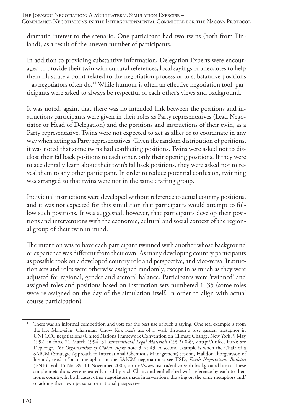dramatic interest to the scenario. One participant had two twins (both from Finland), as a result of the uneven number of participants.

In addition to providing substantive information, Delegation Experts were encouraged to provide their twin with cultural references, local sayings or anecdotes to help them illustrate a point related to the negotiation process or to substantive positions – as negotiators often do.11 While humour is often an effective negotiation tool, participants were asked to always be respectful of each other's views and background.

It was noted, again, that there was no intended link between the positions and instructions participants were given in their roles as Party representatives (Lead Negotiator or Head of Delegation) and the positions and instructions of their twin, as a Party representative. Twins were not expected to act as allies or to coordinate in any way when acting as Party representatives. Given the random distribution of positions, it was noted that some twins had conflicting positions. Twins were asked not to disclose their fallback positions to each other, only their opening positions. If they were to accidentally learn about their twin's fallback positions, they were asked not to reveal them to any other participant. In order to reduce potential confusion, twinning was arranged so that twins were not in the same drafting group.

Individual instructions were developed without reference to actual country positions, and it was not expected for this simulation that participants would attempt to follow such positions. It was suggested, however, that participants develop their positions and interventions with the economic, cultural and social context of the regional group of their twin in mind.

The intention was to have each participant twinned with another whose background or experience was different from their own. As many developing country participants as possible took on a developed country role and perspective, and vice-versa. Instruction sets and roles were otherwise assigned randomly, except in as much as they were adjusted for regional, gender and sectoral balance. Participants were 'twinned' and assigned roles and positions based on instruction sets numbered 1–35 (some roles were re-assigned on the day of the simulation itself, in order to align with actual course participation).

<sup>&</sup>lt;sup>11</sup> There was an informal competition and vote for the best use of such a saying. One real example is from the late Malaysian 'Chairman' Chow Kok Kee's use of a 'walk through a rose garden' metaphor in UNFCCC negotiations (United Nations Framework Convention on Climate Change, New York, 9 May 1992, in force 21 March 1994, 31 *International Legal Materials* (1992) 849, <http://unfccc.int>); see Depledge, *The Organization of Global*, *supra* note 3, at 43. A second example is when the Chair of a SAICM (Strategic Approach to International Chemicals Management) session, Halldor Thorgeirsson of Iceland, used a 'boat' metaphor in the SAICM negotiations; see IISD, *Earth Negotiations Bulletin* (ENB), Vol. 15 No. 89, 11 November 2003, <http://www.iisd.ca/enbvol/enb-background.htm>. These simple metaphors were repeatedly used by each Chair, and embellished with reference by each to their home country. In both cases, other negotiators made interventions, drawing on the same metaphors and/ or adding their own personal or national perspective.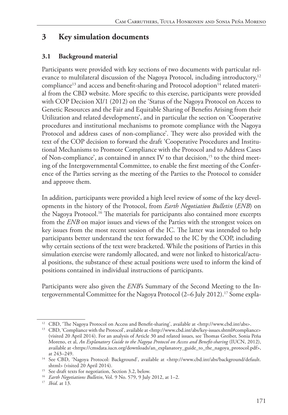# **3 Key simulation documents**

#### **3.1 Background material**

Participants were provided with key sections of two documents with particular relevance to multilateral discussion of the Nagoya Protocol, including introductory,<sup>12</sup> compliance<sup>13</sup> and access and benefit-sharing and Protocol adoption<sup>14</sup> related material from the CBD website. More specific to this exercise, participants were provided with COP Decision XI/1 (2012) on the 'Status of the Nagoya Protocol on Access to Genetic Resources and the Fair and Equitable Sharing of Benefits Arising from their Utilization and related developments', and in particular the section on 'Cooperative procedures and institutional mechanisms to promote compliance with the Nagoya Protocol and address cases of non-compliance'. They were also provided with the text of the COP decision to forward the draft 'Cooperative Procedures and Institutional Mechanisms to Promote Compliance with the Protocol and to Address Cases of Non-compliance', as contained in annex IV to that decision,<sup>15</sup> to the third meeting of the Intergovernmental Committee, to enable the first meeting of the Conference of the Parties serving as the meeting of the Parties to the Protocol to consider and approve them.

In addition, participants were provided a high level review of some of the key developments in the history of the Protocol, from *Earth Negotiation Bulletin* (*ENB*) on the Nagoya Protocol.16 The materials for participants also contained more excerpts from the *ENB* on major issues and views of the Parties with the strongest voices on key issues from the most recent session of the IC. The latter was intended to help participants better understand the text forwarded to the IC by the COP, including why certain sections of the text were bracketed. While the positions of Parties in this simulation exercise were randomly allocated, and were not linked to historical/actual positions, the substance of these actual positions were used to inform the kind of positions contained in individual instructions of participants.

Participants were also given the *ENB*'s Summary of the Second Meeting to the Intergovernmental Committee for the Nagoya Protocol (2-6 July 2012).<sup>17</sup> Some expla-

<sup>&</sup>lt;sup>12</sup> CBD, 'The Nagoya Protocol on Access and Benefit-sharing', available at <http://www.cbd.int/abs>.

<sup>&</sup>lt;sup>13</sup> CBD, 'Compliance with the Protocol', available at <http://www.cbd.int/abs/key-issues.shtml#compliance> (visited 20 April 2014). For an analysis of Article 30 and related issues, see Thomas Greiber, Sonia Peña Moreno, et al, *An Explanatory Guide to the Nagoya Protocol on Access and Benefit-sharing* (IUCN, 2012), available at <https://cmsdata.iucn.org/downloads/an\_explanatory\_guide\_to\_the\_nagoya\_protocol.pdf>, at 243–249.

<sup>14</sup> See CBD, 'Nagoya Protocol: Background', available at <http://www.cbd.int/abs/background/default. shtml> (visited 20 April 2014).

<sup>&</sup>lt;sup>15</sup> See draft texts for negotiation, Section 3.2, below.

<sup>16</sup> *Earth Negotiations Bulletin*, Vol. 9 No. 579, 9 July 2012, at 1–2.

<sup>17</sup> *Ibid*. at 13.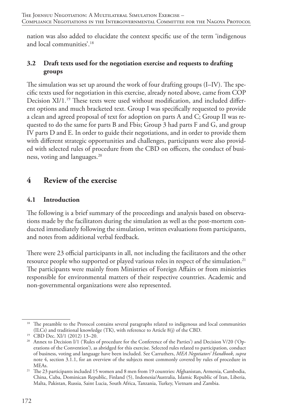nation was also added to elucidate the context specific use of the term 'indigenous and local communities'.18

### **3.2 Draft texts used for the negotiation exercise and requests to drafting groups**

The simulation was set up around the work of four drafting groups (I–IV). The specific texts used for negotiation in this exercise, already noted above, came from COP Decision XI/1*.* 19 These texts were used without modification, and included different options and much bracketed text. Group I was specifically requested to provide a clean and agreed proposal of text for adoption on parts A and C; Group II was requested to do the same for parts B and Fbis; Group 3 had parts F and G, and group IV parts D and E. In order to guide their negotiations, and in order to provide them with different strategic opportunities and challenges, participants were also provided with selected rules of procedure from the CBD on officers, the conduct of business, voting and languages.20

# **4 Review of the exercise**

#### **4.1 Introduction**

The following is a brief summary of the proceedings and analysis based on observations made by the facilitators during the simulation as well as the post-mortem conducted immediately following the simulation, written evaluations from participants, and notes from additional verbal feedback.

There were 23 official participants in all, not including the facilitators and the other resource people who supported or played various roles in respect of the simulation.<sup>21</sup> The participants were mainly from Ministries of Foreign Affairs or from ministries responsible for environmental matters of their respective countries. Academic and non-governmental organizations were also represented.

<sup>&</sup>lt;sup>18</sup> The preamble to the Protocol contains several paragraphs related to indigenous and local communities (ILCs) and traditional knowledge (TK), with reference to Article 8(j) of the CBD.

<sup>19</sup> CBD Dec. XI/1 (2012) 13–20.

<sup>&</sup>lt;sup>20</sup> Annex to Decision I/1 ('Rules of procedure for the Conference of the Parties') and Decision V/20 ('Operations of the Convention'), as abridged for this exercise. Selected rules related to participation, conduct of business, voting and language have been included. See Carruthers, *MEA Negotiators' Handbook*, *supra* note 4, section 3.1.1, for an overview of the subjects most commonly covered by rules of procedure in MEAs.

<sup>&</sup>lt;sup>21</sup> The 23 participants included 15 women and 8 men from 19 countries: Afghanistan, Armenia, Cambodia, China, Cuba, Dominican Republic, Finland (5), Indonesia/Australia, Islamic Republic of Iran, Liberia, Malta, Pakistan, Russia, Saint Lucia, South Africa, Tanzania, Turkey, Vietnam and Zambia.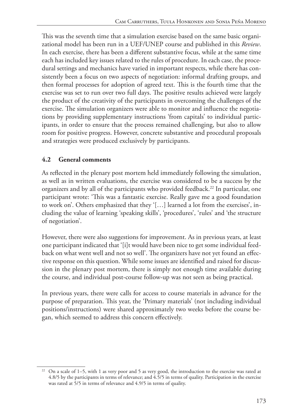This was the seventh time that a simulation exercise based on the same basic organizational model has been run in a UEF/UNEP course and published in this *Review*. In each exercise, there has been a different substantive focus, while at the same time each has included key issues related to the rules of procedure. In each case, the procedural settings and mechanics have varied in important respects, while there has consistently been a focus on two aspects of negotiation: informal drafting groups, and then formal processes for adoption of agreed text. This is the fourth time that the exercise was set to run over two full days. The positive results achieved were largely the product of the creativity of the participants in overcoming the challenges of the exercise. The simulation organizers were able to monitor and influence the negotiations by providing supplementary instructions 'from capitals' to individual participants, in order to ensure that the process remained challenging, but also to allow room for positive progress. However, concrete substantive and procedural proposals and strategies were produced exclusively by participants.

## **4.2 General comments**

As reflected in the plenary post mortem held immediately following the simulation, as well as in written evaluations, the exercise was considered to be a success by the organizers and by all of the participants who provided feedback.22 In particular, one participant wrote: 'This was a fantastic exercise. Really gave me a good foundation to work on'. Others emphasized that they '[…] learned a lot from the exercises', including the value of learning 'speaking skills', 'procedures', 'rules' and 'the structure of negotiation'.

However, there were also suggestions for improvement. As in previous years, at least one participant indicated that '[i]t would have been nice to get some individual feedback on what went well and not so well'. The organizers have not yet found an effective response on this question. While some issues are identified and raised for discussion in the plenary post mortem, there is simply not enough time available during the course, and individual post-course follow-up was not seen as being practical.

In previous years, there were calls for access to course materials in advance for the purpose of preparation. This year, the 'Primary materials' (not including individual positions/instructions) were shared approximately two weeks before the course began, which seemed to address this concern effectively.

<sup>&</sup>lt;sup>22</sup> On a scale of  $1-5$ , with 1 as very poor and 5 as very good, the introduction to the exercise was rated at 4.8/5 by the participants in terms of relevance; and 4.5/5 in terms of quality. Participation in the exercise was rated at 5/5 in terms of relevance and 4.9/5 in terms of quality.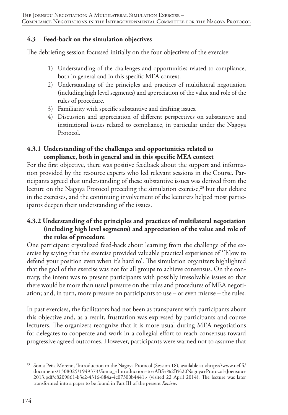#### **4.3 Feed-back on the simulation objectives**

The debriefing session focussed initially on the four objectives of the exercise:

- 1) Understanding of the challenges and opportunities related to compliance, both in general and in this specific MEA context.
- 2) Understanding of the principles and practices of multilateral negotiation (including high level segments) and appreciation of the value and role of the rules of procedure.
- 3) Familiarity with specific substantive and drafting issues.
- 4) Discussion and appreciation of different perspectives on substantive and institutional issues related to compliance, in particular under the Nagoya Protocol.

#### **4.3.1 Understanding of the challenges and opportunities related to compliance, both in general and in this specific MEA context**

For the first objective, there was positive feedback about the support and information provided by the resource experts who led relevant sessions in the Course. Participants agreed that understanding of these substantive issues was derived from the lecture on the Nagoya Protocol preceding the simulation exercise,<sup>23</sup> but that debate in the exercises, and the continuing involvement of the lecturers helped most participants deepen their understanding of the issues.

### **4.3.2 Understanding of the principles and practices of multilateral negotiation (including high level segments) and appreciation of the value and role of the rules of procedure**

One participant crystalized feed-back about learning from the challenge of the exercise by saying that the exercise provided valuable practical experience of '[h]ow to defend your position even when it's hard to'. The simulation organizers highlighted that the goal of the exercise was not for all groups to achieve consensus. On the contrary, the intent was to present participants with possibly irresolvable issues so that there would be more than usual pressure on the rules and procedures of MEA negotiation; and, in turn, more pressure on participants to use – or even misuse – the rules.

In past exercises, the facilitators had not been as transparent with participants about this objective and, as a result, frustration was expressed by participants and course lecturers. The organizers recognize that it is more usual during MEA negotiations for delegates to cooperate and work in a collegial effort to reach consensus toward progressive agreed outcomes. However, participants were warned not to assume that

<sup>23</sup> Sonia Peña Moreno, 'Introduction to the Nagoya Protocol (Session 18), available at <https://www.uef.fi/ documents/1508025/1949373/Sonia\_+Introduction+to+ABS+%2B%20Nagoya+Protocol+Joensuu+ 2013.pdf/c8209861-b3e2-4316-884a-4c07300b4441> (visited 22 April 2014). The lecture was later transformed into a paper to be found in Part III of the present *Review*.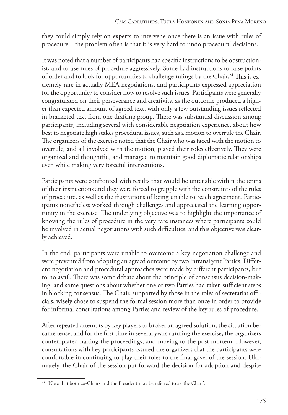they could simply rely on experts to intervene once there is an issue with rules of procedure – the problem often is that it is very hard to undo procedural decisions.

It was noted that a number of participants had specific instructions to be obstructionist, and to use rules of procedure aggressively. Some had instructions to raise points of order and to look for opportunities to challenge rulings by the Chair.<sup>24</sup> This is extremely rare in actually MEA negotiations, and participants expressed appreciation for the opportunity to consider how to resolve such issues. Participants were generally congratulated on their perseverance and creativity, as the outcome produced a higher than expected amount of agreed text, with only a few outstanding issues reflected in bracketed text from one drafting group. There was substantial discussion among participants, including several with considerable negotiation experience, about how best to negotiate high stakes procedural issues, such as a motion to overrule the Chair. The organizers of the exercise noted that the Chair who was faced with the motion to overrule, and all involved with the motion, played their roles effectively. They were organized and thoughtful, and managed to maintain good diplomatic relationships even while making very forceful interventions.

Participants were confronted with results that would be untenable within the terms of their instructions and they were forced to grapple with the constraints of the rules of procedure, as well as the frustrations of being unable to reach agreement. Participants nonetheless worked through challenges and appreciated the learning opportunity in the exercise. The underlying objective was to highlight the importance of knowing the rules of procedure in the very rare instances where participants could be involved in actual negotiations with such difficulties, and this objective was clearly achieved.

In the end, participants were unable to overcome a key negotiation challenge and were prevented from adopting an agreed outcome by two intransigent Parties. Different negotiation and procedural approaches were made by different participants, but to no avail. There was some debate about the principle of consensus decision-making, and some questions about whether one or two Parties had taken sufficient steps in blocking consensus. The Chair, supported by those in the roles of secretariat officials, wisely chose to suspend the formal session more than once in order to provide for informal consultations among Parties and review of the key rules of procedure.

After repeated attempts by key players to broker an agreed solution, the situation became tense, and for the first time in several years running the exercise, the organizers contemplated halting the proceedings, and moving to the post mortem. However, consultations with key participants assured the organizers that the participants were comfortable in continuing to play their roles to the final gavel of the session. Ultimately, the Chair of the session put forward the decision for adoption and despite

<sup>&</sup>lt;sup>24</sup> Note that both co-Chairs and the President may be referred to as 'the Chair'.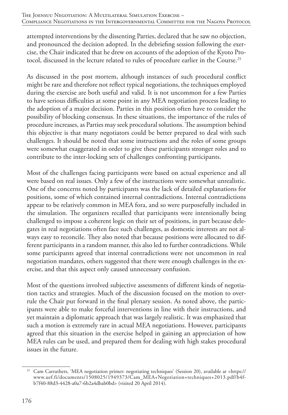attempted interventions by the dissenting Parties, declared that he saw no objection, and pronounced the decision adopted. In the debriefing session following the exercise, the Chair indicated that he drew on accounts of the adoption of the Kyoto Protocol, discussed in the lecture related to rules of procedure earlier in the Course.25

As discussed in the post mortem, although instances of such procedural conflict might be rare and therefore not reflect typical negotiations, the techniques employed during the exercise are both useful and valid. It is not uncommon for a few Parties to have serious difficulties at some point in any MEA negotiation process leading to the adoption of a major decision. Parties in this position often have to consider the possibility of blocking consensus. In these situations, the importance of the rules of procedure increases, as Parties may seek procedural solutions. The assumption behind this objective is that many negotiators could be better prepared to deal with such challenges. It should be noted that some instructions and the roles of some groups were somewhat exaggerated in order to give these participants stronger roles and to contribute to the inter-locking sets of challenges confronting participants.

Most of the challenges facing participants were based on actual experience and all were based on real issues. Only a few of the instructions were somewhat unrealistic. One of the concerns noted by participants was the lack of detailed explanations for positions, some of which contained internal contradictions. Internal contradictions appear to be relatively common in MEA fora, and so were purposefully included in the simulation. The organizers recalled that participants were intentionally being challenged to impose a coherent logic on their set of positions, in part because delegates in real negotiations often face such challenges, as domestic interests are not always easy to reconcile. They also noted that because positions were allocated to different participants in a random manner, this also led to further contradictions. While some participants agreed that internal contradictions were not uncommon in real negotiation mandates, others suggested that there were enough challenges in the exercise, and that this aspect only caused unnecessary confusion.

Most of the questions involved subjective assessments of different kinds of negotiation tactics and strategies. Much of the discussion focused on the motion to overrule the Chair put forward in the final plenary session. As noted above, the participants were able to make forceful interventions in line with their instructions, and yet maintain a diplomatic approach that was largely realistic. It was emphasized that such a motion is extremely rare in actual MEA negotiations. However, participants agreed that this situation in the exercise helped in gaining an appreciation of how MEA rules can be used, and prepared them for dealing with high stakes procedural issues in the future.

<sup>25</sup> Cam Carruthers, 'MEA negotiation primer: negotiating techniques' (Session 20), available at <https:// www.uef.fi/documents/1508025/1949373/Cam\_MEA+Negotiation+techniques+2013.pdf/b4fb7f40-88d3-4428-a0a7-6b2a4dbab0bd> (visited 20 April 2014).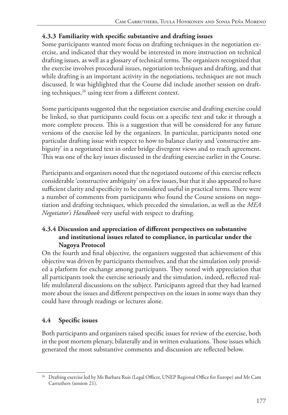## **4.3.3 Familiarity with specific substantive and drafting issues**

Some participants wanted more focus on drafting techniques in the negotiation exercise, and indicated that they would be interested in more instruction on technical drafting issues, as well as a glossary of technical terms. The organizers recognized that the exercise involves procedural issues, negotiation techniques and drafting, and that while drafting is an important activity in the negotiations, techniques are not much discussed. It was highlighted that the Course did include another session on drafting techniques,<sup>26</sup> using text from a different context.

Some participants suggested that the negotiation exercise and drafting exercise could be linked, so that participants could focus on a specific text and take it through a more complete process. This is a suggestion that will be considered for any future versions of the exercise led by the organizers. In particular, participants noted one particular drafting issue with respect to how to balance clarity and 'constructive ambiguity' in a negotiated text in order bridge divergent views and to reach agreement. This was one of the key issues discussed in the drafting exercise earlier in the Course.

Participants and organizers noted that the negotiated outcome of this exercise reflects considerable 'constructive ambiguity' on a few issues, but that it also appeared to have sufficient clarity and specificity to be considered useful in practical terms. There were a number of comments from participants who found the Course sessions on negotiation and drafting techniques, which preceded the simulation, as well as the *MEA Negotiator's Handbook* very useful with respect to drafting*.* 

## **4.3.4 Discussion and appreciation of different perspectives on substantive and institutional issues related to compliance, in particular under the Nagoya Protocol**

On the fourth and final objective*,* the organizers suggested that achievement of this objective was driven by participants themselves, and that the simulation only provided a platform for exchange among participants. They noted with appreciation that all participants took the exercise seriously and the simulation, indeed, reflected reallife multilateral discussions on the subject. Participants agreed that they had learned more about the issues and different perspectives on the issues in some ways than they could have through readings or lectures alone.

## **4.4 Specific issues**

Both participants and organizers raised specific issues for review of the exercise, both in the post mortem plenary, bilaterally and in written evaluations. Those issues which generated the most substantive comments and discussion are reflected below.

<sup>&</sup>lt;sup>26</sup> Drafting exercise led by Ms Barbara Ruis (Legal Officer, UNEP Regional Office for Europe) and Mr Cam Carruthers (session 21).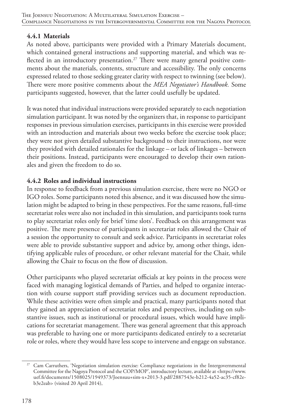## **4.4.1 Materials**

As noted above, participants were provided with a Primary Materials document, which contained general instructions and supporting material, and which was reflected in an introductory presentation.<sup>27</sup> There were many general positive comments about the materials, contents, structure and accessibility. The only concerns expressed related to those seeking greater clarity with respect to twinning (see below). There were more positive comments about the *MEA Negotiator's Handbook.* Some participants suggested, however, that the latter could usefully be updated.

It was noted that individual instructions were provided separately to each negotiation simulation participant. It was noted by the organizers that, in response to participant responses in previous simulation exercises, participants in this exercise were provided with an introduction and materials about two weeks before the exercise took place; they were not given detailed substantive background to their instructions, nor were they provided with detailed rationales for the linkage – or lack of linkages – between their positions. Instead, participants were encouraged to develop their own rationales and given the freedom to do so.

## **4.4.2 Roles and individual instructions**

In response to feedback from a previous simulation exercise, there were no NGO or IGO roles. Some participants noted this absence, and it was discussed how the simulation might be adapted to bring in these perspectives. For the same reasons, full-time secretariat roles were also not included in this simulation, and participants took turns to play secretariat roles only for brief 'time slots'. Feedback on this arrangement was positive. The mere presence of participants in secretariat roles allowed the Chair of a session the opportunity to consult and seek advice. Participants in secretariat roles were able to provide substantive support and advice by, among other things, identifying applicable rules of procedure, or other relevant material for the Chair, while allowing the Chair to focus on the flow of discussion.

Other participants who played secretariat officials at key points in the process were faced with managing logistical demands of Parties, and helped to organize interaction with course support staff providing services such as document reproduction. While these activities were often simple and practical, many participants noted that they gained an appreciation of secretariat roles and perspectives, including on substantive issues, such as institutional or procedural issues, which would have implications for secretariat management. There was general agreement that this approach was preferable to having one or more participants dedicated entirely to a secretariat role or roles, where they would have less scope to intervene and engage on substance.

<sup>&</sup>lt;sup>27</sup> Cam Carruthers, 'Negotiation simulation exercise: Compliance negotiations in the Intergovernmental Committee for the Nagoya Protocol and the COP/MOP', introductory lecture, available at <https://www. uef.fi/documents/1508025/1949373/Joensuu+sim-x+2013-3.pdf/2887543e-b212-4a52-ac35-cf82eb3e2eab> (visited 20 April 2014),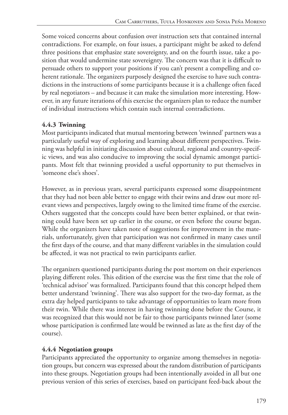Some voiced concerns about confusion over instruction sets that contained internal contradictions. For example, on four issues, a participant might be asked to defend three positions that emphasize state sovereignty, and on the fourth issue, take a position that would undermine state sovereignty. The concern was that it is difficult to persuade others to support your positions if you can't present a compelling and coherent rationale. The organizers purposely designed the exercise to have such contradictions in the instructions of some participants because it is a challenge often faced by real negotiators – and because it can make the simulation more interesting. However, in any future iterations of this exercise the organizers plan to reduce the number of individual instructions which contain such internal contradictions.

# **4.4.3 Twinning**

Most participants indicated that mutual mentoring between 'twinned' partners was a particularly useful way of exploring and learning about different perspectives. Twinning was helpful in initiating discussion about cultural, regional and country-specific views, and was also conducive to improving the social dynamic amongst participants. Most felt that twinning provided a useful opportunity to put themselves in 'someone else's shoes'.

However, as in previous years, several participants expressed some disappointment that they had not been able better to engage with their twins and draw out more relevant views and perspectives, largely owing to the limited time frame of the exercise. Others suggested that the concepts could have been better explained, or that twinning could have been set up earlier in the course, or even before the course began. While the organizers have taken note of suggestions for improvement in the materials, unfortunately, given that participation was not confirmed in many cases until the first days of the course, and that many different variables in the simulation could be affected, it was not practical to twin participants earlier.

The organizers questioned participants during the post mortem on their experiences playing different roles. This edition of the exercise was the first time that the role of 'technical advisor' was formalized. Participants found that this concept helped them better understand 'twinning'. There was also support for the two-day format, as the extra day helped participants to take advantage of opportunities to learn more from their twin. While there was interest in having twinning done before the Course, it was recognized that this would not be fair to those participants twinned later (some whose participation is confirmed late would be twinned as late as the first day of the course).

## **4.4.4 Negotiation groups**

Participants appreciated the opportunity to organize among themselves in negotiation groups, but concern was expressed about the random distribution of participants into these groups. Negotiation groups had been intentionally avoided in all but one previous version of this series of exercises, based on participant feed-back about the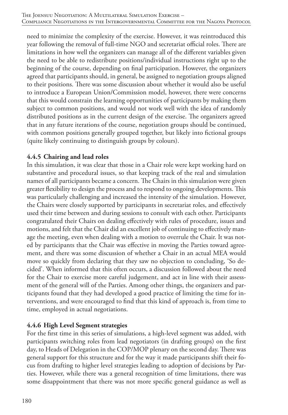need to minimize the complexity of the exercise. However, it was reintroduced this year following the removal of full-time NGO and secretariat official roles. There are limitations in how well the organizers can manage all of the different variables given the need to be able to redistribute positions/individual instructions right up to the beginning of the course, depending on final participation. However, the organizers agreed that participants should, in general, be assigned to negotiation groups aligned to their positions. There was some discussion about whether it would also be useful to introduce a European Union/Commission model, however, there were concerns that this would constrain the learning opportunities of participants by making them subject to common positions, and would not work well with the idea of randomly distributed positions as in the current design of the exercise. The organizers agreed that in any future iterations of the course, negotiation groups should be continued, with common positions generally grouped together, but likely into fictional groups (quite likely continuing to distinguish groups by colours).

#### **4.4.5 Chairing and lead roles**

In this simulation, it was clear that those in a Chair role were kept working hard on substantive and procedural issues, so that keeping track of the real and simulation names of all participants became a concern. The Chairs in this simulation were given greater flexibility to design the process and to respond to ongoing developments. This was particularly challenging and increased the intensity of the simulation. However, the Chairs were closely supported by participants in secretariat roles, and effectively used their time between and during sessions to consult with each other. Participants congratulated their Chairs on dealing effectively with rules of procedure, issues and motions, and felt that the Chair did an excellent job of continuing to effectively manage the meeting, even when dealing with a motion to overrule the Chair. It was noted by participants that the Chair was effective in moving the Parties toward agreement, and there was some discussion of whether a Chair in an actual MEA would move so quickly from declaring that they saw no objection to concluding, 'So decided'. When informed that this often occurs, a discussion followed about the need for the Chair to exercise more careful judgement, and act in line with their assessment of the general will of the Parties. Among other things, the organizers and participants found that they had developed a good practice of limiting the time for interventions, and were encouraged to find that this kind of approach is, from time to time, employed in actual negotiations.

#### **4.4.6 High Level Segment strategies**

For the first time in this series of simulations, a high-level segment was added, with participants switching roles from lead negotiators (in drafting groups) on the first day, to Heads of Delegation in the COP/MOP plenary on the second day. There was general support for this structure and for the way it made participants shift their focus from drafting to higher level strategies leading to adoption of decisions by Parties. However, while there was a general recognition of time limitations, there was some disappointment that there was not more specific general guidance as well as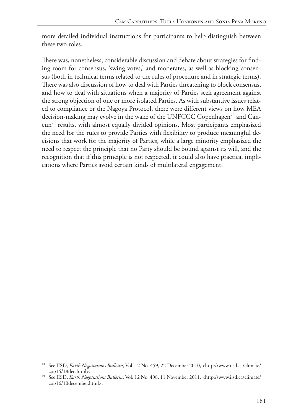more detailed individual instructions for participants to help distinguish between these two roles.

There was, nonetheless, considerable discussion and debate about strategies for finding room for consensus, 'swing votes,' and moderates, as well as blocking consensus (both in technical terms related to the rules of procedure and in strategic terms). There was also discussion of how to deal with Parties threatening to block consensus, and how to deal with situations when a majority of Parties seek agreement against the strong objection of one or more isolated Parties. As with substantive issues related to compliance or the Nagoya Protocol, there were different views on how MEA decision-making may evolve in the wake of the UNFCCC Copenhagen<sup>28</sup> and Cancun<sup>29</sup> results, with almost equally divided opinions. Most participants emphasized the need for the rules to provide Parties with flexibility to produce meaningful decisions that work for the majority of Parties, while a large minority emphasized the need to respect the principle that no Party should be bound against its will, and the recognition that if this principle is not respected, it could also have practical implications where Parties avoid certain kinds of multilateral engagement.

<sup>&</sup>lt;sup>28</sup> See IISD, *Earth Negotiations Bulletin*, Vol. 12 No. 459, 22 December 2010, <http://www.iisd.ca/climate/ cop15/18dec.html>.

<sup>&</sup>lt;sup>29</sup> See IISD, *Earth Negotiations Bulletin*, Vol. 12 No. 498, 11 November 2011, <http://www.iisd.ca/climate/ cop16/10december.html>.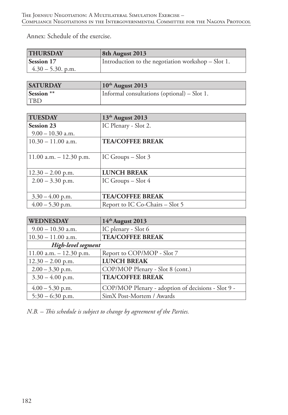Annex: Schedule of the exercise.

| <b>THURSDAY</b>      | 8th August 2013                                      |
|----------------------|------------------------------------------------------|
| Session 17           | Introduction to the negotiation workshop $-$ Slot 1. |
| $4.30 - 5.30$ , p.m. |                                                      |

| <b>SATURDAY</b>       | $10th$ August 2013                          |
|-----------------------|---------------------------------------------|
| Session <sup>**</sup> | Informal consultations (optional) – Slot 1. |
| <b>TBD</b>            |                                             |

| <b>TUESDAY</b>              | 13th August 2013                |
|-----------------------------|---------------------------------|
| <b>Session 23</b>           | IC Plenary - Slot 2.            |
| $9.00 - 10.30$ a.m.         |                                 |
| $10.30 - 11.00$ a.m.        | <b>TEA/COFFEE BREAK</b>         |
|                             |                                 |
| $11.00$ a.m. $- 12.30$ p.m. | IC Groups $-$ Slot 3            |
|                             |                                 |
| $12.30 - 2.00$ p.m.         | <b>LUNCH BREAK</b>              |
| $2.00 - 3.30$ p.m.          | IC Groups $-$ Slot $4$          |
|                             |                                 |
| $3.30 - 4.00$ p.m.          | <b>TEA/COFFEE BREAK</b>         |
| $4.00 - 5.30$ p.m.          | Report to IC Co-Chairs – Slot 5 |

| <b>WEDNESDAY</b>            | 14th August 2013                                   |
|-----------------------------|----------------------------------------------------|
| $9.00 - 10.30$ a.m.         | IC plenary - Slot 6                                |
| $10.30 - 11.00$ a.m.        | <b>TEA/COFFEE BREAK</b>                            |
| High-level segment          |                                                    |
| $11.00$ a.m. $- 12.30$ p.m. | Report to COP/MOP - Slot 7                         |
| $12.30 - 2.00$ p.m.         | <b>LUNCH BREAK</b>                                 |
| $2.00 - 3.30$ p.m.          | COP/MOP Plenary - Slot 8 (cont.)                   |
| $3.30 - 4.00$ p.m.          | <b>TEA/COFFEE BREAK</b>                            |
| $4.00 - 5.30$ p.m.          | COP/MOP Plenary - adoption of decisions - Slot 9 - |
| $5:30 - 6:30$ p.m.          | SimX Post-Mortem / Awards                          |

*N.B. – This schedule is subject to change by agreement of the Parties.*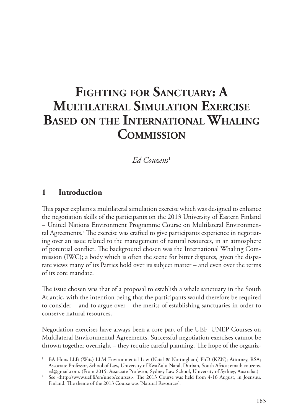# **Fighting for Sanctuary: A Multilateral Simulation Exercise Based on the International Whaling Commission**

# *Ed Couzens*<sup>1</sup>

# **1 Introduction**

This paper explains a multilateral simulation exercise which was designed to enhance the negotiation skills of the participants on the 2013 University of Eastern Finland – United Nations Environment Programme Course on Multilateral Environmental Agreements.2 The exercise was crafted to give participants experience in negotiating over an issue related to the management of natural resources, in an atmosphere of potential conflict. The background chosen was the International Whaling Commission (IWC); a body which is often the scene for bitter disputes, given the disparate views many of its Parties hold over its subject matter – and even over the terms of its core mandate.

The issue chosen was that of a proposal to establish a whale sanctuary in the South Atlantic, with the intention being that the participants would therefore be required to consider – and to argue over – the merits of establishing sanctuaries in order to conserve natural resources.

Negotiation exercises have always been a core part of the UEF–UNEP Courses on Multilateral Environmental Agreements. Successful negotiation exercises cannot be thrown together overnight – they require careful planning. The hope of the organiz-

<sup>1</sup> BA Hons LLB (Wits) LLM Environmental Law (Natal & Nottingham) PhD (KZN); Attorney, RSA; Associate Professor, School of Law, University of KwaZulu-Natal, Durban, South Africa; email: couzens.

<sup>&</sup>lt;sup>2</sup> See <http://www.uef.fi/en/unep/courses>. The 2013 Course was held from 4-16 August, in Joensuu, Finland. The theme of the 2013 Course was 'Natural Resources'.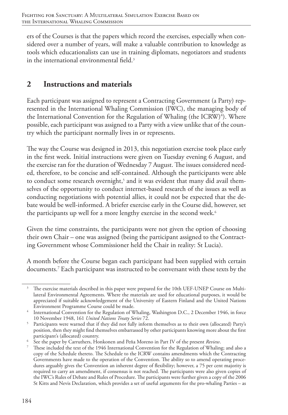ers of the Courses is that the papers which record the exercises, especially when considered over a number of years, will make a valuable contribution to knowledge as tools which educationalists can use in training diplomats, negotiators and students in the international environmental field.<sup>3</sup>

# **2 Instructions and materials**

Each participant was assigned to represent a Contracting Government (a Party) represented in the International Whaling Commission (IWC), the managing body of the International Convention for the Regulation of Whaling (the ICRW) $^4$ ). Where possible, each participant was assigned to a Party with a view unlike that of the country which the participant normally lives in or represents.

The way the Course was designed in 2013, this negotiation exercise took place early in the first week. Initial instructions were given on Tuesday evening 6 August, and the exercise ran for the duration of Wednesday 7 August. The issues considered needed, therefore, to be concise and self-contained. Although the participants were able to conduct some research overnight,<sup>5</sup> and it was evident that many did avail themselves of the opportunity to conduct internet-based research of the issues as well as conducting negotiations with potential allies, it could not be expected that the debate would be well-informed. A briefer exercise early in the Course did, however, set the participants up well for a more lengthy exercise in the second week.<sup>6</sup>

Given the time constraints, the participants were not given the option of choosing their own Chair – one was assigned (being the participant assigned to the Contracting Government whose Commissioner held the Chair in reality: St Lucia).

A month before the Course began each participant had been supplied with certain documents.7 Each participant was instructed to be conversant with these texts by the

<sup>&</sup>lt;sup>3</sup> The exercise materials described in this paper were prepared for the 10th UEF-UNEP Course on Multilateral Environmental Agreements. Where the materials are used for educational purposes, it would be appreciated if suitable acknowledgement of the University of Eastern Finland and the United Nations Environment Programme Course could be made.

<sup>&</sup>lt;sup>4</sup> International Convention for the Regulation of Whaling, Washington D.C., 2 December 1946, in force 10 November 1948, 161 *United Nations Treaty Series* 72.

<sup>5</sup> Participants were warned that if they did not fully inform themselves as to their own (allocated) Party's position, then they might find themselves embarrassed by other participants knowing more about the first participant's (allocated) country.

<sup>6</sup> See the paper by Carruthers, Honkonen and Peña Moreno in Part IV of the present *Review*.

<sup>7</sup> These included the text of the 1946 International Convention for the Regulation of Whaling; and also a copy of the Schedule thereto. The Schedule to the ICRW contains amendments which the Contracting Governments have made to the operation of the Convention. The ability so to amend operating procedures arguably gives the Convention an inherent degree of flexibility; however, a 75 per cent majority is required to carry an amendment, if consensus is not reached. The participants were also given copies of the IWC's Rules of Debate and Rules of Procedure. The participants were further given a copy of the 2006 St Kitts and Nevis Declaration, which provides a set of useful arguments for the pro-whaling Parties – as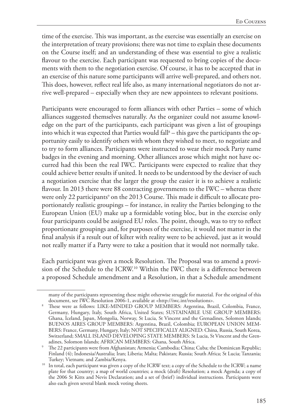time of the exercise. This was important, as the exercise was essentially an exercise on the interpretation of treaty provisions; there was not time to explain these documents on the Course itself; and an understanding of these was essential to give a realistic flavour to the exercise. Each participant was requested to bring copies of the documents with them to the negotiation exercise. Of course, it has to be accepted that in an exercise of this nature some participants will arrive well-prepared, and others not. This does, however, reflect real life also, as many international negotiators do not arrive well-prepared – especially when they are new appointees to relevant positions.

Participants were encouraged to form alliances with other Parties – some of which alliances suggested themselves naturally. As the organizer could not assume knowledge on the part of the participants, each participant was given a list of groupings into which it was expected that Parties would fall $^{\text{s}}$  – this gave the participants the opportunity easily to identify others with whom they wished to meet, to negotiate and to try to form alliances. Participants were instructed to wear their mock Party name badges in the evening and morning. Other alliances arose which might not have occurred had this been the real IWC. Participants were expected to realize that they could achieve better results if united. It needs to be understood by the deviser of such a negotiation exercise that the larger the group the easier it is to achieve a realistic flavour. In 2013 there were 88 contracting governments to the IWC – whereas there were only 22 participants° on the 2013 Course. This made it difficult to allocate proportionately realistic groupings – for instance, in reality the Parties belonging to the European Union (EU) make up a formidable voting bloc, but in the exercise only four participants could be assigned EU roles. The point, though, was to try to reflect proportionate groupings and, for purposes of the exercise, it would not matter in the final analysis if a result out of kilter with reality were to be achieved, just as it would not really matter if a Party were to take a position that it would not normally take.

Each participant was given a mock Resolution. The Proposal was to amend a provision of the Schedule to the ICRW.<sup>10</sup> Within the IWC there is a difference between a proposed Schedule amendment and a Resolution, in that a Schedule amendment

many of the participants representing these might otherwise struggle for material. For the original of this document, see IWC Resolution 2006-1, available at <http://iwc.int/resolutions>.

<sup>8</sup> These were as follows: LIKE-MINDED GROUP MEMBERS: Argentina, Brazil, Colombia, France, Germany, Hungary, Italy, South Africa, United States; SUSTAINABLE USE GROUP MEMBERS: Ghana, Iceland, Japan, Mongolia, Norway, St Lucia, St Vincent and the Grenadines, Solomon Islands; BUENOS AIRES GROUP MEMBERS: Argentina, Brazil, Colombia; EUROPEAN UNION MEM-BERS: France, Germany, Hungary, Italy; NOT SPECIFICALLY ALIGNED: China, Russia, South Korea, Switzerland; SMALL ISLAND DEVELOPING STATE MEMBERS: St Lucia, St Vincent and the Grenadines, Solomon Islands; AFRICAN MEMBERS: Ghana, South Africa.

<sup>9</sup> The 22 participants were from Afghanistan; Armenia; Cambodia; China; Cuba; the Dominican Republic; Finland (4); Indonesia/Australia; Iran; Liberia; Malta; Pakistan; Russia; South Africa; St Lucia; Tanzania; Turkey; Vietnam; and Zambia/Kenya.

<sup>&</sup>lt;sup>10</sup> In total, each participant was given a copy of the ICRW text; a copy of the Schedule to the ICRW; a name plate for that country; a map of world countries; a mock (draft) Resolution; a mock Agenda; a copy of the 2006 St Kitts and Nevis Declaration; and a set of (brief) individual instructions. Participants were also each given several blank mock voting sheets.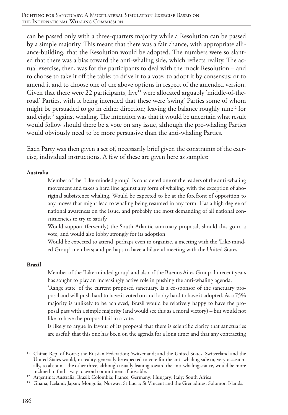can be passed only with a three-quarters majority while a Resolution can be passed by a simple majority. This meant that there was a fair chance, with appropriate alliance-building, that the Resolution would be adopted. The numbers were so slanted that there was a bias toward the anti-whaling side, which reflects reality. The actual exercise, then, was for the participants to deal with the mock Resolution – and to choose to take it off the table; to drive it to a vote; to adopt it by consensus; or to amend it and to choose one of the above options in respect of the amended version. Given that there were 22 participants, five<sup>11</sup> were allocated arguably 'middle-of-theroad' Parties, with it being intended that these were 'swing' Parties some of whom might be persuaded to go in either direction; leaving the balance roughly nine<sup>12</sup> for and eight<sup>13</sup> against whaling. The intention was that it would be uncertain what result would follow should there be a vote on any issue, although the pro-whaling Parties would obviously need to be more persuasive than the anti-whaling Parties.

Each Party was then given a set of, necessarily brief given the constraints of the exercise, individual instructions. A few of these are given here as samples:

#### **Australia**

Member of the 'Like-minded group'. Is considered one of the leaders of the anti-whaling movement and takes a hard line against any form of whaling, with the exception of aboriginal subsistence whaling. Would be expected to be at the forefront of opposition to any moves that might lead to whaling being resumed in any form. Has a high degree of national awareness on the issue, and probably the most demanding of all national constituencies to try to satisfy.

Would support (fervently) the South Atlantic sanctuary proposal, should this go to a vote, and would also lobby strongly for its adoption.

Would be expected to attend, perhaps even to organize, a meeting with the 'Like-minded Group' members; and perhaps to have a bilateral meeting with the United States.

#### **Brazil**

Member of the 'Like-minded group' and also of the Buenos Aires Group. In recent years has sought to play an increasingly active role in pushing the anti-whaling agenda.

'Range state' of the current proposed sanctuary. Is a co-sponsor of the sanctuary proposal and will push hard to have it voted on and lobby hard to have it adopted. As a 75% majority is unlikely to be achieved, Brazil would be relatively happy to have the proposal pass with a simple majority (and would see this as a moral victory) – but would not like to have the proposal fail in a vote.

Is likely to argue in favour of its proposal that there is scientific clarity that sanctuaries are useful; that this one has been on the agenda for a long time; and that any contracting

<sup>&</sup>lt;sup>11</sup> China; Rep. of Korea; the Russian Federation; Switzerland; and the United States. Switzerland and the United States would, in reality, generally be expected to vote for the anti-whaling side or, very occasionally, to abstain – the other three, although usually leaning toward the anti-whaling stance, would be more inclined to find a way to avoid commitment if possible.

<sup>&</sup>lt;sup>12</sup> Argentina; Australia; Brazil; Colombia; France; Germany; Hungary; Italy; South Africa.

<sup>&</sup>lt;sup>13</sup> Ghana; Iceland; Japan; Mongolia; Norway; St Lucia; St Vincent and the Grenadines; Solomon Islands.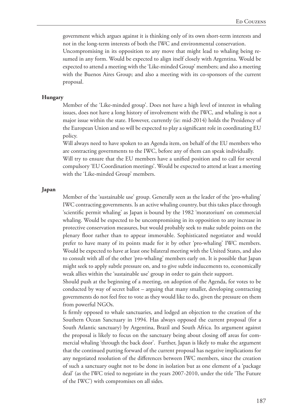government which argues against it is thinking only of its own short-term interests and not in the long-term interests of both the IWC and environmental conservation.

Uncompromising in its opposition to any move that might lead to whaling being resumed in any form. Would be expected to align itself closely with Argentina. Would be expected to attend a meeting with the 'Like-minded Group' members; and also a meeting with the Buenos Aires Group; and also a meeting with its co-sponsors of the current proposal.

#### **Hungary**

Member of the 'Like-minded group'. Does not have a high level of interest in whaling issues, does not have a long history of involvement with the IWC, and whaling is not a major issue within the state. However, currently (ie: mid-2014) holds the Presidency of the European Union and so will be expected to play a significant role in coordinating EU policy.

Will always need to have spoken to an Agenda item, on behalf of the EU members who are contracting governments to the IWC, before any of them can speak individually.

Will try to ensure that the EU members have a unified position and to call for several compulsory 'EU Coordination meetings'. Would be expected to attend at least a meeting with the 'Like-minded Group' members.

#### **Japan**

Member of the 'sustainable use' group. Generally seen as the leader of the 'pro-whaling' IWC contracting governments. Is an active whaling country, but this takes place through 'scientific permit whaling' as Japan is bound by the 1982 'moratorium' on commercial whaling. Would be expected to be uncompromising in its opposition to any increase in protective conservation measures, but would probably seek to make subtle points on the plenary floor rather than to appear immovable. Sophisticated negotiator and would prefer to have many of its points made for it by other 'pro-whaling' IWC members. Would be expected to have at least one bilateral meeting with the United States, and also to consult with all of the other 'pro-whaling' members early on. It is possible that Japan might seek to apply subtle pressure on, and to give subtle inducements to, economically weak allies within the 'sustainable use' group in order to gain their support.

Should push at the beginning of a meeting, on adoption of the Agenda, for votes to be conducted by way of secret ballot – arguing that many smaller, developing contracting governments do not feel free to vote as they would like to do, given the pressure on them from powerful NGOs.

Is firmly opposed to whale sanctuaries, and lodged an objection to the creation of the Southern Ocean Sanctuary in 1994. Has always opposed the current proposal (for a South Atlantic sanctuary) by Argentina, Brazil and South Africa. Its argument against the proposal is likely to focus on the sanctuary being about closing off areas for commercial whaling 'through the back door'. Further, Japan is likely to make the argument that the continued putting forward of the current proposal has negative implications for any negotiated resolution of the differences between IWC members, since the creation of such a sanctuary ought not to be done in isolation but as one element of a 'package deal' (as the IWC tried to negotiate in the years 2007-2010, under the title 'The Future of the IWC') with compromises on all sides.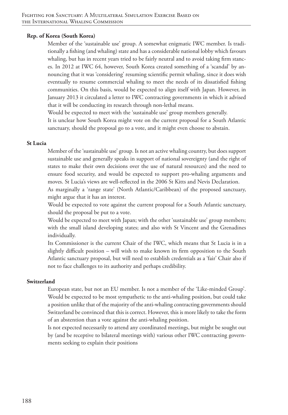#### **Rep. of Korea (South Korea)**

Member of the 'sustainable use' group. A somewhat enigmatic IWC member. Is traditionally a fishing (and whaling) state and has a considerable national lobby which favours whaling, but has in recent years tried to be fairly neutral and to avoid taking firm stances. In 2012 at IWC 64, however, South Korea created something of a 'scandal' by announcing that it was 'considering' resuming scientific permit whaling, since it does wish eventually to resume commercial whaling to meet the needs of its dissatisfied fishing communities. On this basis, would be expected to align itself with Japan. However, in January 2013 it circulated a letter to IWC contracting governments in which it advised that it will be conducting its research through non-lethal means.

Would be expected to meet with the 'sustainable use' group members generally. It is unclear how South Korea might vote on the current proposal for a South Atlantic sanctuary, should the proposal go to a vote, and it might even choose to abstain.

#### **St Lucia**

Member of the 'sustainable use' group. Is not an active whaling country, but does support sustainable use and generally speaks in support of national sovereignty (and the right of states to make their own decisions over the use of natural resources) and the need to ensure food security, and would be expected to support pro-whaling arguments and moves. St Lucia's views are well-reflected in the 2006 St Kitts and Nevis Declaration.

As marginally a 'range state' (North Atlantic/Caribbean) of the proposed sanctuary, might argue that it has an interest.

Would be expected to vote against the current proposal for a South Atlantic sanctuary, should the proposal be put to a vote.

Would be expected to meet with Japan; with the other 'sustainable use' group members; with the small island developing states; and also with St Vincent and the Grenadines individually.

Its Commissioner is the current Chair of the IWC, which means that St Lucia is in a slightly difficult position – will wish to make known its firm opposition to the South Atlantic sanctuary proposal, but will need to establish credentials as a 'fair' Chair also if not to face challenges to its authority and perhaps credibility.

#### **Switzerland**

European state, but not an EU member. Is not a member of the 'Like-minded Group'. Would be expected to be most sympathetic to the anti-whaling position, but could take a position unlike that of the majority of the anti-whaling contracting governments should Switzerland be convinced that this is correct. However, this is more likely to take the form of an abstention than a vote against the anti-whaling position.

Is not expected necessarily to attend any coordinated meetings, but might be sought out by (and be receptive to bilateral meetings with) various other IWC contracting governments seeking to explain their positions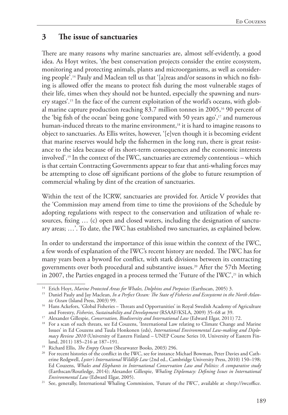# **3 The issue of sanctuaries**

There are many reasons why marine sanctuaries are, almost self-evidently, a good idea. As Hoyt writes, 'the best conservation projects consider the entire ecosystem, monitoring and protecting animals, plants and microorganisms, as well as considering people'.14 Pauly and Maclean tell us that '[a]reas and/or seasons in which no fishing is allowed offer the means to protect fish during the most vulnerable stages of their life, times when they should not be hunted, especially the spawning and nursery stages'.15 In the face of the current exploitation of the world's oceans, with global marine capture production reaching 83.7 million tonnes in 2005,16 90 percent of the 'big fish of the ocean' being gone 'compared with 50 years ago',17 and numerous human-induced threats to the marine environment,<sup>18</sup> it is hard to imagine reasons to object to sanctuaries. As Ellis writes, however, '[e]ven though it is becoming evident that marine reserves would help the fishermen in the long run, there is great resistance to the idea because of its short-term consequences and the economic interests involved'.19 In the context of the IWC, sanctuaries are extremely contentious – which is that certain Contracting Governments appear to fear that anti-whaling forces may be attempting to close off significant portions of the globe to future resumption of commercial whaling by dint of the creation of sanctuaries.

Within the text of the ICRW, sanctuaries are provided for. Article V provides that the 'Commission may amend from time to time the provisions of the Schedule by adopting regulations with respect to the conservation and utilization of whale resources, fixing … (c) open and closed waters, including the designation of sanctuary areas; …'. To date, the IWC has established two sanctuaries, as explained below.

In order to understand the importance of this issue within the context of the IWC, a few words of explanation of the IWC's recent history are needed. The IWC has for many years been a byword for conflict, with stark divisions between its contracting governments over both procedural and substantive issues.20 After the 57th Meeting in 2007, the Parties engaged in a process termed the 'Future of the IWC',<sup>21</sup> in which

<sup>14</sup> Erich Hoyt, *Marine Protected Areas for Whales, Dolphins and Porpoises* (Earthscan, 2005) 3.

<sup>&</sup>lt;sup>15</sup> Daniel Pauly and Jay Maclean, In a Perfect Ocean: The State of Fisheries and Ecosystemt in the North Atlan*tic Ocean* (Island Press, 2003) 99.

<sup>&</sup>lt;sup>16</sup> Hans Ackefors, 'Global Fisheries – Threats and Opportunities' in Royal Swedish Academy of Agriculture and Forestry, *Fisheries, Sustainability and Development* (RSAAF/KSLA, 2009) 35–68 at 39.

<sup>17</sup> Alexander Gillespie, *Conservation, Biodiversity and International Law* (Edward Elgar, 2011) 72.

<sup>&</sup>lt;sup>18</sup> For a scan of such threats, see Ed Couzens, 'International Law relating to Climate Change and Marine Issues' in Ed Couzens and Tuula Honkonen (eds), *International Environmental Law-making and Diplomacy Review 2010* (University of Eastern Finland – UNEP Course Series 10, University of Eastern Finland, 2011) 185–216 at 187–191. 19 Richard Ellis, *The Empty Ocean* (Shearwater Books, 2003) 296.

<sup>&</sup>lt;sup>20</sup> For recent histories of the conflict in the IWC, see for instance Michael Bowman, Peter Davies and Catherine Redgwell, *Lyster's International Wildlife Law* (2nd ed., Cambridge University Press, 2010) 150–198; Ed Couzens, *Whales and Elephants in International Conservation Law and Politics: A comparative study* (Earthscan/Routledge, 2014); Alexander Gillespie, *Whaling Diplomacy: Defining Issues in International* 

*Environmental Law* (Edward Elgar, 2005). 21 See, generally, International Whaling Commission, 'Future of the IWC', available at <http://iwcoffice.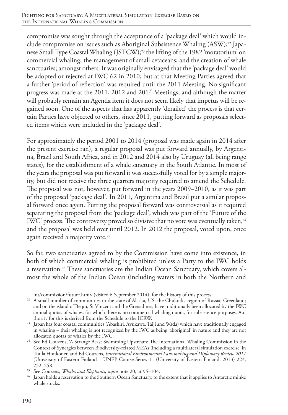compromise was sought through the acceptance of a 'package deal' which would include compromise on issues such as Aboriginal Subsistence Whaling (ASW);<sup>22</sup> Japanese Small Type Coastal Whaling (JSTCW);23 the lifting of the 1982 'moratorium' on commercial whaling; the management of small cetaceans; and the creation of whale sanctuaries; amongst others. It was originally envisaged that the 'package deal' would be adopted or rejected at IWC 62 in 2010; but at that Meeting Parties agreed that a further 'period of reflection' was required until the 2011 Meeting. No significant progress was made at the 2011, 2012 and 2014 Meetings, and although the matter will probably remain an Agenda item it does not seem likely that impetus will be regained soon. One of the aspects that has apparently 'derailed' the process is that certain Parties have objected to others, since 2011, putting forward as proposals selected items which were included in the 'package deal'.

For approximately the period 2001 to 2014 (proposal was made again in 2014 after the present exercise ran), a regular proposal was put forward annually, by Argentina, Brazil and South Africa, and in 2012 and 2014 also by Uruguay (all being range states), for the establishment of a whale sanctuary in the South Atlantic. In most of the years the proposal was put forward it was successfully voted for by a simple majority, but did not receive the three quarters majority required to amend the Schedule. The proposal was not, however, put forward in the years 2009–2010, as it was part of the proposed 'package deal'. In 2011, Argentina and Brazil put a similar proposal forward once again. Putting the proposal forward was controversial as it required separating the proposal from the 'package deal', which was part of the 'Future of the IWC' process. The controversy proved so divisive that no vote was eventually taken, $24$ and the proposal was held over until 2012. In 2012 the proposal, voted upon, once again received a majority vote.<sup>25</sup>

So far, two sanctuaries agreed to by the Commission have come into existence, in both of which commercial whaling is prohibited unless a Party to the IWC holds a reservation.<sup>26</sup> These sanctuaries are the Indian Ocean Sanctuary, which covers almost the whole of the Indian Ocean (including waters in both the Northern and

int/commission/future.htm> (visited 6 September 2014), for the history of this process. 22 A small number of communities in the state of Alaska, US; the Chukotka region of Russia; Greenland; and on the island of Bequi, St Vincent and the Grenadines, have traditionally been allocated by the IWC annual quotas of whales, for which there is no commercial whaling quota, for subsistence purposes. Authority for this is derived from the Schedule to the ICRW.

<sup>&</sup>lt;sup>23</sup> Japan has four coastal communities (Abashiri, Ayukawa, Taiji and Wada) which have traditionally engaged in whaling – their whaling is not recognized by the IWC as being 'aboriginal' in nature and they are not

allocated quotas of whales by the IWC. 24 See Ed Couzens, 'A Strange Beast Swimming Upstream: The International Whaling Commission in the Context of Synergies between Biodiversity-related MEAs (including a multilateral simulation exercise' in Tuula Honkonen and Ed Couzens, *International Environmental Law-making and Diplomacy Review 2011* (University of Eastern Finland – UNEP Course Series 11 (University of Eastern Finland, 2013) 223, 252–258.

<sup>25</sup> See Couzens, *Whales and Elephants*, *supra* note 20, at 95–104.

<sup>&</sup>lt;sup>26</sup> Japan holds a reservation to the Southern Ocean Sanctuary, to the extent that it applies to Antarctic minke whale stocks.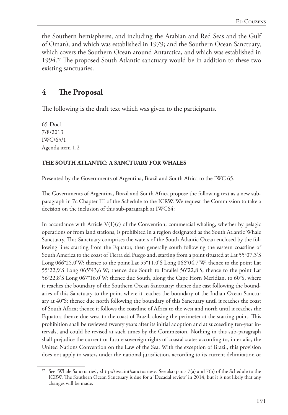the Southern hemispheres, and including the Arabian and Red Seas and the Gulf of Oman), and which was established in 1979; and the Southern Ocean Sanctuary, which covers the Southern Ocean around Antarctica, and which was established in 1994.27 The proposed South Atlantic sanctuary would be in addition to these two existing sanctuaries.

# **4 The Proposal**

The following is the draft text which was given to the participants.

65-Doc1 7/8/2013 IWC/65/1 Agenda item 1.2

#### **THE SOUTH ATLANTIC: A SANCTUARY FOR WHALES**

Presented by the Governments of Argentina, Brazil and South Africa to the IWC 65.

The Governments of Argentina, Brazil and South Africa propose the following text as a new subparagraph in 7c Chapter III of the Schedule to the ICRW. We request the Commission to take a decision on the inclusion of this sub-paragraph at IWC64:

In accordance with Article V(1)(c) of the Convention, commercial whaling, whether by pelagic operations or from land stations, is prohibited in a region designated as the South Atlantic Whale Sanctuary. This Sanctuary comprises the waters of the South Atlantic Ocean enclosed by the following line: starting from the Equator, then generally south following the eastern coastline of South America to the coast of Tierra del Fuego and, starting from a point situated at Lat 55°07,3'S Long 066°25,0'W; thence to the point Lat 55°11,0'S Long 066°04,7'W; thence to the point Lat 55°22,9'S Long 065°43,6'W; thence due South to Parallel 56°22,8'S; thence to the point Lat 56°22,8'S Long 067°16,0'W; thence due South, along the Cape Horn Meridian, to 60°S, where it reaches the boundary of the Southern Ocean Sanctuary; thence due east following the boundaries of this Sanctuary to the point where it reaches the boundary of the Indian Ocean Sanctuary at 40°S; thence due north following the boundary of this Sanctuary until it reaches the coast of South Africa; thence it follows the coastline of Africa to the west and north until it reaches the Equator; thence due west to the coast of Brazil, closing the perimeter at the starting point. This prohibition shall be reviewed twenty years after its initial adoption and at succeeding ten-year intervals, and could be revised at such times by the Commission. Nothing in this sub-paragraph shall prejudice the current or future sovereign rights of coastal states according to, inter alia, the United Nations Convention on the Law of the Sea. With the exception of Brazil, this provision does not apply to waters under the national jurisdiction, according to its current delimitation or

<sup>&</sup>lt;sup>27</sup> See 'Whale Sanctuaries', <http://iwc.int/sanctuaries>. See also paras 7(a) and 7(b) of the Schedule to the ICRW. The Southern Ocean Sanctuary is due for a 'Decadal review' in 2014, but it is not likely that any changes will be made.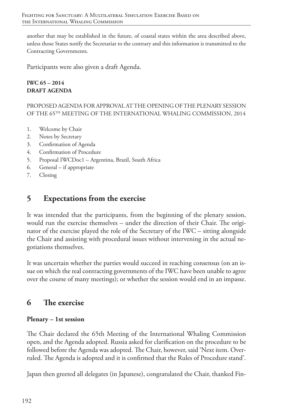another that may be established in the future, of coastal states within the area described above, unless those States notify the Secretariat to the contrary and this information is transmitted to the Contracting Governments.

Participants were also given a draft Agenda.

#### **IWC 65 – 2014 DRAFT AGENDA**

PROPOSED AGENDA FOR APPROVAL AT THE OPENING OF THE PLENARY SESSION OF THE 65TH MEETING OF THE INTERNATIONAL WHALING COMMISSION, 2014

- 1. Welcome by Chair
- 2. Notes by Secretary
- 3. Confirmation of Agenda
- 4. Confirmation of Procedure
- 5. Proposal IWCDoc1 Argentina, Brazil, South Africa
- 6. General if appropriate
- 7. Closing

# **5 Expectations from the exercise**

It was intended that the participants, from the beginning of the plenary session, would run the exercise themselves – under the direction of their Chair. The originator of the exercise played the role of the Secretary of the IWC – sitting alongside the Chair and assisting with procedural issues without intervening in the actual negotiations themselves.

It was uncertain whether the parties would succeed in reaching consensus (on an issue on which the real contracting governments of the IWC have been unable to agree over the course of many meetings); or whether the session would end in an impasse.

# **6 The exercise**

#### **Plenary – 1st session**

The Chair declared the 65th Meeting of the International Whaling Commission open, and the Agenda adopted. Russia asked for clarification on the procedure to be followed before the Agenda was adopted. The Chair, however, said 'Next item. Overruled. The Agenda is adopted and it is confirmed that the Rules of Procedure stand'.

Japan then greeted all delegates (in Japanese), congratulated the Chair, thanked Fin-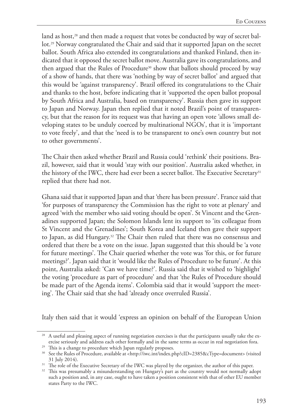land as host,<sup>28</sup> and then made a request that votes be conducted by way of secret ballot.29 Norway congratulated the Chair and said that it supported Japan on the secret ballot. South Africa also extended its congratulations and thanked Finland, then indicated that it opposed the secret ballot move. Australia gave its congratulations, and then argued that the Rules of Procedure<sup>30</sup> show that ballots should proceed by way of a show of hands, that there was 'nothing by way of secret ballot' and argued that this would be 'against transparency'. Brazil offered its congratulations to the Chair and thanks to the host, before indicating that it 'supported the open ballot proposal by South Africa and Australia, based on transparency'. Russia then gave its support to Japan and Norway. Japan then replied that it noted Brazil's point of transparency, but that the reason for its request was that having an open vote 'allows small developing states to be unduly coerced by multinational NGOs', that it is 'important to vote freely', and that the 'need is to be transparent to one's own country but not to other governments'.

The Chair then asked whether Brazil and Russia could 'rethink' their positions. Brazil, however, said that it would 'stay with our position'. Australia asked whether, in the history of the IWC, there had ever been a secret ballot. The Executive Secretary<sup>31</sup> replied that there had not.

Ghana said that it supported Japan and that 'there has been pressure'. France said that 'for purposes of transparency the Commission has the right to vote at plenary' and agreed 'with the member who said voting should be open'. St Vincent and the Grenadines supported Japan; the Solomon Islands lent its support to 'its colleague from St Vincent and the Grenadines'; South Korea and Iceland then gave their support to Japan, as did Hungary.32 The Chair then ruled that there was no consensus and ordered that there be a vote on the issue. Japan suggested that this should be 'a vote for future meetings'. The Chair queried whether the vote was 'for this, or for future meetings?'. Japan said that it 'would like the Rules of Procedure to be future'. At this point, Australia asked: 'Can we have time?'. Russia said that it wished to 'highlight' the voting 'procedure as part of procedure' and that 'the Rules of Procedure should be made part of the Agenda items'. Colombia said that it would 'support the meeting'. The Chair said that she had 'already once overruled Russia'.

Italy then said that it would 'express an opinion on behalf of the European Union

<sup>&</sup>lt;sup>28</sup> A useful and pleasing aspect of running negotiation exercises is that the participants usually take the exercise seriously and address each other formally and in the same terms as occur in real negotiation fora.

<sup>&</sup>lt;sup>29</sup> This is a change to procedure which Japan regularly proposes.

<sup>30</sup> See the Rules of Procedure, available at <http://iwc.int/index.php?cID=2385&cType=document> (visited 31 July 2014).

<sup>&</sup>lt;sup>31</sup> The role of the Executive Secretary of the IWC was played by the organizer, the author of this paper.<br><sup>32</sup> This was presumably a misunderstanding on Hungary's part as the country would not normally adopt

such a position and, in any case, ought to have taken a position consistent with that of other EU member states Party to the IWC.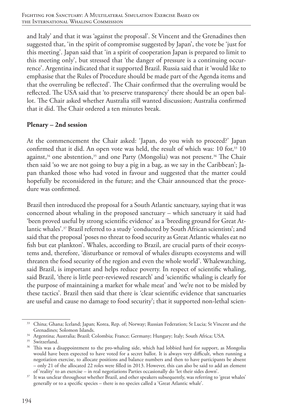and Italy' and that it was 'against the proposal'. St Vincent and the Grenadines then suggested that, 'in the spirit of compromise suggested by Japan', the vote be 'just for this meeting'. Japan said that 'in a spirit of cooperation Japan is prepared to limit to this meeting only', but stressed that 'the danger of pressure is a continuing occurrence'. Argentina indicated that it supported Brazil. Russia said that it 'would like to emphasise that the Rules of Procedure should be made part of the Agenda items and that the overruling be reflected'. The Chair confirmed that the overruling would be reflected. The USA said that 'to preserve transparency' there should be an open ballot. The Chair asked whether Australia still wanted discussion; Australia confirmed that it did. The Chair ordered a ten minutes break.

#### **Plenary – 2nd session**

At the commencement the Chair asked: 'Japan, do you wish to proceed?' Japan confirmed that it did. An open vote was held, the result of which was:  $10$  for, $33$   $10$ against,<sup>34</sup> one abstention,<sup>35</sup> and one Party (Mongolia) was not present.<sup>36</sup> The Chair then said 'so we are not going to buy a pig in a bag, as we say in the Caribbean'; Japan thanked those who had voted in favour and suggested that the matter could hopefully be reconsidered in the future; and the Chair announced that the procedure was confirmed.

Brazil then introduced the proposal for a South Atlantic sanctuary, saying that it was concerned about whaling in the proposed sanctuary – which sanctuary it said had 'been proved useful by strong scientific evidence' as a 'breeding ground for Great Atlantic whales'.37 Brazil referred to a study 'conducted by South African scientists'; and said that the proposal 'poses no threat to food security as Great Atlantic whales eat no fish but eat plankton'. Whales, according to Brazil, are crucial parts of their ecosystems and, therefore, 'disturbance or removal of whales disrupts ecosystems and will threaten the food security of the region and even the whole world'. Whalewatching, said Brazil, is important and helps reduce poverty. In respect of scientific whaling, said Brazil, 'there is little peer-reviewed research' and 'scientific whaling is clearly for the purpose of maintaining a market for whale meat' and 'we're not to be misled by these tactics'. Brazil then said that there is 'clear scientific evidence that sanctuaries are useful and cause no damage to food security'; that it supported non-lethal scien-

<sup>33</sup> China; Ghana; Iceland; Japan; Korea, Rep. of; Norway; Russian Federation; St Lucia; St Vincent and the Grenadines; Solomon Islands.

<sup>34</sup> Argentina; Australia; Brazil; Colombia; France; Germany; Hungary; Italy; South Africa; USA.

<sup>&</sup>lt;sup>35</sup> Switzerland.

<sup>&</sup>lt;sup>36</sup> This was a disappointment to the pro-whaling side, which had lobbied hard for support, as Mongolia would have been expected to have voted for a secret ballot. It is always very difficult, when running a negotiation exercise, to allocate positions and balance numbers and then to have participants be absent – only 21 of the allocated 22 roles were filled in 2013. However, this can also be said to add an element of 'reality' to an exercise – in real negotiations Parties occasionally do 'let their sides down'.

<sup>&</sup>lt;sup>37</sup> It was unclear throughout whether Brazil, and other speakers subsequently, was referring to 'great whales' generally or to a specific species – there is no species called a 'Great Atlantic whale'.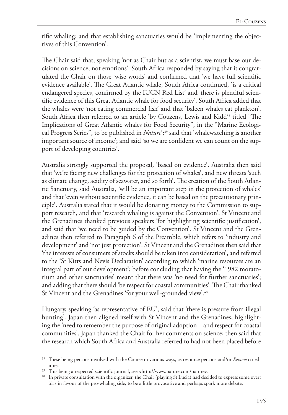tific whaling; and that establishing sanctuaries would be 'implementing the objectives of this Convention'.

The Chair said that, speaking 'not as Chair but as a scientist, we must base our decisions on science, not emotions'. South Africa responded by saying that it congratulated the Chair on those 'wise words' and confirmed that 'we have full scientific evidence available'. The Great Atlantic whale, South Africa continued, 'is a critical endangered species, confirmed by the IUCN Red List' and 'there is plentiful scientific evidence of this Great Atlantic whale for food security'. South Africa added that the whales were 'not eating commercial fish' and that 'baleen whales eat plankton'. South Africa then referred to an article 'by Couzens, Lewis and Kidd<sup>38</sup> titled "The Implications of Great Atlantic whales for Food Security", in the "Marine Ecological Progress Series", to be published in *Nature*';39 said that 'whalewatching is another important source of income'; and said 'so we are confident we can count on the support of developing countries'.

Australia strongly supported the proposal, 'based on evidence'. Australia then said that 'we're facing new challenges for the protection of whales', and new threats 'such as climate change, acidity of seawater, and so forth'. The creation of the South Atlantic Sanctuary, said Australia, 'will be an important step in the protection of whales' and that 'even without scientific evidence, it can be based on the precautionary principle'. Australia stated that it would be donating money to the Commission to support research, and that 'research whaling is against the Convention'. St Vincent and the Grenadines thanked previous speakers 'for highlighting scientific justification', and said that 'we need to be guided by the Convention'. St Vincent and the Grenadines then referred to Paragraph 6 of the Preamble, which refers to 'industry and development' and 'not just protection'. St Vincent and the Grenadines then said that 'the interests of consumers of stocks should be taken into consideration', and referred to the 'St Kitts and Nevis Declaration' according to which 'marine resources are an integral part of our development'; before concluding that having the '1982 moratorium and other sanctuaries' meant that there was 'no need for further sanctuaries'; and adding that there should 'be respect for coastal communities'. The Chair thanked St Vincent and the Grenadines 'for your well-grounded view'.<sup>40</sup>

Hungary, speaking 'as representative of EU', said that 'there is pressure from illegal hunting'. Japan then aligned itself with St Vincent and the Grenadines, highlighting the 'need to remember the purpose of original adoption – and respect for coastal communities'. Japan thanked the Chair for her comments on science; then said that the research which South Africa and Australia referred to had not been placed before

<sup>38</sup> These being persons involved with the Course in various ways, as resource persons and/or *Review* co-editors.

<sup>&</sup>lt;sup>39</sup> This being a respected scientific journal, see <http://www.nature.com/nature>.

<sup>40</sup> In private consultation with the organizer, the Chair (playing St Lucia) had decided to express some overt bias in favour of the pro-whaling side, to be a little provocative and perhaps spark more debate.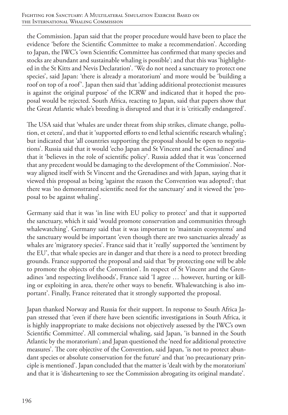the Commission. Japan said that the proper procedure would have been to place the evidence 'before the Scientific Committee to make a recommendation'. According to Japan, the IWC's 'own Scientific Committee has confirmed that many species and stocks are abundant and sustainable whaling is possible'; and that this was 'highlighted in the St Kitts and Nevis Declaration'. 'We do not need a sanctuary to protect one species', said Japan: 'there is already a moratorium' and more would be 'building a roof on top of a roof'. Japan then said that 'adding additional protectionist measures is against the original purpose' of the ICRW and indicated that it hoped the proposal would be rejected. South Africa, reacting to Japan, said that papers show that the Great Atlantic whale's breeding is disrupted and that it is 'critically endangered'.

The USA said that 'whales are under threat from ship strikes, climate change, pollution, et cetera', and that it 'supported efforts to end lethal scientific research whaling'; but indicated that 'all countries supporting the proposal should be open to negotiations'. Russia said that it would 'echo Japan and St Vincent and the Grenadines' and that it 'believes in the role of scientific policy'. Russia added that it was 'concerned that any precedent would be damaging to the development of the Commission'. Norway aligned itself with St Vincent and the Grenadines and with Japan, saying that it viewed this proposal as being 'against the reason the Convention was adopted'; that there was 'no demonstrated scientific need for the sanctuary' and it viewed the 'proposal to be against whaling'.

Germany said that it was 'in line with EU policy to protect' and that it supported the sanctuary, which it said 'would promote conservation and communities through whalewatching'. Germany said that it was important to 'maintain ecosystems' and the sanctuary would be important 'even though there are two sanctuaries already' as whales are 'migratory species'. France said that it 'really' supported the 'sentiment by the EU', that whale species are in danger and that there is a need to protect breeding grounds. France supported the proposal and said that 'by protecting one will be able to promote the objects of the Convention'. In respect of St Vincent and the Grenadines 'and respecting livelihoods', France said 'I agree … however, hurting or killing or exploiting in area, there're other ways to benefit. Whalewatching is also important'. Finally, France reiterated that it strongly supported the proposal.

Japan thanked Norway and Russia for their support. In response to South Africa Japan stressed that 'even if there have been scientific investigations in South Africa, it is highly inappropriate to make decisions not objectively assessed by the IWC's own Scientific Committee'. All commercial whaling, said Japan, 'is banned in the South Atlantic by the moratorium'; and Japan questioned the 'need for additional protective measures'. The core objective of the Convention, said Japan, 'is not to protect abundant species or absolute conservation for the future' and that 'no precautionary principle is mentioned'. Japan concluded that the matter is 'dealt with by the moratorium' and that it is 'disheartening to see the Commission abrogating its original mandate'.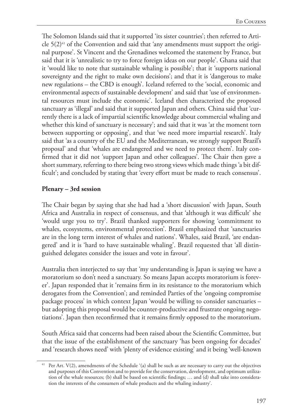The Solomon Islands said that it supported 'its sister countries'; then referred to Article  $5(2)^{41}$  of the Convention and said that 'any amendments must support the original purpose'. St Vincent and the Grenadines welcomed the statement by France, but said that it is 'unrealistic to try to force foreign ideas on our people'. Ghana said that it 'would like to note that sustainable whaling is possible'; that it 'supports national sovereignty and the right to make own decisions'; and that it is 'dangerous to make new regulations – the CBD is enough'. Iceland referred to the 'social, economic and environmental aspects of sustainable development' and said that 'use of environmental resources must include the economic'. Iceland then characterized the proposed sanctuary as 'illegal' and said that it supported Japan and others. China said that 'currently there is a lack of impartial scientific knowledge about commercial whaling and whether this kind of sanctuary is necessary'; and said that it was 'at the moment torn between supporting or opposing', and that 'we need more impartial research'. Italy said that 'as a country of the EU and the Mediterranean, we strongly support Brazil's proposal' and that 'whales are endangered and we need to protect them'. Italy confirmed that it did not 'support Japan and other colleagues'. The Chair then gave a short summary, referring to there being two strong views which made things 'a bit difficult'; and concluded by stating that 'every effort must be made to reach consensus'.

#### **Plenary – 3rd session**

The Chair began by saying that she had had a 'short discussion' with Japan, South Africa and Australia in respect of consensus, and that 'although it was difficult' she 'would urge you to try'. Brazil thanked supporters for showing 'commitment to whales, ecosystems, environmental protection'. Brazil emphasized that 'sanctuaries are in the long term interest of whales and nations'. Whales, said Brazil, 'are endangered' and it is 'hard to have sustainable whaling'. Brazil requested that 'all distinguished delegates consider the issues and vote in favour'.

Australia then interjected to say that 'my understanding is Japan is saying we have a moratorium so don't need a sanctuary. So means Japan accepts moratorium is forever'. Japan responded that it 'remains firm in its resistance to the moratorium which derogates from the Convention'; and reminded Parties of the 'ongoing compromise package process' in which context Japan 'would be willing to consider sanctuaries – but adopting this proposal would be counter-productive and frustrate ongoing negotiations'. Japan then reconfirmed that it remains firmly opposed to the moratorium.

South Africa said that concerns had been raised about the Scientific Committee, but that the issue of the establishment of the sanctuary 'has been ongoing for decades' and 'research shows need' with 'plenty of evidence existing' and it being 'well-known

<sup>&</sup>lt;sup>41</sup> Per Art. V(2), amendments of the Schedule '(a) shall be such as are necessary to carry out the objectives and purposes of this Convention and to provide for the conservation, development, and optimum utilization of the whale resources; (b) shall be based on scientific findings; … and (d) shall take into consideration the interests of the consumers of whale products and the whaling industry'.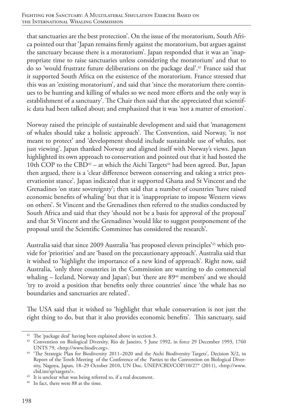that sanctuaries are the best protection'. On the issue of the moratorium, South Africa pointed out that 'Japan remains firmly against the moratorium, but argues against the sanctuary because there is a moratorium'. Japan responded that it was an 'inappropriate time to raise sanctuaries unless considering the moratorium' and that to do so 'would frustrate future deliberations on the package deal'.42 France said that it supported South Africa on the existence of the moratorium. France stressed that this was an 'existing moratorium', and said that 'since the moratorium there continues to be hunting and killing of whales so we need more efforts and the only way is establishment of a sanctuary'. The Chair then said that she appreciated that scientific data had been talked about; and emphasized that it was 'not a matter of emotion'.

Norway raised the principle of sustainable development and said that 'management of whales should take a holistic approach'. The Convention, said Norway, 'is not meant to protect' and 'development should include sustainable use of whales, not just viewing'. Japan thanked Norway and aligned itself with Norway's views. Japan highlighted its own approach to conservation and pointed out that it had hosted the 10th COP to the CBD<sup>43</sup> – at which the Aichi Targets<sup>44</sup> had been agreed. But, Japan then argued, there is a 'clear difference between conserving and taking a strict preservationist stance'. Japan indicated that it supported Ghana and St Vincent and the Grenadines 'on state sovereignty'; then said that a number of countries 'have raised economic benefits of whaling' but that it is 'inappropriate to impose Western views on others'. St Vincent and the Grenadines then referred to the studies conducted by South Africa and said that they 'should not be a basis for approval of the proposal' and that St Vincent and the Grenadines 'would like to suggest postponement of the proposal until the Scientific Committee has considered the research'.

Australia said that since 2009 Australia 'has proposed eleven principles'<sup>45</sup> which provide for 'priorities' and are 'based on the precautionary approach'. Australia said that it wished to 'highlight the importance of a new kind of approach'. Right now, said Australia, 'only three countries in the Commission are wanting to do commercial whaling – Iceland, Norway and Japan'; but 'there are 89<sup>46</sup> members' and we should 'try to avoid a position that benefits only three countries' since 'the whale has no boundaries and sanctuaries are related'.

The USA said that it wished to 'highlight that whale conservation is not just the right thing to do, but that it also provides economic benefits'. This sanctuary, said

<sup>&</sup>lt;sup>42</sup> The 'package deal' having been explained above in section 3.

<sup>43</sup> Convention on Biological Diversity, Rio de Janeiro, 5 June 1992, in force 29 December 1993, 1760 UNTS 79, <http://www.biodiv.org>.

<sup>44</sup> 'The Strategic Plan for Biodiversity 2011–2020 and the Aichi Biodiversity Targets', Decision X/2, in Report of the Tenth Meeting of the Conference of the Parties to the Convention on Biological Diversity, Nagoya, Japan, 18–29 October 2010, UN Doc. UNEP/CBD/COP/10/27\* (2011), <http://www. cbd.int/sp/targets/>.

<sup>45</sup> It is unclear what was being referred to, if a real document.

<sup>&</sup>lt;sup>46</sup> In fact, there were 88 at the time.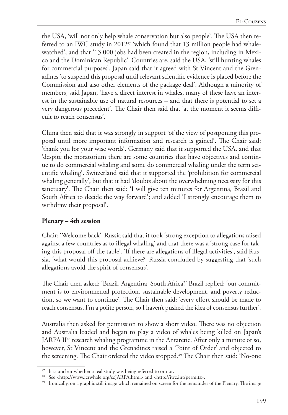the USA, 'will not only help whale conservation but also people'. The USA then referred to an IWC study in  $201247$  'which found that 13 million people had whalewatched', and that '13 000 jobs had been created in the region, including in Mexico and the Dominican Republic'. Countries are, said the USA, 'still hunting whales for commercial purposes'. Japan said that it agreed with St Vincent and the Grenadines 'to suspend this proposal until relevant scientific evidence is placed before the Commission and also other elements of the package deal'. Although a minority of members, said Japan, 'have a direct interest in whales, many of these have an interest in the sustainable use of natural resources – and that there is potential to set a very dangerous precedent'. The Chair then said that 'at the moment it seems difficult to reach consensus'.

China then said that it was strongly in support 'of the view of postponing this proposal until more important information and research is gained'. The Chair said: 'thank you for your wise words'. Germany said that it supported the USA, and that 'despite the moratorium there are some countries that have objectives and continue to do commercial whaling and some do commercial whaling under the term scientific whaling'. Switzerland said that it supported the 'prohibition for commercial whaling generally', but that it had 'doubts about the overwhelming necessity for this sanctuary'. The Chair then said: 'I will give ten minutes for Argentina, Brazil and South Africa to decide the way forward'; and added 'I strongly encourage them to withdraw their proposal'.

#### **Plenary – 4th session**

Chair: 'Welcome back'. Russia said that it took 'strong exception to allegations raised against a few countries as to illegal whaling' and that there was a 'strong case for taking this proposal off the table'. 'If there are allegations of illegal activities', said Russia, 'what would this proposal achieve?' Russia concluded by suggesting that 'such allegations avoid the spirit of consensus'.

The Chair then asked: 'Brazil, Argentina, South Africa?' Brazil replied: 'our commitment is to environmental protection, sustainable development, and poverty reduction, so we want to continue'. The Chair then said: 'every effort should be made to reach consensus. I'm a polite person, so I haven't pushed the idea of consensus further'.

Australia then asked for permission to show a short video. There was no objection and Australia loaded and began to play a video of whales being killed on Japan's JARPA II<sup>48</sup> research whaling programme in the Antarctic. After only a minute or so, however, St Vincent and the Grenadines raised a 'Point of Order' and objected to the screening. The Chair ordered the video stopped.<sup>49</sup> The Chair then said: 'No-one

<sup>&</sup>lt;sup>47</sup> It is unclear whether a real study was being referred to or not.

<sup>48</sup> See <http://www.icrwhale.org/scJARPA.html> and <http://iwc.int/permits>.

<sup>&</sup>lt;sup>49</sup> Ironically, on a graphic still image which remained on screen for the remainder of the Plenary. The image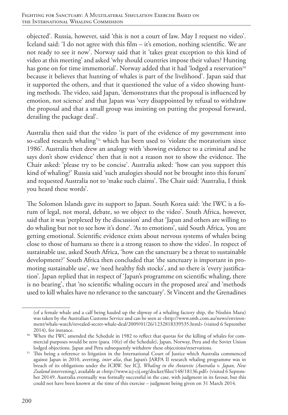objected'. Russia, however, said 'this is not a court of law. May I request no video'. Iceland said: 'I do not agree with this film – it's emotion, nothing scientific. We are not ready to see it now'. Norway said that it 'takes great exception to this kind of video at this meeting' and asked 'why should countries impose their values? Hunting has gone on for time immemorial'. Norway added that it had 'lodged a reservation<sup>50</sup> because it believes that hunting of whales is part of the livelihood'. Japan said that it supported the others, and that it questioned the value of a video showing hunting methods. The video, said Japan, 'demonstrates that the proposal is influenced by emotion, not science' and that Japan was 'very disappointed by refusal to withdraw the proposal and that a small group was insisting on putting the proposal forward, derailing the package deal'.

Australia then said that the video 'is part of the evidence of my government into so-called research whaling'<sup>51</sup> which has been used to 'violate the moratorium since 1986'. Australia then drew an analogy with 'showing evidence to a criminal and he says don't show evidence' then that is not a reason not to show the evidence. The Chair asked: 'please try to be concise'. Australia asked: 'how can you support this kind of whaling?' Russia said 'such analogies should not be brought into this forum' and requested Australia not to 'make such claims'. The Chair said: 'Australia, I think you heard these words'.

The Solomon Islands gave its support to Japan. South Korea said: 'the IWC is a forum of legal, not moral, debate, so we object to the video'. South Africa, however, said that it was 'perplexed by the discussion' and that 'Japan and others are willing to do whaling but not to see how it's done'. 'As to emotions', said South Africa, 'you are getting emotional. Scientific evidence exists about nervous systems of whales being close to those of humans so there is a strong reason to show the video'. In respect of sustainable use, asked South Africa, 'how can the sanctuary be a threat to sustainable development?' South Africa then concluded that 'the sanctuary is important in promoting sustainable use', we 'need healthy fish stocks', and so there is 'every justification'. Japan replied that in respect of 'Japan's programme on scientific whaling, there is no bearing', that 'no scientific whaling occurs in the proposed area' and 'methods used to kill whales have no relevance to the sanctuary'. St Vincent and the Grenadines

<sup>(</sup>of a female whale and a calf being hauled up the slipway of a whaling factory ship, the Nisshin Maru) was taken by the Australian Customs Service and can be seen at <http://www.smh.com.au/news/environment/whale-watch/revealed-secret-whale-deal/2009/01/26/1232818339535.html> (visited 6 September

<sup>2014),</sup> for instance. 50 When the IWC amended the Schedule in 1982 to reflect that quotas for the killing of whales for commercial purposes would be zero (para. 10(e) of the Schedule), Japan, Norway, Peru and the Soviet Union lodged objections. Japan and Peru subsequently withdrew these objections/reservations.

<sup>&</sup>lt;sup>51</sup> This being a reference to litigation in the International Court of Justice which Australia commenced against Japan in 2010, averring, *inter alia*, that Japan's JARPA II research whaling programme was in breach of its obligations under the ICRW. See ICJ, *Whaling in the Antarctic (Australia* v. *Japan, New Zealand* intervening*)*, available at <http://www.icj-cij.org/docket/files/148/18136.pdf> (visited 6 September 20149. Australia eventually was formally successful in the case, with judgment in its favour, but this could not have been known at the time of this exercise – judgment being given on 31 March 2014.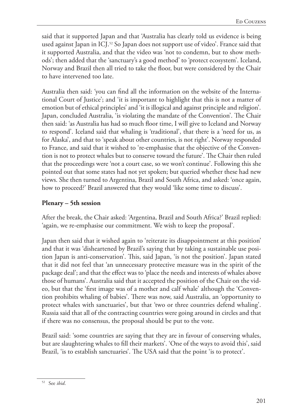said that it supported Japan and that 'Australia has clearly told us evidence is being used against Japan in ICJ.<sup>52</sup> So Japan does not support use of video'. France said that it supported Australia, and that the video was 'not to condemn, but to show methods'; then added that the 'sanctuary's a good method' to 'protect ecosystem'. Iceland, Norway and Brazil then all tried to take the floor, but were considered by the Chair to have intervened too late.

Australia then said: 'you can find all the information on the website of the International Court of Justice'; and 'it is important to highlight that this is not a matter of emotion but of ethical principles' and 'it is illogical and against principle and religion'. Japan, concluded Australia, 'is violating the mandate of the Convention'. The Chair then said: 'as Australia has had so much floor time, I will give to Iceland and Norway to respond'. Iceland said that whaling is 'traditional', that there is a 'need for us, as for Alaska', and that to 'speak about other countries, is not right'. Norway responded to France, and said that it wished to 're-emphasise that the objective of the Convention is not to protect whales but to conserve toward the future'. The Chair then ruled that the proceedings were 'not a court case, so we won't continue'. Following this she pointed out that some states had not yet spoken; but queried whether these had new views. She then turned to Argentina, Brazil and South Africa, and asked: 'once again, how to proceed?' Brazil answered that they would 'like some time to discuss'.

### **Plenary – 5th session**

After the break, the Chair asked: 'Argentina, Brazil and South Africa?' Brazil replied: 'again, we re-emphasise our commitment. We wish to keep the proposal'.

Japan then said that it wished again to 'reiterate its disappointment at this position' and that it was 'disheartened by Brazil's saying that by taking a sustainable use position Japan is anti-conservation'. This, said Japan, 'is not the position'. Japan stated that it did not feel that 'an unnecessary protective measure was in the spirit of the package deal'; and that the effect was to 'place the needs and interests of whales above those of humans'. Australia said that it accepted the position of the Chair on the video, but that the 'first image was of a mother and calf whale' although the 'Convention prohibits whaling of babies'. There was now, said Australia, an 'opportunity to protect whales with sanctuaries', but that 'two or three countries defend whaling'. Russia said that all of the contracting countries were going around in circles and that if there was no consensus, the proposal should be put to the vote.

Brazil said: 'some countries are saying that they are in favour of conserving whales, but are slaughtering whales to fill their markets'. 'One of the ways to avoid this', said Brazil, 'is to establish sanctuaries'. The USA said that the point 'is to protect'.

<sup>52</sup> See *ibid*.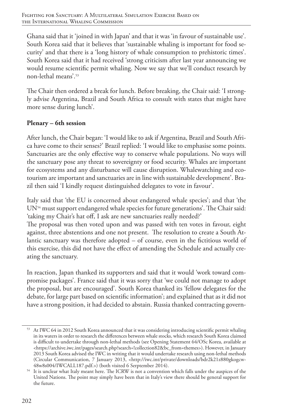Ghana said that it 'joined in with Japan' and that it was 'in favour of sustainable use'. South Korea said that it believes that 'sustainable whaling is important for food security' and that there is a 'long history of whale consumption to prehistoric times'. South Korea said that it had received 'strong criticism after last year announcing we would resume scientific permit whaling. Now we say that we'll conduct research by non-lethal means'.53

The Chair then ordered a break for lunch. Before breaking, the Chair said: 'I strongly advise Argentina, Brazil and South Africa to consult with states that might have more sense during lunch'.

### **Plenary – 6th session**

After lunch, the Chair began: 'I would like to ask if Argentina, Brazil and South Africa have come to their senses?' Brazil replied: 'I would like to emphasise some points. Sanctuaries are the only effective way to conserve whale populations. No ways will the sanctuary pose any threat to sovereignty or food security. Whales are important for ecosystems and any disturbance will cause disruption. Whalewatching and ecotourism are important and sanctuaries are in line with sustainable development'. Brazil then said 'I kindly request distinguished delegates to vote in favour'.

Italy said that 'the EU is concerned about endangered whale species'; and that 'the UN<sup>54</sup> must support endangered whale species for future generations'. The Chair said: 'taking my Chair's hat off, I ask are new sanctuaries really needed?'

The proposal was then voted upon and was passed with ten votes in favour, eight against, three abstentions and one not present. The resolution to create a South Atlantic sanctuary was therefore adopted – of course, even in the fictitious world of this exercise, this did not have the effect of amending the Schedule and actually creating the sanctuary.

In reaction, Japan thanked its supporters and said that it would 'work toward compromise packages'. France said that it was sorry that 'we could not manage to adopt the proposal, but are encouraged'. South Korea thanked its 'fellow delegates for the debate, for large part based on scientific information'; and explained that as it did not have a strong position, it had decided to abstain. Russia thanked contracting govern-

<sup>53</sup> At IWC 64 in 2012 South Korea announced that it was considering introducing scientific permit whaling in its waters in order to research the differences between whale stocks, which research South Korea claimed is difficult to undertake through non-lethal methods (see Opening Statement 64/OSc Korea, available at <https://archive.iwc.int/pages/search.php?search=!collection82&bc\_from=themes>). However, in January 2013 South Korea advised the IWC in writing that it would undertake research using non-lethal methods (Circular Communication, 7 January 2013, <http://iwc.int/private/downloads/bdr2k21z880gkogcw-48w8s004/IWCALL187.pdf.>) (both visited 6 Serptember 2014).

<sup>&</sup>lt;sup>54</sup> It is unclear what Italy meant here. The ICRW is not a convention which falls under the auspices of the United Nations. The point may simply have been that in Italy's view there should be general support for the future.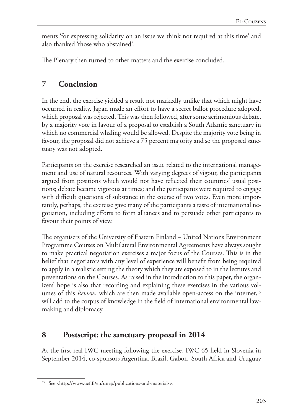ments 'for expressing solidarity on an issue we think not required at this time' and also thanked 'those who abstained'.

The Plenary then turned to other matters and the exercise concluded.

# **7 Conclusion**

In the end, the exercise yielded a result not markedly unlike that which might have occurred in reality. Japan made an effort to have a secret ballot procedure adopted, which proposal was rejected. This was then followed, after some acrimonious debate, by a majority vote in favour of a proposal to establish a South Atlantic sanctuary in which no commercial whaling would be allowed. Despite the majority vote being in favour, the proposal did not achieve a 75 percent majority and so the proposed sanctuary was not adopted.

Participants on the exercise researched an issue related to the international management and use of natural resources. With varying degrees of vigour, the participants argued from positions which would not have reflected their countries' usual positions; debate became vigorous at times; and the participants were required to engage with difficult questions of substance in the course of two votes. Even more importantly, perhaps, the exercise gave many of the participants a taste of international negotiation, including efforts to form alliances and to persuade other participants to favour their points of view.

The organisers of the University of Eastern Finland – United Nations Environment Programme Courses on Multilateral Environmental Agreements have always sought to make practical negotiation exercises a major focus of the Courses. This is in the belief that negotiators with any level of experience will benefit from being required to apply in a realistic setting the theory which they are exposed to in the lectures and presentations on the Courses. As raised in the introduction to this paper, the organizers' hope is also that recording and explaining these exercises in the various volumes of this *Review*, which are then made available open-access on the internet,<sup>55</sup> will add to the corpus of knowledge in the field of international environmental lawmaking and diplomacy.

## **8 Postscript: the sanctuary proposal in 2014**

At the first real IWC meeting following the exercise, IWC 65 held in Slovenia in September 2014, co-sponsors Argentina, Brazil, Gabon, South Africa and Uruguay

<sup>55</sup> See <http://www.uef.fi/en/unep/publications-and-materials>.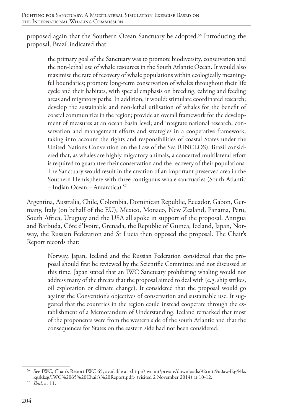proposed again that the Southern Ocean Sanctuary be adopted.<sup>56</sup> Introducing the proposal, Brazil indicated that:

the primary goal of the Sanctuary was to promote biodiversity, conservation and the non-lethal use of whale resources in the South Atlantic Ocean. It would also maximise the rate of recovery of whale populations within ecologically meaningful boundaries; promote long-term conservation of whales throughout their life cycle and their habitats, with special emphasis on breeding, calving and feeding areas and migratory paths. In addition, it would: stimulate coordinated research; develop the sustainable and non-lethal utilisation of whales for the benefit of coastal communities in the region; provide an overall framework for the development of measures at an ocean basin level; and integrate national research, conservation and management efforts and strategies in a cooperative framework, taking into account the rights and responsibilities of coastal States under the United Nations Convention on the Law of the Sea (UNCLOS). Brazil considered that, as whales are highly migratory animals, a concerted multilateral effort is required to guarantee their conservation and the recovery of their populations. The Sanctuary would result in the creation of an important preserved area in the Southern Hemisphere with three contiguous whale sanctuaries (South Atlantic – Indian Ocean – Antarctica).57

Argentina, Australia, Chile, Colombia, Dominican Republic, Ecuador, Gabon, Germany, Italy (on behalf of the EU), Mexico, Monaco, New Zealand, Panama, Peru, South Africa, Uruguay and the USA all spoke in support of the proposal. Antigua and Barbuda, Côte d'Ivoire, Grenada, the Republic of Guinea, Iceland, Japan, Norway, the Russian Federation and St Lucia then opposed the proposal. The Chair's Report records that:

Norway, Japan, Iceland and the Russian Federation considered that the proposal should first be reviewed by the Scientific Committee and not discussed at this time. Japan stated that an IWC Sanctuary prohibiting whaling would not address many of the threats that the proposal aimed to deal with (e.g. ship strikes, oil exploration or climate change). It considered that the proposal would go against the Convention's objectives of conservation and sustainable use. It suggested that the countries in the region could instead cooperate through the establishment of a Memorandum of Understanding. Iceland remarked that most of the proponents were from the western side of the south Atlantic and that the consequences for States on the eastern side had not been considered.

<sup>56</sup> See IWC, Chair's Report IWC 65, available at <http://iwc.int/private/downloads/92rmtt9u0aw4kg44ks kgskksg/IWC%2065%20Chair's%20Report.pdf> (visited 2 November 2014) at 10-12.

<sup>57</sup> *Ibid*. at 11.